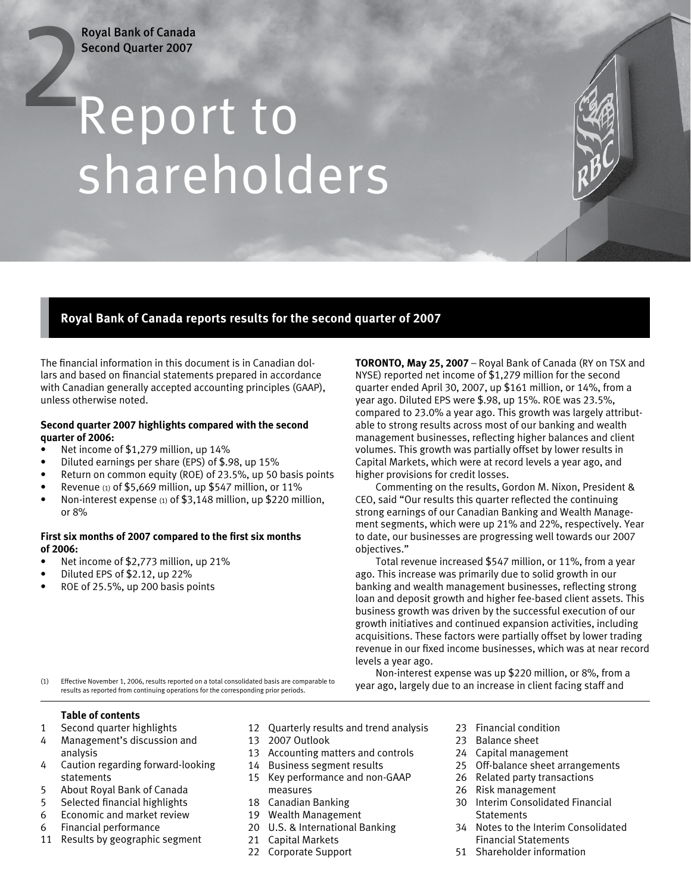Royal Bank of Canada Second Quarter 2007

# **Report to** shareholders

# **Royal Bank of Canada reports results for the second quarter of 2007**

The financial information in this document is in Canadian dollars and based on financial statements prepared in accordance with Canadian generally accepted accounting principles (GAAP), unless otherwise noted.

# **Second quarter 2007 highlights compared with the second quarter of 2006:**

- Net income of \$1,279 million, up 14%
- Diluted earnings per share (EPS) of \$.98, up 15%
- Return on common equity (ROE) of 23.5%, up 50 basis points
- Revenue  $(1)$  of \$5,669 million, up \$547 million, or 11%
- Non-interest expense (1) of \$3,148 million, up \$220 million, or 8%

## **First six months of 2007 compared to the first six months of 2006:**

- Net income of \$2,773 million, up 21%
- Diluted EPS of \$2.12, up 22%
- ROE of 25.5%, up 200 basis points

**TORONTO, May 25, 2007** – Royal Bank of Canada (RY on TSX and NYSE) reported net income of \$1,279 million for the second quarter ended April 30, 2007, up \$161 million, or 14%, from a year ago. Diluted EPS were \$.98, up 15%. ROE was 23.5%, compared to 23.0% a year ago. This growth was largely attributable to strong results across most of our banking and wealth management businesses, reflecting higher balances and client volumes. This growth was partially offset by lower results in Capital Markets, which were at record levels a year ago, and higher provisions for credit losses.

Commenting on the results, Gordon M. Nixon, President & CEO, said "Our results this quarter reflected the continuing strong earnings of our Canadian Banking and Wealth Management segments, which were up 21% and 22%, respectively. Year to date, our businesses are progressing well towards our 2007 objectives."

Total revenue increased \$547 million, or 11%, from a year ago. This increase was primarily due to solid growth in our banking and wealth management businesses, reflecting strong loan and deposit growth and higher fee-based client assets. This business growth was driven by the successful execution of our growth initiatives and continued expansion activities, including acquisitions. These factors were partially offset by lower trading revenue in our fixed income businesses, which was at near record levels a year ago.

Non-interest expense was up \$220 million, or 8%, from a (1) Effective November 1, 2006, results reported on a total consolidated basis are comparable to vear ago, largely due to an increase in client facing staff and  $y$ 

results as reported from continuing operations for the corresponding prior periods.

## **Table of contents**

- 1 Second quarter highlights
- 4 Management's discussion and analysis
- 4 Caution regarding forward-looking statements
- 5 About Royal Bank of Canada
- 5 Selected financial highlights
- 6 Economic and market review
- 6 Financial performance
- 11 Results by geographic segment
- 12 Quarterly results and trend analysis
- 13 2007 Outlook
- 13 Accounting matters and controls
- 14 Business segment results
- 15 Key performance and non-GAAP
- measures
	- 18 Canadian Banking
	- 19 Wealth Management
	- 20 U.S. & International Banking
	- 21 Capital Markets
	- 22 Corporate Support
- 23 Financial condition
- 23 Balance sheet
- 24 Capital management
- 25 Off-balance sheet arrangements
- 26 Related party transactions
- 26 Risk management
- 30 Interim Consolidated Financial **Statements**
- 34 Notes to the Interim Consolidated Financial Statements
- 51 Shareholder information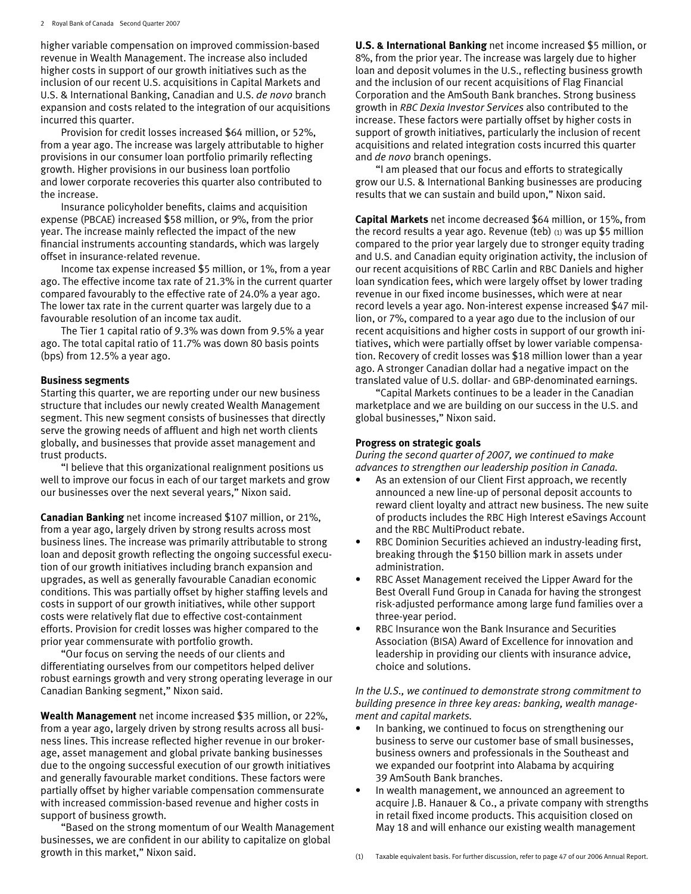higher variable compensation on improved commission-based revenue in Wealth Management. The increase also included higher costs in support of our growth initiatives such as the inclusion of our recent U.S. acquisitions in Capital Markets and U.S. & International Banking, Canadian and U.S. *de novo* branch expansion and costs related to the integration of our acquisitions incurred this quarter.

Provision for credit losses increased \$64 million, or 52%, from a year ago. The increase was largely attributable to higher provisions in our consumer loan portfolio primarily reflecting growth. Higher provisions in our business loan portfolio and lower corporate recoveries this quarter also contributed to the increase.

Insurance policyholder benefits, claims and acquisition expense (PBCAE) increased \$58 million, or 9%, from the prior year. The increase mainly reflected the impact of the new financial instruments accounting standards, which was largely offset in insurance-related revenue.

Income tax expense increased \$5 million, or 1%, from a year ago. The effective income tax rate of 21.3% in the current quarter compared favourably to the effective rate of 24.0% a year ago. The lower tax rate in the current quarter was largely due to a favourable resolution of an income tax audit.

The Tier 1 capital ratio of 9.3% was down from 9.5% a year ago. The total capital ratio of 11.7% was down 80 basis points (bps) from 12.5% a year ago.

## **Business segments**

Starting this quarter, we are reporting under our new business structure that includes our newly created Wealth Management segment. This new segment consists of businesses that directly serve the growing needs of affluent and high net worth clients globally, and businesses that provide asset management and trust products.

"I believe that this organizational realignment positions us well to improve our focus in each of our target markets and grow our businesses over the next several years," Nixon said.

**Canadian Banking** net income increased \$107 million, or 21%, from a year ago, largely driven by strong results across most business lines. The increase was primarily attributable to strong loan and deposit growth reflecting the ongoing successful execution of our growth initiatives including branch expansion and upgrades, as well as generally favourable Canadian economic conditions. This was partially offset by higher staffing levels and costs in support of our growth initiatives, while other support costs were relatively flat due to effective cost-containment efforts. Provision for credit losses was higher compared to the prior year commensurate with portfolio growth.

"Our focus on serving the needs of our clients and differentiating ourselves from our competitors helped deliver robust earnings growth and very strong operating leverage in our Canadian Banking segment," Nixon said.

**Wealth Management** net income increased \$35 million, or 22%, from a year ago, largely driven by strong results across all business lines. This increase reflected higher revenue in our brokerage, asset management and global private banking businesses due to the ongoing successful execution of our growth initiatives and generally favourable market conditions. These factors were partially offset by higher variable compensation commensurate with increased commission-based revenue and higher costs in support of business growth.

"Based on the strong momentum of our Wealth Management businesses, we are confident in our ability to capitalize on global growth in this market," Nixon said.

**U.S. & International Banking** net income increased \$5 million, or 8%, from the prior year. The increase was largely due to higher loan and deposit volumes in the U.S., reflecting business growth and the inclusion of our recent acquisitions of Flag Financial Corporation and the AmSouth Bank branches. Strong business growth in *RBC Dexia Investor Services* also contributed to the increase. These factors were partially offset by higher costs in support of growth initiatives, particularly the inclusion of recent acquisitions and related integration costs incurred this quarter and *de novo* branch openings.

"I am pleased that our focus and efforts to strategically grow our U.S. & International Banking businesses are producing results that we can sustain and build upon," Nixon said.

**Capital Markets** net income decreased \$64 million, or 15%, from the record results a year ago. Revenue (teb)  $(1)$  was up \$5 million compared to the prior year largely due to stronger equity trading and U.S. and Canadian equity origination activity, the inclusion of our recent acquisitions of RBC Carlin and RBC Daniels and higher loan syndication fees, which were largely offset by lower trading revenue in our fixed income businesses, which were at near record levels a year ago. Non-interest expense increased \$47 million, or 7%, compared to a year ago due to the inclusion of our recent acquisitions and higher costs in support of our growth initiatives, which were partially offset by lower variable compensation. Recovery of credit losses was \$18 million lower than a year ago. A stronger Canadian dollar had a negative impact on the translated value of U.S. dollar- and GBP-denominated earnings.

"Capital Markets continues to be a leader in the Canadian marketplace and we are building on our success in the U.S. and global businesses," Nixon said.

## **Progress on strategic goals**

*During the second quarter of 2007, we continued to make advances to strengthen our leadership position in Canada.* 

- As an extension of our Client First approach, we recently announced a new line-up of personal deposit accounts to reward client loyalty and attract new business. The new suite of products includes the RBC High Interest eSavings Account and the RBC MultiProduct rebate.
- RBC Dominion Securities achieved an industry-leading first, breaking through the \$150 billion mark in assets under administration.
- RBC Asset Management received the Lipper Award for the Best Overall Fund Group in Canada for having the strongest risk-adjusted performance among large fund families over a three-year period.
- RBC Insurance won the Bank Insurance and Securities Association (BISA) Award of Excellence for innovation and leadership in providing our clients with insurance advice, choice and solutions.

## *In the U.S., we continued to demonstrate strong commitment to building presence in three key areas: banking, wealth management and capital markets.*

- In banking, we continued to focus on strengthening our business to serve our customer base of small businesses, business owners and professionals in the Southeast and we expanded our footprint into Alabama by acquiring 39 AmSouth Bank branches.
- In wealth management, we announced an agreement to acquire J.B. Hanauer & Co., a private company with strengths in retail fixed income products. This acquisition closed on May 18 and will enhance our existing wealth management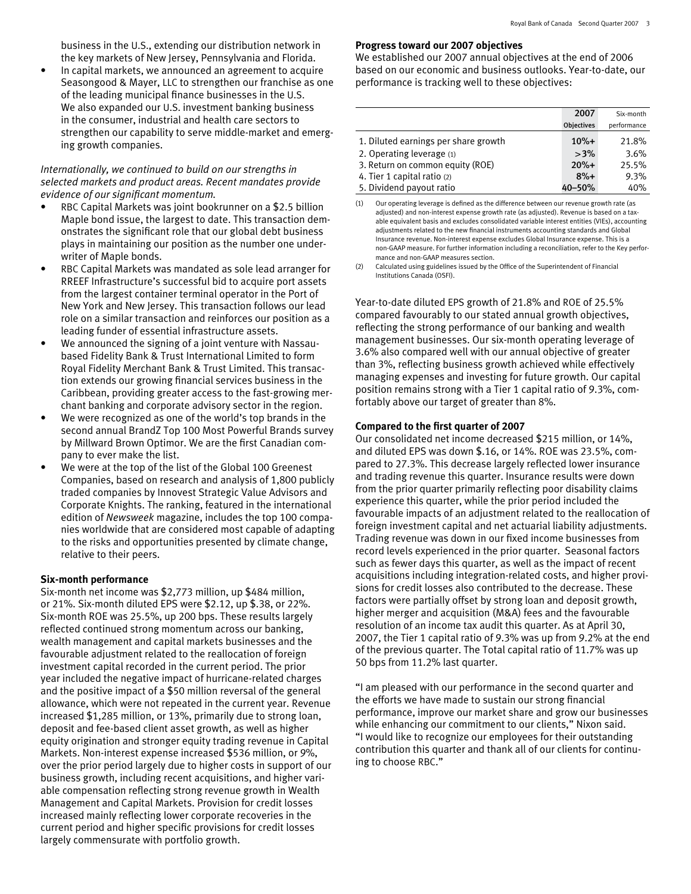business in the U.S., extending our distribution network in the key markets of New Jersey, Pennsylvania and Florida.

In capital markets, we announced an agreement to acquire Seasongood & Mayer, LLC to strengthen our franchise as one of the leading municipal finance businesses in the U.S. We also expanded our U.S. investment banking business in the consumer, industrial and health care sectors to strengthen our capability to serve middle-market and emerging growth companies.

## *Internationally, we continued to build on our strengths in selected markets and product areas. Recent mandates provide evidence of our significant momentum.*

- RBC Capital Markets was joint bookrunner on a \$2.5 billion Maple bond issue, the largest to date. This transaction demonstrates the significant role that our global debt business plays in maintaining our position as the number one underwriter of Maple bonds.
- RBC Capital Markets was mandated as sole lead arranger for RREEF Infrastructure's successful bid to acquire port assets from the largest container terminal operator in the Port of New York and New Jersey. This transaction follows our lead role on a similar transaction and reinforces our position as a leading funder of essential infrastructure assets.
- We announced the signing of a joint venture with Nassaubased Fidelity Bank & Trust International Limited to form Royal Fidelity Merchant Bank & Trust Limited. This transaction extends our growing financial services business in the Caribbean, providing greater access to the fast-growing merchant banking and corporate advisory sector in the region.
- We were recognized as one of the world's top brands in the second annual BrandZ Top 100 Most Powerful Brands survey by Millward Brown Optimor. We are the first Canadian company to ever make the list.
- We were at the top of the list of the Global 100 Greenest Companies, based on research and analysis of 1,800 publicly traded companies by Innovest Strategic Value Advisors and Corporate Knights. The ranking, featured in the international edition of *Newsweek* magazine, includes the top 100 companies worldwide that are considered most capable of adapting to the risks and opportunities presented by climate change, relative to their peers.

## **Six-month performance**

Six-month net income was \$2,773 million, up \$484 million, or 21%. Six-month diluted EPS were \$2.12, up \$.38, or 22%. Six-month ROE was 25.5%, up 200 bps. These results largely reflected continued strong momentum across our banking, wealth management and capital markets businesses and the favourable adjustment related to the reallocation of foreign investment capital recorded in the current period. The prior year included the negative impact of hurricane-related charges and the positive impact of a \$50 million reversal of the general allowance, which were not repeated in the current year. Revenue increased \$1,285 million, or 13%, primarily due to strong loan, deposit and fee-based client asset growth, as well as higher equity origination and stronger equity trading revenue in Capital Markets. Non-interest expense increased \$536 million, or 9%, over the prior period largely due to higher costs in support of our business growth, including recent acquisitions, and higher variable compensation reflecting strong revenue growth in Wealth Management and Capital Markets. Provision for credit losses increased mainly reflecting lower corporate recoveries in the current period and higher specific provisions for credit losses largely commensurate with portfolio growth.

## **Progress toward our 2007 objectives**

We established our 2007 annual objectives at the end of 2006 based on our economic and business outlooks. Year-to-date, our performance is tracking well to these objectives:

|                                      | 2007              | Six-month   |
|--------------------------------------|-------------------|-------------|
|                                      | <b>Objectives</b> | performance |
| 1. Diluted earnings per share growth | $10% +$           | 21.8%       |
| 2. Operating leverage (1)            | $>3\%$            | 3.6%        |
| 3. Return on common equity (ROE)     | $20%+$            | 25.5%       |
| 4. Tier 1 capital ratio (2)          | $8%+$             | 9.3%        |
| 5. Dividend payout ratio             | 40-50%            | 40%         |

(1) Our operating leverage is defined as the difference between our revenue growth rate (as adjusted) and non-interest expense growth rate (as adjusted). Revenue is based on a taxable equivalent basis and excludes consolidated variable interest entities (VIEs), accounting adjustments related to the new financial instruments accounting standards and Global Insurance revenue. Non-interest expense excludes Global Insurance expense. This is a non-GAAP measure. For further information including a reconciliation, refer to the Key performance and non-GAAP measures section.

(2) Calculated using guidelines issued by the Office of the Superintendent of Financial Institutions Canada (OSFI).

Year-to-date diluted EPS growth of 21.8% and ROE of 25.5% compared favourably to our stated annual growth objectives, reflecting the strong performance of our banking and wealth management businesses. Our six-month operating leverage of 3.6% also compared well with our annual objective of greater than 3%, reflecting business growth achieved while effectively managing expenses and investing for future growth. Our capital position remains strong with a Tier 1 capital ratio of 9.3%, comfortably above our target of greater than 8%.

## **Compared to the first quarter of 2007**

Our consolidated net income decreased \$215 million, or 14%, and diluted EPS was down \$.16, or 14%. ROE was 23.5%, compared to 27.3%. This decrease largely reflected lower insurance and trading revenue this quarter. Insurance results were down from the prior quarter primarily reflecting poor disability claims experience this quarter, while the prior period included the favourable impacts of an adjustment related to the reallocation of foreign investment capital and net actuarial liability adjustments. Trading revenue was down in our fixed income businesses from record levels experienced in the prior quarter. Seasonal factors such as fewer days this quarter, as well as the impact of recent acquisitions including integration-related costs, and higher provisions for credit losses also contributed to the decrease. These factors were partially offset by strong loan and deposit growth, higher merger and acquisition (M&A) fees and the favourable resolution of an income tax audit this quarter. As at April 30, 2007, the Tier 1 capital ratio of 9.3% was up from 9.2% at the end of the previous quarter. The Total capital ratio of 11.7% was up 50 bps from 11.2% last quarter.

"I am pleased with our performance in the second quarter and the efforts we have made to sustain our strong financial performance, improve our market share and grow our businesses while enhancing our commitment to our clients," Nixon said. "I would like to recognize our employees for their outstanding contribution this quarter and thank all of our clients for continuing to choose RBC."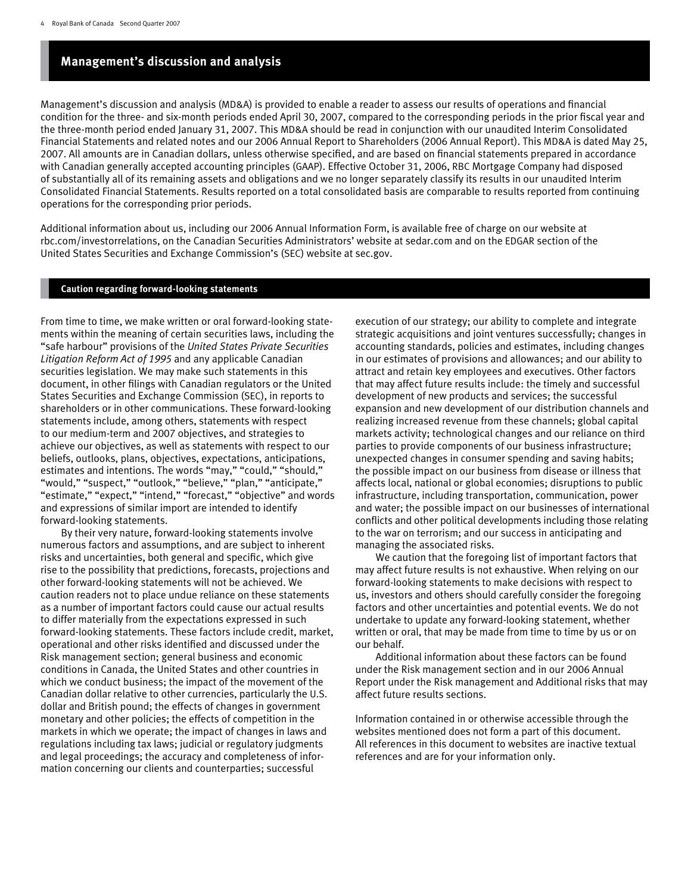# **Management's discussion and analysis**

Management's discussion and analysis (MD&A) is provided to enable a reader to assess our results of operations and financial condition for the three- and six-month periods ended April 30, 2007, compared to the corresponding periods in the prior fiscal year and the three-month period ended January 31, 2007. This MD&A should be read in conjunction with our unaudited Interim Consolidated Financial Statements and related notes and our 2006 Annual Report to Shareholders (2006 Annual Report). This MD&A is dated May 25, 2007. All amounts are in Canadian dollars, unless otherwise specified, and are based on financial statements prepared in accordance with Canadian generally accepted accounting principles (GAAP). Effective October 31, 2006, RBC Mortgage Company had disposed of substantially all of its remaining assets and obligations and we no longer separately classify its results in our unaudited Interim Consolidated Financial Statements. Results reported on a total consolidated basis are comparable to results reported from continuing operations for the corresponding prior periods.

Additional information about us, including our 2006 Annual Information Form, is available free of charge on our website at rbc.com/investorrelations, on the Canadian Securities Administrators' website at sedar.com and on the EDGAR section of the United States Securities and Exchange Commission's (SEC) website at sec.gov.

## **Caution regarding forward-looking statements**

From time to time, we make written or oral forward-looking statements within the meaning of certain securities laws, including the "safe harbour" provisions of the *United States Private Securities Litigation Reform Act of 1995* and any applicable Canadian securities legislation. We may make such statements in this document, in other filings with Canadian regulators or the United States Securities and Exchange Commission (SEC), in reports to shareholders or in other communications. These forward-looking statements include, among others, statements with respect to our medium-term and 2007 objectives, and strategies to achieve our objectives, as well as statements with respect to our beliefs, outlooks, plans, objectives, expectations, anticipations, estimates and intentions. The words "may," "could," "should," "would," "suspect," "outlook," "believe," "plan," "anticipate," "estimate," "expect," "intend," "forecast," "objective" and words and expressions of similar import are intended to identify forward-looking statements.

By their very nature, forward-looking statements involve numerous factors and assumptions, and are subject to inherent risks and uncertainties, both general and specific, which give rise to the possibility that predictions, forecasts, projections and other forward-looking statements will not be achieved. We caution readers not to place undue reliance on these statements as a number of important factors could cause our actual results to differ materially from the expectations expressed in such forward-looking statements. These factors include credit, market, operational and other risks identified and discussed under the Risk management section; general business and economic conditions in Canada, the United States and other countries in which we conduct business; the impact of the movement of the Canadian dollar relative to other currencies, particularly the U.S. dollar and British pound; the effects of changes in government monetary and other policies; the effects of competition in the markets in which we operate; the impact of changes in laws and regulations including tax laws; judicial or regulatory judgments and legal proceedings; the accuracy and completeness of information concerning our clients and counterparties; successful

execution of our strategy; our ability to complete and integrate strategic acquisitions and joint ventures successfully; changes in accounting standards, policies and estimates, including changes in our estimates of provisions and allowances; and our ability to attract and retain key employees and executives. Other factors that may affect future results include: the timely and successful development of new products and services; the successful expansion and new development of our distribution channels and realizing increased revenue from these channels; global capital markets activity; technological changes and our reliance on third parties to provide components of our business infrastructure; unexpected changes in consumer spending and saving habits; the possible impact on our business from disease or illness that affects local, national or global economies; disruptions to public infrastructure, including transportation, communication, power and water; the possible impact on our businesses of international conflicts and other political developments including those relating to the war on terrorism; and our success in anticipating and managing the associated risks.

We caution that the foregoing list of important factors that may affect future results is not exhaustive. When relying on our forward-looking statements to make decisions with respect to us, investors and others should carefully consider the foregoing factors and other uncertainties and potential events. We do not undertake to update any forward-looking statement, whether written or oral, that may be made from time to time by us or on our behalf.

Additional information about these factors can be found under the Risk management section and in our 2006 Annual Report under the Risk management and Additional risks that may affect future results sections.

Information contained in or otherwise accessible through the websites mentioned does not form a part of this document. All references in this document to websites are inactive textual references and are for your information only.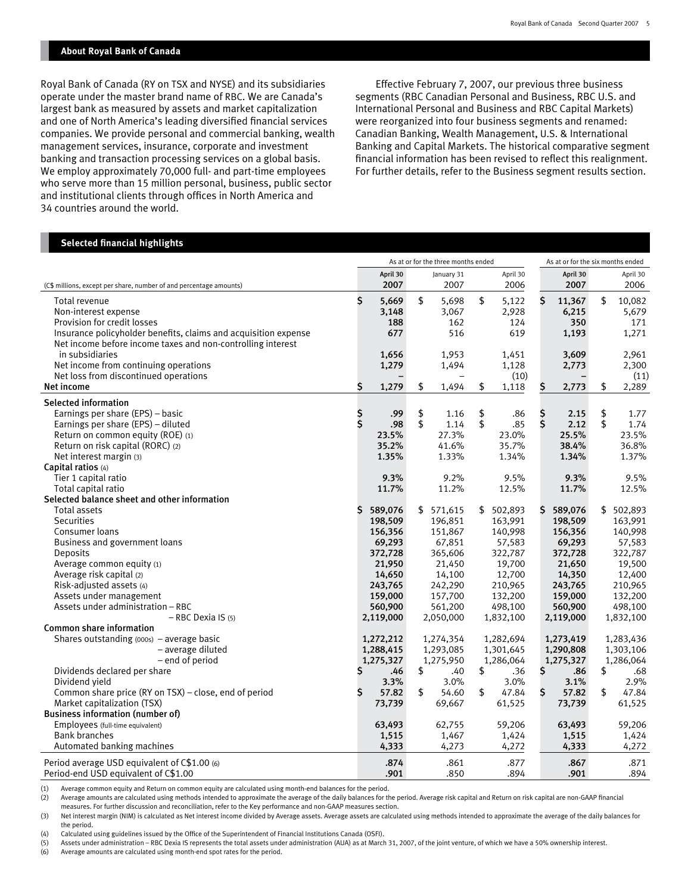## **About Royal Bank of Canada**

Royal Bank of Canada (RY on TSX and NYSE) and its subsidiaries operate under the master brand name of RBC. We are Canada's largest bank as measured by assets and market capitalization and one of North America's leading diversified financial services companies. We provide personal and commercial banking, wealth management services, insurance, corporate and investment banking and transaction processing services on a global basis. We employ approximately 70,000 full- and part-time employees who serve more than 15 million personal, business, public sector and institutional clients through offices in North America and 34 countries around the world.

Effective February 7, 2007, our previous three business segments (RBC Canadian Personal and Business, RBC U.S. and International Personal and Business and RBC Capital Markets) were reorganized into four business segments and renamed: Canadian Banking, Wealth Management, U.S. & International Banking and Capital Markets. The historical comparative segment financial information has been revised to reflect this realignment. For further details, refer to the Business segment results section.

# **Selected financial highlights**

|                                                                    |    |           | As at or for the three months ended |             |    | As at or for the six months ended |              |
|--------------------------------------------------------------------|----|-----------|-------------------------------------|-------------|----|-----------------------------------|--------------|
|                                                                    |    | April 30  | January 31                          | April 30    |    | April 30                          | April 30     |
| (C\$ millions, except per share, number of and percentage amounts) |    | 2007      | 2007                                | 2006        |    | 2007                              | 2006         |
| Total revenue                                                      | \$ | 5,669     | \$<br>5,698                         | \$<br>5,122 | \$ | 11,367                            | \$<br>10,082 |
| Non-interest expense                                               |    | 3,148     | 3,067                               | 2,928       |    | 6,215                             | 5,679        |
| Provision for credit losses                                        |    | 188       | 162                                 | 124         |    | 350                               | 171          |
| Insurance policyholder benefits, claims and acquisition expense    |    | 677       | 516                                 | 619         |    | 1,193                             | 1,271        |
| Net income before income taxes and non-controlling interest        |    |           |                                     |             |    |                                   |              |
| in subsidiaries                                                    |    | 1,656     | 1,953                               | 1,451       |    | 3,609                             | 2,961        |
| Net income from continuing operations                              |    | 1,279     | 1,494                               | 1,128       |    | 2,773                             | 2,300        |
| Net loss from discontinued operations                              |    |           |                                     | (10)        |    |                                   | (11)         |
| Net income                                                         | \$ | 1,279     | \$<br>1,494                         | \$<br>1,118 | \$ | 2,773                             | \$<br>2,289  |
|                                                                    |    |           |                                     |             |    |                                   |              |
| Selected information                                               |    |           |                                     |             |    |                                   |              |
| Earnings per share (EPS) - basic                                   | \$ | .99       | \$<br>1.16                          | \$<br>.86   | \$ | 2.15                              | \$<br>1.77   |
| Earnings per share (EPS) - diluted                                 | Ś  | .98       | \$<br>1.14                          | \$<br>.85   | \$ | 2.12                              | \$<br>1.74   |
| Return on common equity (ROE) (1)                                  |    | 23.5%     | 27.3%                               | 23.0%       |    | 25.5%                             | 23.5%        |
| Return on risk capital (RORC) (2)                                  |    | 35.2%     | 41.6%                               | 35.7%       |    | 38.4%                             | 36.8%        |
| Net interest margin (3)                                            |    | 1.35%     | 1.33%                               | 1.34%       |    | 1.34%                             | 1.37%        |
| Capital ratios (4)                                                 |    |           |                                     |             |    |                                   |              |
| Tier 1 capital ratio                                               |    | 9.3%      | 9.2%                                | 9.5%        |    | 9.3%                              | 9.5%         |
| Total capital ratio                                                |    | 11.7%     | 11.2%                               | 12.5%       |    | 11.7%                             | 12.5%        |
| Selected balance sheet and other information                       |    |           |                                     |             |    |                                   |              |
| Total assets                                                       | S  | 589,076   | \$571,615                           | \$502,893   | S  | 589,076                           | \$502,893    |
| Securities                                                         |    | 198,509   | 196,851                             | 163,991     |    | 198,509                           | 163,991      |
| Consumer loans                                                     |    | 156,356   | 151,867                             | 140,998     |    | 156,356                           | 140,998      |
| Business and government loans                                      |    | 69,293    | 67,851                              | 57,583      |    | 69,293                            | 57,583       |
| Deposits                                                           |    | 372,728   | 365,606                             | 322,787     |    | 372,728                           | 322,787      |
| Average common equity (1)                                          |    | 21,950    | 21,450                              | 19,700      |    | 21,650                            | 19,500       |
| Average risk capital (2)                                           |    | 14,650    | 14,100                              | 12,700      |    | 14,350                            | 12,400       |
| Risk-adjusted assets (4)                                           |    | 243,765   | 242,290                             | 210,965     |    | 243,765                           | 210,965      |
| Assets under management                                            |    | 159,000   | 157,700                             | 132,200     |    | 159,000                           | 132,200      |
| Assets under administration - RBC                                  |    | 560,900   | 561,200                             | 498,100     |    | 560,900                           | 498,100      |
| $-$ RBC Dexia IS $(5)$                                             |    | 2,119,000 | 2,050,000                           | 1,832,100   |    | 2,119,000                         | 1,832,100    |
| Common share information                                           |    |           |                                     |             |    |                                   |              |
| Shares outstanding (000s) - average basic                          |    | 1,272,212 | 1,274,354                           | 1,282,694   |    | 1,273,419                         | 1,283,436    |
| - average diluted                                                  |    | 1,288,415 | 1,293,085                           | 1,301,645   |    | 1,290,808                         | 1,303,106    |
| - end of period                                                    |    | 1,275,327 | 1,275,950                           | 1,286,064   |    | 1,275,327                         | 1,286,064    |
| Dividends declared per share                                       |    | .46       | \$<br>.40                           | \$<br>.36   | \$ | .86                               | \$<br>.68    |
| Dividend yield                                                     |    | 3.3%      | 3.0%                                | 3.0%        |    | 3.1%                              | 2.9%         |
| Common share price (RY on TSX) - close, end of period              | Ś  | 57.82     | \$<br>54.60                         | \$<br>47.84 | \$ | 57.82                             | \$<br>47.84  |
| Market capitalization (TSX)                                        |    | 73,739    | 69,667                              | 61,525      |    | 73,739                            | 61,525       |
| <b>Business information (number of)</b>                            |    |           |                                     |             |    |                                   |              |
| Employees (full-time equivalent)                                   |    | 63,493    | 62,755                              | 59,206      |    | 63,493                            | 59,206       |
| <b>Bank branches</b>                                               |    | 1,515     | 1,467                               | 1,424       |    | 1,515                             | 1,424        |
| Automated banking machines                                         |    | 4,333     | 4,273                               | 4,272       |    | 4,333                             | 4,272        |
| Period average USD equivalent of C\$1.00 (6)                       |    | .874      | .861                                | .877        |    | .867                              | .871         |
| Period-end USD equivalent of C\$1.00                               |    | .901      | .850                                | .894        |    | .901                              | .894         |

(1) Average common equity and Return on common equity are calculated using month-end balances for the period.

(2) Average amounts are calculated using methods intended to approximate the average of the daily balances for the period. Average risk capital and Return on risk capital are non-GAAP financial measures. For further discussion and reconciliation, refer to the Key performance and non-GAAP measures section.

(3) Net interest margin (NIM) is calculated as Net interest income divided by Average assets. Average assets are calculated using methods intended to approximate the average of the daily balances for the period.

(4) Calculated using guidelines issued by the Office of the Superintendent of Financial Institutions Canada (OSFI).

(5) Assets under administration – RBC Dexia IS represents the total assets under administration (AUA) as at March 31, 2007, of the joint venture, of which we have a 50% ownership interest.

(6) Average amounts are calculated using month-end spot rates for the period.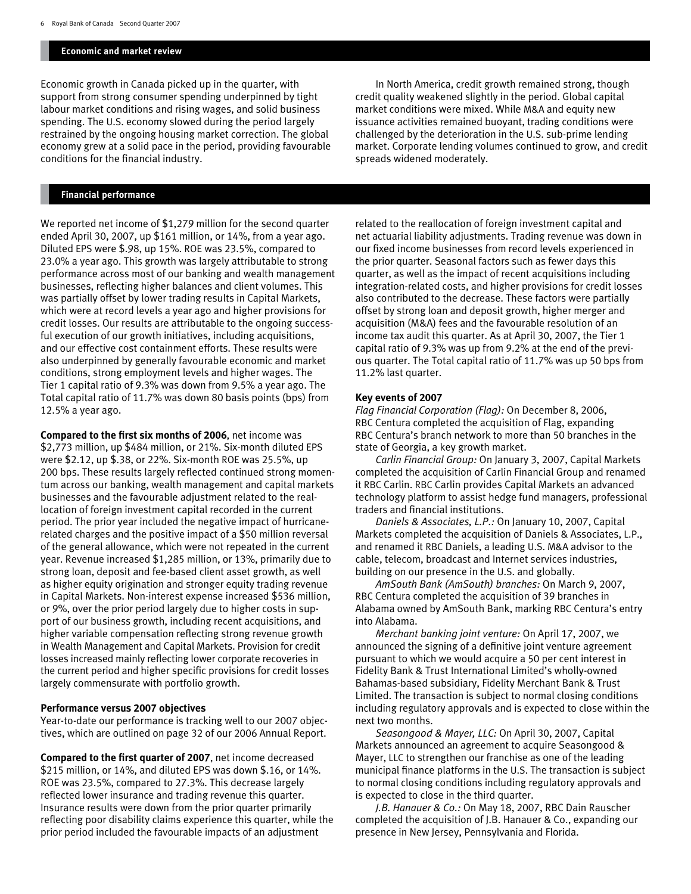**Economic and market review**

Economic growth in Canada picked up in the quarter, with support from strong consumer spending underpinned by tight labour market conditions and rising wages, and solid business spending. The U.S. economy slowed during the period largely restrained by the ongoing housing market correction. The global economy grew at a solid pace in the period, providing favourable conditions for the financial industry.

**Financial performance**

We reported net income of \$1,279 million for the second quarter ended April 30, 2007, up \$161 million, or 14%, from a year ago. Diluted EPS were \$.98, up 15%. ROE was 23.5%, compared to 23.0% a year ago. This growth was largely attributable to strong performance across most of our banking and wealth management businesses, reflecting higher balances and client volumes. This was partially offset by lower trading results in Capital Markets, which were at record levels a year ago and higher provisions for credit losses. Our results are attributable to the ongoing successful execution of our growth initiatives, including acquisitions, and our effective cost containment efforts. These results were also underpinned by generally favourable economic and market conditions, strong employment levels and higher wages. The Tier 1 capital ratio of 9.3% was down from 9.5% a year ago. The Total capital ratio of 11.7% was down 80 basis points (bps) from 12.5% a year ago.

**Compared to the first six months of 2006**, net income was \$2,773 million, up \$484 million, or 21%. Six-month diluted EPS were \$2.12, up \$.38, or 22%. Six-month ROE was 25.5%, up 200 bps. These results largely reflected continued strong momentum across our banking, wealth management and capital markets businesses and the favourable adjustment related to the reallocation of foreign investment capital recorded in the current period. The prior year included the negative impact of hurricanerelated charges and the positive impact of a \$50 million reversal of the general allowance, which were not repeated in the current year. Revenue increased \$1,285 million, or 13%, primarily due to strong loan, deposit and fee-based client asset growth, as well as higher equity origination and stronger equity trading revenue in Capital Markets. Non-interest expense increased \$536 million, or 9%, over the prior period largely due to higher costs in support of our business growth, including recent acquisitions, and higher variable compensation reflecting strong revenue growth in Wealth Management and Capital Markets. Provision for credit losses increased mainly reflecting lower corporate recoveries in the current period and higher specific provisions for credit losses largely commensurate with portfolio growth.

#### **Performance versus 2007 objectives**

Year-to-date our performance is tracking well to our 2007 objectives, which are outlined on page 32 of our 2006 Annual Report.

**Compared to the first quarter of 2007**, net income decreased \$215 million, or 14%, and diluted EPS was down \$.16, or 14%. ROE was 23.5%, compared to 27.3%. This decrease largely reflected lower insurance and trading revenue this quarter. Insurance results were down from the prior quarter primarily reflecting poor disability claims experience this quarter, while the prior period included the favourable impacts of an adjustment

In North America, credit growth remained strong, though credit quality weakened slightly in the period. Global capital market conditions were mixed. While M&A and equity new issuance activities remained buoyant, trading conditions were challenged by the deterioration in the U.S. sub-prime lending market. Corporate lending volumes continued to grow, and credit spreads widened moderately.

related to the reallocation of foreign investment capital and net actuarial liability adjustments. Trading revenue was down in our fixed income businesses from record levels experienced in the prior quarter. Seasonal factors such as fewer days this quarter, as well as the impact of recent acquisitions including integration-related costs, and higher provisions for credit losses also contributed to the decrease. These factors were partially offset by strong loan and deposit growth, higher merger and acquisition (M&A) fees and the favourable resolution of an income tax audit this quarter. As at April 30, 2007, the Tier 1 capital ratio of 9.3% was up from 9.2% at the end of the previous quarter. The Total capital ratio of 11.7% was up 50 bps from 11.2% last quarter.

## **Key events of 2007**

*Flag Financial Corporation (Flag):* On December 8, 2006, RBC Centura completed the acquisition of Flag, expanding RBC Centura's branch network to more than 50 branches in the state of Georgia, a key growth market.

*Carlin Financial Group:* On January 3, 2007, Capital Markets completed the acquisition of Carlin Financial Group and renamed it RBC Carlin. RBC Carlin provides Capital Markets an advanced technology platform to assist hedge fund managers, professional traders and financial institutions.

*Daniels & Associates, L.P.:* On January 10, 2007, Capital Markets completed the acquisition of Daniels & Associates, L.P., and renamed it RBC Daniels, a leading U.S. M&A advisor to the cable, telecom, broadcast and Internet services industries, building on our presence in the U.S. and globally.

*AmSouth Bank (AmSouth) branches:* On March 9, 2007, RBC Centura completed the acquisition of 39 branches in Alabama owned by AmSouth Bank, marking RBC Centura's entry into Alabama.

*Merchant banking joint venture:* On April 17, 2007, we announced the signing of a definitive joint venture agreement pursuant to which we would acquire a 50 per cent interest in Fidelity Bank & Trust International Limited's wholly-owned Bahamas-based subsidiary, Fidelity Merchant Bank & Trust Limited. The transaction is subject to normal closing conditions including regulatory approvals and is expected to close within the next two months.

*Seasongood & Mayer, LLC:* On April 30, 2007, Capital Markets announced an agreement to acquire Seasongood & Mayer, LLC to strengthen our franchise as one of the leading municipal finance platforms in the U.S. The transaction is subject to normal closing conditions including regulatory approvals and is expected to close in the third quarter.

*J.B. Hanauer & Co.:* On May 18, 2007, RBC Dain Rauscher completed the acquisition of J.B. Hanauer & Co., expanding our presence in New Jersey, Pennsylvania and Florida.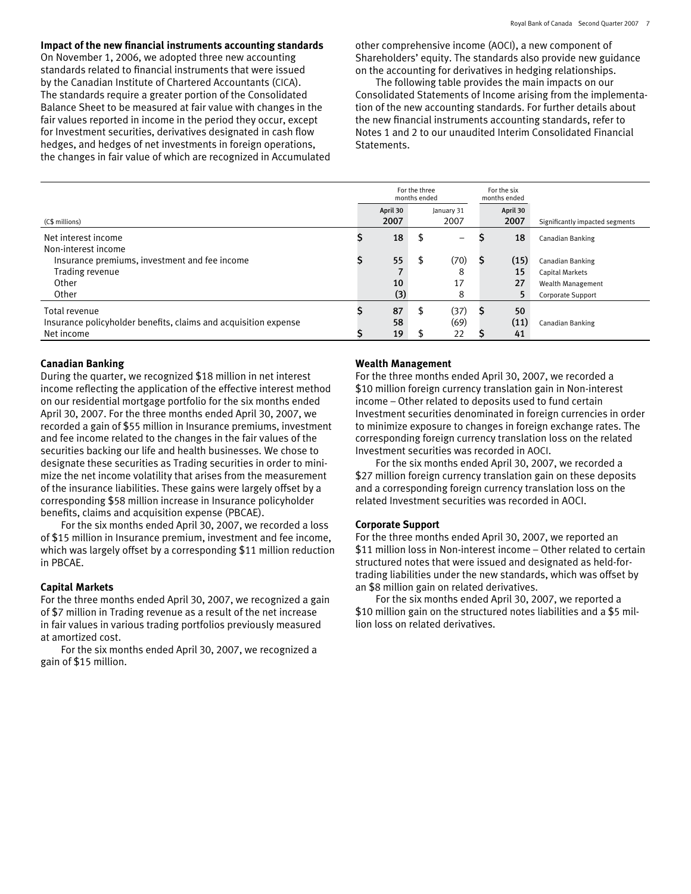**Impact of the new financial instruments accounting standards**

On November 1, 2006, we adopted three new accounting standards related to financial instruments that were issued by the Canadian Institute of Chartered Accountants (CICA). The standards require a greater portion of the Consolidated Balance Sheet to be measured at fair value with changes in the fair values reported in income in the period they occur, except for Investment securities, derivatives designated in cash flow hedges, and hedges of net investments in foreign operations, the changes in fair value of which are recognized in Accumulated other comprehensive income (AOCI), a new component of Shareholders' equity. The standards also provide new guidance on the accounting for derivatives in hedging relationships.

The following table provides the main impacts on our Consolidated Statements of Income arising from the implementation of the new accounting standards. For further details about the new financial instruments accounting standards, refer to Notes 1 and 2 to our unaudited Interim Consolidated Financial Statements.

|                                                                 |            | months ended | For the three |                 |   | For the six<br>months ended |                                 |
|-----------------------------------------------------------------|------------|--------------|---------------|-----------------|---|-----------------------------|---------------------------------|
|                                                                 |            | April 30     |               | January 31      |   | April 30                    |                                 |
| (C\$ millions)                                                  |            | 2007         |               | 2007            |   | 2007                        | Significantly impacted segments |
| Net interest income                                             |            | 18           |               | $\qquad \qquad$ |   | 18                          | Canadian Banking                |
| Non-interest income                                             |            |              |               |                 |   |                             |                                 |
| Insurance premiums, investment and fee income                   |            | 55           | S             | (70)            |   | (15)                        | Canadian Banking                |
| Trading revenue                                                 |            |              |               | 8               |   | 15                          | <b>Capital Markets</b>          |
| Other                                                           |            | 10           |               | 17              |   | 27                          | Wealth Management               |
| Other                                                           |            | (3)          |               | 8               |   | 5                           | Corporate Support               |
| Total revenue                                                   |            | 87           | \$            | (37)            | S | 50                          |                                 |
| Insurance policyholder benefits, claims and acquisition expense | (69)<br>58 |              |               |                 |   | (11)                        | Canadian Banking                |
| Net income                                                      |            | 19           |               | 22              |   | 41                          |                                 |

## **Canadian Banking**

During the quarter, we recognized \$18 million in net interest income reflecting the application of the effective interest method on our residential mortgage portfolio for the six months ended April 30, 2007. For the three months ended April 30, 2007, we recorded a gain of \$55 million in Insurance premiums, investment and fee income related to the changes in the fair values of the securities backing our life and health businesses. We chose to designate these securities as Trading securities in order to minimize the net income volatility that arises from the measurement of the insurance liabilities. These gains were largely offset by a corresponding \$58 million increase in Insurance policyholder benefits, claims and acquisition expense (PBCAE).

For the six months ended April 30, 2007, we recorded a loss of \$15 million in Insurance premium, investment and fee income, which was largely offset by a corresponding \$11 million reduction in PBCAE.

## **Capital Markets**

For the three months ended April 30, 2007, we recognized a gain of \$7 million in Trading revenue as a result of the net increase in fair values in various trading portfolios previously measured at amortized cost.

For the six months ended April 30, 2007, we recognized a gain of \$15 million.

## **Wealth Management**

For the three months ended April 30, 2007, we recorded a \$10 million foreign currency translation gain in Non-interest income – Other related to deposits used to fund certain Investment securities denominated in foreign currencies in order to minimize exposure to changes in foreign exchange rates. The corresponding foreign currency translation loss on the related Investment securities was recorded in AOCI.

For the six months ended April 30, 2007, we recorded a \$27 million foreign currency translation gain on these deposits and a corresponding foreign currency translation loss on the related Investment securities was recorded in AOCI.

## **Corporate Support**

For the three months ended April 30, 2007, we reported an \$11 million loss in Non-interest income – Other related to certain structured notes that were issued and designated as held-fortrading liabilities under the new standards, which was offset by an \$8 million gain on related derivatives.

For the six months ended April 30, 2007, we reported a \$10 million gain on the structured notes liabilities and a \$5 million loss on related derivatives.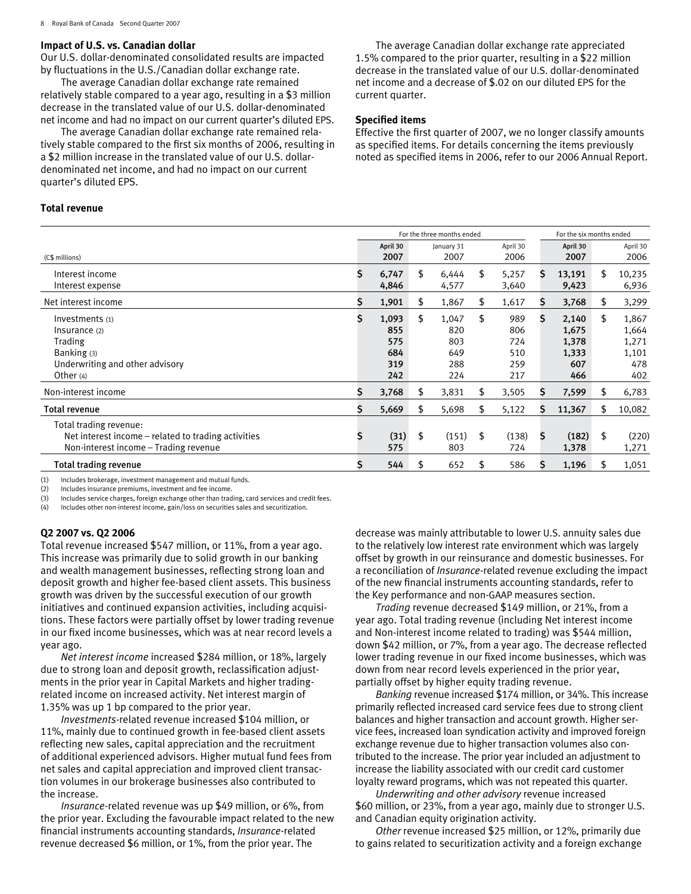## **Impact of U.S. vs. Canadian dollar**

Our U.S. dollar-denominated consolidated results are impacted by fluctuations in the U.S./Canadian dollar exchange rate.

The average Canadian dollar exchange rate remained relatively stable compared to a year ago, resulting in a \$3 million decrease in the translated value of our U.S. dollar-denominated net income and had no impact on our current quarter's diluted EPS.

The average Canadian dollar exchange rate remained relatively stable compared to the first six months of 2006, resulting in a \$2 million increase in the translated value of our U.S. dollardenominated net income, and had no impact on our current quarter's diluted EPS.

**Total revenue**

The average Canadian dollar exchange rate appreciated 1.5% compared to the prior quarter, resulting in a \$22 million decrease in the translated value of our U.S. dollar-denominated net income and a decrease of \$.02 on our diluted EPS for the current quarter.

## **Specified items**

Effective the first quarter of 2007, we no longer classify amounts as specified items. For details concerning the items previously noted as specified items in 2006, refer to our 2006 Annual Report.

|                                                                                                                        |   |                                          |    | For the three months ended               |    |                                        | For the six months ended |                                                |     |                                                |
|------------------------------------------------------------------------------------------------------------------------|---|------------------------------------------|----|------------------------------------------|----|----------------------------------------|--------------------------|------------------------------------------------|-----|------------------------------------------------|
| (C\$ millions)                                                                                                         |   | April 30<br>2007                         |    | January 31<br>2007                       |    | April 30<br>2006                       |                          | April 30<br>2007                               |     | April 30<br>2006                               |
| Interest income<br>Interest expense                                                                                    |   | 6,747<br>4,846                           | \$ | 6,444<br>4,577                           | \$ | 5,257<br>3,640                         | S                        | 13,191<br>9,423                                | \$  | 10,235<br>6,936                                |
| Net interest income                                                                                                    | S | 1,901                                    | \$ | 1,867                                    | \$ | 1,617                                  | S                        | 3,768                                          | S   | 3,299                                          |
| Investments (1)<br>Insurance (2)<br>Trading<br>Banking (3)<br>Underwriting and other advisory<br>Other $(4)$           |   | 1,093<br>855<br>575<br>684<br>319<br>242 | \$ | 1,047<br>820<br>803<br>649<br>288<br>224 | \$ | 989<br>806<br>724<br>510<br>259<br>217 | S.                       | 2,140<br>1,675<br>1,378<br>1,333<br>607<br>466 | \$. | 1,867<br>1,664<br>1,271<br>1,101<br>478<br>402 |
| Non-interest income                                                                                                    | Ś | 3,768                                    | \$ | 3,831                                    | \$ | 3,505                                  | S                        | 7,599                                          | S   | 6,783                                          |
| <b>Total revenue</b>                                                                                                   | S | 5,669                                    | \$ | 5,698                                    | \$ | 5,122                                  | S                        | 11,367                                         | S.  | 10,082                                         |
| Total trading revenue:<br>Net interest income – related to trading activities<br>Non-interest income – Trading revenue |   | (31)<br>575                              | \$ | (151)<br>803                             | \$ | (138)<br>724                           | S.                       | (182)<br>1,378                                 | \$  | (220)<br>1,271                                 |
| Total trading revenue                                                                                                  |   | 544                                      | S  | 652                                      | \$ | 586                                    | S                        | 1,196                                          | S.  | 1,051                                          |

(1) Includes brokerage, investment management and mutual funds.

(2) Includes insurance premiums, investment and fee income.

(3) Includes service charges, foreign exchange other than trading, card services and credit fees.

(4) Includes other non-interest income, gain/loss on securities sales and securitization.

## **Q2 2007 vs. Q2 2006**

Total revenue increased \$547 million, or 11%, from a year ago. This increase was primarily due to solid growth in our banking and wealth management businesses, reflecting strong loan and deposit growth and higher fee-based client assets. This business growth was driven by the successful execution of our growth initiatives and continued expansion activities, including acquisitions. These factors were partially offset by lower trading revenue in our fixed income businesses, which was at near record levels a year ago.

*Net interest income* increased \$284 million, or 18%, largely due to strong loan and deposit growth, reclassification adjustments in the prior year in Capital Markets and higher tradingrelated income on increased activity. Net interest margin of 1.35% was up 1 bp compared to the prior year.

*Investments*-related revenue increased \$104 million, or 11%, mainly due to continued growth in fee-based client assets reflecting new sales, capital appreciation and the recruitment of additional experienced advisors. Higher mutual fund fees from net sales and capital appreciation and improved client transaction volumes in our brokerage businesses also contributed to the increase.

*Insurance*-related revenue was up \$49 million, or 6%, from the prior year. Excluding the favourable impact related to the new financial instruments accounting standards, *Insurance*-related revenue decreased \$6 million, or 1%, from the prior year. The

decrease was mainly attributable to lower U.S. annuity sales due to the relatively low interest rate environment which was largely offset by growth in our reinsurance and domestic businesses. For a reconciliation of *Insurance*-related revenue excluding the impact of the new financial instruments accounting standards, refer to the Key performance and non-GAAP measures section.

*Trading* revenue decreased \$149 million, or 21%, from a year ago. Total trading revenue (including Net interest income and Non-interest income related to trading) was \$544 million, down \$42 million, or 7%, from a year ago. The decrease reflected lower trading revenue in our fixed income businesses, which was down from near record levels experienced in the prior year, partially offset by higher equity trading revenue.

*Banking* revenue increased \$174 million, or 34%. This increase primarily reflected increased card service fees due to strong client balances and higher transaction and account growth. Higher service fees, increased loan syndication activity and improved foreign exchange revenue due to higher transaction volumes also contributed to the increase. The prior year included an adjustment to increase the liability associated with our credit card customer loyalty reward programs, which was not repeated this quarter.

*Underwriting and other advisory* revenue increased \$60 million, or 23%, from a year ago, mainly due to stronger U.S. and Canadian equity origination activity.

*Other* revenue increased \$25 million, or 12%, primarily due to gains related to securitization activity and a foreign exchange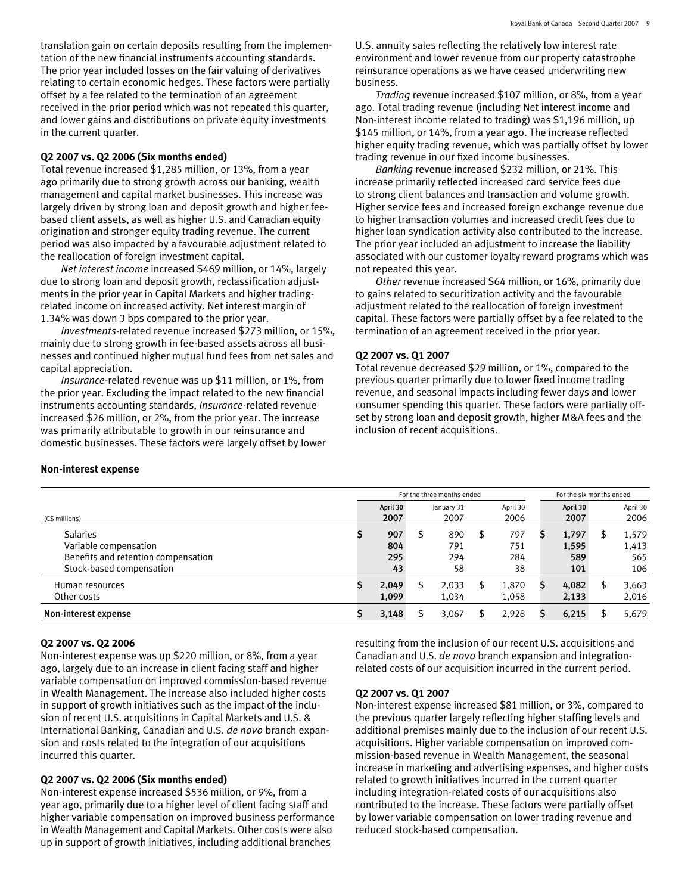translation gain on certain deposits resulting from the implementation of the new financial instruments accounting standards. The prior year included losses on the fair valuing of derivatives relating to certain economic hedges. These factors were partially offset by a fee related to the termination of an agreement received in the prior period which was not repeated this quarter, and lower gains and distributions on private equity investments in the current quarter.

#### **Q2 2007 vs. Q2 2006 (Six months ended)**

Total revenue increased \$1,285 million, or 13%, from a year ago primarily due to strong growth across our banking, wealth management and capital market businesses. This increase was largely driven by strong loan and deposit growth and higher feebased client assets, as well as higher U.S. and Canadian equity origination and stronger equity trading revenue. The current period was also impacted by a favourable adjustment related to the reallocation of foreign investment capital.

*Net interest income* increased \$469 million, or 14%, largely due to strong loan and deposit growth, reclassification adjustments in the prior year in Capital Markets and higher tradingrelated income on increased activity. Net interest margin of 1.34% was down 3 bps compared to the prior year.

*Investments*-related revenue increased \$273 million, or 15%, mainly due to strong growth in fee-based assets across all businesses and continued higher mutual fund fees from net sales and capital appreciation.

*Insurance*-related revenue was up \$11 million, or 1%, from the prior year. Excluding the impact related to the new financial instruments accounting standards, *Insurance*-related revenue increased \$26 million, or 2%, from the prior year. The increase was primarily attributable to growth in our reinsurance and domestic businesses. These factors were largely offset by lower U.S. annuity sales reflecting the relatively low interest rate environment and lower revenue from our property catastrophe reinsurance operations as we have ceased underwriting new business.

*Trading* revenue increased \$107 million, or 8%, from a year ago. Total trading revenue (including Net interest income and Non-interest income related to trading) was \$1,196 million, up \$145 million, or 14%, from a year ago. The increase reflected higher equity trading revenue, which was partially offset by lower trading revenue in our fixed income businesses.

*Banking* revenue increased \$232 million, or 21%. This increase primarily reflected increased card service fees due to strong client balances and transaction and volume growth. Higher service fees and increased foreign exchange revenue due to higher transaction volumes and increased credit fees due to higher loan syndication activity also contributed to the increase. The prior year included an adjustment to increase the liability associated with our customer loyalty reward programs which was not repeated this year.

*Other* revenue increased \$64 million, or 16%, primarily due to gains related to securitization activity and the favourable adjustment related to the reallocation of foreign investment capital. These factors were partially offset by a fee related to the termination of an agreement received in the prior year.

## **Q2 2007 vs. Q1 2007**

Total revenue decreased \$29 million, or 1%, compared to the previous quarter primarily due to lower fixed income trading revenue, and seasonal impacts including fewer days and lower consumer spending this quarter. These factors were partially offset by strong loan and deposit growth, higher M&A fees and the inclusion of recent acquisitions.

#### **Non-interest expense**

|                                     |                  | For the three months ended | For the six months ended |   |                  |  |                  |  |
|-------------------------------------|------------------|----------------------------|--------------------------|---|------------------|--|------------------|--|
| (C\$ millions)                      | April 30<br>2007 | January 31<br>2007         | April 30<br>2006         |   | April 30<br>2007 |  | April 30<br>2006 |  |
|                                     |                  |                            |                          |   |                  |  |                  |  |
| <b>Salaries</b>                     | 907              | 890                        | \$<br>797                |   | 1,797            |  | 1,579            |  |
| Variable compensation               | 804              | 791                        | 751                      |   | 1,595            |  | 1,413            |  |
| Benefits and retention compensation | 295              | 294                        | 284                      |   | 589              |  | 565              |  |
| Stock-based compensation            | 43               | 58                         | 38                       |   | 101              |  | 106              |  |
| Human resources                     | 2,049            | \$<br>2,033                | \$<br>1.870              | ч | 4,082            |  | 3,663            |  |
| Other costs                         | 1,099            | 1,034                      | 1,058                    |   | 2,133            |  | 2,016            |  |
| Non-interest expense                | 3,148            | 3,067                      | 2,928                    |   | 6,215            |  | 5,679            |  |

#### **Q2 2007 vs. Q2 2006**

Non-interest expense was up \$220 million, or 8%, from a year ago, largely due to an increase in client facing staff and higher variable compensation on improved commission-based revenue in Wealth Management. The increase also included higher costs in support of growth initiatives such as the impact of the inclusion of recent U.S. acquisitions in Capital Markets and U.S. & International Banking, Canadian and U.S. *de novo* branch expansion and costs related to the integration of our acquisitions incurred this quarter.

## **Q2 2007 vs. Q2 2006 (Six months ended)**

Non-interest expense increased \$536 million, or 9%, from a year ago, primarily due to a higher level of client facing staff and higher variable compensation on improved business performance in Wealth Management and Capital Markets. Other costs were also up in support of growth initiatives, including additional branches

resulting from the inclusion of our recent U.S. acquisitions and Canadian and U.S. *de novo* branch expansion and integrationrelated costs of our acquisition incurred in the current period.

#### **Q2 2007 vs. Q1 2007**

Non-interest expense increased \$81 million, or 3%, compared to the previous quarter largely reflecting higher staffing levels and additional premises mainly due to the inclusion of our recent U.S. acquisitions. Higher variable compensation on improved commission-based revenue in Wealth Management, the seasonal increase in marketing and advertising expenses, and higher costs related to growth initiatives incurred in the current quarter including integration-related costs of our acquisitions also contributed to the increase. These factors were partially offset by lower variable compensation on lower trading revenue and reduced stock-based compensation.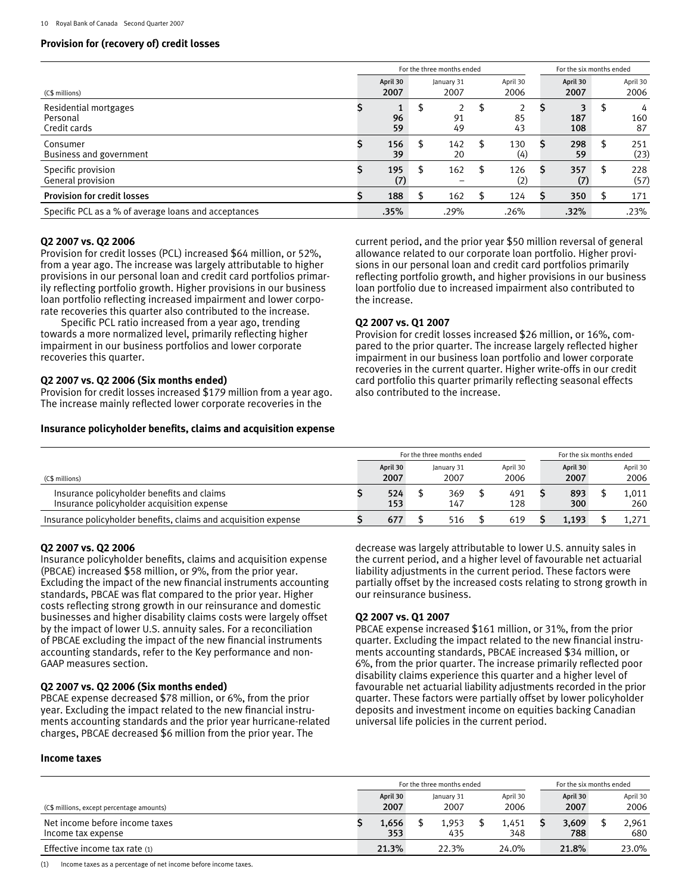# **Provision for (recovery of) credit losses**

|                                                      |                |    | For the three months ended |    |            |   | For the six months ended |    |                |
|------------------------------------------------------|----------------|----|----------------------------|----|------------|---|--------------------------|----|----------------|
|                                                      | April 30       |    | January 31                 |    | April 30   |   | April 30                 |    | April 30       |
| (C\$ millions)                                       | 2007           |    | 2007                       |    | 2006       |   | 2007                     |    | 2006           |
| Residential mortgages<br>Personal<br>Credit cards    | Τ.<br>96<br>59 | S  | 91<br>49                   | P. | 85<br>43   |   | 3<br>187<br>108          | Œ  | 4<br>160<br>87 |
| Consumer<br>Business and government                  | 156<br>39      | \$ | 142<br>20                  | \$ | 130<br>(4) |   | 298<br>59                | Ъ. | 251<br>(23)    |
| Specific provision<br>General provision              | 195<br>(7)     | S  | 162                        | S  | 126<br>(2) | s | 357<br>(7)               | Ъ  | 228<br>(57)    |
| <b>Provision for credit losses</b>                   | 188            |    | 162                        | Ъ  | 124        | S | 350                      |    | 171            |
| Specific PCL as a % of average loans and acceptances | .35%           |    | .29%                       |    | .26%       |   | .32%                     |    | .23%           |

## **Q2 2007 vs. Q2 2006**

Provision for credit losses (PCL) increased \$64 million, or 52%, from a year ago. The increase was largely attributable to higher provisions in our personal loan and credit card portfolios primarily reflecting portfolio growth. Higher provisions in our business loan portfolio reflecting increased impairment and lower corporate recoveries this quarter also contributed to the increase.

Specific PCL ratio increased from a year ago, trending towards a more normalized level, primarily reflecting higher impairment in our business portfolios and lower corporate recoveries this quarter.

## **Q2 2007 vs. Q2 2006 (Six months ended)**

Provision for credit losses increased \$179 million from a year ago. The increase mainly reflected lower corporate recoveries in the

#### **Insurance policyholder benefits, claims and acquisition expense**

current period, and the prior year \$50 million reversal of general allowance related to our corporate loan portfolio. Higher provisions in our personal loan and credit card portfolios primarily reflecting portfolio growth, and higher provisions in our business loan portfolio due to increased impairment also contributed to the increase.

## **Q2 2007 vs. Q1 2007**

Provision for credit losses increased \$26 million, or 16%, compared to the prior quarter. The increase largely reflected higher impairment in our business loan portfolio and lower corporate recoveries in the current quarter. Higher write-offs in our credit card portfolio this quarter primarily reflecting seasonal effects also contributed to the increase.

|                                                                                          |                                    |            |  | For the three months ended |  |            |  | For the six months ended |  |              |  |
|------------------------------------------------------------------------------------------|------------------------------------|------------|--|----------------------------|--|------------|--|--------------------------|--|--------------|--|
|                                                                                          | April 30<br>April 30<br>January 31 |            |  |                            |  |            |  |                          |  |              |  |
| (C\$ millions)                                                                           |                                    | 2007       |  | 2007                       |  | 2006       |  | 2007                     |  | 2006         |  |
| Insurance policyholder benefits and claims<br>Insurance policyholder acquisition expense |                                    | 524<br>153 |  | 369<br>147                 |  | 491<br>128 |  | 893<br>300               |  | 1,011<br>260 |  |
| Insurance policyholder benefits, claims and acquisition expense                          |                                    | 677        |  | 516                        |  | 619        |  | 1.193                    |  |              |  |

#### **Q2 2007 vs. Q2 2006**

Insurance policyholder benefits, claims and acquisition expense (PBCAE) increased \$58 million, or 9%, from the prior year. Excluding the impact of the new financial instruments accounting standards, PBCAE was flat compared to the prior year. Higher costs reflecting strong growth in our reinsurance and domestic businesses and higher disability claims costs were largely offset by the impact of lower U.S. annuity sales. For a reconciliation of PBCAE excluding the impact of the new financial instruments accounting standards, refer to the Key performance and non-GAAP measures section.

#### **Q2 2007 vs. Q2 2006 (Six months ended)**

PBCAE expense decreased \$78 million, or 6%, from the prior year. Excluding the impact related to the new financial instruments accounting standards and the prior year hurricane-related charges, PBCAE decreased \$6 million from the prior year. The

decrease was largely attributable to lower U.S. annuity sales in the current period, and a higher level of favourable net actuarial liability adjustments in the current period. These factors were partially offset by the increased costs relating to strong growth in our reinsurance business.

## **Q2 2007 vs. Q1 2007**

PBCAE expense increased \$161 million, or 31%, from the prior quarter. Excluding the impact related to the new financial instruments accounting standards, PBCAE increased \$34 million, or 6%, from the prior quarter. The increase primarily reflected poor disability claims experience this quarter and a higher level of favourable net actuarial liability adjustments recorded in the prior quarter. These factors were partially offset by lower policyholder deposits and investment income on equities backing Canadian universal life policies in the current period.

#### **Income taxes**

|                                                      |              | For the three months ended | For the six months ended |              |              |          |              |
|------------------------------------------------------|--------------|----------------------------|--------------------------|--------------|--------------|----------|--------------|
|                                                      | April 30     |                            | January 31               | April 30     |              | April 30 |              |
| (C\$ millions, except percentage amounts)            | 2007         |                            | 2007                     | 2006         | 2007         |          | 2006         |
| Net income before income taxes<br>Income tax expense | 1,656<br>353 |                            | 1.953<br>435             | 1,451<br>348 | 3,609<br>788 |          | 2,961<br>680 |
| Effective income tax rate (1)                        | 21.3%        |                            | 22.3%                    | 24.0%        | 21.8%        |          | 23.0%        |

(1) Income taxes as a percentage of net income before income taxes.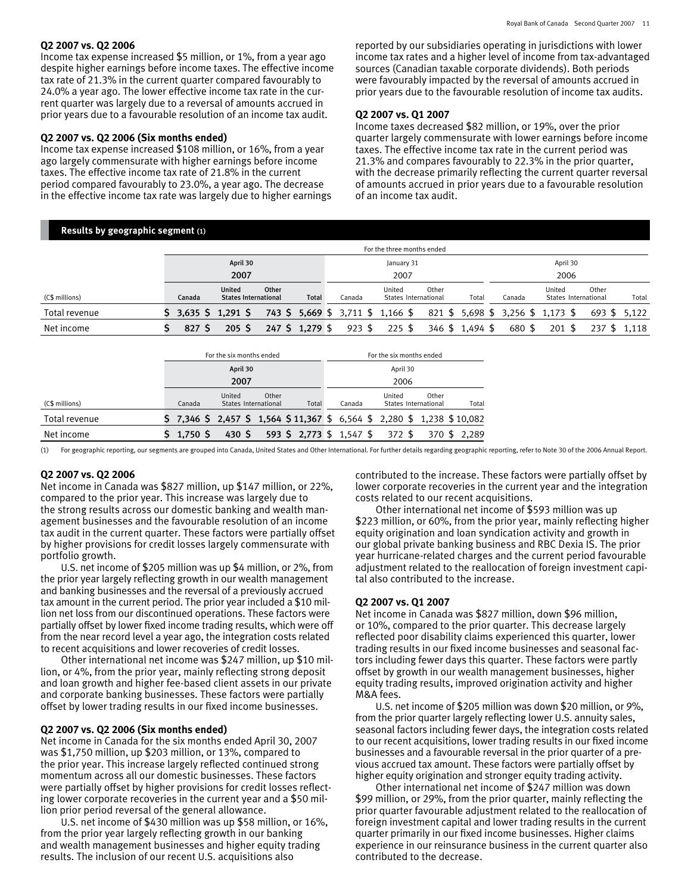#### **Q2 2007 vs. Q2 2006**

Income tax expense increased \$5 million, or 1%, from a year ago despite higher earnings before income taxes. The effective income tax rate of 21.3% in the current quarter compared favourably to 24.0% a year ago. The lower effective income tax rate in the current quarter was largely due to a reversal of amounts accrued in prior years due to a favourable resolution of an income tax audit.

#### **Q2 2007 vs. Q2 2006 (Six months ended)**

Income tax expense increased \$108 million, or 16%, from a year ago largely commensurate with higher earnings before income taxes. The effective income tax rate of 21.8% in the current period compared favourably to 23.0%, a year ago. The decrease in the effective income tax rate was largely due to higher earnings

# **Results by geographic segment (1)**

reported by our subsidiaries operating in jurisdictions with lower income tax rates and a higher level of income from tax-advantaged sources (Canadian taxable corporate dividends). Both periods were favourably impacted by the reversal of amounts accrued in prior years due to the favourable resolution of income tax audits.

#### **Q2 2007 vs. Q1 2007**

Income taxes decreased \$82 million, or 19%, over the prior quarter largely commensurate with lower earnings before income taxes. The effective income tax rate in the current period was 21.3% and compares favourably to 22.3% in the prior quarter, with the decrease primarily reflecting the current quarter reversal of amounts accrued in prior years due to a favourable resolution of an income tax audit.

| Results by Seugraphic segment (1) |        |                                       |       |                 |        |          |                                   |       |                 |        |                                   |       |              |
|-----------------------------------|--------|---------------------------------------|-------|-----------------|--------|----------|-----------------------------------|-------|-----------------|--------|-----------------------------------|-------|--------------|
|                                   |        |                                       |       |                 |        |          | For the three months ended        |       |                 |        |                                   |       |              |
|                                   |        | April 30                              |       |                 |        |          | January 31                        |       |                 |        | April 30                          |       |              |
|                                   |        | 2007                                  |       |                 |        |          | 2007                              |       |                 |        | 2006                              |       |              |
| (C\$ millions)                    | Canada | United<br><b>States International</b> | Other | Total           | Canada |          | United<br>States International    | Other | Total           | Canada | United<br>States International    | Other | Total        |
| Total revenue                     |        | $5\;3,635\;5\;1,291\;5$               |       |                 |        |          | 743 \$ 5,669 \$ 3,711 \$ 1,166 \$ |       |                 |        | 821 \$ 5,698 \$ 3,256 \$ 1,173 \$ |       | 693 \$ 5,122 |
| Net income                        | 827 S  | 205S                                  |       | 247 \$ 1,279 \$ |        | $923$ \$ | $225$ \$                          |       | 346 \$ 1,494 \$ | 680 \$ | $201 \text{ }$ \$                 |       | 237 \$ 1.118 |

|                |                                                                                                                                                                   |          |  | For the six months ended |      |  |  |  |  | For the six months ended       |  |       |              |
|----------------|-------------------------------------------------------------------------------------------------------------------------------------------------------------------|----------|--|--------------------------|------|--|--|--|--|--------------------------------|--|-------|--------------|
|                |                                                                                                                                                                   | April 30 |  |                          |      |  |  |  |  | April 30                       |  |       |              |
|                |                                                                                                                                                                   | 2007     |  |                          | 2006 |  |  |  |  |                                |  |       |              |
| (C\$ millions) | United<br>Other<br>Total<br>States International<br>Canada                                                                                                        |          |  |                          |      |  |  |  |  | United<br>States International |  | Other | Total        |
| Total revenue  | $\frac{1}{5}$ 7,346 $\frac{1}{5}$ 2,457 $\frac{1}{5}$ 1,564 $\frac{1}{5}$ 11,367 $\frac{1}{5}$ 6,564 $\frac{1}{5}$ 2,280 $\frac{1}{5}$ 1,238 $\frac{1}{5}$ 10,082 |          |  |                          |      |  |  |  |  |                                |  |       |              |
| Net income     | 593 \$ 2,773 \$ 1,547 \$ 372 \$<br>430 S<br>1.750 S                                                                                                               |          |  |                          |      |  |  |  |  |                                |  |       | 370 \$ 2,289 |

(1) For geographic reporting, our segments are grouped into Canada, United States and Other International. For further details regarding geographic reporting, refer to Note 30 of the 2006 Annual Report.

## **Q2 2007 vs. Q2 2006**

Net income in Canada was \$827 million, up \$147 million, or 22%, compared to the prior year. This increase was largely due to the strong results across our domestic banking and wealth management businesses and the favourable resolution of an income tax audit in the current quarter. These factors were partially offset by higher provisions for credit losses largely commensurate with portfolio growth.

U.S. net income of \$205 million was up \$4 million, or 2%, from the prior year largely reflecting growth in our wealth management and banking businesses and the reversal of a previously accrued tax amount in the current period. The prior year included a \$10 million net loss from our discontinued operations. These factors were partially offset by lower fixed income trading results, which were off from the near record level a year ago, the integration costs related to recent acquisitions and lower recoveries of credit losses.

Other international net income was \$247 million, up \$10 million, or 4%, from the prior year, mainly reflecting strong deposit and loan growth and higher fee-based client assets in our private and corporate banking businesses. These factors were partially offset by lower trading results in our fixed income businesses.

#### **Q2 2007 vs. Q2 2006 (Six months ended)**

Net income in Canada for the six months ended April 30, 2007 was \$1,750 million, up \$203 million, or 13%, compared to the prior year. This increase largely reflected continued strong momentum across all our domestic businesses. These factors were partially offset by higher provisions for credit losses reflecting lower corporate recoveries in the current year and a \$50 million prior period reversal of the general allowance.

U.S. net income of \$430 million was up \$58 million, or 16%, from the prior year largely reflecting growth in our banking and wealth management businesses and higher equity trading results. The inclusion of our recent U.S. acquisitions also

contributed to the increase. These factors were partially offset by lower corporate recoveries in the current year and the integration costs related to our recent acquisitions.

Other international net income of \$593 million was up \$223 million, or 60%, from the prior year, mainly reflecting higher equity origination and loan syndication activity and growth in our global private banking business and RBC Dexia IS. The prior year hurricane-related charges and the current period favourable adjustment related to the reallocation of foreign investment capital also contributed to the increase.

#### **Q2 2007 vs. Q1 2007**

Net income in Canada was \$827 million, down \$96 million, or 10%, compared to the prior quarter. This decrease largely reflected poor disability claims experienced this quarter, lower trading results in our fixed income businesses and seasonal factors including fewer days this quarter. These factors were partly offset by growth in our wealth management businesses, higher equity trading results, improved origination activity and higher M&A fees.

U.S. net income of \$205 million was down \$20 million, or 9%, from the prior quarter largely reflecting lower U.S. annuity sales, seasonal factors including fewer days, the integration costs related to our recent acquisitions, lower trading results in our fixed income businesses and a favourable reversal in the prior quarter of a previous accrued tax amount. These factors were partially offset by higher equity origination and stronger equity trading activity.

Other international net income of \$247 million was down \$99 million, or 29%, from the prior quarter, mainly reflecting the prior quarter favourable adjustment related to the reallocation of foreign investment capital and lower trading results in the current quarter primarily in our fixed income businesses. Higher claims experience in our reinsurance business in the current quarter also contributed to the decrease.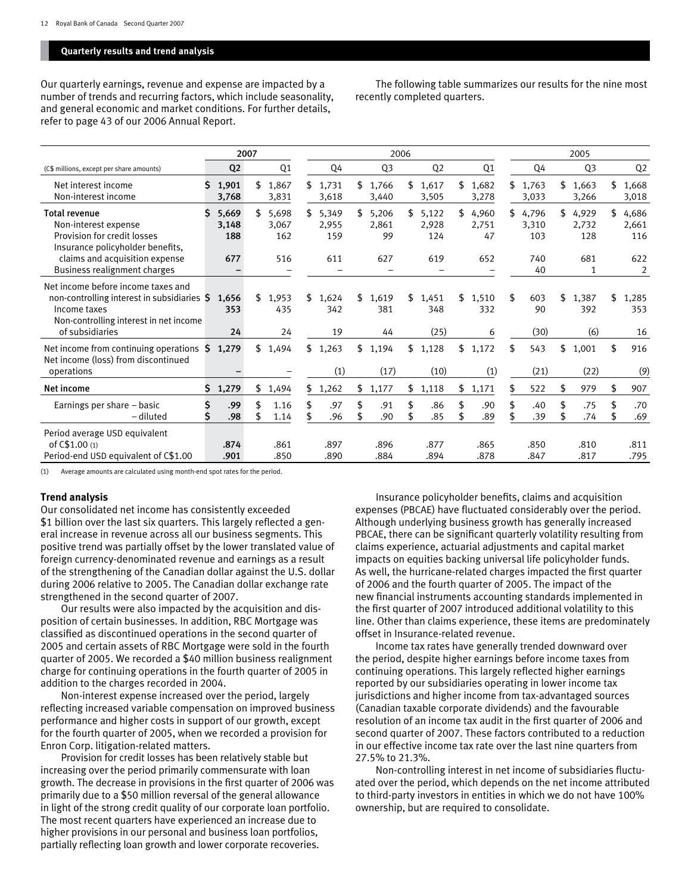#### **Quarterly results and trend analysis**

Our quarterly earnings, revenue and expense are impacted by a number of trends and recurring factors, which include seasonality, and general economic and market conditions. For further details, refer to page 43 of our 2006 Annual Report.

The following table summarizes our results for the nine most recently completed quarters.

|                                                                                                                                                                |                       | 2007                        |                             |                            | 2006                        | 2005                       |                             |                             |                             |  |  |  |
|----------------------------------------------------------------------------------------------------------------------------------------------------------------|-----------------------|-----------------------------|-----------------------------|----------------------------|-----------------------------|----------------------------|-----------------------------|-----------------------------|-----------------------------|--|--|--|
| (C\$ millions, except per share amounts)                                                                                                                       | Q <sub>2</sub>        | Q1                          | Q4                          | Q <sub>3</sub>             | Q <sub>2</sub>              | Q <sub>1</sub>             | Q4                          | Q <sub>3</sub>              | Q <sub>2</sub>              |  |  |  |
| Net interest income<br>Non-interest income                                                                                                                     | S.<br>1,901<br>3,768  | \$<br>1,867<br>3,831        | \$1,731<br>3,618            | \$<br>1,766<br>3,440       | \$<br>1,617<br>3,505        | \$1,682<br>3,278           | \$1,763<br>3,033            | \$<br>1.663<br>3,266        | \$<br>1,668<br>3,018        |  |  |  |
| <b>Total revenue</b><br>Non-interest expense<br>Provision for credit losses<br>Insurance policyholder benefits,                                                | 5,669<br>3,148<br>188 | \$<br>5,698<br>3,067<br>162 | \$<br>5,349<br>2,955<br>159 | \$<br>5,206<br>2,861<br>99 | \$<br>5,122<br>2,928<br>124 | \$<br>4,960<br>2,751<br>47 | \$<br>4,796<br>3,310<br>103 | \$<br>4,929<br>2,732<br>128 | \$<br>4,686<br>2,661<br>116 |  |  |  |
| claims and acquisition expense<br>Business realignment charges                                                                                                 | 677                   | 516                         | 611                         | 627                        | 619                         | 652                        | 740<br>40                   | 681<br>1                    | 622<br>$\overline{2}$       |  |  |  |
| Net income before income taxes and<br>non-controlling interest in subsidiaries \$<br>Income taxes<br>Non-controlling interest in net income<br>of subsidiaries | 1,656<br>353<br>24    | 1,953<br>\$<br>435<br>24    | 1,624<br>\$<br>342<br>19    | 1,619<br>\$<br>381<br>44   | \$<br>1,451<br>348<br>(25)  | \$<br>1,510<br>332<br>6    | \$<br>603<br>90<br>(30)     | \$<br>1.387<br>392<br>(6)   | \$<br>1,285<br>353<br>16    |  |  |  |
| Net income from continuing operations<br>Net income (loss) from discontinued<br>operations                                                                     | 1,279<br>S            | \$<br>1,494                 | 1,263<br>\$.<br>(1)         | \$<br>1,194<br>(17)        | \$<br>1,128<br>(10)         | \$<br>1,172<br>(1)         | \$<br>543<br>(21)           | \$.<br>1,001<br>(22)        | \$<br>916<br>(9)            |  |  |  |
| Net income                                                                                                                                                     | S<br>1,279            | \$<br>1,494                 | 1,262<br>\$                 | \$<br>1,177                | \$<br>1,118                 | \$1,171                    | \$<br>522                   | \$<br>979                   | \$<br>907                   |  |  |  |
| Earnings per share – basic<br>- diluted                                                                                                                        | .99<br>.98            | 1.16<br>\$<br>1.14          | \$<br>.97<br>.96            | \$<br>.91<br>.90           | \$<br>.86<br>.85            | \$<br>.90<br>.89           | .40<br>.39                  | \$<br>.75<br>.74            | \$<br>.70<br>.69            |  |  |  |
| Period average USD equivalent<br>of C\$1.00 (1)<br>Period-end USD equivalent of C\$1.00                                                                        | .874<br>.901          | .861<br>.850                | .897<br>.890                | .896<br>.884               | .877<br>.894                | .865<br>.878               | .850<br>.847                | .810<br>.817                | .811<br>.795                |  |  |  |

(1) Average amounts are calculated using month-end spot rates for the period.

#### **Trend analysis**

Our consolidated net income has consistently exceeded \$1 billion over the last six quarters. This largely reflected a general increase in revenue across all our business segments. This positive trend was partially offset by the lower translated value of foreign currency-denominated revenue and earnings as a result of the strengthening of the Canadian dollar against the U.S. dollar during 2006 relative to 2005. The Canadian dollar exchange rate strengthened in the second quarter of 2007.

Our results were also impacted by the acquisition and disposition of certain businesses. In addition, RBC Mortgage was classified as discontinued operations in the second quarter of 2005 and certain assets of RBC Mortgage were sold in the fourth quarter of 2005. We recorded a \$40 million business realignment charge for continuing operations in the fourth quarter of 2005 in addition to the charges recorded in 2004.

Non-interest expense increased over the period, largely reflecting increased variable compensation on improved business performance and higher costs in support of our growth, except for the fourth quarter of 2005, when we recorded a provision for Enron Corp. litigation-related matters.

Provision for credit losses has been relatively stable but increasing over the period primarily commensurate with loan growth. The decrease in provisions in the first quarter of 2006 was primarily due to a \$50 million reversal of the general allowance in light of the strong credit quality of our corporate loan portfolio. The most recent quarters have experienced an increase due to higher provisions in our personal and business loan portfolios, partially reflecting loan growth and lower corporate recoveries.

Insurance policyholder benefits, claims and acquisition expenses (PBCAE) have fluctuated considerably over the period. Although underlying business growth has generally increased PBCAE, there can be significant quarterly volatility resulting from claims experience, actuarial adjustments and capital market impacts on equities backing universal life policyholder funds. As well, the hurricane-related charges impacted the first quarter of 2006 and the fourth quarter of 2005. The impact of the new financial instruments accounting standards implemented in the first quarter of 2007 introduced additional volatility to this line. Other than claims experience, these items are predominately offset in Insurance-related revenue.

Income tax rates have generally trended downward over the period, despite higher earnings before income taxes from continuing operations. This largely reflected higher earnings reported by our subsidiaries operating in lower income tax jurisdictions and higher income from tax-advantaged sources (Canadian taxable corporate dividends) and the favourable resolution of an income tax audit in the first quarter of 2006 and second quarter of 2007. These factors contributed to a reduction in our effective income tax rate over the last nine quarters from 27.5% to 21.3%.

Non-controlling interest in net income of subsidiaries fluctuated over the period, which depends on the net income attributed to third-party investors in entities in which we do not have 100% ownership, but are required to consolidate.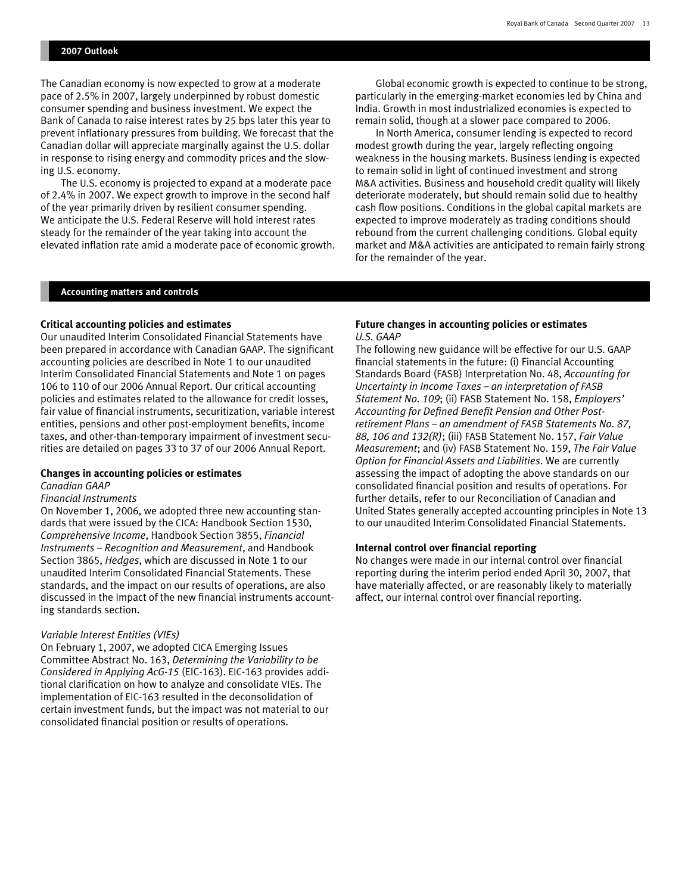#### **2007 Outlook**

The Canadian economy is now expected to grow at a moderate pace of 2.5% in 2007, largely underpinned by robust domestic consumer spending and business investment. We expect the Bank of Canada to raise interest rates by 25 bps later this year to prevent inflationary pressures from building. We forecast that the Canadian dollar will appreciate marginally against the U.S. dollar in response to rising energy and commodity prices and the slowing U.S. economy.

The U.S. economy is projected to expand at a moderate pace of 2.4% in 2007. We expect growth to improve in the second half of the year primarily driven by resilient consumer spending. We anticipate the U.S. Federal Reserve will hold interest rates steady for the remainder of the year taking into account the elevated inflation rate amid a moderate pace of economic growth.

Global economic growth is expected to continue to be strong, particularly in the emerging-market economies led by China and India. Growth in most industrialized economies is expected to remain solid, though at a slower pace compared to 2006.

In North America, consumer lending is expected to record modest growth during the year, largely reflecting ongoing weakness in the housing markets. Business lending is expected to remain solid in light of continued investment and strong M&A activities. Business and household credit quality will likely deteriorate moderately, but should remain solid due to healthy cash flow positions. Conditions in the global capital markets are expected to improve moderately as trading conditions should rebound from the current challenging conditions. Global equity market and M&A activities are anticipated to remain fairly strong for the remainder of the year.

# **Accounting matters and controls**

#### **Critical accounting policies and estimates**

Our unaudited Interim Consolidated Financial Statements have been prepared in accordance with Canadian GAAP. The significant accounting policies are described in Note 1 to our unaudited Interim Consolidated Financial Statements and Note 1 on pages 106 to 110 of our 2006 Annual Report. Our critical accounting policies and estimates related to the allowance for credit losses, fair value of financial instruments, securitization, variable interest entities, pensions and other post-employment benefits, income taxes, and other-than-temporary impairment of investment securities are detailed on pages 33 to 37 of our 2006 Annual Report.

#### **Changes in accounting policies or estimates**

#### *Canadian GAAP*

#### *Financial Instruments*

On November 1, 2006, we adopted three new accounting standards that were issued by the CICA: Handbook Section 1530, *Comprehensive Income*, Handbook Section 3855, *Financial Instruments – Recognition and Measurement*, and Handbook Section 3865, *Hedges*, which are discussed in Note 1 to our unaudited Interim Consolidated Financial Statements. These standards, and the impact on our results of operations, are also discussed in the Impact of the new financial instruments accounting standards section.

#### *Variable Interest Entities (VIEs)*

On February 1, 2007, we adopted CICA Emerging Issues Committee Abstract No. 163, *Determining the Variability to be Considered in Applying AcG-15* (EIC-163). EIC-163 provides additional clarification on how to analyze and consolidate VIEs. The implementation of EIC-163 resulted in the deconsolidation of certain investment funds, but the impact was not material to our consolidated financial position or results of operations.

## **Future changes in accounting policies or estimates** *U.S. GAAP*

The following new guidance will be effective for our U.S. GAAP financial statements in the future: (i) Financial Accounting Standards Board (FASB) Interpretation No. 48, *Accounting for Uncertainty in Income Taxes – an interpretation of FASB Statement No. 109*; (ii) FASB Statement No. 158, *Employers' Accounting for Defined Benefit Pension and Other Postretirement Plans – an amendment of FASB Statements No. 87, 88, 106 and 132(R)*; (iii) FASB Statement No. 157, *Fair Value Measurement*; and (iv) FASB Statement No. 159, *The Fair Value Option for Financial Assets and Liabilities*. We are currently assessing the impact of adopting the above standards on our consolidated financial position and results of operations. For further details, refer to our Reconciliation of Canadian and United States generally accepted accounting principles in Note 13 to our unaudited Interim Consolidated Financial Statements.

#### **Internal control over financial reporting**

No changes were made in our internal control over financial reporting during the interim period ended April 30, 2007, that have materially affected, or are reasonably likely to materially affect, our internal control over financial reporting.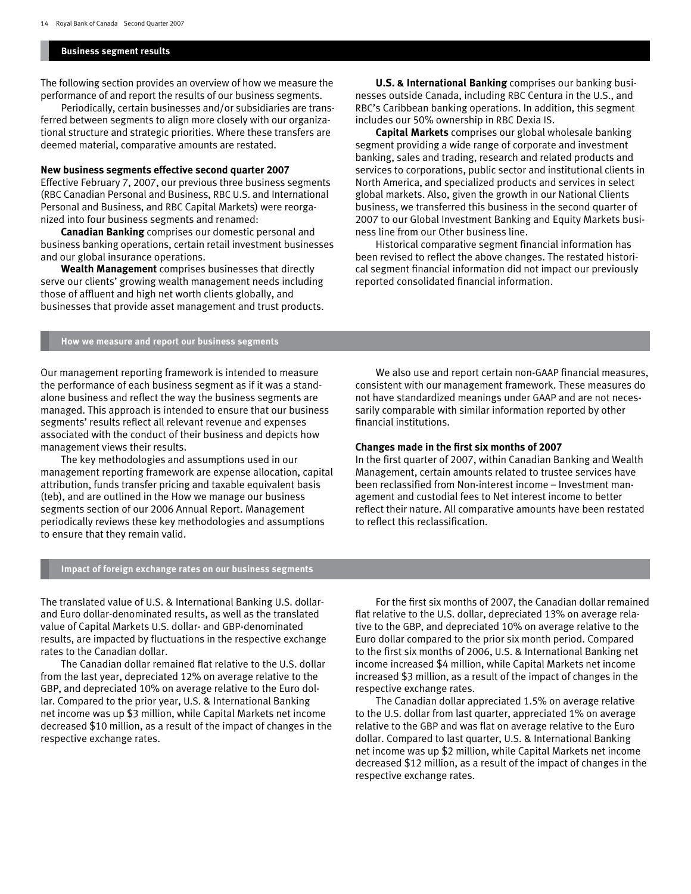#### **Business segment results**

The following section provides an overview of how we measure the performance of and report the results of our business segments.

Periodically, certain businesses and/or subsidiaries are transferred between segments to align more closely with our organizational structure and strategic priorities. Where these transfers are deemed material, comparative amounts are restated.

#### **New business segments effective second quarter 2007**

Effective February 7, 2007, our previous three business segments (RBC Canadian Personal and Business, RBC U.S. and International Personal and Business, and RBC Capital Markets) were reorganized into four business segments and renamed:

**Canadian Banking** comprises our domestic personal and business banking operations, certain retail investment businesses and our global insurance operations.

**Wealth Management** comprises businesses that directly serve our clients' growing wealth management needs including those of affluent and high net worth clients globally, and businesses that provide asset management and trust products.

**U.S. & International Banking** comprises our banking businesses outside Canada, including RBC Centura in the U.S., and RBC's Caribbean banking operations. In addition, this segment includes our 50% ownership in RBC Dexia IS.

**Capital Markets** comprises our global wholesale banking segment providing a wide range of corporate and investment banking, sales and trading, research and related products and services to corporations, public sector and institutional clients in North America, and specialized products and services in select global markets. Also, given the growth in our National Clients business, we transferred this business in the second quarter of 2007 to our Global Investment Banking and Equity Markets business line from our Other business line.

Historical comparative segment financial information has been revised to reflect the above changes. The restated historical segment financial information did not impact our previously reported consolidated financial information.

#### **How we measure and report our business segments**

Our management reporting framework is intended to measure the performance of each business segment as if it was a standalone business and reflect the way the business segments are managed. This approach is intended to ensure that our business segments' results reflect all relevant revenue and expenses associated with the conduct of their business and depicts how management views their results.

The key methodologies and assumptions used in our management reporting framework are expense allocation, capital attribution, funds transfer pricing and taxable equivalent basis (teb), and are outlined in the How we manage our business segments section of our 2006 Annual Report. Management periodically reviews these key methodologies and assumptions to ensure that they remain valid.

We also use and report certain non-GAAP financial measures, consistent with our management framework. These measures do not have standardized meanings under GAAP and are not necessarily comparable with similar information reported by other financial institutions.

## **Changes made in the first six months of 2007**

In the first quarter of 2007, within Canadian Banking and Wealth Management, certain amounts related to trustee services have been reclassified from Non-interest income – Investment management and custodial fees to Net interest income to better reflect their nature. All comparative amounts have been restated to reflect this reclassification.

## **Impact of foreign exchange rates on our business segments**

The translated value of U.S. & International Banking U.S. dollarand Euro dollar-denominated results, as well as the translated value of Capital Markets U.S. dollar- and GBP-denominated results, are impacted by fluctuations in the respective exchange rates to the Canadian dollar.

The Canadian dollar remained flat relative to the U.S. dollar from the last year, depreciated 12% on average relative to the GBP, and depreciated 10% on average relative to the Euro dollar. Compared to the prior year, U.S. & International Banking net income was up \$3 million, while Capital Markets net income decreased \$10 million, as a result of the impact of changes in the respective exchange rates.

For the first six months of 2007, the Canadian dollar remained flat relative to the U.S. dollar, depreciated 13% on average relative to the GBP, and depreciated 10% on average relative to the Euro dollar compared to the prior six month period. Compared to the first six months of 2006, U.S. & International Banking net income increased \$4 million, while Capital Markets net income increased \$3 million, as a result of the impact of changes in the respective exchange rates.

The Canadian dollar appreciated 1.5% on average relative to the U.S. dollar from last quarter, appreciated 1% on average relative to the GBP and was flat on average relative to the Euro dollar. Compared to last quarter, U.S. & International Banking net income was up \$2 million, while Capital Markets net income decreased \$12 million, as a result of the impact of changes in the respective exchange rates.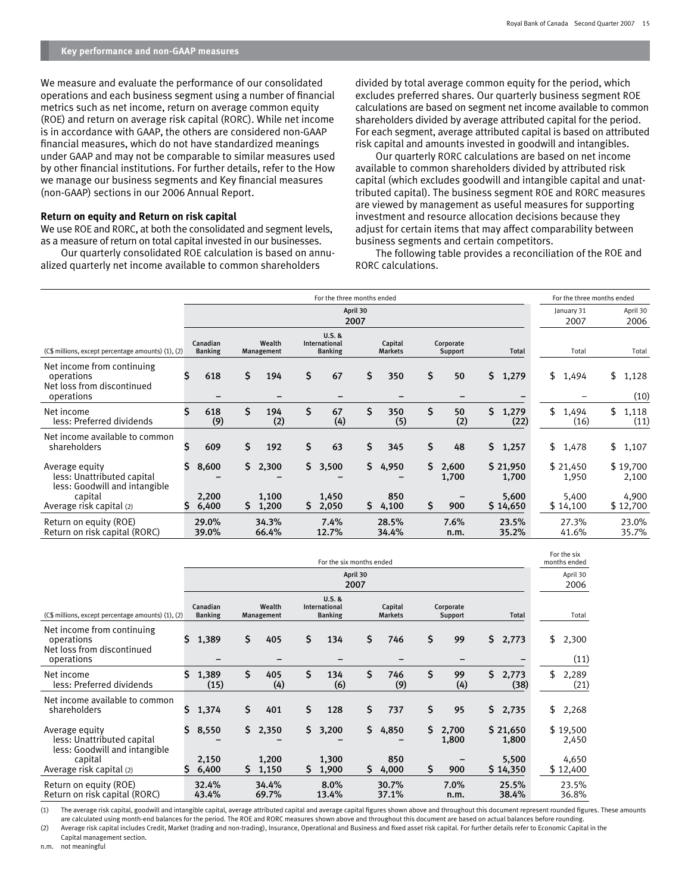For the six

We measure and evaluate the performance of our consolidated operations and each business segment using a number of financial metrics such as net income, return on average common equity (ROE) and return on average risk capital (RORC). While net income is in accordance with GAAP, the others are considered non-GAAP financial measures, which do not have standardized meanings under GAAP and may not be comparable to similar measures used by other financial institutions. For further details, refer to the How we manage our business segments and Key financial measures (non-GAAP) sections in our 2006 Annual Report.

#### **Return on equity and Return on risk capital**

We use ROE and RORC, at both the consolidated and segment levels, as a measure of return on total capital invested in our businesses.

Our quarterly consolidated ROE calculation is based on annualized quarterly net income available to common shareholders

divided by total average common equity for the period, which excludes preferred shares. Our quarterly business segment ROE calculations are based on segment net income available to common shareholders divided by average attributed capital for the period. For each segment, average attributed capital is based on attributed risk capital and amounts invested in goodwill and intangibles.

Our quarterly RORC calculations are based on net income available to common shareholders divided by attributed risk capital (which excludes goodwill and intangible capital and unattributed capital). The business segment ROE and RORC measures are viewed by management as useful measures for supporting investment and resource allocation decisions because they adjust for certain items that may affect comparability between business segments and certain competitors.

The following table provides a reconciliation of the ROE and RORC calculations.

|                                                                                          |    |                                 |    |                      |    | For the three months ended                  |                  |                           |    |                      |    |                            | For the three months ended |                            |
|------------------------------------------------------------------------------------------|----|---------------------------------|----|----------------------|----|---------------------------------------------|------------------|---------------------------|----|----------------------|----|----------------------------|----------------------------|----------------------------|
|                                                                                          |    |                                 |    |                      |    |                                             | April 30<br>2007 |                           |    |                      |    |                            | January 31<br>2007         | April 30<br>2006           |
| (C\$ millions, except percentage amounts) (1), (2)                                       |    | Canadian<br><b>Banking</b>      |    | Wealth<br>Management |    | $U.S.$ &<br>International<br><b>Banking</b> |                  | Capital<br><b>Markets</b> |    | Corporate<br>Support |    | <b>Total</b>               | Total                      | Total                      |
| Net income from continuing<br>operations<br>Net loss from discontinued<br>operations     |    | 618<br>$\overline{\phantom{0}}$ | S. | 194                  | \$ | 67                                          | \$               | 350                       | Ś  | 50                   | \$ | 1,279                      | \$<br>1,494                | \$<br>1,128<br>(10)        |
| Net income<br>less: Preferred dividends                                                  |    | 618<br>(9)                      | Ś. | 194<br>(2)           | \$ | 67<br>(4)                                   | \$               | 350<br>(5)                | Ś  | 50<br>(2)            | Ś. | 1,279<br>(22)              | \$<br>1,494<br>(16)        | \$<br>1,118<br>(11)        |
| Net income available to common<br>shareholders                                           |    | 609                             | Ś. | 192                  | \$ | 63                                          | Ś.               | 345                       | Ŝ. | 48                   | \$ | 1,257                      | \$<br>1,478                | \$<br>1,107                |
| Average equity<br>less: Unattributed capital<br>less: Goodwill and intangible<br>capital | S. | 8,600<br>2,200                  | S. | 2,300<br>1,100       |    | \$3,500<br>1,450                            |                  | \$4,950<br>850            | Ŝ. | 2,600<br>1,700       |    | \$21,950<br>1,700<br>5,600 | \$21,450<br>1,950<br>5,400 | \$19,700<br>2,100<br>4,900 |
| Average risk capital (2)                                                                 |    | 6,400                           | S. | 1,200                | Ś. | 2,050                                       | S.               | 4,100                     | \$ | 900                  |    | \$14,650                   | \$14,100                   | \$12,700                   |
| Return on equity (ROE)<br>Return on risk capital (RORC)                                  |    | 29.0%<br>39.0%                  |    | 34.3%<br>66.4%       |    | 7.4%<br>12.7%                               |                  | 28.5%<br>34.4%            |    | 7.6%<br>n.m.         |    | 23.5%<br>35.2%             | 27.3%<br>41.6%             | 23.0%<br>35.7%             |

|                                                                                      |   |                            |            |                |    | For the six months ended                    |                  |     |                           |    |                      |    |                   | <b>FULLIESIA</b><br>months ended |
|--------------------------------------------------------------------------------------|---|----------------------------|------------|----------------|----|---------------------------------------------|------------------|-----|---------------------------|----|----------------------|----|-------------------|----------------------------------|
|                                                                                      |   |                            |            |                |    |                                             | April 30<br>2007 |     |                           |    |                      |    |                   | April 30<br>2006                 |
| (C\$ millions, except percentage amounts) (1), (2)                                   |   | Canadian<br><b>Banking</b> | Management | Wealth         |    | $U.S.$ &<br>International<br><b>Banking</b> |                  |     | Capital<br><b>Markets</b> |    | Corporate<br>Support |    | <b>Total</b>      | Total                            |
| Net income from continuing<br>operations<br>Net loss from discontinued<br>operations | Ś | 1,389                      | \$         | 405            | \$ | 134                                         |                  | \$  | 746                       | \$ | 99                   | \$ | 2,773             | \$<br>2,300<br>(11)              |
| Net income<br>less: Preferred dividends                                              | ς | 1,389<br>(15)              | Ś          | 405<br>(4)     | \$ | 134<br>(6)                                  |                  | Ŝ   | 746<br>(9)                | Ś  | 99<br>(4)            | Ś. | 2,773<br>(38)     | \$<br>2,289<br>(21)              |
| Net income available to common<br>shareholders                                       | S | 1,374                      | \$         | 401            | \$ | 128                                         |                  | \$  | 737                       | \$ | 95                   | \$ | 2,735             | \$<br>2,268                      |
| Average equity<br>less: Unattributed capital<br>less: Goodwill and intangible        | S | 8,550                      | \$         | 2,350          |    | \$3,200                                     |                  | \$. | 4,850                     | S. | 2,700<br>1,800       |    | \$21,650<br>1,800 | \$19,500<br>2,450                |
| capital<br>Average risk capital (2)                                                  |   | 2,150<br>6,400             | S.         | 1,200<br>1,150 | S  | 1,300<br>1,900                              |                  | \$  | 850<br>4,000              | \$ | 900                  |    | 5,500<br>\$14,350 | 4,650<br>\$12,400                |
| Return on equity (ROE)<br>Return on risk capital (RORC)                              |   | 32.4%<br>43.4%             |            | 34.4%<br>69.7% |    | 8.0%<br>13.4%                               |                  |     | 30.7%<br>37.1%            |    | 7.0%<br>n.m.         |    | 25.5%<br>38.4%    | 23.5%<br>36.8%                   |

(1) The average risk capital, goodwill and intangible capital, average attributed capital and average capital figures shown above and throughout this document represent rounded figures. These amounts are calculated using month-end balances for the period. The ROE and RORC measures shown above and throughout this document are based on actual balances before rounding.

(2) Average risk capital includes Credit, Market (trading and non-trading), Insurance, Operational and Business and fixed asset risk capital. For further details refer to Economic Capital in the Capital management section.

n.m. not meaningful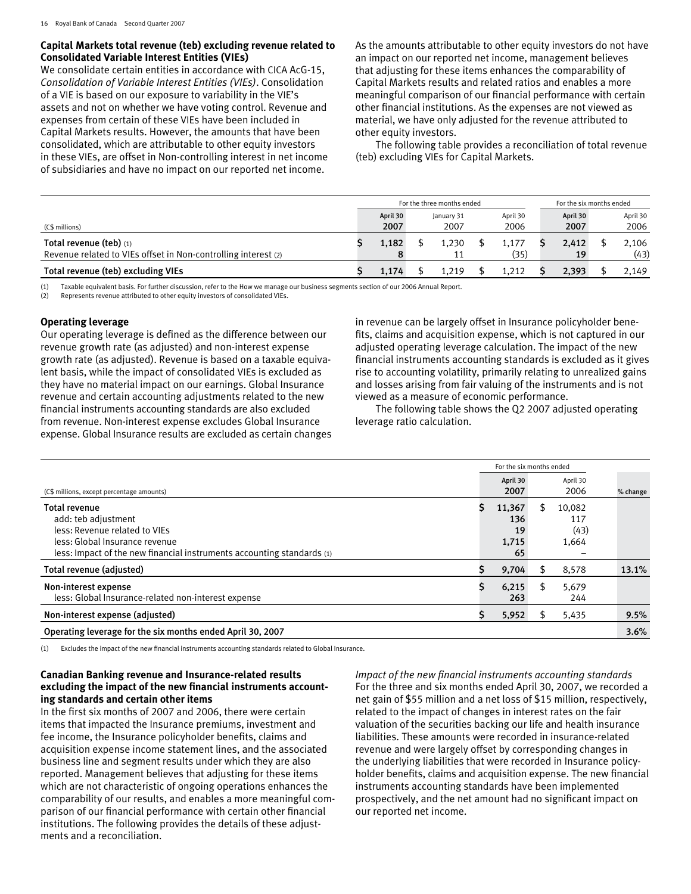## **Capital Markets total revenue (teb) excluding revenue related to Consolidated Variable Interest Entities (VIEs)**

We consolidate certain entities in accordance with CICA AcG-15, *Consolidation of Variable Interest Entities (VIEs)*. Consolidation of a VIE is based on our exposure to variability in the VIE's assets and not on whether we have voting control. Revenue and expenses from certain of these VIEs have been included in Capital Markets results. However, the amounts that have been consolidated, which are attributable to other equity investors in these VIEs, are offset in Non-controlling interest in net income of subsidiaries and have no impact on our reported net income.

As the amounts attributable to other equity investors do not have an impact on our reported net income, management believes that adjusting for these items enhances the comparability of Capital Markets results and related ratios and enables a more meaningful comparison of our financial performance with certain other financial institutions. As the expenses are not viewed as material, we have only adjusted for the revenue attributed to other equity investors.

The following table provides a reconciliation of total revenue (teb) excluding VIEs for Capital Markets.

|                                                                |          | For the three months ended |          | For the six months ended |          |
|----------------------------------------------------------------|----------|----------------------------|----------|--------------------------|----------|
|                                                                | April 30 | January 31                 | April 30 | April 30                 | April 30 |
| (C\$ millions)                                                 | 2007     | 2007                       | 2006     | 2007                     | 2006     |
| Total revenue (teb) (1)                                        | 1.182    | 1.230                      | 1,177    | 2.412                    | 2,106    |
| Revenue related to VIEs offset in Non-controlling interest (2) |          |                            | (35)     | 19                       | (43)     |
| Total revenue (teb) excluding VIEs                             | 1.174    | 1,219                      | 1.212    | 2.393                    | 2,149    |

(1) Taxable equivalent basis. For further discussion, refer to the How we manage our business segments section of our 2006 Annual Report.

(2) Represents revenue attributed to other equity investors of consolidated VIEs.

## **Operating leverage**

Our operating leverage is defined as the difference between our revenue growth rate (as adjusted) and non-interest expense growth rate (as adjusted). Revenue is based on a taxable equivalent basis, while the impact of consolidated VIEs is excluded as they have no material impact on our earnings. Global Insurance revenue and certain accounting adjustments related to the new financial instruments accounting standards are also excluded from revenue. Non-interest expense excludes Global Insurance expense. Global Insurance results are excluded as certain changes in revenue can be largely offset in Insurance policyholder benefits, claims and acquisition expense, which is not captured in our adjusted operating leverage calculation. The impact of the new financial instruments accounting standards is excluded as it gives rise to accounting volatility, primarily relating to unrealized gains and losses arising from fair valuing of the instruments and is not viewed as a measure of economic performance.

The following table shows the Q2 2007 adjusted operating leverage ratio calculation.

|                                                                                                                                                                                   | For the six months ended           |    |                                |          |
|-----------------------------------------------------------------------------------------------------------------------------------------------------------------------------------|------------------------------------|----|--------------------------------|----------|
| (C\$ millions, except percentage amounts)                                                                                                                                         | April 30<br>2007                   |    | April 30<br>2006               | % change |
| Total revenue<br>add: teb adjustment<br>less: Revenue related to VIEs<br>less: Global Insurance revenue<br>less: Impact of the new financial instruments accounting standards (1) | 11,367<br>136<br>19<br>1,715<br>65 | S  | 10,082<br>117<br>(43)<br>1,664 |          |
| Total revenue (adjusted)                                                                                                                                                          | 9,704                              |    | 8,578                          | 13.1%    |
| Non-interest expense<br>less: Global Insurance-related non-interest expense                                                                                                       | 6,215<br>263                       | \$ | 5,679<br>244                   |          |
| Non-interest expense (adjusted)                                                                                                                                                   | 5,952                              |    | 5,435                          | 9.5%     |
| Operating leverage for the six months ended April 30, 2007                                                                                                                        |                                    |    |                                | 3.6%     |

(1) Excludes the impact of the new financial instruments accounting standards related to Global Insurance.

## **Canadian Banking revenue and Insurance-related results excluding the impact of the new financial instruments accounting standards and certain other items**

In the first six months of 2007 and 2006, there were certain items that impacted the Insurance premiums, investment and fee income, the Insurance policyholder benefits, claims and acquisition expense income statement lines, and the associated business line and segment results under which they are also reported. Management believes that adjusting for these items which are not characteristic of ongoing operations enhances the comparability of our results, and enables a more meaningful comparison of our financial performance with certain other financial institutions. The following provides the details of these adjustments and a reconciliation.

*Impact of the new financial instruments accounting standards*  For the three and six months ended April 30, 2007, we recorded a net gain of \$55 million and a net loss of \$15 million, respectively, related to the impact of changes in interest rates on the fair valuation of the securities backing our life and health insurance liabilities. These amounts were recorded in insurance-related revenue and were largely offset by corresponding changes in the underlying liabilities that were recorded in Insurance policyholder benefits, claims and acquisition expense. The new financial instruments accounting standards have been implemented prospectively, and the net amount had no significant impact on our reported net income.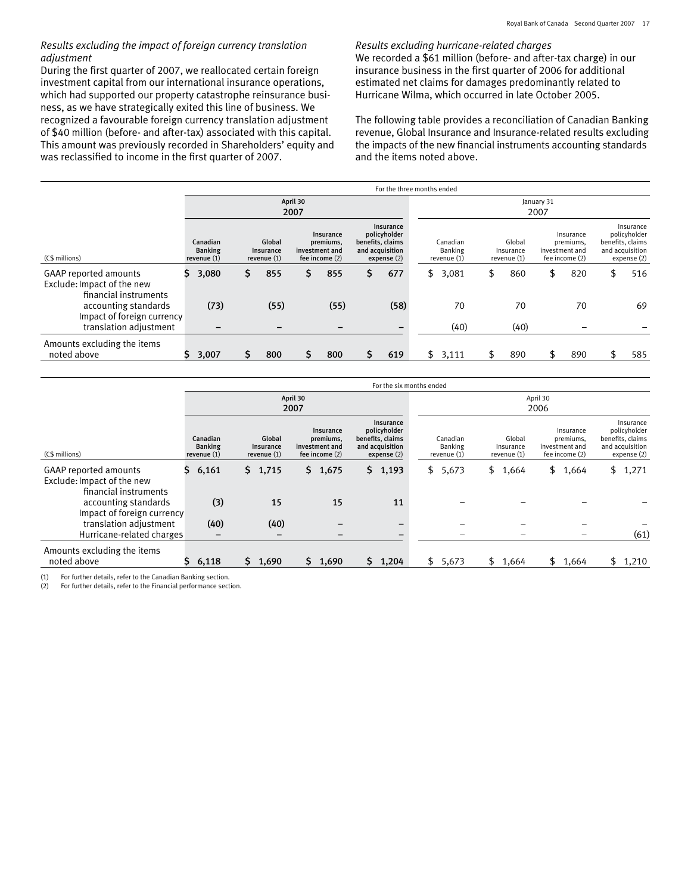## *Results excluding the impact of foreign currency translation adjustment*

During the first quarter of 2007, we reallocated certain foreign investment capital from our international insurance operations, which had supported our property catastrophe reinsurance business, as we have strategically exited this line of business. We recognized a favourable foreign currency translation adjustment of \$40 million (before- and after-tax) associated with this capital. This amount was previously recorded in Shareholders' equity and was reclassified to income in the first quarter of 2007.

*Results excluding hurricane-related charges* We recorded a \$61 million (before- and after-tax charge) in our insurance business in the first quarter of 2006 for additional estimated net claims for damages predominantly related to Hurricane Wilma, which occurred in late October 2005.

The following table provides a reconciliation of Canadian Banking revenue, Global Insurance and Insurance-related results excluding the impacts of the new financial instruments accounting standards and the items noted above.

|                                                                                     |   |                                             |   |                                      |                  |                                                              |   | For the three months ended                                                        |                                           |                                    |                    |                                                            |                                                                                 |
|-------------------------------------------------------------------------------------|---|---------------------------------------------|---|--------------------------------------|------------------|--------------------------------------------------------------|---|-----------------------------------------------------------------------------------|-------------------------------------------|------------------------------------|--------------------|------------------------------------------------------------|---------------------------------------------------------------------------------|
|                                                                                     |   |                                             |   |                                      | April 30<br>2007 |                                                              |   |                                                                                   |                                           |                                    | January 31<br>2007 |                                                            |                                                                                 |
| (C\$ millions)                                                                      |   | Canadian<br><b>Banking</b><br>revenue $(1)$ |   | Global<br>Insurance<br>revenue $(1)$ |                  | Insurance<br>premiums,<br>investment and<br>fee income $(2)$ |   | Insurance<br>policyholder<br>benefits, claims<br>and acquisition<br>expense $(2)$ | Canadian<br><b>Banking</b><br>revenue (1) | Global<br>Insurance<br>revenue (1) |                    | Insurance<br>premiums,<br>investment and<br>fee income (2) | Insurance<br>policyholder<br>benefits, claims<br>and acquisition<br>expense (2) |
| <b>GAAP</b> reported amounts<br>Exclude: Impact of the new<br>financial instruments | S | 3,080                                       | S | 855                                  | S                | 855                                                          | S | 677                                                                               | \$<br>3,081                               | \$<br>860                          | \$                 | 820                                                        | \$<br>516                                                                       |
| accounting standards<br>Impact of foreign currency<br>translation adjustment        |   | (73)                                        |   | (55)                                 |                  | (55)                                                         |   | (58)                                                                              | 70<br>(40)                                | 70<br>(40)                         |                    | 70                                                         | 69                                                                              |
|                                                                                     |   |                                             |   |                                      |                  |                                                              |   |                                                                                   |                                           |                                    |                    |                                                            |                                                                                 |
| Amounts excluding the items<br>noted above                                          | s | 3,007                                       |   | 800                                  | S                | 800                                                          | S | 619                                                                               | \$3,111                                   | 890                                | S                  | 890                                                        | \$<br>585                                                                       |

|                                                                                     |    |                                             |    |                                      |                  |                                                              |    | For the six months ended                                                       |     |                                           |                                    |                  |                                                            |                                                                                 |
|-------------------------------------------------------------------------------------|----|---------------------------------------------|----|--------------------------------------|------------------|--------------------------------------------------------------|----|--------------------------------------------------------------------------------|-----|-------------------------------------------|------------------------------------|------------------|------------------------------------------------------------|---------------------------------------------------------------------------------|
|                                                                                     |    |                                             |    |                                      | April 30<br>2007 |                                                              |    |                                                                                |     |                                           |                                    | April 30<br>2006 |                                                            |                                                                                 |
| (C\$ millions)                                                                      |    | Canadian<br><b>Banking</b><br>revenue $(1)$ |    | Global<br>Insurance<br>revenue $(1)$ |                  | Insurance<br>premiums,<br>investment and<br>fee income $(2)$ |    | Insurance<br>policyholder<br>benefits, claims<br>and acquisition<br>expense(2) |     | Canadian<br><b>Banking</b><br>revenue (1) | Global<br>Insurance<br>revenue (1) |                  | Insurance<br>premiums,<br>investment and<br>fee income (2) | Insurance<br>policyholder<br>benefits, claims<br>and acquisition<br>expense (2) |
| <b>GAAP</b> reported amounts<br>Exclude: Impact of the new<br>financial instruments | S. | 6,161                                       |    | $5 \t1,715$                          |                  | \$1,675                                                      |    | \$1,193                                                                        | \$. | 5,673                                     | \$<br>1,664                        |                  | \$1,664                                                    | \$1,271                                                                         |
| accounting standards<br>Impact of foreign currency                                  |    | (3)                                         |    | 15                                   |                  | 15                                                           |    | 11                                                                             |     |                                           |                                    |                  |                                                            |                                                                                 |
| translation adjustment<br>Hurricane-related charges                                 |    | (40)                                        |    | (40)                                 |                  |                                                              |    | $\overline{\phantom{0}}$                                                       |     |                                           |                                    |                  |                                                            | (61)                                                                            |
| Amounts excluding the items<br>noted above                                          |    | 6,118                                       | S. | 1.690                                | S.               | 1,690                                                        | S. | 1,204                                                                          | \$  | 5,673                                     | \$<br>1,664                        | \$               | 1,664                                                      | \$1,210                                                                         |

(1) For further details, refer to the Canadian Banking section.

(2) For further details, refer to the Financial performance section.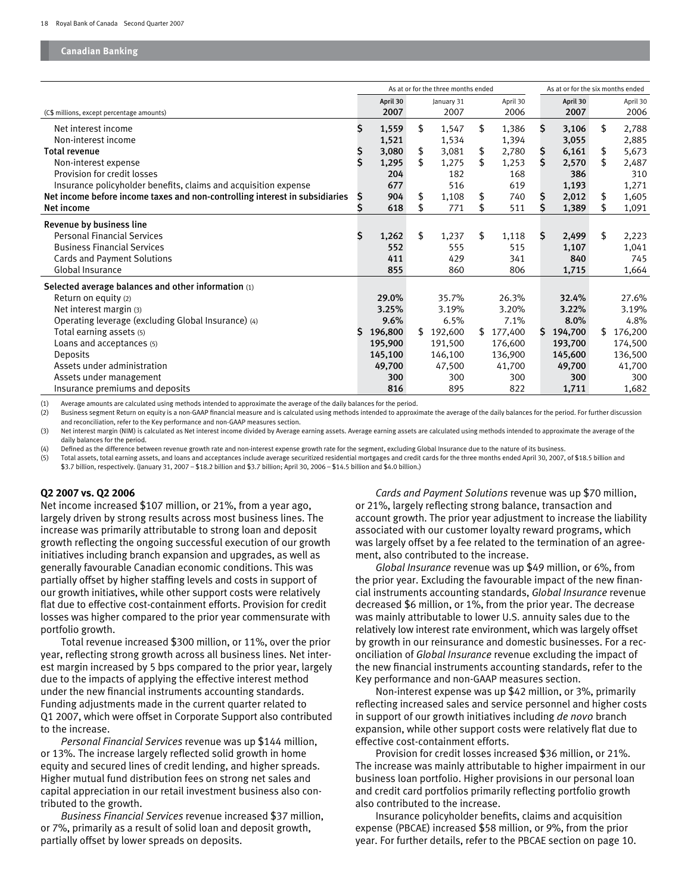#### **Canadian Banking**

|                                                                             |     |          |              | As at or for the three months ended |             |    | As at or for the six months ended |               |
|-----------------------------------------------------------------------------|-----|----------|--------------|-------------------------------------|-------------|----|-----------------------------------|---------------|
|                                                                             |     | April 30 |              | January 31                          | April 30    |    | April 30                          | April 30      |
| (C\$ millions, except percentage amounts)                                   |     | 2007     |              | 2007                                | 2006        |    | 2007                              | 2006          |
| Net interest income                                                         | \$. | 1,559    | \$           | 1,547                               | \$<br>1,386 | \$ | 3,106                             | \$<br>2,788   |
| Non-interest income                                                         |     | 1,521    |              | 1,534                               | 1,394       |    | 3,055                             | 2,885         |
| <b>Total revenue</b>                                                        |     | 3,080    | \$           | 3,081                               | \$<br>2,780 | \$ | 6,161                             | \$<br>5,673   |
| Non-interest expense                                                        |     | 1,295    | \$           | 1,275                               | \$<br>1,253 | Ś. | 2,570                             | \$<br>2,487   |
| Provision for credit losses                                                 |     | 204      |              | 182                                 | 168         |    | 386                               | 310           |
| Insurance policyholder benefits, claims and acquisition expense             |     | 677      |              | 516                                 | 619         |    | 1,193                             | 1,271         |
| Net income before income taxes and non-controlling interest in subsidiaries |     | 904      | \$           | 1,108                               | \$<br>740   | s  | 2,012                             | \$<br>1,605   |
| Net income                                                                  |     | 618      | \$           | 771                                 | \$<br>511   | Ś  | 1,389                             | \$<br>1,091   |
| Revenue by business line                                                    |     |          |              |                                     |             |    |                                   |               |
| <b>Personal Financial Services</b>                                          |     | 1,262    | \$           | 1,237                               | \$<br>1,118 | S. | 2,499                             | \$<br>2,223   |
| <b>Business Financial Services</b>                                          |     | 552      |              | 555                                 | 515         |    | 1,107                             | 1,041         |
| <b>Cards and Payment Solutions</b>                                          |     | 411      |              | 429                                 | 341         |    | 840                               | 745           |
| Global Insurance                                                            |     | 855      |              | 860                                 | 806         |    | 1,715                             | 1,664         |
| Selected average balances and other information (1)                         |     |          |              |                                     |             |    |                                   |               |
| Return on equity (2)                                                        |     | 29.0%    |              | 35.7%                               | 26.3%       |    | 32.4%                             | 27.6%         |
| Net interest margin (3)                                                     |     | 3.25%    |              | 3.19%                               | 3.20%       |    | 3.22%                             | 3.19%         |
| Operating leverage (excluding Global Insurance) (4)                         |     | 9.6%     |              | 6.5%                                | 7.1%        |    | 8.0%                              | 4.8%          |
| Total earning assets (5)                                                    | s   | 196,800  | $\mathbf{f}$ | 192,600                             | \$177,400   | S  | 194,700                           | \$<br>176,200 |
| Loans and acceptances (5)                                                   |     | 195,900  |              | 191,500                             | 176,600     |    | 193,700                           | 174,500       |
| Deposits                                                                    |     | 145,100  |              | 146,100                             | 136,900     |    | 145,600                           | 136,500       |
| Assets under administration                                                 |     | 49,700   |              | 47,500                              | 41,700      |    | 49,700                            | 41,700        |
| Assets under management                                                     |     | 300      |              | 300                                 | 300         |    | 300                               | 300           |
| Insurance premiums and deposits                                             |     | 816      |              | 895                                 | 822         |    | 1,711                             | 1,682         |

(1) Average amounts are calculated using methods intended to approximate the average of the daily balances for the period.

(2) Business segment Return on equity is a non-GAAP financial measure and is calculated using methods intended to approximate the average of the daily balances for the period. For further discussion and reconciliation, refer to the Key performance and non-GAAP measures section.

(3) Net interest margin (NIM) is calculated as Net interest income divided by Average earning assets. Average earning assets are calculated using methods intended to approximate the average of the daily balances for the period.

(4) Defined as the difference between revenue growth rate and non-interest expense growth rate for the segment, excluding Global Insurance due to the nature of its business.

(5) Total assets, total earning assets, and loans and acceptances include average securitized residential mortgages and credit cards for the three months ended April 30, 2007, of \$18.5 billion and \$3.7 billion, respectively. (January 31, 2007 – \$18.2 billion and \$3.7 billion; April 30, 2006 – \$14.5 billion and \$4.0 billion.)

#### **Q2 2007 vs. Q2 2006**

Net income increased \$107 million, or 21%, from a year ago, largely driven by strong results across most business lines. The increase was primarily attributable to strong loan and deposit growth reflecting the ongoing successful execution of our growth initiatives including branch expansion and upgrades, as well as generally favourable Canadian economic conditions. This was partially offset by higher staffing levels and costs in support of our growth initiatives, while other support costs were relatively flat due to effective cost-containment efforts. Provision for credit losses was higher compared to the prior year commensurate with portfolio growth.

Total revenue increased \$300 million, or 11%, over the prior year, reflecting strong growth across all business lines. Net interest margin increased by 5 bps compared to the prior year, largely due to the impacts of applying the effective interest method under the new financial instruments accounting standards. Funding adjustments made in the current quarter related to Q1 2007, which were offset in Corporate Support also contributed to the increase.

*Personal Financial Services* revenue was up \$144 million, or 13%. The increase largely reflected solid growth in home equity and secured lines of credit lending, and higher spreads. Higher mutual fund distribution fees on strong net sales and capital appreciation in our retail investment business also contributed to the growth.

*Business Financial Services* revenue increased \$37 million, or 7%, primarily as a result of solid loan and deposit growth, partially offset by lower spreads on deposits.

*Cards and Payment Solutions* revenue was up \$70 million, or 21%, largely reflecting strong balance, transaction and account growth. The prior year adjustment to increase the liability associated with our customer loyalty reward programs, which was largely offset by a fee related to the termination of an agreement, also contributed to the increase.

*Global Insurance* revenue was up \$49 million, or 6%, from the prior year. Excluding the favourable impact of the new financial instruments accounting standards, *Global Insurance* revenue decreased \$6 million, or 1%, from the prior year. The decrease was mainly attributable to lower U.S. annuity sales due to the relatively low interest rate environment, which was largely offset by growth in our reinsurance and domestic businesses. For a reconciliation of *Global Insurance* revenue excluding the impact of the new financial instruments accounting standards, refer to the Key performance and non-GAAP measures section.

Non-interest expense was up \$42 million, or 3%, primarily reflecting increased sales and service personnel and higher costs in support of our growth initiatives including *de novo* branch expansion, while other support costs were relatively flat due to effective cost-containment efforts.

Provision for credit losses increased \$36 million, or 21%. The increase was mainly attributable to higher impairment in our business loan portfolio. Higher provisions in our personal loan and credit card portfolios primarily reflecting portfolio growth also contributed to the increase.

Insurance policyholder benefits, claims and acquisition expense (PBCAE) increased \$58 million, or 9%, from the prior year. For further details, refer to the PBCAE section on page 10.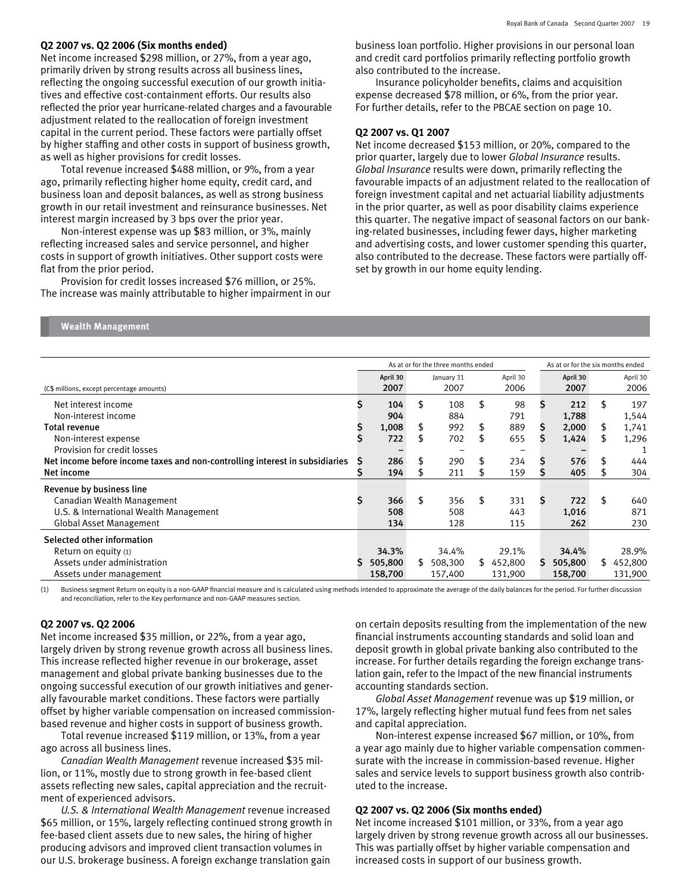#### **Q2 2007 vs. Q2 2006 (Six months ended)**

Net income increased \$298 million, or 27%, from a year ago, primarily driven by strong results across all business lines, reflecting the ongoing successful execution of our growth initiatives and effective cost-containment efforts. Our results also reflected the prior year hurricane-related charges and a favourable adjustment related to the reallocation of foreign investment capital in the current period. These factors were partially offset by higher staffing and other costs in support of business growth, as well as higher provisions for credit losses.

Total revenue increased \$488 million, or 9%, from a year ago, primarily reflecting higher home equity, credit card, and business loan and deposit balances, as well as strong business growth in our retail investment and reinsurance businesses. Net interest margin increased by 3 bps over the prior year.

Non-interest expense was up \$83 million, or 3%, mainly reflecting increased sales and service personnel, and higher costs in support of growth initiatives. Other support costs were flat from the prior period.

Provision for credit losses increased \$76 million, or 25%. The increase was mainly attributable to higher impairment in our business loan portfolio. Higher provisions in our personal loan and credit card portfolios primarily reflecting portfolio growth also contributed to the increase.

Insurance policyholder benefits, claims and acquisition expense decreased \$78 million, or 6%, from the prior year. For further details, refer to the PBCAE section on page 10.

#### **Q2 2007 vs. Q1 2007**

Net income decreased \$153 million, or 20%, compared to the prior quarter, largely due to lower *Global Insurance* results. *Global Insurance* results were down, primarily reflecting the favourable impacts of an adjustment related to the reallocation of foreign investment capital and net actuarial liability adjustments in the prior quarter, as well as poor disability claims experience this quarter. The negative impact of seasonal factors on our banking-related businesses, including fewer days, higher marketing and advertising costs, and lower customer spending this quarter, also contributed to the decrease. These factors were partially offset by growth in our home equity lending.

## **Wealth Management**

|                                                                             |          | As at or for the three months ended |           |   | As at or for the six months ended |    |          |
|-----------------------------------------------------------------------------|----------|-------------------------------------|-----------|---|-----------------------------------|----|----------|
|                                                                             | April 30 | January 31                          | April 30  |   | April 30                          |    | April 30 |
| (C\$ millions, except percentage amounts)                                   | 2007     | 2007                                | 2006      |   | 2007                              |    | 2006     |
| Net interest income                                                         | 104      | \$<br>108                           | \$<br>98  | S | 212                               | S  | 197      |
| Non-interest income                                                         | 904      | 884                                 | 791       |   | 1,788                             |    | 1,544    |
| <b>Total revenue</b>                                                        | 1,008    | 992                                 | \$<br>889 |   | 2,000                             | S  | 1,741    |
| Non-interest expense                                                        | 722      | \$<br>702                           | \$<br>655 | S | 1,424                             | S  | 1,296    |
| Provision for credit losses                                                 |          |                                     |           |   |                                   |    |          |
| Net income before income taxes and non-controlling interest in subsidiaries | 286      | 290                                 | \$<br>234 |   | 576                               |    | 444      |
| Net income                                                                  | 194      | 211                                 | 159       |   | 405                               |    | 304      |
| Revenue by business line                                                    |          |                                     |           |   |                                   |    |          |
| Canadian Wealth Management                                                  | 366      | \$<br>356                           | \$<br>331 | S | 722                               | \$ | 640      |
| U.S. & International Wealth Management                                      | 508      | 508                                 | 443       |   | 1,016                             |    | 871      |
| Global Asset Management                                                     | 134      | 128                                 | 115       |   | 262                               |    | 230      |
| Selected other information                                                  |          |                                     |           |   |                                   |    |          |
| Return on equity (1)                                                        | 34.3%    | 34.4%                               | 29.1%     |   | 34.4%                             |    | 28.9%    |
| Assets under administration                                                 | 505,800  | \$<br>508,300                       | \$452,800 |   | 505,800                           | S. | 452,800  |
| Assets under management                                                     | 158,700  | 157,400                             | 131,900   |   | 158,700                           |    | 131,900  |
|                                                                             |          |                                     |           |   |                                   |    |          |

(1) Business segment Return on equity is a non-GAAP financial measure and is calculated using methods intended to approximate the average of the daily balances for the period. For further discussion and reconciliation, refer to the Key performance and non-GAAP measures section.

#### **Q2 2007 vs. Q2 2006**

Net income increased \$35 million, or 22%, from a year ago, largely driven by strong revenue growth across all business lines. This increase reflected higher revenue in our brokerage, asset management and global private banking businesses due to the ongoing successful execution of our growth initiatives and generally favourable market conditions. These factors were partially offset by higher variable compensation on increased commissionbased revenue and higher costs in support of business growth.

Total revenue increased \$119 million, or 13%, from a year ago across all business lines.

*Canadian Wealth Management* revenue increased \$35 million, or 11%, mostly due to strong growth in fee-based client assets reflecting new sales, capital appreciation and the recruitment of experienced advisors.

*U.S. & International Wealth Management* revenue increased \$65 million, or 15%, largely reflecting continued strong growth in fee-based client assets due to new sales, the hiring of higher producing advisors and improved client transaction volumes in our U.S. brokerage business. A foreign exchange translation gain

on certain deposits resulting from the implementation of the new financial instruments accounting standards and solid loan and deposit growth in global private banking also contributed to the increase. For further details regarding the foreign exchange translation gain, refer to the Impact of the new financial instruments accounting standards section.

*Global Asset Management* revenue was up \$19 million, or 17%, largely reflecting higher mutual fund fees from net sales and capital appreciation.

Non-interest expense increased \$67 million, or 10%, from a year ago mainly due to higher variable compensation commensurate with the increase in commission-based revenue. Higher sales and service levels to support business growth also contributed to the increase.

#### **Q2 2007 vs. Q2 2006 (Six months ended)**

Net income increased \$101 million, or 33%, from a year ago largely driven by strong revenue growth across all our businesses. This was partially offset by higher variable compensation and increased costs in support of our business growth.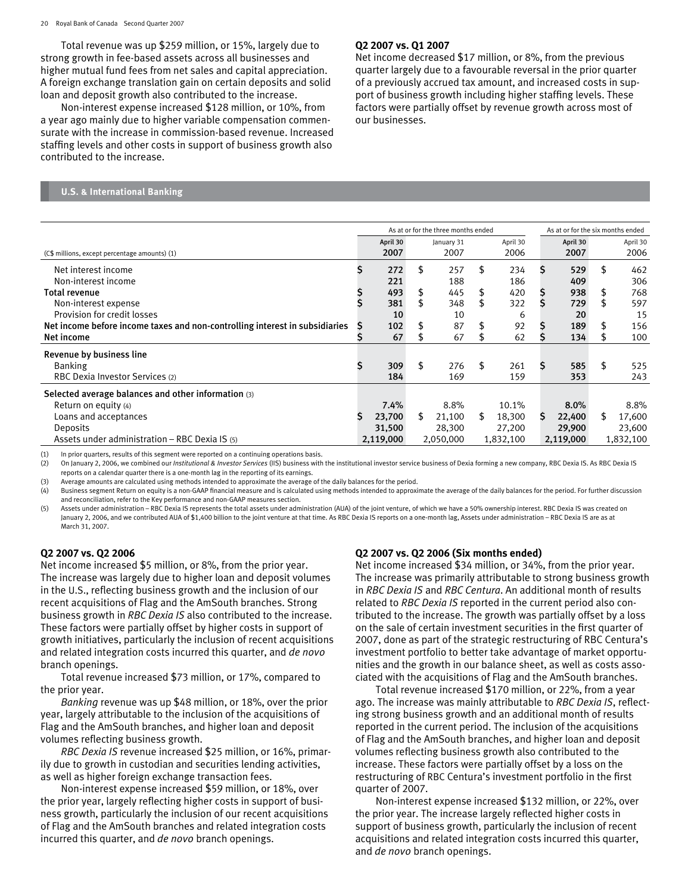Total revenue was up \$259 million, or 15%, largely due to strong growth in fee-based assets across all businesses and higher mutual fund fees from net sales and capital appreciation. A foreign exchange translation gain on certain deposits and solid loan and deposit growth also contributed to the increase.

Non-interest expense increased \$128 million, or 10%, from a year ago mainly due to higher variable compensation commensurate with the increase in commission-based revenue. Increased staffing levels and other costs in support of business growth also contributed to the increase.

## **Q2 2007 vs. Q1 2007**

Net income decreased \$17 million, or 8%, from the previous quarter largely due to a favourable reversal in the prior quarter of a previously accrued tax amount, and increased costs in support of business growth including higher staffing levels. These factors were partially offset by revenue growth across most of our businesses.

## **U.S. & International Banking**

|                                                                                           |                     |          | As at or for the three months ended |          |                     |   | As at or for the six months ended |    |                     |
|-------------------------------------------------------------------------------------------|---------------------|----------|-------------------------------------|----------|---------------------|---|-----------------------------------|----|---------------------|
| (C\$ millions, except percentage amounts) (1)                                             | April 30<br>2007    |          | January 31<br>2007                  |          | April 30<br>2006    |   | April 30<br>2007                  |    | April 30<br>2006    |
| Net interest income<br>Non-interest income                                                | 272<br>221          | \$       | 257<br>188                          | \$       | 234<br>186          | S | 529<br>409                        | \$ | 462<br>306          |
| Total revenue<br>Non-interest expense                                                     | 493<br>381          | \$<br>\$ | 445<br>348                          | \$<br>\$ | 420<br>322          |   | 938<br>729                        |    | 768<br>597          |
| Provision for credit losses                                                               | 10                  |          | 10                                  |          | 6                   |   | 20                                |    | 15                  |
| Net income before income taxes and non-controlling interest in subsidiaries<br>Net income | 102<br>67           | S        | 87<br>67                            | \$<br>\$ | 92<br>62            |   | 189<br>134                        |    | 156<br>100          |
| Revenue by business line                                                                  |                     | \$       |                                     | \$       |                     |   |                                   |    |                     |
| <b>Banking</b><br>RBC Dexia Investor Services (2)                                         | 309<br>184          |          | 276<br>169                          |          | 261<br>159          | S | 585<br>353                        | \$ | 525<br>243          |
| Selected average balances and other information (3)                                       |                     |          |                                     |          |                     |   |                                   |    |                     |
| Return on equity (4)<br>Loans and acceptances                                             | 7.4%<br>23,700      | \$       | 8.8%<br>21,100                      | \$.      | 10.1%<br>18,300     |   | $8.0\%$<br>22,400                 | S. | 8.8%<br>17,600      |
| Deposits<br>Assets under administration – RBC Dexia IS (5)                                | 31,500<br>2,119,000 |          | 28,300<br>2,050,000                 |          | 27,200<br>1,832,100 |   | 29,900<br>2,119,000               |    | 23,600<br>1,832,100 |

(1) In prior quarters, results of this segment were reported on a continuing operations basis.

(2) On January 2, 2006, we combined our *Institutional & Investor Services* (IIS) business with the institutional investor service business of Dexia forming a new company, RBC Dexia IS. As RBC Dexia IS reports on a calendar quarter there is a one-month lag in the reporting of its earnings.

(3) Average amounts are calculated using methods intended to approximate the average of the daily balances for the period.

(4) Business segment Return on equity is a non-GAAP financial measure and is calculated using methods intended to approximate the average of the daily balances for the period. For further discussion and reconciliation, refer to the Key performance and non-GAAP measures section.

(5) Assets under administration – RBC Dexia IS represents the total assets under administration (AUA) of the joint venture, of which we have a 50% ownership interest. RBC Dexia IS was created on January 2, 2006, and we contributed AUA of \$1,400 billion to the joint venture at that time. As RBC Dexia IS reports on a one-month lag, Assets under administration - RBC Dexia IS are as at March 31, 2007.

#### **Q2 2007 vs. Q2 2006**

Net income increased \$5 million, or 8%, from the prior year. The increase was largely due to higher loan and deposit volumes in the U.S., reflecting business growth and the inclusion of our recent acquisitions of Flag and the AmSouth branches. Strong business growth in *RBC Dexia IS* also contributed to the increase. These factors were partially offset by higher costs in support of growth initiatives, particularly the inclusion of recent acquisitions and related integration costs incurred this quarter, and *de novo* branch openings.

Total revenue increased \$73 million, or 17%, compared to the prior year.

*Banking* revenue was up \$48 million, or 18%, over the prior year, largely attributable to the inclusion of the acquisitions of Flag and the AmSouth branches, and higher loan and deposit volumes reflecting business growth.

*RBC Dexia IS* revenue increased \$25 million, or 16%, primarily due to growth in custodian and securities lending activities, as well as higher foreign exchange transaction fees.

Non-interest expense increased \$59 million, or 18%, over the prior year, largely reflecting higher costs in support of business growth, particularly the inclusion of our recent acquisitions of Flag and the AmSouth branches and related integration costs incurred this quarter, and *de novo* branch openings.

#### **Q2 2007 vs. Q2 2006 (Six months ended)**

Net income increased \$34 million, or 34%, from the prior year. The increase was primarily attributable to strong business growth in *RBC Dexia IS* and *RBC Centura*. An additional month of results related to *RBC Dexia IS* reported in the current period also contributed to the increase. The growth was partially offset by a loss on the sale of certain investment securities in the first quarter of 2007, done as part of the strategic restructuring of RBC Centura's investment portfolio to better take advantage of market opportunities and the growth in our balance sheet, as well as costs associated with the acquisitions of Flag and the AmSouth branches.

Total revenue increased \$170 million, or 22%, from a year ago. The increase was mainly attributable to *RBC Dexia IS*, reflecting strong business growth and an additional month of results reported in the current period. The inclusion of the acquisitions of Flag and the AmSouth branches, and higher loan and deposit volumes reflecting business growth also contributed to the increase. These factors were partially offset by a loss on the restructuring of RBC Centura's investment portfolio in the first quarter of 2007.

Non-interest expense increased \$132 million, or 22%, over the prior year. The increase largely reflected higher costs in support of business growth, particularly the inclusion of recent acquisitions and related integration costs incurred this quarter, and *de novo* branch openings.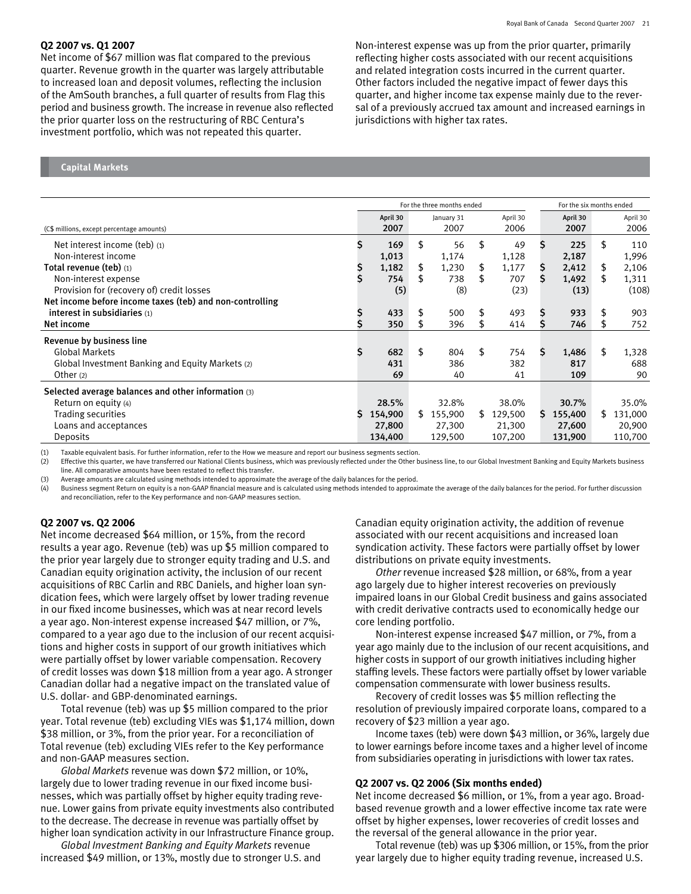#### **Q2 2007 vs. Q1 2007**

Net income of \$67 million was flat compared to the previous quarter. Revenue growth in the quarter was largely attributable to increased loan and deposit volumes, reflecting the inclusion of the AmSouth branches, a full quarter of results from Flag this period and business growth. The increase in revenue also reflected the prior quarter loss on the restructuring of RBC Centura's investment portfolio, which was not repeated this quarter.

Non-interest expense was up from the prior quarter, primarily reflecting higher costs associated with our recent acquisitions and related integration costs incurred in the current quarter. Other factors included the negative impact of fewer days this quarter, and higher income tax expense mainly due to the reversal of a previously accrued tax amount and increased earnings in jurisdictions with higher tax rates.

## **Capital Markets**

|                                                          |          |                    | For the three months ended |    |          |    | For the six months ended |    |          |
|----------------------------------------------------------|----------|--------------------|----------------------------|----|----------|----|--------------------------|----|----------|
|                                                          | April 30 |                    | January 31                 |    | April 30 |    | April 30                 |    | April 30 |
| (C\$ millions, except percentage amounts)                | 2007     |                    | 2007                       |    | 2006     |    | 2007                     |    | 2006     |
| Net interest income (teb) $(1)$                          | 169      | \$                 | 56                         | \$ | 49       | Ś. | 225                      | \$ | 110      |
| Non-interest income                                      | 1,013    |                    | 1,174                      |    | 1,128    |    | 2,187                    |    | 1,996    |
| Total revenue (teb) (1)                                  | 1,182    | \$                 | 1,230                      | S  | 1,177    | S  | 2,412                    | \$ | 2,106    |
| Non-interest expense                                     | 754      | \$                 | 738                        | \$ | 707      | S. | 1,492                    | S  | 1,311    |
| Provision for (recovery of) credit losses                | (5)      |                    | (8)                        |    | (23)     |    | (13)                     |    | (108)    |
| Net income before income taxes (teb) and non-controlling |          |                    |                            |    |          |    |                          |    |          |
| interest in subsidiaries (1)                             | 433      | S                  | 500                        | \$ | 493      | S  | 933                      | \$ | 903      |
| Net income                                               | 350      | \$                 | 396                        | \$ | 414      |    | 746                      |    | 752      |
| Revenue by business line                                 |          |                    |                            |    |          |    |                          |    |          |
| <b>Global Markets</b>                                    | 682      | $\mathbf{\hat{S}}$ | 804                        | \$ | 754      | S  | 1,486                    | \$ | 1,328    |
| Global Investment Banking and Equity Markets (2)         | 431      |                    | 386                        |    | 382      |    | 817                      |    | 688      |
| Other (2)                                                | 69       |                    | 40                         |    | 41       |    | 109                      |    | 90       |
| Selected average balances and other information (3)      |          |                    |                            |    |          |    |                          |    |          |
| Return on equity (4)                                     | 28.5%    |                    | 32.8%                      |    | 38.0%    |    | 30.7%                    |    | 35.0%    |
| <b>Trading securities</b>                                | 154,900  |                    | \$155,900                  | S. | 129,500  | S  | 155,400                  | \$ | 131,000  |
| Loans and acceptances                                    | 27,800   |                    | 27,300                     |    | 21,300   |    | 27,600                   |    | 20,900   |
| <b>Deposits</b>                                          | 134,400  |                    | 129,500                    |    | 107,200  |    | 131,900                  |    | 110,700  |
|                                                          |          |                    |                            |    |          |    |                          |    |          |

(1) Taxable equivalent basis. For further information, refer to the How we measure and report our business segments section.

(2) Effective this quarter, we have transferred our National Clients business, which was previously reflected under the Other business line, to our Global Investment Banking and Equity Markets business line. All comparative amounts have been restated to reflect this transfer.

Average amounts are calculated using methods intended to approximate the average of the daily balances for the period.

(4) Business segment Return on equity is a non-GAAP financial measure and is calculated using methods intended to approximate the average of the daily balances for the period. For further discussion and reconciliation, refer to the Key performance and non-GAAP measures section.

#### **Q2 2007 vs. Q2 2006**

Net income decreased \$64 million, or 15%, from the record results a year ago. Revenue (teb) was up \$5 million compared to the prior year largely due to stronger equity trading and U.S. and Canadian equity origination activity, the inclusion of our recent acquisitions of RBC Carlin and RBC Daniels, and higher loan syndication fees, which were largely offset by lower trading revenue in our fixed income businesses, which was at near record levels a year ago. Non-interest expense increased \$47 million, or 7%, compared to a year ago due to the inclusion of our recent acquisitions and higher costs in support of our growth initiatives which were partially offset by lower variable compensation. Recovery of credit losses was down \$18 million from a year ago. A stronger Canadian dollar had a negative impact on the translated value of U.S. dollar- and GBP-denominated earnings.

Total revenue (teb) was up \$5 million compared to the prior year. Total revenue (teb) excluding VIEs was \$1,174 million, down \$38 million, or 3%, from the prior year. For a reconciliation of Total revenue (teb) excluding VIEs refer to the Key performance and non-GAAP measures section.

*Global Markets* revenue was down \$72 million, or 10%, largely due to lower trading revenue in our fixed income businesses, which was partially offset by higher equity trading revenue. Lower gains from private equity investments also contributed to the decrease. The decrease in revenue was partially offset by higher loan syndication activity in our Infrastructure Finance group.

*Global Investment Banking and Equity Markets* revenue increased \$49 million, or 13%, mostly due to stronger U.S. and Canadian equity origination activity, the addition of revenue associated with our recent acquisitions and increased loan syndication activity. These factors were partially offset by lower distributions on private equity investments.

*Other* revenue increased \$28 million, or 68%, from a year ago largely due to higher interest recoveries on previously impaired loans in our Global Credit business and gains associated with credit derivative contracts used to economically hedge our core lending portfolio.

Non-interest expense increased \$47 million, or 7%, from a year ago mainly due to the inclusion of our recent acquisitions, and higher costs in support of our growth initiatives including higher staffing levels. These factors were partially offset by lower variable compensation commensurate with lower business results.

Recovery of credit losses was \$5 million reflecting the resolution of previously impaired corporate loans, compared to a recovery of \$23 million a year ago.

Income taxes (teb) were down \$43 million, or 36%, largely due to lower earnings before income taxes and a higher level of income from subsidiaries operating in jurisdictions with lower tax rates.

#### **Q2 2007 vs. Q2 2006 (Six months ended)**

Net income decreased \$6 million, or 1%, from a year ago. Broadbased revenue growth and a lower effective income tax rate were offset by higher expenses, lower recoveries of credit losses and the reversal of the general allowance in the prior year.

Total revenue (teb) was up \$306 million, or 15%, from the prior year largely due to higher equity trading revenue, increased U.S.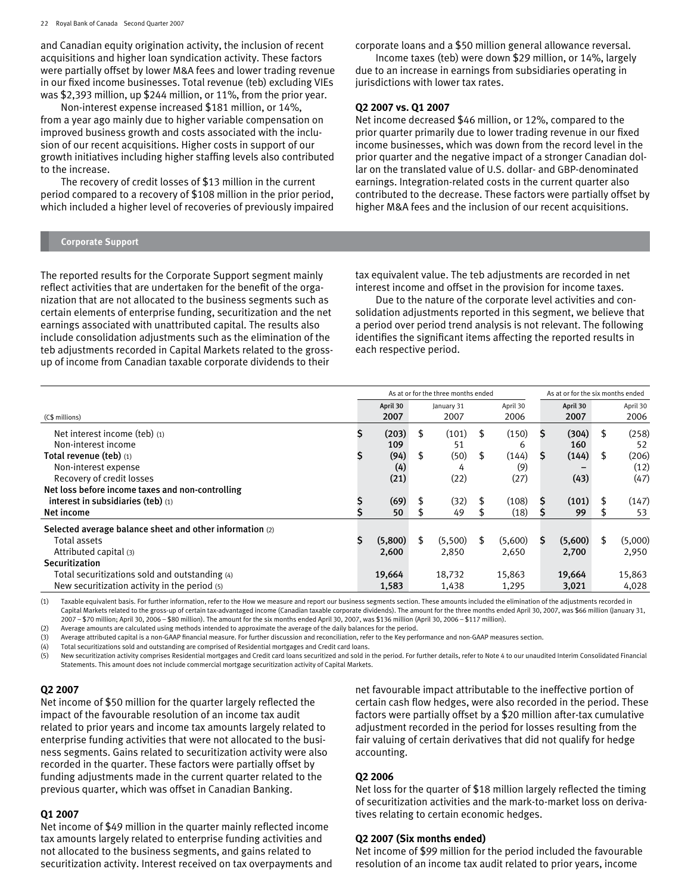and Canadian equity origination activity, the inclusion of recent acquisitions and higher loan syndication activity. These factors were partially offset by lower M&A fees and lower trading revenue in our fixed income businesses. Total revenue (teb) excluding VIEs was \$2,393 million, up \$244 million, or 11%, from the prior year.

Non-interest expense increased \$181 million, or 14%, from a year ago mainly due to higher variable compensation on improved business growth and costs associated with the inclusion of our recent acquisitions. Higher costs in support of our growth initiatives including higher staffing levels also contributed to the increase.

The recovery of credit losses of \$13 million in the current period compared to a recovery of \$108 million in the prior period, which included a higher level of recoveries of previously impaired

## **Corporate Support**

The reported results for the Corporate Support segment mainly reflect activities that are undertaken for the benefit of the organization that are not allocated to the business segments such as certain elements of enterprise funding, securitization and the net earnings associated with unattributed capital. The results also include consolidation adjustments such as the elimination of the teb adjustments recorded in Capital Markets related to the grossup of income from Canadian taxable corporate dividends to their

corporate loans and a \$50 million general allowance reversal.

Income taxes (teb) were down \$29 million, or 14%, largely due to an increase in earnings from subsidiaries operating in jurisdictions with lower tax rates.

#### **Q2 2007 vs. Q1 2007**

Net income decreased \$46 million, or 12%, compared to the prior quarter primarily due to lower trading revenue in our fixed income businesses, which was down from the record level in the prior quarter and the negative impact of a stronger Canadian dollar on the translated value of U.S. dollar- and GBP-denominated earnings. Integration-related costs in the current quarter also contributed to the decrease. These factors were partially offset by higher M&A fees and the inclusion of our recent acquisitions.

tax equivalent value. The teb adjustments are recorded in net interest income and offset in the provision for income taxes.

Due to the nature of the corporate level activities and consolidation adjustments reported in this segment, we believe that a period over period trend analysis is not relevant. The following identifies the significant items affecting the reported results in each respective period.

|                                                          |          |    | As at or for the three months ended |     |          |   | As at or for the six months ended |    |          |
|----------------------------------------------------------|----------|----|-------------------------------------|-----|----------|---|-----------------------------------|----|----------|
|                                                          | April 30 |    | January 31                          |     | April 30 |   | April 30                          |    | April 30 |
| (C\$ millions)                                           | 2007     |    | 2007                                |     | 2006     |   | 2007                              |    | 2006     |
| Net interest income (teb) (1)                            | (203)    | \$ | (101)                               | S   | (150)    | S | (304)                             | S. | (258)    |
| Non-interest income                                      | 109      |    | 51                                  |     | 6        |   | 160                               |    | 52       |
| Total revenue (teb) (1)                                  | (94)     | S  | (50)                                | \$  | (144)    | S | (144)                             | \$ | (206)    |
| Non-interest expense                                     | (4)      |    | 4                                   |     | (9)      |   |                                   |    | (12)     |
| Recovery of credit losses                                | (21)     |    | (22)                                |     | (27)     |   | (43)                              |    | (47)     |
| Net loss before income taxes and non-controlling         |          |    |                                     |     |          |   |                                   |    |          |
| <b>interest in subsidiaries (teb)</b> (1)                | (69)     |    | (32)                                | \$  | (108)    |   | (101)                             | ъ  | (147)    |
| Net income                                               | 50       |    | 49                                  | \$. | (18)     |   | 99                                |    | 53       |
| Selected average balance sheet and other information (2) |          |    |                                     |     |          |   |                                   |    |          |
| Total assets                                             | (5,800)  | \$ | (5,500)                             | \$  | (5,600)  | S | (5,600)                           | S. | (5,000)  |
| Attributed capital (3)                                   | 2,600    |    | 2,850                               |     | 2,650    |   | 2,700                             |    | 2,950    |
| Securitization                                           |          |    |                                     |     |          |   |                                   |    |          |
| Total securitizations sold and outstanding (4)           | 19,664   |    | 18,732                              |     | 15,863   |   | 19,664                            |    | 15,863   |
| New securitization activity in the period (5)            | 1,583    |    | 1,438                               |     | 1,295    |   | 3,021                             |    | 4,028    |

(1) Taxable equivalent basis. For further information, refer to the How we measure and report our business segments section. These amounts included the elimination of the adjustments recorded in Capital Markets related to the gross-up of certain tax-advantaged income (Canadian taxable corporate dividends). The amount for the three months ended April 30, 2007, was \$66 million (January 31, 2007 – \$70 million; April 30, 2006 – \$80 million). The amount for the six months ended April 30, 2007, was \$136 million (April 30, 2006 – \$117 million).

(2) Average amounts are calculated using methods intended to approximate the average of the daily balances for the period.

(3) Average attributed capital is a non-GAAP financial measure. For further discussion and reconciliation, refer to the Key performance and non-GAAP measures section.

(4) Total securitizations sold and outstanding are comprised of Residential mortgages and Credit card loans.

(5) New securitization activity comprises Residential mortgages and Credit card loans securitized and sold in the period. For further details, refer to Note 4 to our unaudited Interim Consolidated Financial Statements. This amount does not include commercial mortgage securitization activity of Capital Markets.

#### **Q2 2007**

Net income of \$50 million for the quarter largely reflected the impact of the favourable resolution of an income tax audit related to prior years and income tax amounts largely related to enterprise funding activities that were not allocated to the business segments. Gains related to securitization activity were also recorded in the quarter. These factors were partially offset by funding adjustments made in the current quarter related to the previous quarter, which was offset in Canadian Banking.

## **Q1 2007**

Net income of \$49 million in the quarter mainly reflected income tax amounts largely related to enterprise funding activities and not allocated to the business segments, and gains related to securitization activity. Interest received on tax overpayments and net favourable impact attributable to the ineffective portion of certain cash flow hedges, were also recorded in the period. These factors were partially offset by a \$20 million after-tax cumulative adjustment recorded in the period for losses resulting from the fair valuing of certain derivatives that did not qualify for hedge accounting.

#### **Q2 2006**

Net loss for the quarter of \$18 million largely reflected the timing of securitization activities and the mark-to-market loss on derivatives relating to certain economic hedges.

## **Q2 2007 (Six months ended)**

Net income of \$99 million for the period included the favourable resolution of an income tax audit related to prior years, income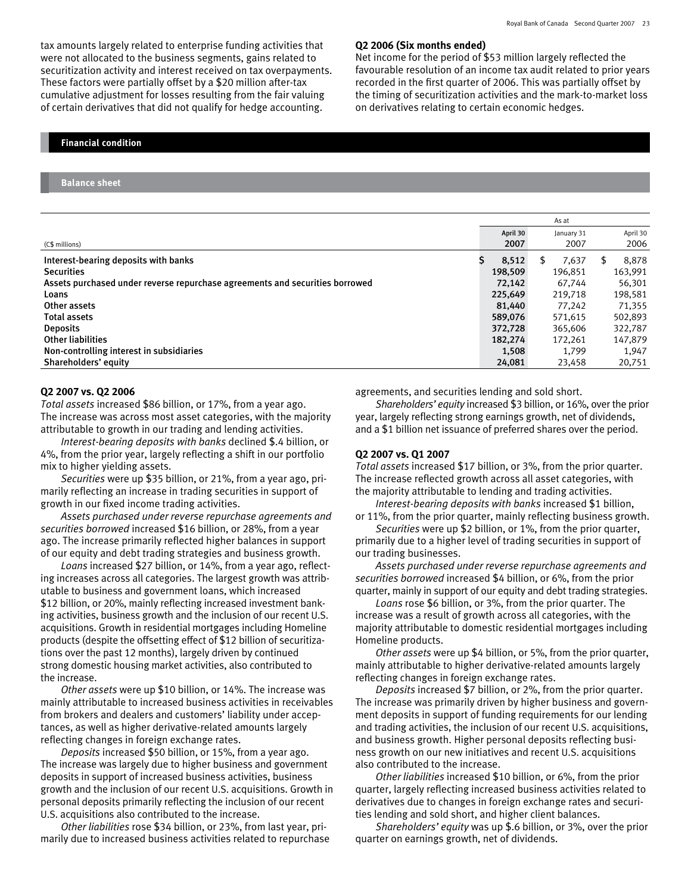tax amounts largely related to enterprise funding activities that were not allocated to the business segments, gains related to securitization activity and interest received on tax overpayments. These factors were partially offset by a \$20 million after-tax cumulative adjustment for losses resulting from the fair valuing of certain derivatives that did not qualify for hedge accounting.

# **Q2 2006 (Six months ended)**

Net income for the period of \$53 million largely reflected the favourable resolution of an income tax audit related to prior years recorded in the first quarter of 2006. This was partially offset by the timing of securitization activities and the mark-to-market loss on derivatives relating to certain economic hedges.

## **Financial condition**

## **Balance sheet**

|                                                                              |          | As at      |          |
|------------------------------------------------------------------------------|----------|------------|----------|
|                                                                              | April 30 | January 31 | April 30 |
| (C\$ millions)                                                               | 2007     | 2007       | 2006     |
| Interest-bearing deposits with banks                                         | 8,512    | 7,637<br>S | 8,878    |
| <b>Securities</b>                                                            | 198,509  | 196.851    | 163.991  |
| Assets purchased under reverse repurchase agreements and securities borrowed | 72.142   | 67.744     | 56.301   |
| Loans                                                                        | 225,649  | 219,718    | 198,581  |
| Other assets                                                                 | 81,440   | 77,242     | 71,355   |
| <b>Total assets</b>                                                          | 589,076  | 571.615    | 502,893  |
| <b>Deposits</b>                                                              | 372,728  | 365,606    | 322,787  |
| <b>Other liabilities</b>                                                     | 182,274  | 172.261    | 147,879  |
| Non-controlling interest in subsidiaries                                     | 1,508    | 1.799      | 1,947    |
| Shareholders' equity                                                         | 24,081   | 23,458     | 20,751   |
|                                                                              |          |            |          |

## **Q2 2007 vs. Q2 2006**

*Total assets* increased \$86 billion, or 17%, from a year ago. The increase was across most asset categories, with the majority attributable to growth in our trading and lending activities.

*Interest-bearing deposits with banks* declined \$.4 billion, or 4%, from the prior year, largely reflecting a shift in our portfolio mix to higher yielding assets.

*Securities* were up \$35 billion, or 21%, from a year ago, primarily reflecting an increase in trading securities in support of growth in our fixed income trading activities.

*Assets purchased under reverse repurchase agreements and securities borrowed* increased \$16 billion, or 28%, from a year ago. The increase primarily reflected higher balances in support of our equity and debt trading strategies and business growth.

*Loans* increased \$27 billion, or 14%, from a year ago, reflecting increases across all categories. The largest growth was attributable to business and government loans, which increased \$12 billion, or 20%, mainly reflecting increased investment banking activities, business growth and the inclusion of our recent U.S. acquisitions. Growth in residential mortgages including Homeline products (despite the offsetting effect of \$12 billion of securitizations over the past 12 months), largely driven by continued strong domestic housing market activities, also contributed to the increase.

*Other assets* were up \$10 billion, or 14%. The increase was mainly attributable to increased business activities in receivables from brokers and dealers and customers' liability under acceptances, as well as higher derivative-related amounts largely reflecting changes in foreign exchange rates.

*Deposits* increased \$50 billion, or 15%, from a year ago. The increase was largely due to higher business and government deposits in support of increased business activities, business growth and the inclusion of our recent U.S. acquisitions. Growth in personal deposits primarily reflecting the inclusion of our recent U.S. acquisitions also contributed to the increase.

*Other liabilities* rose \$34 billion, or 23%, from last year, primarily due to increased business activities related to repurchase agreements, and securities lending and sold short.

*Shareholders' equity* increased \$3 billion, or 16%, over the prior year, largely reflecting strong earnings growth, net of dividends, and a \$1 billion net issuance of preferred shares over the period.

## **Q2 2007 vs. Q1 2007**

*Total assets* increased \$17 billion, or 3%, from the prior quarter. The increase reflected growth across all asset categories, with the majority attributable to lending and trading activities.

*Interest-bearing deposits with banks* increased \$1 billion, or 11%, from the prior quarter, mainly reflecting business growth.

*Securities* were up \$2 billion, or 1%, from the prior quarter, primarily due to a higher level of trading securities in support of our trading businesses.

*Assets purchased under reverse repurchase agreements and securities borrowed* increased \$4 billion, or 6%, from the prior quarter, mainly in support of our equity and debt trading strategies.

*Loans* rose \$6 billion, or 3%, from the prior quarter. The increase was a result of growth across all categories, with the majority attributable to domestic residential mortgages including Homeline products.

*Other assets* were up \$4 billion, or 5%, from the prior quarter, mainly attributable to higher derivative-related amounts largely reflecting changes in foreign exchange rates.

*Deposits* increased \$7 billion, or 2%, from the prior quarter. The increase was primarily driven by higher business and government deposits in support of funding requirements for our lending and trading activities, the inclusion of our recent U.S. acquisitions, and business growth. Higher personal deposits reflecting business growth on our new initiatives and recent U.S. acquisitions also contributed to the increase.

*Other liabilities* increased \$10 billion, or 6%, from the prior quarter, largely reflecting increased business activities related to derivatives due to changes in foreign exchange rates and securities lending and sold short, and higher client balances.

*Shareholders' equity* was up \$.6 billion, or 3%, over the prior quarter on earnings growth, net of dividends.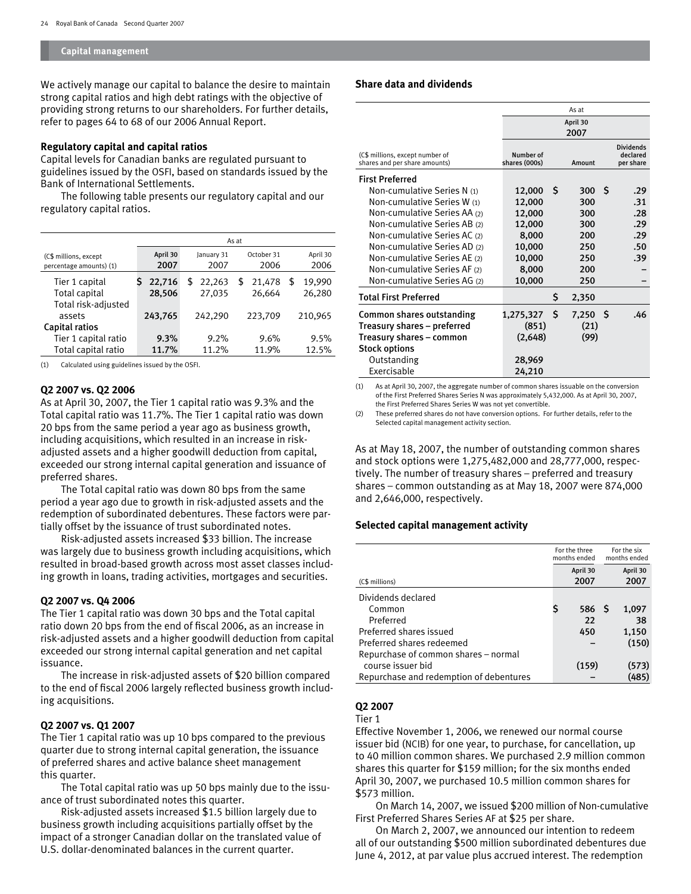**Capital management**

We actively manage our capital to balance the desire to maintain strong capital ratios and high debt ratings with the objective of providing strong returns to our shareholders. For further details, refer to pages 64 to 68 of our 2006 Annual Report.

## **Regulatory capital and capital ratios**

Capital levels for Canadian banks are regulated pursuant to guidelines issued by the OSFI, based on standards issued by the Bank of International Settlements.

The following table presents our regulatory capital and our regulatory capital ratios.

|                                                                                                  |                             |                                   | As at                             |                                   |
|--------------------------------------------------------------------------------------------------|-----------------------------|-----------------------------------|-----------------------------------|-----------------------------------|
| (C\$ millions, except<br>percentage amounts) (1)                                                 | April 30<br>2007            | January 31<br>2007                | October 31<br>2006                | April 30<br>2006                  |
| Tier 1 capital<br><b>Total capital</b><br>Total risk-adjusted<br>assets<br><b>Capital ratios</b> | 22,716<br>28,506<br>243,765 | 22,263<br>\$<br>27,035<br>242,290 | 21,478<br>\$<br>26.664<br>223,709 | 19.990<br>\$<br>26,280<br>210,965 |
| Tier 1 capital ratio<br>Total capital ratio                                                      | 9.3%<br>11.7%               | 9.2%<br>11.2%                     | 9.6%<br>11.9%                     | 9.5%<br>12.5%                     |

(1) Calculated using guidelines issued by the OSFI.

## **Q2 2007 vs. Q2 2006**

As at April 30, 2007, the Tier 1 capital ratio was 9.3% and the Total capital ratio was 11.7%. The Tier 1 capital ratio was down 20 bps from the same period a year ago as business growth, including acquisitions, which resulted in an increase in riskadjusted assets and a higher goodwill deduction from capital, exceeded our strong internal capital generation and issuance of preferred shares.

The Total capital ratio was down 80 bps from the same period a year ago due to growth in risk-adjusted assets and the redemption of subordinated debentures. These factors were partially offset by the issuance of trust subordinated notes.

Risk-adjusted assets increased \$33 billion. The increase was largely due to business growth including acquisitions, which resulted in broad-based growth across most asset classes including growth in loans, trading activities, mortgages and securities.

## **Q2 2007 vs. Q4 2006**

The Tier 1 capital ratio was down 30 bps and the Total capital ratio down 20 bps from the end of fiscal 2006, as an increase in risk-adjusted assets and a higher goodwill deduction from capital exceeded our strong internal capital generation and net capital issuance.

The increase in risk-adjusted assets of \$20 billion compared to the end of fiscal 2006 largely reflected business growth including acquisitions.

## **Q2 2007 vs. Q1 2007**

The Tier 1 capital ratio was up 10 bps compared to the previous quarter due to strong internal capital generation, the issuance of preferred shares and active balance sheet management this quarter.

The Total capital ratio was up 50 bps mainly due to the issuance of trust subordinated notes this quarter.

Risk-adjusted assets increased \$1.5 billion largely due to business growth including acquisitions partially offset by the impact of a stronger Canadian dollar on the translated value of U.S. dollar-denominated balances in the current quarter.

## **Share data and dividends**

|                                                                  | As at                      |   |            |     |                                           |  |  |  |  |  |
|------------------------------------------------------------------|----------------------------|---|------------|-----|-------------------------------------------|--|--|--|--|--|
|                                                                  |                            |   | April 30   |     |                                           |  |  |  |  |  |
|                                                                  |                            |   | 2007       |     |                                           |  |  |  |  |  |
| (C\$ millions, except number of<br>shares and per share amounts) | Number of<br>shares (000s) |   | Amount     |     | <b>Dividends</b><br>declared<br>per share |  |  |  |  |  |
| <b>First Preferred</b>                                           |                            |   |            |     |                                           |  |  |  |  |  |
| Non-cumulative Series N (1)                                      | 12,000                     | S | 300        | - S | .29                                       |  |  |  |  |  |
| Non-cumulative Series W (1)                                      | 12,000                     |   | 300        |     | .31                                       |  |  |  |  |  |
| Non-cumulative Series AA (2)                                     | 12,000                     |   | 300        |     | .28                                       |  |  |  |  |  |
| Non-cumulative Series AB (2)                                     | 12,000                     |   | 300        |     | .29                                       |  |  |  |  |  |
| Non-cumulative Series AC (2)                                     | 8,000                      |   | 200        |     | .29                                       |  |  |  |  |  |
| Non-cumulative Series AD (2)                                     | 10,000                     |   | 250        |     | .50                                       |  |  |  |  |  |
| Non-cumulative Series AE (2)                                     | 10,000                     |   | 250        |     | .39                                       |  |  |  |  |  |
| Non-cumulative Series AF (2)                                     | 8,000                      |   | 200        |     |                                           |  |  |  |  |  |
| Non-cumulative Series AG (2)                                     | 10,000                     |   | 250        |     |                                           |  |  |  |  |  |
| <b>Total First Preferred</b>                                     |                            | Ś | 2,350      |     |                                           |  |  |  |  |  |
| Common shares outstanding                                        | 1,275,327                  | Ś | $7,250$ \$ |     | .46                                       |  |  |  |  |  |
| Treasury shares - preferred                                      | (851)                      |   | (21)       |     |                                           |  |  |  |  |  |
| Treasury shares - common                                         | (2,648)                    |   | (99)       |     |                                           |  |  |  |  |  |
| <b>Stock options</b>                                             |                            |   |            |     |                                           |  |  |  |  |  |
| Outstanding                                                      | 28,969                     |   |            |     |                                           |  |  |  |  |  |
| Exercisable                                                      | 24,210                     |   |            |     |                                           |  |  |  |  |  |

(1) As at April 30, 2007, the aggregate number of common shares issuable on the conversion of the First Preferred Shares Series N was approximately 5,432,000. As at April 30, 2007, the First Preferred Shares Series W was not yet convertible.

(2) These preferred shares do not have conversion options. For further details, refer to the Selected capital management activity section.

As at May 18, 2007, the number of outstanding common shares and stock options were 1,275,482,000 and 28,777,000, respectively. The number of treasury shares – preferred and treasury shares – common outstanding as at May 18, 2007 were 874,000 and 2,646,000, respectively.

## **Selected capital management activity**

|                                         |   | For the three<br>months ended |     | For the six<br>months ended |
|-----------------------------------------|---|-------------------------------|-----|-----------------------------|
| (C\$ millions)                          |   | April 30<br>2007              |     | April 30<br>2007            |
| Dividends declared                      |   |                               |     |                             |
| Common                                  | S | 586                           | - 5 | 1,097                       |
| Preferred                               |   | 22                            |     | 38                          |
| Preferred shares issued                 |   | 450                           |     | 1,150                       |
| Preferred shares redeemed               |   |                               |     | (150)                       |
| Repurchase of common shares – normal    |   |                               |     |                             |
| course issuer bid                       |   | (159)                         |     | (573)                       |
| Repurchase and redemption of debentures |   |                               |     | (485)                       |

## **Q2 2007**

Tier 1

Effective November 1, 2006, we renewed our normal course issuer bid (NCIB) for one year, to purchase, for cancellation, up to 40 million common shares. We purchased 2.9 million common shares this quarter for \$159 million; for the six months ended April 30, 2007, we purchased 10.5 million common shares for \$573 million.

On March 14, 2007, we issued \$200 million of Non-cumulative First Preferred Shares Series AF at \$25 per share.

On March 2, 2007, we announced our intention to redeem all of our outstanding \$500 million subordinated debentures due June 4, 2012, at par value plus accrued interest. The redemption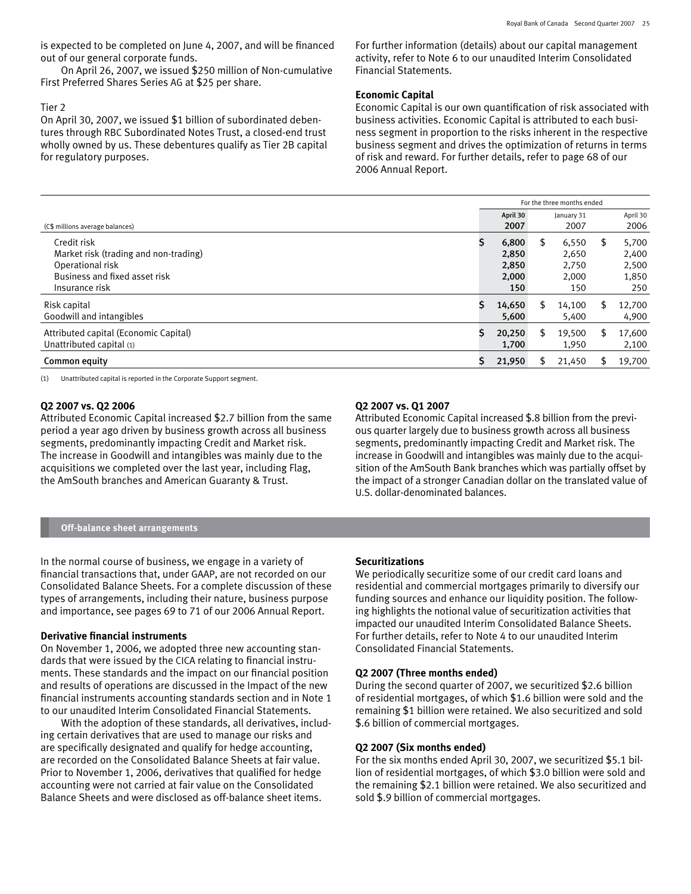is expected to be completed on June 4, 2007, and will be financed out of our general corporate funds.

On April 26, 2007, we issued \$250 million of Non-cumulative First Preferred Shares Series AG at \$25 per share.

#### Tier 2

On April 30, 2007, we issued \$1 billion of subordinated debentures through RBC Subordinated Notes Trust, a closed-end trust wholly owned by us. These debentures qualify as Tier 2B capital for regulatory purposes.

For further information (details) about our capital management activity, refer to Note 6 to our unaudited Interim Consolidated Financial Statements.

#### **Economic Capital**

Economic Capital is our own quantification of risk associated with business activities. Economic Capital is attributed to each business segment in proportion to the risks inherent in the respective business segment and drives the optimization of returns in terms of risk and reward. For further details, refer to page 68 of our 2006 Annual Report.

|                                       |   | For the three months ended |                    |    |                  |
|---------------------------------------|---|----------------------------|--------------------|----|------------------|
| (C\$ millions average balances)       |   | April 30<br>2007           | January 31<br>2007 |    | April 30<br>2006 |
| Credit risk                           | S | 6,800                      | \$<br>6,550        |    | 5,700            |
| Market risk (trading and non-trading) |   | 2,850                      | 2,650              |    | 2,400            |
| Operational risk                      |   | 2,850                      | 2,750              |    | 2,500            |
| Business and fixed asset risk         |   | 2,000                      | 2,000              |    | 1,850            |
| Insurance risk                        |   | 150                        | 150                |    | 250              |
| Risk capital                          |   | 14,650                     | \$<br>14,100       | S. | 12,700           |
| Goodwill and intangibles              |   | 5,600                      | 5,400              |    | 4,900            |
| Attributed capital (Economic Capital) |   | 20,250                     | \$<br>19,500       |    | 17,600           |
| Unattributed capital (1)              |   | 1,700                      | 1,950              |    | 2,100            |
| Common equity                         |   | 21,950                     | 21,450             |    | 19,700           |

(1) Unattributed capital is reported in the Corporate Support segment.

#### **Q2 2007 vs. Q2 2006**

Attributed Economic Capital increased \$2.7 billion from the same period a year ago driven by business growth across all business segments, predominantly impacting Credit and Market risk. The increase in Goodwill and intangibles was mainly due to the acquisitions we completed over the last year, including Flag, the AmSouth branches and American Guaranty & Trust.

## **Q2 2007 vs. Q1 2007**

Attributed Economic Capital increased \$.8 billion from the previous quarter largely due to business growth across all business segments, predominantly impacting Credit and Market risk. The increase in Goodwill and intangibles was mainly due to the acquisition of the AmSouth Bank branches which was partially offset by the impact of a stronger Canadian dollar on the translated value of U.S. dollar-denominated balances.

## **Off-balance sheet arrangements**

In the normal course of business, we engage in a variety of financial transactions that, under GAAP, are not recorded on our Consolidated Balance Sheets. For a complete discussion of these types of arrangements, including their nature, business purpose and importance, see pages 69 to 71 of our 2006 Annual Report.

#### **Derivative financial instruments**

On November 1, 2006, we adopted three new accounting standards that were issued by the CICA relating to financial instruments. These standards and the impact on our financial position and results of operations are discussed in the Impact of the new financial instruments accounting standards section and in Note 1 to our unaudited Interim Consolidated Financial Statements.

With the adoption of these standards, all derivatives, including certain derivatives that are used to manage our risks and are specifically designated and qualify for hedge accounting, are recorded on the Consolidated Balance Sheets at fair value. Prior to November 1, 2006, derivatives that qualified for hedge accounting were not carried at fair value on the Consolidated Balance Sheets and were disclosed as off-balance sheet items.

#### **Securitizations**

We periodically securitize some of our credit card loans and residential and commercial mortgages primarily to diversify our funding sources and enhance our liquidity position. The following highlights the notional value of securitization activities that impacted our unaudited Interim Consolidated Balance Sheets. For further details, refer to Note 4 to our unaudited Interim Consolidated Financial Statements.

#### **Q2 2007 (Three months ended)**

During the second quarter of 2007, we securitized \$2.6 billion of residential mortgages, of which \$1.6 billion were sold and the remaining \$1 billion were retained. We also securitized and sold \$.6 billion of commercial mortgages.

#### **Q2 2007 (Six months ended)**

For the six months ended April 30, 2007, we securitized \$5.1 billion of residential mortgages, of which \$3.0 billion were sold and the remaining \$2.1 billion were retained. We also securitized and sold \$.9 billion of commercial mortgages.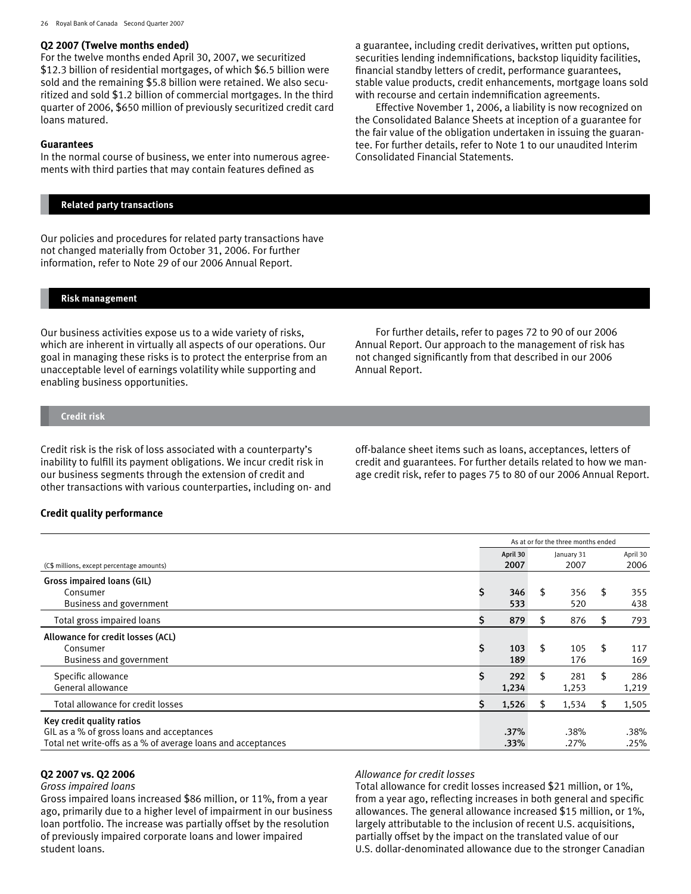## **Q2 2007 (Twelve months ended)**

For the twelve months ended April 30, 2007, we securitized \$12.3 billion of residential mortgages, of which \$6.5 billion were sold and the remaining \$5.8 billion were retained. We also securitized and sold \$1.2 billion of commercial mortgages. In the third quarter of 2006, \$650 million of previously securitized credit card loans matured.

## **Guarantees**

In the normal course of business, we enter into numerous agreements with third parties that may contain features defined as

## **Related party transactions**

Our policies and procedures for related party transactions have not changed materially from October 31, 2006. For further information, refer to Note 29 of our 2006 Annual Report.

#### **Risk management**

Our business activities expose us to a wide variety of risks, which are inherent in virtually all aspects of our operations. Our goal in managing these risks is to protect the enterprise from an unacceptable level of earnings volatility while supporting and enabling business opportunities.

## For further details, refer to pages 72 to 90 of our 2006 Annual Report. Our approach to the management of risk has not changed significantly from that described in our 2006 Annual Report.

# **Credit risk**

Credit risk is the risk of loss associated with a counterparty's inability to fulfill its payment obligations. We incur credit risk in our business segments through the extension of credit and other transactions with various counterparties, including on- and off-balance sheet items such as loans, acceptances, letters of credit and guarantees. For further details related to how we manage credit risk, refer to pages 75 to 80 of our 2006 Annual Report.

## **Credit quality performance**

|                                                              |   |          | As at or for the three months ended |            |   |          |
|--------------------------------------------------------------|---|----------|-------------------------------------|------------|---|----------|
|                                                              |   | April 30 |                                     | January 31 |   | April 30 |
| (C\$ millions, except percentage amounts)                    |   | 2007     |                                     | 2007       |   | 2006     |
| Gross impaired loans (GIL)                                   |   |          |                                     |            |   |          |
| Consumer                                                     | э | 346      | \$                                  | 356        | S | 355      |
| Business and government                                      |   | 533      |                                     | 520        |   | 438      |
| Total gross impaired loans                                   | ∍ | 879      | S                                   | 876        | Ъ | 793      |
| Allowance for credit losses (ACL)                            |   |          |                                     |            |   |          |
| Consumer                                                     | S | 103      | \$                                  | 105        | S | 117      |
| Business and government                                      |   | 189      |                                     | 176        |   | 169      |
| Specific allowance                                           | S | 292      | \$                                  | 281        | S | 286      |
| General allowance                                            |   | 1,234    |                                     | 1,253      |   | 1,219    |
| Total allowance for credit losses                            | s | 1,526    |                                     | 1,534      |   | 1,505    |
| Key credit quality ratios                                    |   |          |                                     |            |   |          |
| GIL as a % of gross loans and acceptances                    |   | .37%     |                                     | .38%       |   | .38%     |
| Total net write-offs as a % of average loans and acceptances |   | .33%     |                                     | .27%       |   | .25%     |

#### **Q2 2007 vs. Q2 2006**

#### *Gross impaired loans*

Gross impaired loans increased \$86 million, or 11%, from a year ago, primarily due to a higher level of impairment in our business loan portfolio. The increase was partially offset by the resolution of previously impaired corporate loans and lower impaired student loans.

## *Allowance for credit losses*

Total allowance for credit losses increased \$21 million, or 1%, from a year ago, reflecting increases in both general and specific allowances. The general allowance increased \$15 million, or 1%, largely attributable to the inclusion of recent U.S. acquisitions, partially offset by the impact on the translated value of our U.S. dollar-denominated allowance due to the stronger Canadian

a guarantee, including credit derivatives, written put options, securities lending indemnifications, backstop liquidity facilities, financial standby letters of credit, performance guarantees, stable value products, credit enhancements, mortgage loans sold with recourse and certain indemnification agreements.

Effective November 1, 2006, a liability is now recognized on the Consolidated Balance Sheets at inception of a guarantee for the fair value of the obligation undertaken in issuing the guarantee. For further details, refer to Note 1 to our unaudited Interim Consolidated Financial Statements.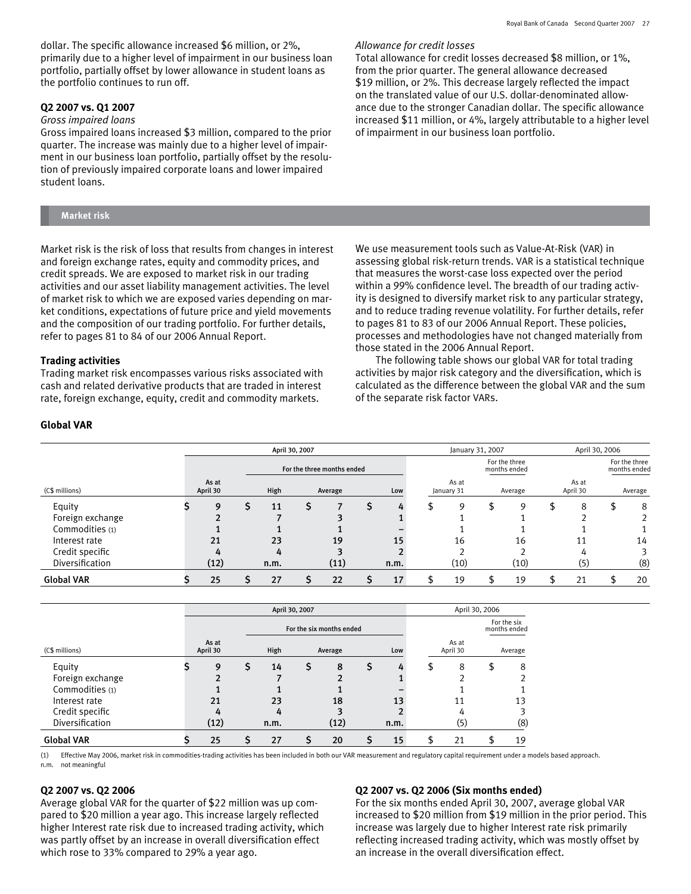dollar. The specific allowance increased \$6 million, or 2%, primarily due to a higher level of impairment in our business loan portfolio, partially offset by lower allowance in student loans as the portfolio continues to run off.

## **Q2 2007 vs. Q1 2007**

#### *Gross impaired loans*

Gross impaired loans increased \$3 million, compared to the prior quarter. The increase was mainly due to a higher level of impairment in our business loan portfolio, partially offset by the resolution of previously impaired corporate loans and lower impaired student loans.

## **Market risk**

Market risk is the risk of loss that results from changes in interest and foreign exchange rates, equity and commodity prices, and credit spreads. We are exposed to market risk in our trading activities and our asset liability management activities. The level of market risk to which we are exposed varies depending on market conditions, expectations of future price and yield movements and the composition of our trading portfolio. For further details, refer to pages 81 to 84 of our 2006 Annual Report.

## **Trading activities**

Trading market risk encompasses various risks associated with cash and related derivative products that are traded in interest rate, foreign exchange, equity, credit and commodity markets.

We use measurement tools such as Value-At-Risk (VAR) in assessing global risk-return trends. VAR is a statistical technique that measures the worst-case loss expected over the period within a 99% confidence level. The breadth of our trading activity is designed to diversify market risk to any particular strategy, and to reduce trading revenue volatility. For further details, refer to pages 81 to 83 of our 2006 Annual Report. These policies, processes and methodologies have not changed materially from those stated in the 2006 Annual Report.

Total allowance for credit losses decreased \$8 million, or 1%, from the prior quarter. The general allowance decreased \$19 million, or 2%. This decrease largely reflected the impact on the translated value of our U.S. dollar-denominated allowance due to the stronger Canadian dollar. The specific allowance increased \$11 million, or 4%, largely attributable to a higher level

of impairment in our business loan portfolio.

*Allowance for credit losses*

The following table shows our global VAR for total trading activities by major risk category and the diversification, which is calculated as the difference between the global VAR and the sum of the separate risk factor VARs.

#### **Global VAR**

|                        |                   | April 30, 2007 |      |  |                            |  |      |  | January 31, 2007    |                               | April 30, 2006 |                   |  |                               |
|------------------------|-------------------|----------------|------|--|----------------------------|--|------|--|---------------------|-------------------------------|----------------|-------------------|--|-------------------------------|
|                        |                   |                |      |  | For the three months ended |  |      |  |                     | For the three<br>months ended |                |                   |  | For the three<br>months ended |
| (C\$ millions)         | As at<br>April 30 |                | High |  | Average                    |  | Low  |  | As at<br>January 31 | Average                       |                | As at<br>April 30 |  | Average                       |
| Equity                 | Q                 |                | 11   |  |                            |  |      |  | q                   |                               |                | 8                 |  | 8                             |
| Foreign exchange       |                   |                |      |  |                            |  |      |  |                     |                               |                |                   |  |                               |
| Commodities (1)        |                   |                |      |  |                            |  |      |  |                     |                               |                |                   |  |                               |
| Interest rate          | 21                |                | 23   |  | 19                         |  | 15   |  | 16                  | 16                            |                |                   |  | 14                            |
| Credit specific        |                   |                |      |  |                            |  |      |  |                     |                               |                |                   |  |                               |
| <b>Diversification</b> | (12)              |                | n.m. |  | (11)                       |  | n.m. |  | (10)                | (10)                          |                | (5)               |  | (8)                           |
| <b>Global VAR</b>      | 25                |                | 27   |  | 22                         |  | 17   |  | 19                  | 19                            |                | 21                |  | 20                            |

|                   |                   | April 30, 2007 |   | April 30, 2006           |         |                   |  |                             |
|-------------------|-------------------|----------------|---|--------------------------|---------|-------------------|--|-----------------------------|
|                   |                   |                |   | For the six months ended |         |                   |  | For the six<br>months ended |
| (C\$ millions)    | As at<br>April 30 | High           |   | Average                  | Low     | As at<br>April 30 |  | Average                     |
| Equity            | 9                 | 14             | S | 8                        | \$<br>4 | \$<br>8           |  | 8                           |
| Foreign exchange  |                   |                |   |                          |         | ົາ                |  |                             |
| Commodities (1)   |                   |                |   |                          |         |                   |  |                             |
| Interest rate     | 21                | 23             |   | 18                       | 13      | 11                |  | 13                          |
| Credit specific   |                   | 4              |   |                          |         | 4                 |  |                             |
| Diversification   | (12)              | n.m.           |   | (12)                     | n.m.    | (5)               |  | (8)                         |
| <b>Global VAR</b> | 25                | 27             |   | 20                       | 15      | 21                |  | 19                          |

(1) Effective May 2006, market risk in commodities-trading activities has been included in both our VAR measurement and regulatory capital requirement under a models based approach. n.m. not meaningful

## **Q2 2007 vs. Q2 2006**

Average global VAR for the quarter of \$22 million was up compared to \$20 million a year ago. This increase largely reflected higher Interest rate risk due to increased trading activity, which was partly offset by an increase in overall diversification effect which rose to 33% compared to 29% a year ago.

## **Q2 2007 vs. Q2 2006 (Six months ended)**

For the six months ended April 30, 2007, average global VAR increased to \$20 million from \$19 million in the prior period. This increase was largely due to higher Interest rate risk primarily reflecting increased trading activity, which was mostly offset by an increase in the overall diversification effect.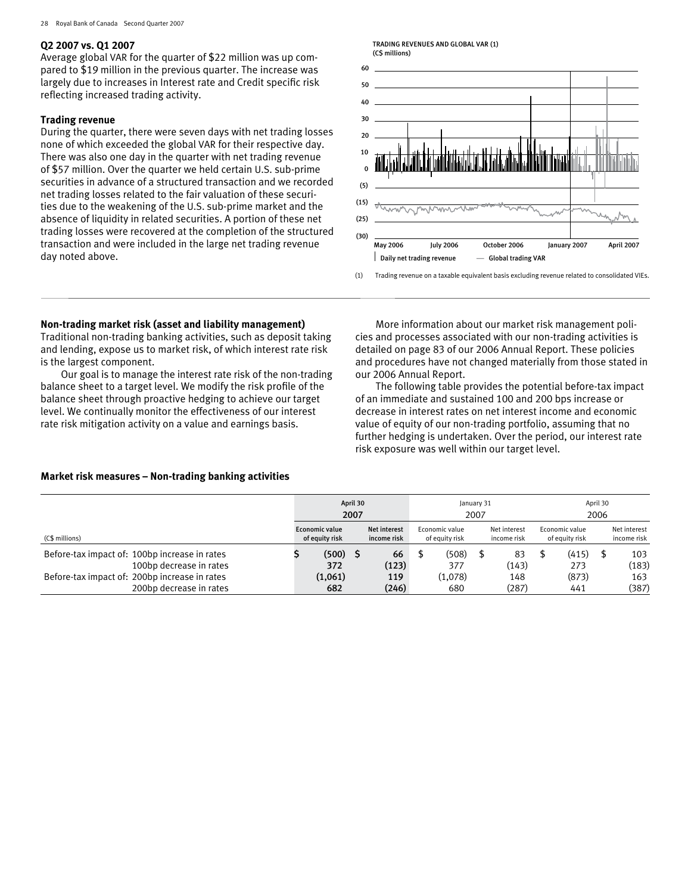## **Q2 2007 vs.** Q1 **2007 TRADING REVENUE FOR THE QUARTER ENDING REVENUE FOR THE QUARTER ENDING STATE AND REVENUE FOR THE QUARTER ENDING REVENUE OF A STATE OF A STATE OF A STATE OF A STATE OF A STATE OF A STATE OF A STA**

Average global VAR for the quarter of \$22 million was up compared to \$19 million in the previous quarter. The increase was 6 largely due to increases in Interest rate and Credit specific risk reflecting increased trading activity.

## **Trading revenue** 4

During the quarter, there were seven days with net trading losses none of which exceeded the global VAR for their respective day. There was also one day in the quarter with net trading revenue of \$57 million. Over the quarter we held certain U.S. sub-prime 2 securities in advance of a structured transaction and we recorded net trading losses related to the fair valuation of these securities due to the weakening of the U.S. sub-prime market and the absence of liquidity in related securities. A portion of these net trading losses were recovered at the completion of the structured transaction and were included in the large net trading revenue day noted above.

#### TRADING REVENUES AND GLOBAL VAR (1) (C\$ millions)



(1) Trading revenue on a taxable equivalent basis excluding revenue related to consolidated VIEs.

## **Non-trading market risk (asset and liability management)**

Traditional non-trading banking activities, such as deposit taking and lending, expose us to market risk, of which interest rate risk is the largest component.

Our goal is to manage the interest rate risk of the non-trading balance sheet to a target level. We modify the risk profile of the balance sheet through proactive hedging to achieve our target level. We continually monitor the effectiveness of our interest rate risk mitigation activity on a value and earnings basis.

More information about our market risk management policies and processes associated with our non-trading activities is detailed on page 83 of our 2006 Annual Report. These policies and procedures have not changed materially from those stated in our 2006 Annual Report.

The following table provides the potential before-tax impact of an immediate and sustained 100 and 200 bps increase or decrease in interest rates on net interest income and economic value of equity of our non-trading portfolio, assuming that no further hedging is undertaken. Over the period, our interest rate risk exposure was well within our target level.

#### **Market risk measures – Non-trading banking activities**

|                                                                          |  | April 30<br>2007                 |  | January 31<br>2007                 |                                  |                |                             |              | April 30<br>2006                 |              |  |                             |
|--------------------------------------------------------------------------|--|----------------------------------|--|------------------------------------|----------------------------------|----------------|-----------------------------|--------------|----------------------------------|--------------|--|-----------------------------|
| (C\$ millions)                                                           |  | Economic value<br>of equity risk |  | <b>Net interest</b><br>income risk | Economic value<br>of equity risk |                | Net interest<br>income risk |              | Economic value<br>of equity risk |              |  | Net interest<br>income risk |
| Before-tax impact of: 100bp increase in rates<br>100bp decrease in rates |  | $(500)$ \$<br>372                |  | 66<br>(123)                        |                                  | (508)<br>377   |                             | 83<br>(143)  |                                  | (415)<br>273 |  | 103<br>(183)                |
| Before-tax impact of: 200bp increase in rates<br>200bp decrease in rates |  | (1,061)<br>682                   |  | 119<br>(246)                       |                                  | (1,078)<br>680 |                             | 148<br>(287) |                                  | (873)<br>441 |  | 163<br>(387)                |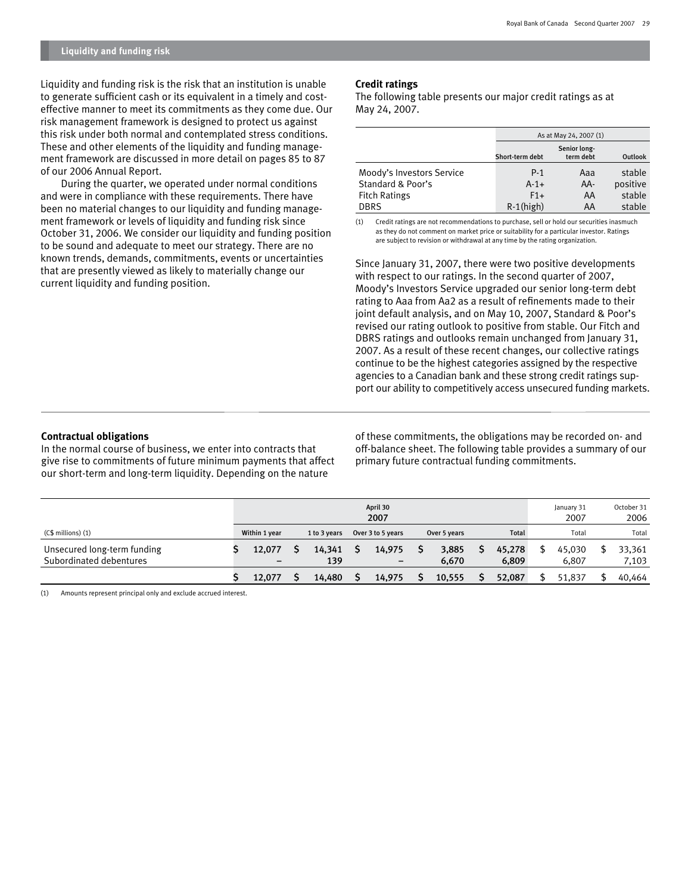Liquidity and funding risk is the risk that an institution is unable to generate sufficient cash or its equivalent in a timely and costeffective manner to meet its commitments as they come due. Our risk management framework is designed to protect us against this risk under both normal and contemplated stress conditions. These and other elements of the liquidity and funding management framework are discussed in more detail on pages 85 to 87 of our 2006 Annual Report.

During the quarter, we operated under normal conditions and were in compliance with these requirements. There have been no material changes to our liquidity and funding management framework or levels of liquidity and funding risk since October 31, 2006. We consider our liquidity and funding position to be sound and adequate to meet our strategy. There are no known trends, demands, commitments, events or uncertainties that are presently viewed as likely to materially change our current liquidity and funding position.

#### **Credit ratings**

The following table presents our major credit ratings as at May 24, 2007.

|                           |                 | As at May 24, 2007 (1)    |          |  |  |  |  |  |  |  |  |
|---------------------------|-----------------|---------------------------|----------|--|--|--|--|--|--|--|--|
|                           | Short-term debt | Senior long-<br>term debt | Outlook  |  |  |  |  |  |  |  |  |
| Moody's Investors Service | $P-1$           | Aaa                       | stable   |  |  |  |  |  |  |  |  |
| Standard & Poor's         | $A-1+$          | AA-                       | positive |  |  |  |  |  |  |  |  |
| <b>Fitch Ratings</b>      | $F1+$           | AA                        | stable   |  |  |  |  |  |  |  |  |
| <b>DBRS</b>               | $R-1$ (high)    | AA                        | stable   |  |  |  |  |  |  |  |  |

(1) Credit ratings are not recommendations to purchase, sell or hold our securities inasmuch as they do not comment on market price or suitability for a particular investor. Ratings are subject to revision or withdrawal at any time by the rating organization.

Since January 31, 2007, there were two positive developments with respect to our ratings. In the second quarter of 2007, Moody's Investors Service upgraded our senior long-term debt rating to Aaa from Aa2 as a result of refinements made to their joint default analysis, and on May 10, 2007, Standard & Poor's revised our rating outlook to positive from stable. Our Fitch and DBRS ratings and outlooks remain unchanged from January 31, 2007. As a result of these recent changes, our collective ratings continue to be the highest categories assigned by the respective agencies to a Canadian bank and these strong credit ratings support our ability to competitively access unsecured funding markets.

#### **Contractual obligations**

In the normal course of business, we enter into contracts that give rise to commitments of future minimum payments that affect our short-term and long-term liquidity. Depending on the nature

of these commitments, the obligations may be recorded on- and off-balance sheet. The following table provides a summary of our primary future contractual funding commitments.

|                                                        |                                    |               | April 30<br>2007  |                |                 | January 31<br>2007 | October 31<br>2006 |
|--------------------------------------------------------|------------------------------------|---------------|-------------------|----------------|-----------------|--------------------|--------------------|
| $(C$$ millions) $(1)$                                  | Within 1 year                      | 1 to 3 years  | Over 3 to 5 years | Over 5 years   | Total           | Total              | Total              |
| Unsecured long-term funding<br>Subordinated debentures | 12,077<br>$\overline{\phantom{0}}$ | 14,341<br>139 | 14,975<br>-       | 3,885<br>6,670 | 45,278<br>6,809 | 45,030<br>6,807    | 33,361<br>7,103    |
|                                                        | 12,077                             | 14,480        | 14,975            | 10,555         | 52,087          | 51.837             | 40,464             |

Amounts represent principal only and exclude accrued interest.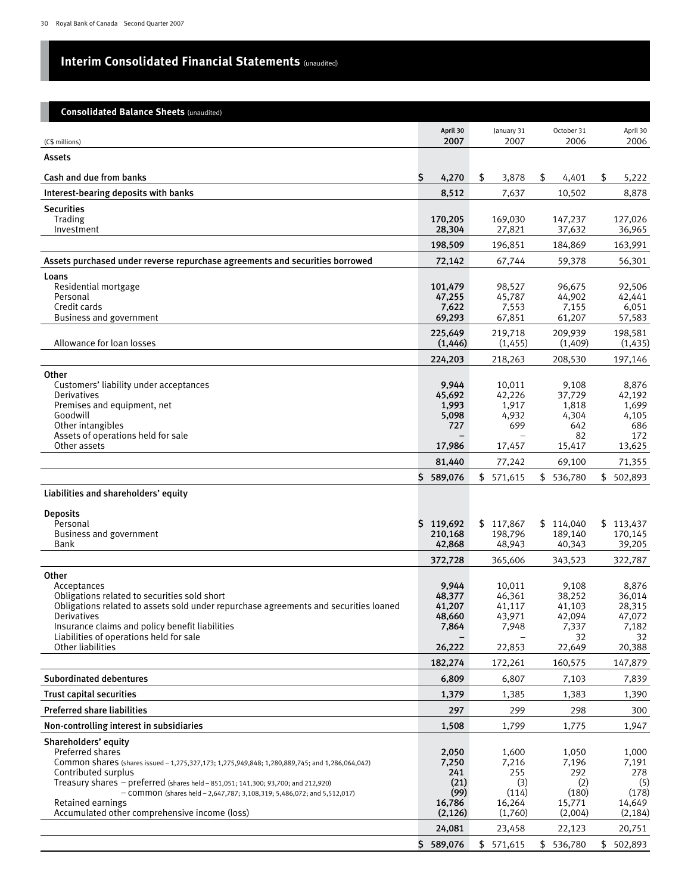# **Interim Consolidated Financial Statements** (unaudited)

| <b>Consolidated Balance Sheets (unaudited)</b>                                                                                                               |                   |                   |                   |                   |
|--------------------------------------------------------------------------------------------------------------------------------------------------------------|-------------------|-------------------|-------------------|-------------------|
|                                                                                                                                                              | April 30          | January 31        | October 31        | April 30          |
| (C\$ millions)                                                                                                                                               | 2007              | 2007              | 2006              | 2006              |
| Assets                                                                                                                                                       |                   |                   |                   |                   |
| Cash and due from banks                                                                                                                                      | \$<br>4,270       | \$<br>3,878       | \$<br>4,401       | \$<br>5,222       |
| Interest-bearing deposits with banks                                                                                                                         | 8,512             | 7,637             | 10,502            | 8,878             |
| <b>Securities</b>                                                                                                                                            |                   |                   |                   |                   |
| <b>Trading</b><br>Investment                                                                                                                                 | 170,205<br>28,304 | 169,030<br>27,821 | 147,237<br>37,632 | 127,026<br>36,965 |
|                                                                                                                                                              | 198,509           | 196,851           | 184,869           | 163,991           |
| Assets purchased under reverse repurchase agreements and securities borrowed                                                                                 | 72,142            | 67,744            | 59,378            | 56,301            |
| Loans                                                                                                                                                        |                   |                   |                   |                   |
| Residential mortgage                                                                                                                                         | 101,479           | 98,527            | 96,675            | 92,506            |
| Personal<br>Credit cards                                                                                                                                     | 47,255<br>7,622   | 45,787<br>7,553   | 44,902<br>7,155   | 42,441<br>6,051   |
| Business and government                                                                                                                                      | 69,293            | 67,851            | 61,207            | 57,583            |
|                                                                                                                                                              | 225,649           | 219,718           | 209,939           | 198,581           |
| Allowance for loan losses                                                                                                                                    | (1,446)           | (1, 455)          | (1,409)           | (1,435)           |
|                                                                                                                                                              | 224,203           | 218,263           | 208,530           | 197,146           |
| Other<br>Customers' liability under acceptances                                                                                                              | 9,944             | 10,011            | 9,108             | 8,876             |
| Derivatives                                                                                                                                                  | 45,692            | 42,226            | 37,729            | 42,192            |
| Premises and equipment, net                                                                                                                                  | 1,993             | 1,917             | 1,818             | 1,699             |
| Goodwill                                                                                                                                                     | 5,098             | 4,932             | 4,304             | 4,105             |
| Other intangibles<br>Assets of operations held for sale                                                                                                      | 727               | 699               | 642<br>82         | 686<br>172        |
| Other assets                                                                                                                                                 | 17,986            | 17,457            | 15,417            | 13,625            |
|                                                                                                                                                              | 81,440            | 77,242            | 69,100            | 71,355            |
|                                                                                                                                                              | \$589,076         | \$571,615         | \$536,780         | \$502,893         |
| Liabilities and shareholders' equity                                                                                                                         |                   |                   |                   |                   |
| <b>Deposits</b>                                                                                                                                              |                   |                   |                   |                   |
| Personal                                                                                                                                                     | \$119,692         | \$117,867         | \$114,040         | \$113,437         |
| Business and government                                                                                                                                      | 210,168           | 198,796           | 189,140           | 170,145           |
| Bank                                                                                                                                                         | 42,868            | 48,943            | 40,343            | 39,205            |
| Other                                                                                                                                                        | 372,728           | 365,606           | 343,523           | 322,787           |
| Acceptances                                                                                                                                                  | 9,944             | 10,011            | 9,108             | 8,876             |
| Obligations related to securities sold short                                                                                                                 | 48,377            | 46,361            | 38,252            | 36,014            |
| Obligations related to assets sold under repurchase agreements and securities loaned<br><b>Derivatives</b>                                                   | 41,207            | 41,117            | 41,103            | 28,315            |
| Insurance claims and policy benefit liabilities                                                                                                              | 48,660<br>7,864   | 43,971<br>7,948   | 42,094<br>7,337   | 47,072<br>7,182   |
| Liabilities of operations held for sale                                                                                                                      |                   |                   | 32                | 32                |
| Other liabilities                                                                                                                                            | 26,222            | 22,853            | 22,649            | 20,388            |
|                                                                                                                                                              | 182,274           | 172,261           | 160,575           | 147,879           |
| <b>Subordinated debentures</b>                                                                                                                               | 6,809             | 6,807             | 7,103             | 7,839             |
| <b>Trust capital securities</b>                                                                                                                              | 1,379             | 1,385             | 1,383             | 1,390             |
| <b>Preferred share liabilities</b>                                                                                                                           | 297               | 299               | 298               | 300               |
| Non-controlling interest in subsidiaries                                                                                                                     | 1,508             | 1,799             | 1,775             | 1,947             |
| Shareholders' equity<br>Preferred shares                                                                                                                     | 2,050             | 1,600             | 1,050             | 1,000             |
| Common shares (shares issued - 1,275,327,173; 1,275,949,848; 1,280,889,745; and 1,286,064,042)                                                               | 7,250             | 7,216             | 7,196             | 7,191             |
| Contributed surplus                                                                                                                                          | 241               | 255               | 292               | 278               |
| Treasury shares - preferred (shares held - 851,051; 141,300; 93,700; and 212,920)<br>- COMMON (shares held - 2,647,787; 3,108,319; 5,486,072; and 5,512,017) | (21)<br>(99)      | (3)<br>(114)      | (2)<br>(180)      | (5)<br>(178)      |
| Retained earnings                                                                                                                                            | 16,786            | 16,264            | 15,771            | 14,649            |
| Accumulated other comprehensive income (loss)                                                                                                                | (2, 126)          | (1,760)           | (2,004)           | (2, 184)          |
|                                                                                                                                                              | 24,081            | 23,458            | 22,123            | 20,751            |
|                                                                                                                                                              | \$589,076         | \$571,615         | \$536,780         | \$502,893         |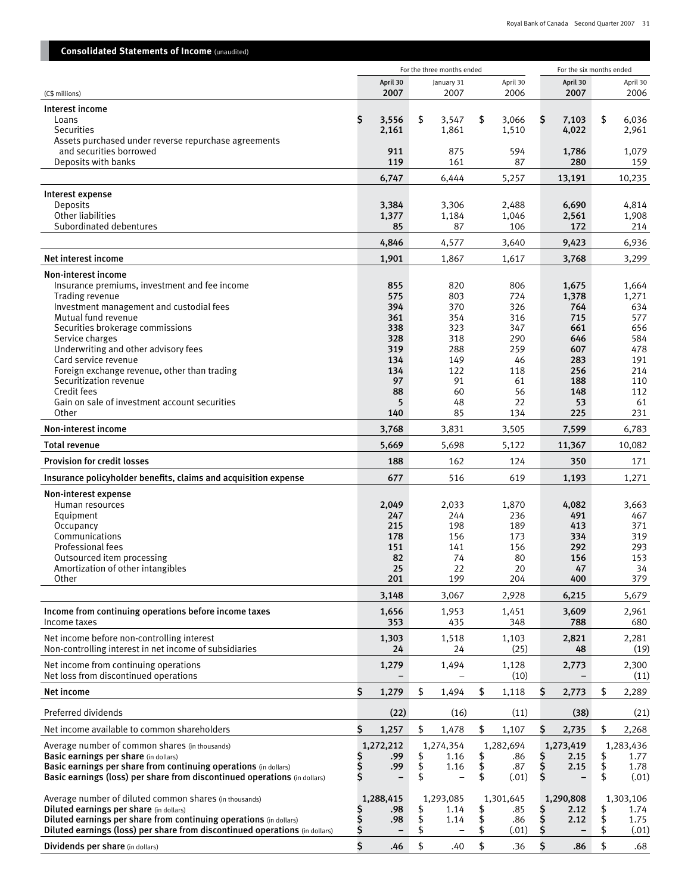| <b>Consolidated Statements of Income (unaudited)</b>                                                                                          |    |                  |          |                            |          |                  |         |                          |          |                   |
|-----------------------------------------------------------------------------------------------------------------------------------------------|----|------------------|----------|----------------------------|----------|------------------|---------|--------------------------|----------|-------------------|
|                                                                                                                                               |    |                  |          | For the three months ended |          |                  |         | For the six months ended |          |                   |
| (C\$ millions)                                                                                                                                |    | April 30<br>2007 |          | January 31<br>2007         |          | April 30<br>2006 |         | April 30<br>2007         |          | April 30<br>2006  |
| Interest income                                                                                                                               |    |                  |          |                            |          |                  |         |                          |          |                   |
| Loans                                                                                                                                         | \$ | 3,556            | \$       | 3,547                      | \$       | 3,066            | \$      | 7,103                    | \$       | 6,036             |
| Securities                                                                                                                                    |    | 2,161            |          | 1,861                      |          | 1,510            |         | 4,022                    |          | 2,961             |
| Assets purchased under reverse repurchase agreements<br>and securities borrowed                                                               |    | 911              |          | 875                        |          | 594              |         | 1,786                    |          | 1,079             |
| Deposits with banks                                                                                                                           |    | 119              |          | 161                        |          | 87               |         | 280                      |          | 159               |
|                                                                                                                                               |    | 6,747            |          | 6,444                      |          | 5,257            |         | 13,191                   |          | 10,235            |
| Interest expense                                                                                                                              |    |                  |          |                            |          |                  |         |                          |          |                   |
| Deposits                                                                                                                                      |    | 3,384            |          | 3,306                      |          | 2,488            |         | 6,690                    |          | 4,814             |
| Other liabilities<br>Subordinated debentures                                                                                                  |    | 1,377<br>85      |          | 1,184<br>87                |          | 1,046<br>106     |         | 2,561<br>172             |          | 1,908<br>214      |
|                                                                                                                                               |    | 4,846            |          | 4,577                      |          | 3,640            |         | 9,423                    |          | 6,936             |
| Net interest income                                                                                                                           |    | 1,901            |          | 1,867                      |          | 1,617            |         | 3,768                    |          | 3,299             |
| <b>Non-interest income</b>                                                                                                                    |    |                  |          |                            |          |                  |         |                          |          |                   |
| Insurance premiums, investment and fee income                                                                                                 |    | 855              |          | 820                        |          | 806              |         | 1,675                    |          | 1,664             |
| <b>Trading revenue</b>                                                                                                                        |    | 575              |          | 803                        |          | 724              |         | 1,378                    |          | 1,271             |
| Investment management and custodial fees<br>Mutual fund revenue                                                                               |    | 394<br>361       |          | 370<br>354                 |          | 326<br>316       |         | 764<br>715               |          | 634<br>577        |
| Securities brokerage commissions                                                                                                              |    | 338              |          | 323                        |          | 347              |         | 661                      |          | 656               |
| Service charges                                                                                                                               |    | 328              |          | 318                        |          | 290              |         | 646                      |          | 584               |
| Underwriting and other advisory fees<br>Card service revenue                                                                                  |    | 319<br>134       |          | 288<br>149                 |          | 259<br>46        |         | 607<br>283               |          | 478<br>191        |
| Foreign exchange revenue, other than trading                                                                                                  |    | 134              |          | 122                        |          | 118              |         | 256                      |          | 214               |
| Securitization revenue                                                                                                                        |    | 97               |          | 91                         |          | 61               |         | 188                      |          | 110               |
| Credit fees                                                                                                                                   |    | 88               |          | 60                         |          | 56               |         | 148                      |          | 112               |
| Gain on sale of investment account securities<br>Other                                                                                        |    | 5<br>140         |          | 48<br>85                   |          | 22<br>134        |         | 53<br>225                |          | 61<br>231         |
| Non-interest income                                                                                                                           |    | 3,768            |          | 3,831                      |          | 3,505            |         | 7,599                    |          | 6,783             |
| <b>Total revenue</b>                                                                                                                          |    | 5,669            |          | 5,698                      |          | 5,122            |         | 11,367                   |          | 10,082            |
| <b>Provision for credit losses</b>                                                                                                            |    | 188              |          | 162                        |          | 124              |         | 350                      |          | 171               |
| Insurance policyholder benefits, claims and acquisition expense                                                                               |    | 677              |          | 516                        |          | 619              |         | 1,193                    |          | 1,271             |
| Non-interest expense                                                                                                                          |    |                  |          |                            |          |                  |         |                          |          |                   |
| Human resources<br>Equipment                                                                                                                  |    | 2,049<br>247     |          | 2,033<br>244               |          | 1,870<br>236     |         | 4,082<br>491             |          | 3,663             |
| Occupancy                                                                                                                                     |    | 215              |          | 198                        |          | 189              |         | 413                      |          | 467<br>371        |
| Communications                                                                                                                                |    | 178              |          | 156                        |          | 173              |         | 334                      |          | 319               |
| Professional fees                                                                                                                             |    | 151              |          | 141                        |          | 156              |         | 292                      |          | 293               |
| Outsourced item processing<br>Amortization of other intangibles                                                                               |    | 82<br>25         |          | 74<br>22                   |          | 80<br>20         |         | 156<br>47                |          | 153<br>34         |
| Other                                                                                                                                         |    | 201              |          | 199                        |          | 204              |         | 400                      |          | 379               |
|                                                                                                                                               |    | 3,148            |          | 3,067                      |          | 2,928            |         | 6,215                    |          | 5,679             |
| Income from continuing operations before income taxes<br>Income taxes                                                                         |    | 1,656<br>353     |          | 1,953<br>435               |          | 1,451<br>348     |         | 3,609<br>788             |          | 2,961<br>680      |
| Net income before non-controlling interest                                                                                                    |    | 1,303            |          | 1,518                      |          | 1,103            |         | 2,821                    |          | 2,281             |
| Non-controlling interest in net income of subsidiaries                                                                                        |    | 24               |          | 24                         |          | (25)             |         | 48                       |          | (19)              |
| Net income from continuing operations<br>Net loss from discontinued operations                                                                |    | 1,279            |          | 1,494                      |          | 1,128<br>(10)    |         | 2,773                    |          | 2,300<br>(11)     |
| Net income                                                                                                                                    | \$ | 1,279            | \$       | 1,494                      | \$       | 1,118            | \$      | 2,773                    | \$       | 2,289             |
| Preferred dividends                                                                                                                           |    | (22)             |          | (16)                       |          | (11)             |         | (38)                     |          | (21)              |
| Net income available to common shareholders                                                                                                   | \$ | 1,257            | \$       | 1,478                      | \$       | 1,107            | \$      | 2,735                    | \$       | 2,268             |
| Average number of common shares (in thousands)                                                                                                |    | 1,272,212        |          | 1,274,354                  |          | 1,282,694        |         | 1,273,419                |          | 1,283,436         |
| Basic earnings per share (in dollars)                                                                                                         | S  | .99              | \$       | 1.16                       | \$       | .86              | Ş       | 2.15                     | \$       | 1.77              |
| Basic earnings per share from continuing operations (in dollars)<br>Basic earnings (loss) per share from discontinued operations (in dollars) | \$ | .99              | \$<br>\$ | 1.16                       | \$<br>\$ | .87<br>(.01)     | \$<br>Ś | 2.15                     | \$<br>\$ | 1.78<br>(.01)     |
|                                                                                                                                               |    |                  |          |                            |          |                  |         |                          |          |                   |
| Average number of diluted common shares (in thousands)<br>Diluted earnings per share (in dollars)                                             |    | 1,288,415<br>.98 | \$       | 1,293,085<br>1.14          | \$       | 1,301,645<br>.85 | Ş       | 1,290,808<br>2.12        | \$       | 1,303,106<br>1.74 |
| Diluted earnings per share from continuing operations (in dollars)                                                                            |    | .98              | \$       | 1.14                       | \$       | .86              |         | 2.12                     | \$       | 1.75              |
| Diluted earnings (loss) per share from discontinued operations (in dollars)                                                                   | \$ |                  | \$       |                            | \$       | (.01)            | \$      |                          | \$       | (.01)             |
| Dividends per share (in dollars)                                                                                                              | \$ | .46              | \$       | .40                        | \$       | .36              | \$      | .86                      | \$       | .68               |

m.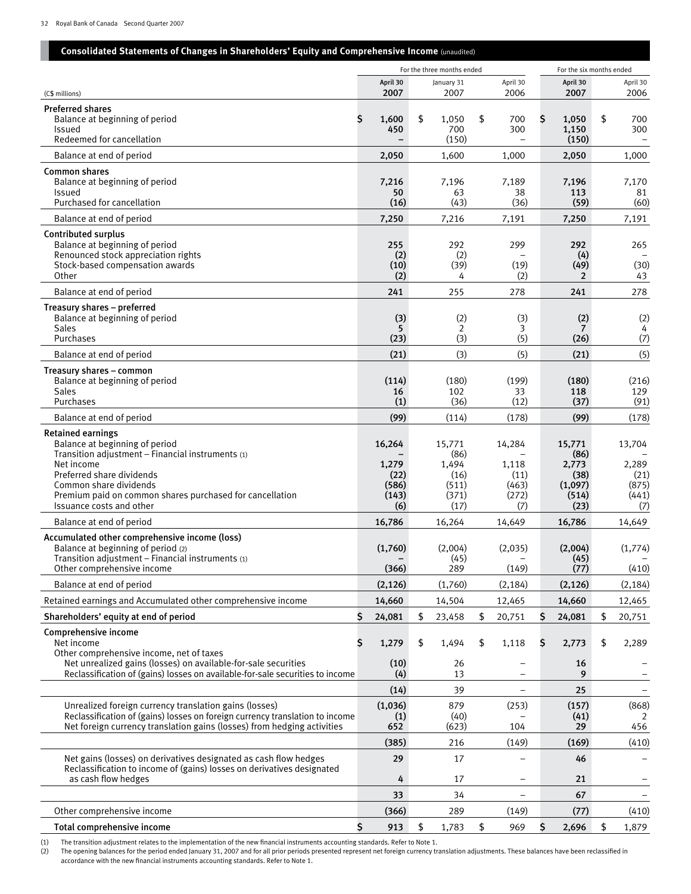ш

| Consolidated Statements of Changes in Shareholders' Equity and Comprehensive Income (unaudited)                                                 |                  |                            |    |                          |                          |                  |    |                  |  |  |
|-------------------------------------------------------------------------------------------------------------------------------------------------|------------------|----------------------------|----|--------------------------|--------------------------|------------------|----|------------------|--|--|
|                                                                                                                                                 |                  | For the three months ended |    |                          | For the six months ended |                  |    |                  |  |  |
| (C\$ millions)                                                                                                                                  | April 30<br>2007 | January 31<br>2007         |    | April 30<br>2006         |                          | April 30<br>2007 |    | April 30<br>2006 |  |  |
| <b>Preferred shares</b>                                                                                                                         |                  |                            |    |                          |                          |                  |    |                  |  |  |
| Balance at beginning of period                                                                                                                  | \$<br>1,600      | \$<br>1,050                | \$ | 700                      | \$                       | 1,050            | \$ | 700              |  |  |
| Issued<br>Redeemed for cancellation                                                                                                             | 450              | 700<br>(150)               |    | 300<br>$\equiv$          |                          | 1,150<br>(150)   |    | 300              |  |  |
| Balance at end of period                                                                                                                        | 2,050            | 1,600                      |    | 1,000                    |                          | 2,050            |    | 1,000            |  |  |
| <b>Common shares</b>                                                                                                                            |                  |                            |    |                          |                          |                  |    |                  |  |  |
| Balance at beginning of period<br>Issued                                                                                                        | 7,216<br>50      | 7,196<br>63                |    | 7,189<br>38              |                          | 7,196<br>113     |    | 7,170<br>81      |  |  |
| Purchased for cancellation                                                                                                                      | (16)             | (43)                       |    | (36)                     |                          | (59)             |    | (60)             |  |  |
| Balance at end of period                                                                                                                        | 7,250            | 7,216                      |    | 7,191                    |                          | 7,250            |    | 7,191            |  |  |
| <b>Contributed surplus</b>                                                                                                                      |                  |                            |    |                          |                          |                  |    |                  |  |  |
| Balance at beginning of period<br>Renounced stock appreciation rights                                                                           | 255<br>(2)       | 292<br>(2)                 |    | 299                      |                          | 292<br>(4)       |    | 265              |  |  |
| Stock-based compensation awards                                                                                                                 | (10)             | (39)                       |    | (19)                     |                          | (49)             |    | (30)             |  |  |
| Other                                                                                                                                           | (2)              | 4                          |    | (2)                      |                          | 2                |    | 43               |  |  |
| Balance at end of period                                                                                                                        | 241              | 255                        |    | 278                      |                          | 241              |    | 278              |  |  |
| Treasury shares - preferred<br>Balance at beginning of period                                                                                   | (3)              | (2)                        |    | (3)                      |                          | (2)              |    | (2)              |  |  |
| Sales                                                                                                                                           | 5                | 2                          |    | 3                        |                          | 7                |    | 4                |  |  |
| Purchases                                                                                                                                       | (23)             | (3)                        |    | (5)                      |                          | (26)             |    | (7)              |  |  |
| Balance at end of period                                                                                                                        | (21)             | (3)                        |    | (5)                      |                          | (21)             |    | (5)              |  |  |
| Treasury shares - common<br>Balance at beginning of period                                                                                      | (114)            | (180)                      |    | (199)                    |                          | (180)            |    | (216)            |  |  |
| Sales                                                                                                                                           | 16<br>(1)        | 102                        |    | 33                       |                          | 118              |    | 129              |  |  |
| Purchases<br>Balance at end of period                                                                                                           | (99)             | (36)<br>(114)              |    | (12)<br>(178)            |                          | (37)<br>(99)     |    | (91)<br>(178)    |  |  |
| <b>Retained earnings</b>                                                                                                                        |                  |                            |    |                          |                          |                  |    |                  |  |  |
| Balance at beginning of period                                                                                                                  | 16,264           | 15,771                     |    | 14,284                   |                          | 15,771           |    | 13,704           |  |  |
| Transition adjustment - Financial instruments (1)<br>Net income                                                                                 | 1,279            | (86)<br>1,494              |    | 1,118                    |                          | (86)<br>2,773    |    | 2,289            |  |  |
| Preferred share dividends                                                                                                                       | (22)             | (16)                       |    | (11)                     |                          | (38)             |    | (21)             |  |  |
| Common share dividends<br>Premium paid on common shares purchased for cancellation                                                              | (586)<br>(143)   | (511)<br>(371)             |    | (463)<br>(272)           |                          | (1,097)<br>(514) |    | (875)<br>(441)   |  |  |
| Issuance costs and other                                                                                                                        | (6)              | (17)                       |    | (7)                      |                          | (23)             |    | (7)              |  |  |
| Balance at end of period                                                                                                                        | 16,786           | 16,264                     |    | 14,649                   |                          | 16,786           |    | 14,649           |  |  |
| Accumulated other comprehensive income (loss)                                                                                                   |                  |                            |    |                          |                          |                  |    |                  |  |  |
| Balance at beginning of period (2)<br>Transition adjustment - Financial instruments (1)                                                         | (1,760)          | (2,004)<br>(45)            |    | (2,035)                  |                          | (2,004)<br>(45)  |    | (1,774)          |  |  |
| Other comprehensive income                                                                                                                      | (366)            | 289                        |    | (149)                    |                          | (77)             |    | (410)            |  |  |
| Balance at end of period                                                                                                                        | (2, 126)         | (1,760)                    |    | (2, 184)                 |                          | (2, 126)         |    | (2, 184)         |  |  |
| Retained earnings and Accumulated other comprehensive income                                                                                    | 14,660           | 14,504                     |    | 12,465                   |                          | 14,660           |    | 12,465           |  |  |
| Shareholders' equity at end of period                                                                                                           | \$<br>24,081     | \$<br>23,458               | \$ | 20,751                   | \$                       | 24,081           | \$ | 20,751           |  |  |
| Comprehensive income<br>Net income                                                                                                              | \$<br>1,279      | \$<br>1,494                | \$ | 1,118                    | \$                       | 2,773            | \$ | 2,289            |  |  |
| Other comprehensive income, net of taxes                                                                                                        |                  |                            |    |                          |                          |                  |    |                  |  |  |
| Net unrealized gains (losses) on available-for-sale securities<br>Reclassification of (gains) losses on available-for-sale securities to income | (10)<br>(4)      | 26<br>13                   |    | $\qquad \qquad -$        |                          | 16<br>9          |    |                  |  |  |
|                                                                                                                                                 | (14)             | 39                         |    | $\overline{\phantom{0}}$ |                          | 25               |    |                  |  |  |
| Unrealized foreign currency translation gains (losses)                                                                                          | (1,036)          | 879                        |    | (253)                    |                          | (157)            |    | (868)            |  |  |
| Reclassification of (gains) losses on foreign currency translation to income                                                                    | (1)              | (40)                       |    |                          |                          | (41)             |    | 2                |  |  |
| Net foreign currency translation gains (losses) from hedging activities                                                                         | 652              | (623)                      |    | 104                      |                          | 29               |    | 456              |  |  |
|                                                                                                                                                 | (385)            | 216                        |    | (149)                    |                          | (169)            |    | (410)            |  |  |
| Net gains (losses) on derivatives designated as cash flow hedges<br>Reclassification to income of (gains) losses on derivatives designated      | 29               | 17                         |    |                          |                          | 46               |    |                  |  |  |
| as cash flow hedges                                                                                                                             | 4                | 17                         |    | -                        |                          | 21               |    |                  |  |  |
|                                                                                                                                                 | 33               | 34                         |    | $\overline{\phantom{a}}$ |                          | 67               |    |                  |  |  |
| Other comprehensive income                                                                                                                      | (366)            | 289                        |    | (149)                    |                          | (77)             |    | (410)            |  |  |
| Total comprehensive income                                                                                                                      | \$<br>913        | \$<br>1,783                | \$ | 969                      | S                        | 2,696            | \$ | 1,879            |  |  |

(1) The transition adjustment relates to the implementation of the new financial instruments accounting standards. Refer to Note 1.

(2) The opening balances for the period ended January 31, 2007 and for all prior periods presented represent net foreign currency translation adjustments. These balances have been reclassified in accordance with the new financial instruments accounting standards. Refer to Note 1.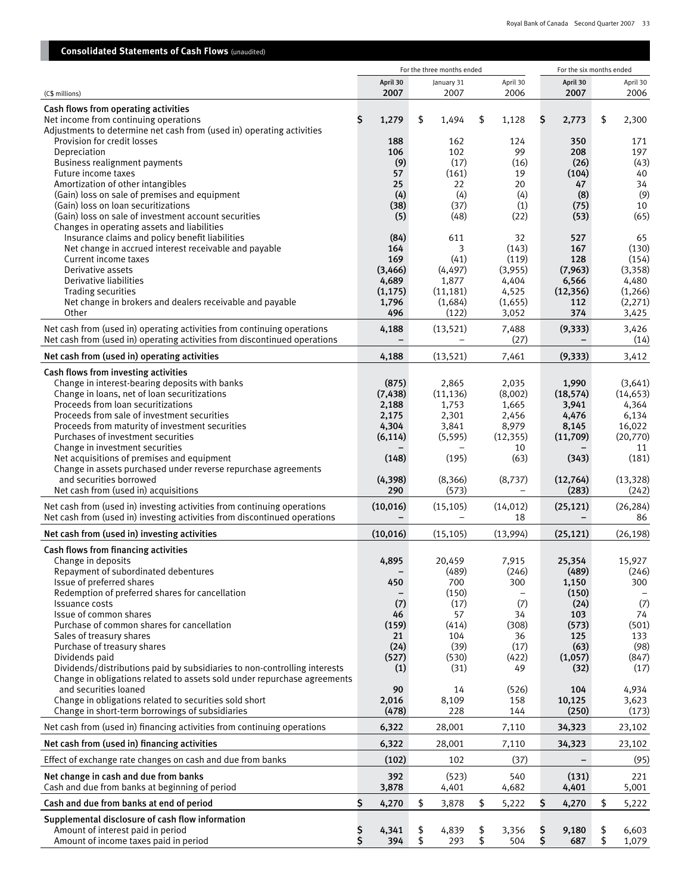| For the three months ended<br>For the six months ended<br>January 31<br>April 30<br>April 30<br>April 30<br>April 30<br>2007<br>2006<br>2007<br>2007<br>2006<br>(C\$ millions)<br>Cash flows from operating activities<br>\$<br>1,279<br>\$<br>\$<br>\$<br>\$<br>Net income from continuing operations<br>1,494<br>1,128<br>2,773<br>2,300<br>Adjustments to determine net cash from (used in) operating activities<br>Provision for credit losses<br>188<br>162<br>124<br>350<br>171<br>99<br>208<br>197<br>Depreciation<br>106<br>102<br><b>Business realignment payments</b><br>(9)<br>(17)<br>(26)<br>(43)<br>(16)<br>Future income taxes<br>(161)<br>57<br>19<br>(104)<br>40<br>Amortization of other intangibles<br>25<br>22<br>20<br>34<br>47<br>(9)<br>(Gain) loss on sale of premises and equipment<br>(4)<br>(4)<br>(4)<br>(8)<br>(Gain) loss on loan securitizations<br>(38)<br>(37)<br>(1)<br>10<br>(75)<br>(Gain) loss on sale of investment account securities<br>(5)<br>(53)<br>(65)<br>(48)<br>(22)<br>Changes in operating assets and liabilities<br>Insurance claims and policy benefit liabilities<br>(84)<br>611<br>32<br>527<br>65<br>Net change in accrued interest receivable and payable<br>(143)<br>167<br>164<br>3<br>Current income taxes<br>169<br>(41)<br>(119)<br>128<br>(154)<br>Derivative assets<br>(3,466)<br>(4, 497)<br>(3,955)<br>(7, 963)<br>Derivative liabilities<br>4,689<br>1,877<br>4,404<br>6,566<br>4,480<br>(11, 181)<br>4,525<br>Trading securities<br>(1, 175)<br>(12, 356)<br>(1,655)<br>Net change in brokers and dealers receivable and payable<br>1,796<br>(1,684)<br>112<br>(2,271)<br>496<br>3,052<br>374<br>Other<br>(122)<br>3,425<br>Net cash from (used in) operating activities from continuing operations<br>(13, 521)<br>7,488<br>(9, 333)<br>3,426<br>4,188<br>Net cash from (used in) operating activities from discontinued operations<br>(27)<br>(14)<br>Net cash from (used in) operating activities<br>4,188<br>(13, 521)<br>7.461<br>(9, 333)<br>3,412<br>Cash flows from investing activities<br>Change in interest-bearing deposits with banks<br>(875)<br>2,865<br>2,035<br>1,990<br>(3,641)<br>Change in loans, net of loan securitizations<br>(7, 438)<br>(8,002)<br>(11, 136)<br>(18, 574)<br>Proceeds from loan securitizations<br>1,753<br>1,665<br>4,364<br>2,188<br>3,941<br>Proceeds from sale of investment securities<br>2,175<br>2,301<br>2,456<br>4,476<br>6,134<br>8,979<br>Proceeds from maturity of investment securities<br>4,304<br>3,841<br>8,145<br>16,022<br>Purchases of investment securities<br>(5, 595)<br>(12, 355)<br>(6, 114)<br>(11,709)<br>Change in investment securities<br>10<br>11<br>Net acquisitions of premises and equipment<br>(195)<br>(148)<br>(63)<br>(343)<br>Change in assets purchased under reverse repurchase agreements<br>and securities borrowed<br>(4, 398)<br>(8,366)<br>(8,737)<br>(12,764)<br>(13, 328)<br>Net cash from (used in) acquisitions<br>290<br>(573)<br>(283)<br>(242)<br>$\overline{\phantom{0}}$<br>(10, 016)<br>(26, 284)<br>Net cash from (used in) investing activities from continuing operations<br>(15, 105)<br>(14, 012)<br>(25, 121)<br>Net cash from (used in) investing activities from discontinued operations<br>86<br>18<br>Net cash from (used in) investing activities<br>(10, 016)<br>(15, 105)<br>(25, 121)<br>(13,994)<br>(26, 198)<br>Cash flows from financing activities<br>7,915<br>15,927<br>Change in deposits<br>4,895<br>20,459<br>25,354<br>Repayment of subordinated debentures<br>(246)<br>(489)<br>(489)<br>Issue of preferred shares<br>700<br>300<br>450<br>1,150<br>300<br>Redemption of preferred shares for cancellation<br>(150)<br>(150)<br>(7)<br>(7)<br>Issuance costs<br>(17)<br>(7)<br>(24)<br>Issue of common shares<br>57<br>74<br>46<br>103<br>34<br>Purchase of common shares for cancellation<br>(159)<br>(414)<br>(308)<br>(573)<br>Sales of treasury shares<br>21<br>104<br>36<br>125<br>133<br>Purchase of treasury shares<br>(24)<br>(39)<br>(17)<br>(63)<br>Dividends paid<br>(527)<br>(530)<br>(1,057)<br>(422)<br>Dividends/distributions paid by subsidiaries to non-controlling interests<br>(1)<br>(31)<br>49<br>(32)<br>Change in obligations related to assets sold under repurchase agreements<br>and securities loaned<br>90<br>14<br>(526)<br>104<br>4,934<br>Change in obligations related to securities sold short<br>2,016<br>8,109<br>158<br>10,125<br>3,623<br>Change in short-term borrowings of subsidiaries<br>(478)<br>(250)<br>228<br>144<br>Net cash from (used in) financing activities from continuing operations<br>6,322<br>28,001<br>7,110<br>34,323<br>23,102<br>Net cash from (used in) financing activities<br>6,322<br>28,001<br>7,110<br>34,323<br>23,102<br>Effect of exchange rate changes on cash and due from banks<br>(102)<br>102<br>(37)<br>(95)<br>Net change in cash and due from banks<br>392<br>(523)<br>540<br>(131)<br>221<br>Cash and due from banks at beginning of period<br>3,878<br>4,682<br>4,401<br>5,001<br>4,401<br>\$<br>Cash and due from banks at end of period<br>\$<br>\$<br>\$<br>\$<br>4,270<br>3,878<br>5,222<br>4,270<br>5,222<br>Supplemental disclosure of cash flow information<br>\$<br>\$<br>Amount of interest paid in period<br>\$<br>\$<br>\$<br>\$<br>4,341<br>4,839<br>3,356<br>9,180<br>6,603<br>$\ddot{\$}$<br>$\ddot{\$}$<br>\$<br>\$<br>Amount of income taxes paid in period<br>394<br>293<br>504<br>687<br>1,079 | <b>Consolidated Statements of Cash Flows (unaudited)</b> |  |  |  |  |  |       |  |  |
|--------------------------------------------------------------------------------------------------------------------------------------------------------------------------------------------------------------------------------------------------------------------------------------------------------------------------------------------------------------------------------------------------------------------------------------------------------------------------------------------------------------------------------------------------------------------------------------------------------------------------------------------------------------------------------------------------------------------------------------------------------------------------------------------------------------------------------------------------------------------------------------------------------------------------------------------------------------------------------------------------------------------------------------------------------------------------------------------------------------------------------------------------------------------------------------------------------------------------------------------------------------------------------------------------------------------------------------------------------------------------------------------------------------------------------------------------------------------------------------------------------------------------------------------------------------------------------------------------------------------------------------------------------------------------------------------------------------------------------------------------------------------------------------------------------------------------------------------------------------------------------------------------------------------------------------------------------------------------------------------------------------------------------------------------------------------------------------------------------------------------------------------------------------------------------------------------------------------------------------------------------------------------------------------------------------------------------------------------------------------------------------------------------------------------------------------------------------------------------------------------------------------------------------------------------------------------------------------------------------------------------------------------------------------------------------------------------------------------------------------------------------------------------------------------------------------------------------------------------------------------------------------------------------------------------------------------------------------------------------------------------------------------------------------------------------------------------------------------------------------------------------------------------------------------------------------------------------------------------------------------------------------------------------------------------------------------------------------------------------------------------------------------------------------------------------------------------------------------------------------------------------------------------------------------------------------------------------------------------------------------------------------------------------------------------------------------------------------------------------------------------------------------------------------------------------------------------------------------------------------------------------------------------------------------------------------------------------------------------------------------------------------------------------------------------------------------------------------------------------------------------------------------------------------------------------------------------------------------------------------------------------------------------------------------------------------------------------------------------------------------------------------------------------------------------------------------------------------------------------------------------------------------------------------------------------------------------------------------------------------------------------------------------------------------------------------------------------------------------------------------------------------------------------------------------------------------------------------------------------------------------------------------------------------------------------------------------------------------------------------------------------------------------------------------------------------------------------------------------------------------------------------------------------------------------------------------------------------------------------------------------------------------------------------------------------------------------------------------------------------------------------------------------------------------------------------------------------------------------------------|----------------------------------------------------------|--|--|--|--|--|-------|--|--|
|                                                                                                                                                                                                                                                                                                                                                                                                                                                                                                                                                                                                                                                                                                                                                                                                                                                                                                                                                                                                                                                                                                                                                                                                                                                                                                                                                                                                                                                                                                                                                                                                                                                                                                                                                                                                                                                                                                                                                                                                                                                                                                                                                                                                                                                                                                                                                                                                                                                                                                                                                                                                                                                                                                                                                                                                                                                                                                                                                                                                                                                                                                                                                                                                                                                                                                                                                                                                                                                                                                                                                                                                                                                                                                                                                                                                                                                                                                                                                                                                                                                                                                                                                                                                                                                                                                                                                                                                                                                                                                                                                                                                                                                                                                                                                                                                                                                                                                                                                                                                                                                                                                                                                                                                                                                                                                                                                                                                                                                                                            |                                                          |  |  |  |  |  |       |  |  |
|                                                                                                                                                                                                                                                                                                                                                                                                                                                                                                                                                                                                                                                                                                                                                                                                                                                                                                                                                                                                                                                                                                                                                                                                                                                                                                                                                                                                                                                                                                                                                                                                                                                                                                                                                                                                                                                                                                                                                                                                                                                                                                                                                                                                                                                                                                                                                                                                                                                                                                                                                                                                                                                                                                                                                                                                                                                                                                                                                                                                                                                                                                                                                                                                                                                                                                                                                                                                                                                                                                                                                                                                                                                                                                                                                                                                                                                                                                                                                                                                                                                                                                                                                                                                                                                                                                                                                                                                                                                                                                                                                                                                                                                                                                                                                                                                                                                                                                                                                                                                                                                                                                                                                                                                                                                                                                                                                                                                                                                                                            |                                                          |  |  |  |  |  |       |  |  |
|                                                                                                                                                                                                                                                                                                                                                                                                                                                                                                                                                                                                                                                                                                                                                                                                                                                                                                                                                                                                                                                                                                                                                                                                                                                                                                                                                                                                                                                                                                                                                                                                                                                                                                                                                                                                                                                                                                                                                                                                                                                                                                                                                                                                                                                                                                                                                                                                                                                                                                                                                                                                                                                                                                                                                                                                                                                                                                                                                                                                                                                                                                                                                                                                                                                                                                                                                                                                                                                                                                                                                                                                                                                                                                                                                                                                                                                                                                                                                                                                                                                                                                                                                                                                                                                                                                                                                                                                                                                                                                                                                                                                                                                                                                                                                                                                                                                                                                                                                                                                                                                                                                                                                                                                                                                                                                                                                                                                                                                                                            |                                                          |  |  |  |  |  |       |  |  |
|                                                                                                                                                                                                                                                                                                                                                                                                                                                                                                                                                                                                                                                                                                                                                                                                                                                                                                                                                                                                                                                                                                                                                                                                                                                                                                                                                                                                                                                                                                                                                                                                                                                                                                                                                                                                                                                                                                                                                                                                                                                                                                                                                                                                                                                                                                                                                                                                                                                                                                                                                                                                                                                                                                                                                                                                                                                                                                                                                                                                                                                                                                                                                                                                                                                                                                                                                                                                                                                                                                                                                                                                                                                                                                                                                                                                                                                                                                                                                                                                                                                                                                                                                                                                                                                                                                                                                                                                                                                                                                                                                                                                                                                                                                                                                                                                                                                                                                                                                                                                                                                                                                                                                                                                                                                                                                                                                                                                                                                                                            |                                                          |  |  |  |  |  |       |  |  |
| (130)<br>(3,358)<br>(1,266)<br>(14, 653)<br>(20, 770)<br>(181)<br>(246)<br>(501)<br>(98)<br>(17)                                                                                                                                                                                                                                                                                                                                                                                                                                                                                                                                                                                                                                                                                                                                                                                                                                                                                                                                                                                                                                                                                                                                                                                                                                                                                                                                                                                                                                                                                                                                                                                                                                                                                                                                                                                                                                                                                                                                                                                                                                                                                                                                                                                                                                                                                                                                                                                                                                                                                                                                                                                                                                                                                                                                                                                                                                                                                                                                                                                                                                                                                                                                                                                                                                                                                                                                                                                                                                                                                                                                                                                                                                                                                                                                                                                                                                                                                                                                                                                                                                                                                                                                                                                                                                                                                                                                                                                                                                                                                                                                                                                                                                                                                                                                                                                                                                                                                                                                                                                                                                                                                                                                                                                                                                                                                                                                                                                           |                                                          |  |  |  |  |  |       |  |  |
|                                                                                                                                                                                                                                                                                                                                                                                                                                                                                                                                                                                                                                                                                                                                                                                                                                                                                                                                                                                                                                                                                                                                                                                                                                                                                                                                                                                                                                                                                                                                                                                                                                                                                                                                                                                                                                                                                                                                                                                                                                                                                                                                                                                                                                                                                                                                                                                                                                                                                                                                                                                                                                                                                                                                                                                                                                                                                                                                                                                                                                                                                                                                                                                                                                                                                                                                                                                                                                                                                                                                                                                                                                                                                                                                                                                                                                                                                                                                                                                                                                                                                                                                                                                                                                                                                                                                                                                                                                                                                                                                                                                                                                                                                                                                                                                                                                                                                                                                                                                                                                                                                                                                                                                                                                                                                                                                                                                                                                                                                            |                                                          |  |  |  |  |  |       |  |  |
|                                                                                                                                                                                                                                                                                                                                                                                                                                                                                                                                                                                                                                                                                                                                                                                                                                                                                                                                                                                                                                                                                                                                                                                                                                                                                                                                                                                                                                                                                                                                                                                                                                                                                                                                                                                                                                                                                                                                                                                                                                                                                                                                                                                                                                                                                                                                                                                                                                                                                                                                                                                                                                                                                                                                                                                                                                                                                                                                                                                                                                                                                                                                                                                                                                                                                                                                                                                                                                                                                                                                                                                                                                                                                                                                                                                                                                                                                                                                                                                                                                                                                                                                                                                                                                                                                                                                                                                                                                                                                                                                                                                                                                                                                                                                                                                                                                                                                                                                                                                                                                                                                                                                                                                                                                                                                                                                                                                                                                                                                            |                                                          |  |  |  |  |  |       |  |  |
|                                                                                                                                                                                                                                                                                                                                                                                                                                                                                                                                                                                                                                                                                                                                                                                                                                                                                                                                                                                                                                                                                                                                                                                                                                                                                                                                                                                                                                                                                                                                                                                                                                                                                                                                                                                                                                                                                                                                                                                                                                                                                                                                                                                                                                                                                                                                                                                                                                                                                                                                                                                                                                                                                                                                                                                                                                                                                                                                                                                                                                                                                                                                                                                                                                                                                                                                                                                                                                                                                                                                                                                                                                                                                                                                                                                                                                                                                                                                                                                                                                                                                                                                                                                                                                                                                                                                                                                                                                                                                                                                                                                                                                                                                                                                                                                                                                                                                                                                                                                                                                                                                                                                                                                                                                                                                                                                                                                                                                                                                            |                                                          |  |  |  |  |  |       |  |  |
|                                                                                                                                                                                                                                                                                                                                                                                                                                                                                                                                                                                                                                                                                                                                                                                                                                                                                                                                                                                                                                                                                                                                                                                                                                                                                                                                                                                                                                                                                                                                                                                                                                                                                                                                                                                                                                                                                                                                                                                                                                                                                                                                                                                                                                                                                                                                                                                                                                                                                                                                                                                                                                                                                                                                                                                                                                                                                                                                                                                                                                                                                                                                                                                                                                                                                                                                                                                                                                                                                                                                                                                                                                                                                                                                                                                                                                                                                                                                                                                                                                                                                                                                                                                                                                                                                                                                                                                                                                                                                                                                                                                                                                                                                                                                                                                                                                                                                                                                                                                                                                                                                                                                                                                                                                                                                                                                                                                                                                                                                            |                                                          |  |  |  |  |  |       |  |  |
|                                                                                                                                                                                                                                                                                                                                                                                                                                                                                                                                                                                                                                                                                                                                                                                                                                                                                                                                                                                                                                                                                                                                                                                                                                                                                                                                                                                                                                                                                                                                                                                                                                                                                                                                                                                                                                                                                                                                                                                                                                                                                                                                                                                                                                                                                                                                                                                                                                                                                                                                                                                                                                                                                                                                                                                                                                                                                                                                                                                                                                                                                                                                                                                                                                                                                                                                                                                                                                                                                                                                                                                                                                                                                                                                                                                                                                                                                                                                                                                                                                                                                                                                                                                                                                                                                                                                                                                                                                                                                                                                                                                                                                                                                                                                                                                                                                                                                                                                                                                                                                                                                                                                                                                                                                                                                                                                                                                                                                                                                            |                                                          |  |  |  |  |  |       |  |  |
|                                                                                                                                                                                                                                                                                                                                                                                                                                                                                                                                                                                                                                                                                                                                                                                                                                                                                                                                                                                                                                                                                                                                                                                                                                                                                                                                                                                                                                                                                                                                                                                                                                                                                                                                                                                                                                                                                                                                                                                                                                                                                                                                                                                                                                                                                                                                                                                                                                                                                                                                                                                                                                                                                                                                                                                                                                                                                                                                                                                                                                                                                                                                                                                                                                                                                                                                                                                                                                                                                                                                                                                                                                                                                                                                                                                                                                                                                                                                                                                                                                                                                                                                                                                                                                                                                                                                                                                                                                                                                                                                                                                                                                                                                                                                                                                                                                                                                                                                                                                                                                                                                                                                                                                                                                                                                                                                                                                                                                                                                            |                                                          |  |  |  |  |  |       |  |  |
|                                                                                                                                                                                                                                                                                                                                                                                                                                                                                                                                                                                                                                                                                                                                                                                                                                                                                                                                                                                                                                                                                                                                                                                                                                                                                                                                                                                                                                                                                                                                                                                                                                                                                                                                                                                                                                                                                                                                                                                                                                                                                                                                                                                                                                                                                                                                                                                                                                                                                                                                                                                                                                                                                                                                                                                                                                                                                                                                                                                                                                                                                                                                                                                                                                                                                                                                                                                                                                                                                                                                                                                                                                                                                                                                                                                                                                                                                                                                                                                                                                                                                                                                                                                                                                                                                                                                                                                                                                                                                                                                                                                                                                                                                                                                                                                                                                                                                                                                                                                                                                                                                                                                                                                                                                                                                                                                                                                                                                                                                            |                                                          |  |  |  |  |  |       |  |  |
|                                                                                                                                                                                                                                                                                                                                                                                                                                                                                                                                                                                                                                                                                                                                                                                                                                                                                                                                                                                                                                                                                                                                                                                                                                                                                                                                                                                                                                                                                                                                                                                                                                                                                                                                                                                                                                                                                                                                                                                                                                                                                                                                                                                                                                                                                                                                                                                                                                                                                                                                                                                                                                                                                                                                                                                                                                                                                                                                                                                                                                                                                                                                                                                                                                                                                                                                                                                                                                                                                                                                                                                                                                                                                                                                                                                                                                                                                                                                                                                                                                                                                                                                                                                                                                                                                                                                                                                                                                                                                                                                                                                                                                                                                                                                                                                                                                                                                                                                                                                                                                                                                                                                                                                                                                                                                                                                                                                                                                                                                            |                                                          |  |  |  |  |  |       |  |  |
|                                                                                                                                                                                                                                                                                                                                                                                                                                                                                                                                                                                                                                                                                                                                                                                                                                                                                                                                                                                                                                                                                                                                                                                                                                                                                                                                                                                                                                                                                                                                                                                                                                                                                                                                                                                                                                                                                                                                                                                                                                                                                                                                                                                                                                                                                                                                                                                                                                                                                                                                                                                                                                                                                                                                                                                                                                                                                                                                                                                                                                                                                                                                                                                                                                                                                                                                                                                                                                                                                                                                                                                                                                                                                                                                                                                                                                                                                                                                                                                                                                                                                                                                                                                                                                                                                                                                                                                                                                                                                                                                                                                                                                                                                                                                                                                                                                                                                                                                                                                                                                                                                                                                                                                                                                                                                                                                                                                                                                                                                            |                                                          |  |  |  |  |  |       |  |  |
|                                                                                                                                                                                                                                                                                                                                                                                                                                                                                                                                                                                                                                                                                                                                                                                                                                                                                                                                                                                                                                                                                                                                                                                                                                                                                                                                                                                                                                                                                                                                                                                                                                                                                                                                                                                                                                                                                                                                                                                                                                                                                                                                                                                                                                                                                                                                                                                                                                                                                                                                                                                                                                                                                                                                                                                                                                                                                                                                                                                                                                                                                                                                                                                                                                                                                                                                                                                                                                                                                                                                                                                                                                                                                                                                                                                                                                                                                                                                                                                                                                                                                                                                                                                                                                                                                                                                                                                                                                                                                                                                                                                                                                                                                                                                                                                                                                                                                                                                                                                                                                                                                                                                                                                                                                                                                                                                                                                                                                                                                            |                                                          |  |  |  |  |  |       |  |  |
|                                                                                                                                                                                                                                                                                                                                                                                                                                                                                                                                                                                                                                                                                                                                                                                                                                                                                                                                                                                                                                                                                                                                                                                                                                                                                                                                                                                                                                                                                                                                                                                                                                                                                                                                                                                                                                                                                                                                                                                                                                                                                                                                                                                                                                                                                                                                                                                                                                                                                                                                                                                                                                                                                                                                                                                                                                                                                                                                                                                                                                                                                                                                                                                                                                                                                                                                                                                                                                                                                                                                                                                                                                                                                                                                                                                                                                                                                                                                                                                                                                                                                                                                                                                                                                                                                                                                                                                                                                                                                                                                                                                                                                                                                                                                                                                                                                                                                                                                                                                                                                                                                                                                                                                                                                                                                                                                                                                                                                                                                            |                                                          |  |  |  |  |  |       |  |  |
|                                                                                                                                                                                                                                                                                                                                                                                                                                                                                                                                                                                                                                                                                                                                                                                                                                                                                                                                                                                                                                                                                                                                                                                                                                                                                                                                                                                                                                                                                                                                                                                                                                                                                                                                                                                                                                                                                                                                                                                                                                                                                                                                                                                                                                                                                                                                                                                                                                                                                                                                                                                                                                                                                                                                                                                                                                                                                                                                                                                                                                                                                                                                                                                                                                                                                                                                                                                                                                                                                                                                                                                                                                                                                                                                                                                                                                                                                                                                                                                                                                                                                                                                                                                                                                                                                                                                                                                                                                                                                                                                                                                                                                                                                                                                                                                                                                                                                                                                                                                                                                                                                                                                                                                                                                                                                                                                                                                                                                                                                            |                                                          |  |  |  |  |  |       |  |  |
|                                                                                                                                                                                                                                                                                                                                                                                                                                                                                                                                                                                                                                                                                                                                                                                                                                                                                                                                                                                                                                                                                                                                                                                                                                                                                                                                                                                                                                                                                                                                                                                                                                                                                                                                                                                                                                                                                                                                                                                                                                                                                                                                                                                                                                                                                                                                                                                                                                                                                                                                                                                                                                                                                                                                                                                                                                                                                                                                                                                                                                                                                                                                                                                                                                                                                                                                                                                                                                                                                                                                                                                                                                                                                                                                                                                                                                                                                                                                                                                                                                                                                                                                                                                                                                                                                                                                                                                                                                                                                                                                                                                                                                                                                                                                                                                                                                                                                                                                                                                                                                                                                                                                                                                                                                                                                                                                                                                                                                                                                            |                                                          |  |  |  |  |  |       |  |  |
|                                                                                                                                                                                                                                                                                                                                                                                                                                                                                                                                                                                                                                                                                                                                                                                                                                                                                                                                                                                                                                                                                                                                                                                                                                                                                                                                                                                                                                                                                                                                                                                                                                                                                                                                                                                                                                                                                                                                                                                                                                                                                                                                                                                                                                                                                                                                                                                                                                                                                                                                                                                                                                                                                                                                                                                                                                                                                                                                                                                                                                                                                                                                                                                                                                                                                                                                                                                                                                                                                                                                                                                                                                                                                                                                                                                                                                                                                                                                                                                                                                                                                                                                                                                                                                                                                                                                                                                                                                                                                                                                                                                                                                                                                                                                                                                                                                                                                                                                                                                                                                                                                                                                                                                                                                                                                                                                                                                                                                                                                            |                                                          |  |  |  |  |  |       |  |  |
|                                                                                                                                                                                                                                                                                                                                                                                                                                                                                                                                                                                                                                                                                                                                                                                                                                                                                                                                                                                                                                                                                                                                                                                                                                                                                                                                                                                                                                                                                                                                                                                                                                                                                                                                                                                                                                                                                                                                                                                                                                                                                                                                                                                                                                                                                                                                                                                                                                                                                                                                                                                                                                                                                                                                                                                                                                                                                                                                                                                                                                                                                                                                                                                                                                                                                                                                                                                                                                                                                                                                                                                                                                                                                                                                                                                                                                                                                                                                                                                                                                                                                                                                                                                                                                                                                                                                                                                                                                                                                                                                                                                                                                                                                                                                                                                                                                                                                                                                                                                                                                                                                                                                                                                                                                                                                                                                                                                                                                                                                            |                                                          |  |  |  |  |  |       |  |  |
|                                                                                                                                                                                                                                                                                                                                                                                                                                                                                                                                                                                                                                                                                                                                                                                                                                                                                                                                                                                                                                                                                                                                                                                                                                                                                                                                                                                                                                                                                                                                                                                                                                                                                                                                                                                                                                                                                                                                                                                                                                                                                                                                                                                                                                                                                                                                                                                                                                                                                                                                                                                                                                                                                                                                                                                                                                                                                                                                                                                                                                                                                                                                                                                                                                                                                                                                                                                                                                                                                                                                                                                                                                                                                                                                                                                                                                                                                                                                                                                                                                                                                                                                                                                                                                                                                                                                                                                                                                                                                                                                                                                                                                                                                                                                                                                                                                                                                                                                                                                                                                                                                                                                                                                                                                                                                                                                                                                                                                                                                            |                                                          |  |  |  |  |  |       |  |  |
|                                                                                                                                                                                                                                                                                                                                                                                                                                                                                                                                                                                                                                                                                                                                                                                                                                                                                                                                                                                                                                                                                                                                                                                                                                                                                                                                                                                                                                                                                                                                                                                                                                                                                                                                                                                                                                                                                                                                                                                                                                                                                                                                                                                                                                                                                                                                                                                                                                                                                                                                                                                                                                                                                                                                                                                                                                                                                                                                                                                                                                                                                                                                                                                                                                                                                                                                                                                                                                                                                                                                                                                                                                                                                                                                                                                                                                                                                                                                                                                                                                                                                                                                                                                                                                                                                                                                                                                                                                                                                                                                                                                                                                                                                                                                                                                                                                                                                                                                                                                                                                                                                                                                                                                                                                                                                                                                                                                                                                                                                            |                                                          |  |  |  |  |  |       |  |  |
|                                                                                                                                                                                                                                                                                                                                                                                                                                                                                                                                                                                                                                                                                                                                                                                                                                                                                                                                                                                                                                                                                                                                                                                                                                                                                                                                                                                                                                                                                                                                                                                                                                                                                                                                                                                                                                                                                                                                                                                                                                                                                                                                                                                                                                                                                                                                                                                                                                                                                                                                                                                                                                                                                                                                                                                                                                                                                                                                                                                                                                                                                                                                                                                                                                                                                                                                                                                                                                                                                                                                                                                                                                                                                                                                                                                                                                                                                                                                                                                                                                                                                                                                                                                                                                                                                                                                                                                                                                                                                                                                                                                                                                                                                                                                                                                                                                                                                                                                                                                                                                                                                                                                                                                                                                                                                                                                                                                                                                                                                            |                                                          |  |  |  |  |  |       |  |  |
|                                                                                                                                                                                                                                                                                                                                                                                                                                                                                                                                                                                                                                                                                                                                                                                                                                                                                                                                                                                                                                                                                                                                                                                                                                                                                                                                                                                                                                                                                                                                                                                                                                                                                                                                                                                                                                                                                                                                                                                                                                                                                                                                                                                                                                                                                                                                                                                                                                                                                                                                                                                                                                                                                                                                                                                                                                                                                                                                                                                                                                                                                                                                                                                                                                                                                                                                                                                                                                                                                                                                                                                                                                                                                                                                                                                                                                                                                                                                                                                                                                                                                                                                                                                                                                                                                                                                                                                                                                                                                                                                                                                                                                                                                                                                                                                                                                                                                                                                                                                                                                                                                                                                                                                                                                                                                                                                                                                                                                                                                            |                                                          |  |  |  |  |  |       |  |  |
|                                                                                                                                                                                                                                                                                                                                                                                                                                                                                                                                                                                                                                                                                                                                                                                                                                                                                                                                                                                                                                                                                                                                                                                                                                                                                                                                                                                                                                                                                                                                                                                                                                                                                                                                                                                                                                                                                                                                                                                                                                                                                                                                                                                                                                                                                                                                                                                                                                                                                                                                                                                                                                                                                                                                                                                                                                                                                                                                                                                                                                                                                                                                                                                                                                                                                                                                                                                                                                                                                                                                                                                                                                                                                                                                                                                                                                                                                                                                                                                                                                                                                                                                                                                                                                                                                                                                                                                                                                                                                                                                                                                                                                                                                                                                                                                                                                                                                                                                                                                                                                                                                                                                                                                                                                                                                                                                                                                                                                                                                            |                                                          |  |  |  |  |  |       |  |  |
|                                                                                                                                                                                                                                                                                                                                                                                                                                                                                                                                                                                                                                                                                                                                                                                                                                                                                                                                                                                                                                                                                                                                                                                                                                                                                                                                                                                                                                                                                                                                                                                                                                                                                                                                                                                                                                                                                                                                                                                                                                                                                                                                                                                                                                                                                                                                                                                                                                                                                                                                                                                                                                                                                                                                                                                                                                                                                                                                                                                                                                                                                                                                                                                                                                                                                                                                                                                                                                                                                                                                                                                                                                                                                                                                                                                                                                                                                                                                                                                                                                                                                                                                                                                                                                                                                                                                                                                                                                                                                                                                                                                                                                                                                                                                                                                                                                                                                                                                                                                                                                                                                                                                                                                                                                                                                                                                                                                                                                                                                            |                                                          |  |  |  |  |  |       |  |  |
|                                                                                                                                                                                                                                                                                                                                                                                                                                                                                                                                                                                                                                                                                                                                                                                                                                                                                                                                                                                                                                                                                                                                                                                                                                                                                                                                                                                                                                                                                                                                                                                                                                                                                                                                                                                                                                                                                                                                                                                                                                                                                                                                                                                                                                                                                                                                                                                                                                                                                                                                                                                                                                                                                                                                                                                                                                                                                                                                                                                                                                                                                                                                                                                                                                                                                                                                                                                                                                                                                                                                                                                                                                                                                                                                                                                                                                                                                                                                                                                                                                                                                                                                                                                                                                                                                                                                                                                                                                                                                                                                                                                                                                                                                                                                                                                                                                                                                                                                                                                                                                                                                                                                                                                                                                                                                                                                                                                                                                                                                            |                                                          |  |  |  |  |  |       |  |  |
|                                                                                                                                                                                                                                                                                                                                                                                                                                                                                                                                                                                                                                                                                                                                                                                                                                                                                                                                                                                                                                                                                                                                                                                                                                                                                                                                                                                                                                                                                                                                                                                                                                                                                                                                                                                                                                                                                                                                                                                                                                                                                                                                                                                                                                                                                                                                                                                                                                                                                                                                                                                                                                                                                                                                                                                                                                                                                                                                                                                                                                                                                                                                                                                                                                                                                                                                                                                                                                                                                                                                                                                                                                                                                                                                                                                                                                                                                                                                                                                                                                                                                                                                                                                                                                                                                                                                                                                                                                                                                                                                                                                                                                                                                                                                                                                                                                                                                                                                                                                                                                                                                                                                                                                                                                                                                                                                                                                                                                                                                            |                                                          |  |  |  |  |  |       |  |  |
|                                                                                                                                                                                                                                                                                                                                                                                                                                                                                                                                                                                                                                                                                                                                                                                                                                                                                                                                                                                                                                                                                                                                                                                                                                                                                                                                                                                                                                                                                                                                                                                                                                                                                                                                                                                                                                                                                                                                                                                                                                                                                                                                                                                                                                                                                                                                                                                                                                                                                                                                                                                                                                                                                                                                                                                                                                                                                                                                                                                                                                                                                                                                                                                                                                                                                                                                                                                                                                                                                                                                                                                                                                                                                                                                                                                                                                                                                                                                                                                                                                                                                                                                                                                                                                                                                                                                                                                                                                                                                                                                                                                                                                                                                                                                                                                                                                                                                                                                                                                                                                                                                                                                                                                                                                                                                                                                                                                                                                                                                            |                                                          |  |  |  |  |  |       |  |  |
|                                                                                                                                                                                                                                                                                                                                                                                                                                                                                                                                                                                                                                                                                                                                                                                                                                                                                                                                                                                                                                                                                                                                                                                                                                                                                                                                                                                                                                                                                                                                                                                                                                                                                                                                                                                                                                                                                                                                                                                                                                                                                                                                                                                                                                                                                                                                                                                                                                                                                                                                                                                                                                                                                                                                                                                                                                                                                                                                                                                                                                                                                                                                                                                                                                                                                                                                                                                                                                                                                                                                                                                                                                                                                                                                                                                                                                                                                                                                                                                                                                                                                                                                                                                                                                                                                                                                                                                                                                                                                                                                                                                                                                                                                                                                                                                                                                                                                                                                                                                                                                                                                                                                                                                                                                                                                                                                                                                                                                                                                            |                                                          |  |  |  |  |  |       |  |  |
|                                                                                                                                                                                                                                                                                                                                                                                                                                                                                                                                                                                                                                                                                                                                                                                                                                                                                                                                                                                                                                                                                                                                                                                                                                                                                                                                                                                                                                                                                                                                                                                                                                                                                                                                                                                                                                                                                                                                                                                                                                                                                                                                                                                                                                                                                                                                                                                                                                                                                                                                                                                                                                                                                                                                                                                                                                                                                                                                                                                                                                                                                                                                                                                                                                                                                                                                                                                                                                                                                                                                                                                                                                                                                                                                                                                                                                                                                                                                                                                                                                                                                                                                                                                                                                                                                                                                                                                                                                                                                                                                                                                                                                                                                                                                                                                                                                                                                                                                                                                                                                                                                                                                                                                                                                                                                                                                                                                                                                                                                            |                                                          |  |  |  |  |  |       |  |  |
|                                                                                                                                                                                                                                                                                                                                                                                                                                                                                                                                                                                                                                                                                                                                                                                                                                                                                                                                                                                                                                                                                                                                                                                                                                                                                                                                                                                                                                                                                                                                                                                                                                                                                                                                                                                                                                                                                                                                                                                                                                                                                                                                                                                                                                                                                                                                                                                                                                                                                                                                                                                                                                                                                                                                                                                                                                                                                                                                                                                                                                                                                                                                                                                                                                                                                                                                                                                                                                                                                                                                                                                                                                                                                                                                                                                                                                                                                                                                                                                                                                                                                                                                                                                                                                                                                                                                                                                                                                                                                                                                                                                                                                                                                                                                                                                                                                                                                                                                                                                                                                                                                                                                                                                                                                                                                                                                                                                                                                                                                            |                                                          |  |  |  |  |  |       |  |  |
|                                                                                                                                                                                                                                                                                                                                                                                                                                                                                                                                                                                                                                                                                                                                                                                                                                                                                                                                                                                                                                                                                                                                                                                                                                                                                                                                                                                                                                                                                                                                                                                                                                                                                                                                                                                                                                                                                                                                                                                                                                                                                                                                                                                                                                                                                                                                                                                                                                                                                                                                                                                                                                                                                                                                                                                                                                                                                                                                                                                                                                                                                                                                                                                                                                                                                                                                                                                                                                                                                                                                                                                                                                                                                                                                                                                                                                                                                                                                                                                                                                                                                                                                                                                                                                                                                                                                                                                                                                                                                                                                                                                                                                                                                                                                                                                                                                                                                                                                                                                                                                                                                                                                                                                                                                                                                                                                                                                                                                                                                            |                                                          |  |  |  |  |  |       |  |  |
|                                                                                                                                                                                                                                                                                                                                                                                                                                                                                                                                                                                                                                                                                                                                                                                                                                                                                                                                                                                                                                                                                                                                                                                                                                                                                                                                                                                                                                                                                                                                                                                                                                                                                                                                                                                                                                                                                                                                                                                                                                                                                                                                                                                                                                                                                                                                                                                                                                                                                                                                                                                                                                                                                                                                                                                                                                                                                                                                                                                                                                                                                                                                                                                                                                                                                                                                                                                                                                                                                                                                                                                                                                                                                                                                                                                                                                                                                                                                                                                                                                                                                                                                                                                                                                                                                                                                                                                                                                                                                                                                                                                                                                                                                                                                                                                                                                                                                                                                                                                                                                                                                                                                                                                                                                                                                                                                                                                                                                                                                            |                                                          |  |  |  |  |  |       |  |  |
|                                                                                                                                                                                                                                                                                                                                                                                                                                                                                                                                                                                                                                                                                                                                                                                                                                                                                                                                                                                                                                                                                                                                                                                                                                                                                                                                                                                                                                                                                                                                                                                                                                                                                                                                                                                                                                                                                                                                                                                                                                                                                                                                                                                                                                                                                                                                                                                                                                                                                                                                                                                                                                                                                                                                                                                                                                                                                                                                                                                                                                                                                                                                                                                                                                                                                                                                                                                                                                                                                                                                                                                                                                                                                                                                                                                                                                                                                                                                                                                                                                                                                                                                                                                                                                                                                                                                                                                                                                                                                                                                                                                                                                                                                                                                                                                                                                                                                                                                                                                                                                                                                                                                                                                                                                                                                                                                                                                                                                                                                            |                                                          |  |  |  |  |  |       |  |  |
|                                                                                                                                                                                                                                                                                                                                                                                                                                                                                                                                                                                                                                                                                                                                                                                                                                                                                                                                                                                                                                                                                                                                                                                                                                                                                                                                                                                                                                                                                                                                                                                                                                                                                                                                                                                                                                                                                                                                                                                                                                                                                                                                                                                                                                                                                                                                                                                                                                                                                                                                                                                                                                                                                                                                                                                                                                                                                                                                                                                                                                                                                                                                                                                                                                                                                                                                                                                                                                                                                                                                                                                                                                                                                                                                                                                                                                                                                                                                                                                                                                                                                                                                                                                                                                                                                                                                                                                                                                                                                                                                                                                                                                                                                                                                                                                                                                                                                                                                                                                                                                                                                                                                                                                                                                                                                                                                                                                                                                                                                            |                                                          |  |  |  |  |  |       |  |  |
|                                                                                                                                                                                                                                                                                                                                                                                                                                                                                                                                                                                                                                                                                                                                                                                                                                                                                                                                                                                                                                                                                                                                                                                                                                                                                                                                                                                                                                                                                                                                                                                                                                                                                                                                                                                                                                                                                                                                                                                                                                                                                                                                                                                                                                                                                                                                                                                                                                                                                                                                                                                                                                                                                                                                                                                                                                                                                                                                                                                                                                                                                                                                                                                                                                                                                                                                                                                                                                                                                                                                                                                                                                                                                                                                                                                                                                                                                                                                                                                                                                                                                                                                                                                                                                                                                                                                                                                                                                                                                                                                                                                                                                                                                                                                                                                                                                                                                                                                                                                                                                                                                                                                                                                                                                                                                                                                                                                                                                                                                            |                                                          |  |  |  |  |  |       |  |  |
|                                                                                                                                                                                                                                                                                                                                                                                                                                                                                                                                                                                                                                                                                                                                                                                                                                                                                                                                                                                                                                                                                                                                                                                                                                                                                                                                                                                                                                                                                                                                                                                                                                                                                                                                                                                                                                                                                                                                                                                                                                                                                                                                                                                                                                                                                                                                                                                                                                                                                                                                                                                                                                                                                                                                                                                                                                                                                                                                                                                                                                                                                                                                                                                                                                                                                                                                                                                                                                                                                                                                                                                                                                                                                                                                                                                                                                                                                                                                                                                                                                                                                                                                                                                                                                                                                                                                                                                                                                                                                                                                                                                                                                                                                                                                                                                                                                                                                                                                                                                                                                                                                                                                                                                                                                                                                                                                                                                                                                                                                            |                                                          |  |  |  |  |  |       |  |  |
|                                                                                                                                                                                                                                                                                                                                                                                                                                                                                                                                                                                                                                                                                                                                                                                                                                                                                                                                                                                                                                                                                                                                                                                                                                                                                                                                                                                                                                                                                                                                                                                                                                                                                                                                                                                                                                                                                                                                                                                                                                                                                                                                                                                                                                                                                                                                                                                                                                                                                                                                                                                                                                                                                                                                                                                                                                                                                                                                                                                                                                                                                                                                                                                                                                                                                                                                                                                                                                                                                                                                                                                                                                                                                                                                                                                                                                                                                                                                                                                                                                                                                                                                                                                                                                                                                                                                                                                                                                                                                                                                                                                                                                                                                                                                                                                                                                                                                                                                                                                                                                                                                                                                                                                                                                                                                                                                                                                                                                                                                            |                                                          |  |  |  |  |  |       |  |  |
|                                                                                                                                                                                                                                                                                                                                                                                                                                                                                                                                                                                                                                                                                                                                                                                                                                                                                                                                                                                                                                                                                                                                                                                                                                                                                                                                                                                                                                                                                                                                                                                                                                                                                                                                                                                                                                                                                                                                                                                                                                                                                                                                                                                                                                                                                                                                                                                                                                                                                                                                                                                                                                                                                                                                                                                                                                                                                                                                                                                                                                                                                                                                                                                                                                                                                                                                                                                                                                                                                                                                                                                                                                                                                                                                                                                                                                                                                                                                                                                                                                                                                                                                                                                                                                                                                                                                                                                                                                                                                                                                                                                                                                                                                                                                                                                                                                                                                                                                                                                                                                                                                                                                                                                                                                                                                                                                                                                                                                                                                            |                                                          |  |  |  |  |  |       |  |  |
|                                                                                                                                                                                                                                                                                                                                                                                                                                                                                                                                                                                                                                                                                                                                                                                                                                                                                                                                                                                                                                                                                                                                                                                                                                                                                                                                                                                                                                                                                                                                                                                                                                                                                                                                                                                                                                                                                                                                                                                                                                                                                                                                                                                                                                                                                                                                                                                                                                                                                                                                                                                                                                                                                                                                                                                                                                                                                                                                                                                                                                                                                                                                                                                                                                                                                                                                                                                                                                                                                                                                                                                                                                                                                                                                                                                                                                                                                                                                                                                                                                                                                                                                                                                                                                                                                                                                                                                                                                                                                                                                                                                                                                                                                                                                                                                                                                                                                                                                                                                                                                                                                                                                                                                                                                                                                                                                                                                                                                                                                            |                                                          |  |  |  |  |  |       |  |  |
|                                                                                                                                                                                                                                                                                                                                                                                                                                                                                                                                                                                                                                                                                                                                                                                                                                                                                                                                                                                                                                                                                                                                                                                                                                                                                                                                                                                                                                                                                                                                                                                                                                                                                                                                                                                                                                                                                                                                                                                                                                                                                                                                                                                                                                                                                                                                                                                                                                                                                                                                                                                                                                                                                                                                                                                                                                                                                                                                                                                                                                                                                                                                                                                                                                                                                                                                                                                                                                                                                                                                                                                                                                                                                                                                                                                                                                                                                                                                                                                                                                                                                                                                                                                                                                                                                                                                                                                                                                                                                                                                                                                                                                                                                                                                                                                                                                                                                                                                                                                                                                                                                                                                                                                                                                                                                                                                                                                                                                                                                            |                                                          |  |  |  |  |  | (847) |  |  |
|                                                                                                                                                                                                                                                                                                                                                                                                                                                                                                                                                                                                                                                                                                                                                                                                                                                                                                                                                                                                                                                                                                                                                                                                                                                                                                                                                                                                                                                                                                                                                                                                                                                                                                                                                                                                                                                                                                                                                                                                                                                                                                                                                                                                                                                                                                                                                                                                                                                                                                                                                                                                                                                                                                                                                                                                                                                                                                                                                                                                                                                                                                                                                                                                                                                                                                                                                                                                                                                                                                                                                                                                                                                                                                                                                                                                                                                                                                                                                                                                                                                                                                                                                                                                                                                                                                                                                                                                                                                                                                                                                                                                                                                                                                                                                                                                                                                                                                                                                                                                                                                                                                                                                                                                                                                                                                                                                                                                                                                                                            |                                                          |  |  |  |  |  |       |  |  |
|                                                                                                                                                                                                                                                                                                                                                                                                                                                                                                                                                                                                                                                                                                                                                                                                                                                                                                                                                                                                                                                                                                                                                                                                                                                                                                                                                                                                                                                                                                                                                                                                                                                                                                                                                                                                                                                                                                                                                                                                                                                                                                                                                                                                                                                                                                                                                                                                                                                                                                                                                                                                                                                                                                                                                                                                                                                                                                                                                                                                                                                                                                                                                                                                                                                                                                                                                                                                                                                                                                                                                                                                                                                                                                                                                                                                                                                                                                                                                                                                                                                                                                                                                                                                                                                                                                                                                                                                                                                                                                                                                                                                                                                                                                                                                                                                                                                                                                                                                                                                                                                                                                                                                                                                                                                                                                                                                                                                                                                                                            |                                                          |  |  |  |  |  |       |  |  |
|                                                                                                                                                                                                                                                                                                                                                                                                                                                                                                                                                                                                                                                                                                                                                                                                                                                                                                                                                                                                                                                                                                                                                                                                                                                                                                                                                                                                                                                                                                                                                                                                                                                                                                                                                                                                                                                                                                                                                                                                                                                                                                                                                                                                                                                                                                                                                                                                                                                                                                                                                                                                                                                                                                                                                                                                                                                                                                                                                                                                                                                                                                                                                                                                                                                                                                                                                                                                                                                                                                                                                                                                                                                                                                                                                                                                                                                                                                                                                                                                                                                                                                                                                                                                                                                                                                                                                                                                                                                                                                                                                                                                                                                                                                                                                                                                                                                                                                                                                                                                                                                                                                                                                                                                                                                                                                                                                                                                                                                                                            |                                                          |  |  |  |  |  |       |  |  |
|                                                                                                                                                                                                                                                                                                                                                                                                                                                                                                                                                                                                                                                                                                                                                                                                                                                                                                                                                                                                                                                                                                                                                                                                                                                                                                                                                                                                                                                                                                                                                                                                                                                                                                                                                                                                                                                                                                                                                                                                                                                                                                                                                                                                                                                                                                                                                                                                                                                                                                                                                                                                                                                                                                                                                                                                                                                                                                                                                                                                                                                                                                                                                                                                                                                                                                                                                                                                                                                                                                                                                                                                                                                                                                                                                                                                                                                                                                                                                                                                                                                                                                                                                                                                                                                                                                                                                                                                                                                                                                                                                                                                                                                                                                                                                                                                                                                                                                                                                                                                                                                                                                                                                                                                                                                                                                                                                                                                                                                                                            |                                                          |  |  |  |  |  | (173) |  |  |
|                                                                                                                                                                                                                                                                                                                                                                                                                                                                                                                                                                                                                                                                                                                                                                                                                                                                                                                                                                                                                                                                                                                                                                                                                                                                                                                                                                                                                                                                                                                                                                                                                                                                                                                                                                                                                                                                                                                                                                                                                                                                                                                                                                                                                                                                                                                                                                                                                                                                                                                                                                                                                                                                                                                                                                                                                                                                                                                                                                                                                                                                                                                                                                                                                                                                                                                                                                                                                                                                                                                                                                                                                                                                                                                                                                                                                                                                                                                                                                                                                                                                                                                                                                                                                                                                                                                                                                                                                                                                                                                                                                                                                                                                                                                                                                                                                                                                                                                                                                                                                                                                                                                                                                                                                                                                                                                                                                                                                                                                                            |                                                          |  |  |  |  |  |       |  |  |
|                                                                                                                                                                                                                                                                                                                                                                                                                                                                                                                                                                                                                                                                                                                                                                                                                                                                                                                                                                                                                                                                                                                                                                                                                                                                                                                                                                                                                                                                                                                                                                                                                                                                                                                                                                                                                                                                                                                                                                                                                                                                                                                                                                                                                                                                                                                                                                                                                                                                                                                                                                                                                                                                                                                                                                                                                                                                                                                                                                                                                                                                                                                                                                                                                                                                                                                                                                                                                                                                                                                                                                                                                                                                                                                                                                                                                                                                                                                                                                                                                                                                                                                                                                                                                                                                                                                                                                                                                                                                                                                                                                                                                                                                                                                                                                                                                                                                                                                                                                                                                                                                                                                                                                                                                                                                                                                                                                                                                                                                                            |                                                          |  |  |  |  |  |       |  |  |
|                                                                                                                                                                                                                                                                                                                                                                                                                                                                                                                                                                                                                                                                                                                                                                                                                                                                                                                                                                                                                                                                                                                                                                                                                                                                                                                                                                                                                                                                                                                                                                                                                                                                                                                                                                                                                                                                                                                                                                                                                                                                                                                                                                                                                                                                                                                                                                                                                                                                                                                                                                                                                                                                                                                                                                                                                                                                                                                                                                                                                                                                                                                                                                                                                                                                                                                                                                                                                                                                                                                                                                                                                                                                                                                                                                                                                                                                                                                                                                                                                                                                                                                                                                                                                                                                                                                                                                                                                                                                                                                                                                                                                                                                                                                                                                                                                                                                                                                                                                                                                                                                                                                                                                                                                                                                                                                                                                                                                                                                                            |                                                          |  |  |  |  |  |       |  |  |
|                                                                                                                                                                                                                                                                                                                                                                                                                                                                                                                                                                                                                                                                                                                                                                                                                                                                                                                                                                                                                                                                                                                                                                                                                                                                                                                                                                                                                                                                                                                                                                                                                                                                                                                                                                                                                                                                                                                                                                                                                                                                                                                                                                                                                                                                                                                                                                                                                                                                                                                                                                                                                                                                                                                                                                                                                                                                                                                                                                                                                                                                                                                                                                                                                                                                                                                                                                                                                                                                                                                                                                                                                                                                                                                                                                                                                                                                                                                                                                                                                                                                                                                                                                                                                                                                                                                                                                                                                                                                                                                                                                                                                                                                                                                                                                                                                                                                                                                                                                                                                                                                                                                                                                                                                                                                                                                                                                                                                                                                                            |                                                          |  |  |  |  |  |       |  |  |
|                                                                                                                                                                                                                                                                                                                                                                                                                                                                                                                                                                                                                                                                                                                                                                                                                                                                                                                                                                                                                                                                                                                                                                                                                                                                                                                                                                                                                                                                                                                                                                                                                                                                                                                                                                                                                                                                                                                                                                                                                                                                                                                                                                                                                                                                                                                                                                                                                                                                                                                                                                                                                                                                                                                                                                                                                                                                                                                                                                                                                                                                                                                                                                                                                                                                                                                                                                                                                                                                                                                                                                                                                                                                                                                                                                                                                                                                                                                                                                                                                                                                                                                                                                                                                                                                                                                                                                                                                                                                                                                                                                                                                                                                                                                                                                                                                                                                                                                                                                                                                                                                                                                                                                                                                                                                                                                                                                                                                                                                                            |                                                          |  |  |  |  |  |       |  |  |
|                                                                                                                                                                                                                                                                                                                                                                                                                                                                                                                                                                                                                                                                                                                                                                                                                                                                                                                                                                                                                                                                                                                                                                                                                                                                                                                                                                                                                                                                                                                                                                                                                                                                                                                                                                                                                                                                                                                                                                                                                                                                                                                                                                                                                                                                                                                                                                                                                                                                                                                                                                                                                                                                                                                                                                                                                                                                                                                                                                                                                                                                                                                                                                                                                                                                                                                                                                                                                                                                                                                                                                                                                                                                                                                                                                                                                                                                                                                                                                                                                                                                                                                                                                                                                                                                                                                                                                                                                                                                                                                                                                                                                                                                                                                                                                                                                                                                                                                                                                                                                                                                                                                                                                                                                                                                                                                                                                                                                                                                                            |                                                          |  |  |  |  |  |       |  |  |
|                                                                                                                                                                                                                                                                                                                                                                                                                                                                                                                                                                                                                                                                                                                                                                                                                                                                                                                                                                                                                                                                                                                                                                                                                                                                                                                                                                                                                                                                                                                                                                                                                                                                                                                                                                                                                                                                                                                                                                                                                                                                                                                                                                                                                                                                                                                                                                                                                                                                                                                                                                                                                                                                                                                                                                                                                                                                                                                                                                                                                                                                                                                                                                                                                                                                                                                                                                                                                                                                                                                                                                                                                                                                                                                                                                                                                                                                                                                                                                                                                                                                                                                                                                                                                                                                                                                                                                                                                                                                                                                                                                                                                                                                                                                                                                                                                                                                                                                                                                                                                                                                                                                                                                                                                                                                                                                                                                                                                                                                                            |                                                          |  |  |  |  |  |       |  |  |

M.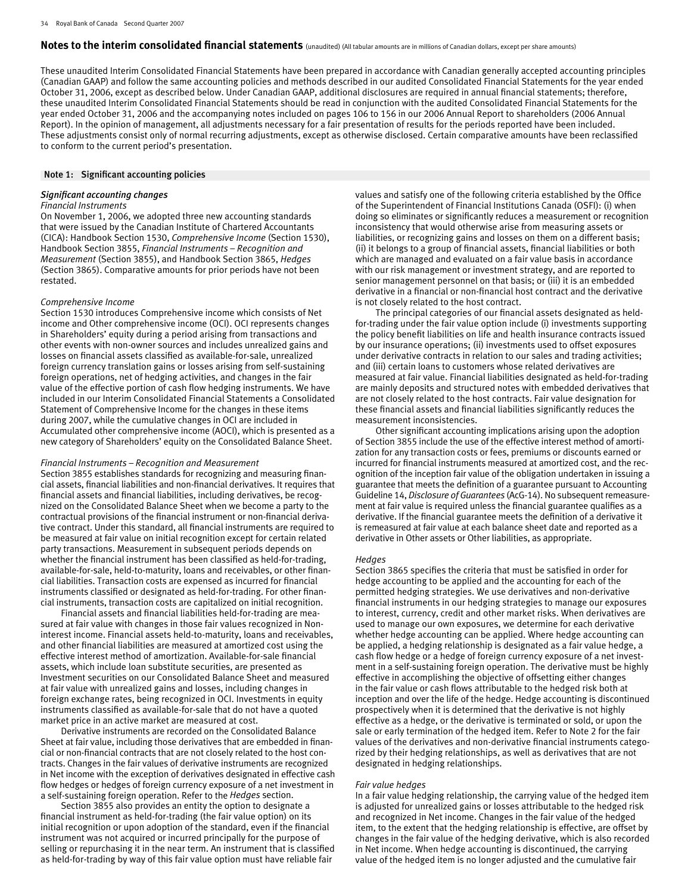# **Notes to the interim consolidated financial statements** (unaudited) (All tabular amounts are in millions of Canadian dollars, except per share amounts)

These unaudited Interim Consolidated Financial Statements have been prepared in accordance with Canadian generally accepted accounting principles (Canadian GAAP) and follow the same accounting policies and methods described in our audited Consolidated Financial Statements for the year ended October 31, 2006, except as described below. Under Canadian GAAP, additional disclosures are required in annual financial statements; therefore, these unaudited Interim Consolidated Financial Statements should be read in conjunction with the audited Consolidated Financial Statements for the year ended October 31, 2006 and the accompanying notes included on pages 106 to 156 in our 2006 Annual Report to shareholders (2006 Annual Report). In the opinion of management, all adjustments necessary for a fair presentation of results for the periods reported have been included. These adjustments consist only of normal recurring adjustments, except as otherwise disclosed. Certain comparative amounts have been reclassified to conform to the current period's presentation.

#### Note 1: Significant accounting policies

## *Significant accounting changes*

#### *Financial Instruments*

On November 1, 2006, we adopted three new accounting standards that were issued by the Canadian Institute of Chartered Accountants (CICA): Handbook Section 1530, *Comprehensive Income* (Section 1530), Handbook Section 3855, *Financial Instruments – Recognition and Measurement* (Section 3855), and Handbook Section 3865, *Hedges* (Section 3865). Comparative amounts for prior periods have not been restated.

#### *Comprehensive Income*

Section 1530 introduces Comprehensive income which consists of Net income and Other comprehensive income (OCI). OCI represents changes in Shareholders' equity during a period arising from transactions and other events with non-owner sources and includes unrealized gains and losses on financial assets classified as available-for-sale, unrealized foreign currency translation gains or losses arising from self-sustaining foreign operations, net of hedging activities, and changes in the fair value of the effective portion of cash flow hedging instruments. We have included in our Interim Consolidated Financial Statements a Consolidated Statement of Comprehensive Income for the changes in these items during 2007, while the cumulative changes in OCI are included in Accumulated other comprehensive income (AOCI), which is presented as a new category of Shareholders' equity on the Consolidated Balance Sheet.

## *Financial Instruments – Recognition and Measurement*

Section 3855 establishes standards for recognizing and measuring financial assets, financial liabilities and non-financial derivatives. It requires that financial assets and financial liabilities, including derivatives, be recognized on the Consolidated Balance Sheet when we become a party to the contractual provisions of the financial instrument or non-financial derivative contract. Under this standard, all financial instruments are required to be measured at fair value on initial recognition except for certain related party transactions. Measurement in subsequent periods depends on whether the financial instrument has been classified as held-for-trading, available-for-sale, held-to-maturity, loans and receivables, or other financial liabilities. Transaction costs are expensed as incurred for financial instruments classified or designated as held-for-trading. For other financial instruments, transaction costs are capitalized on initial recognition.

Financial assets and financial liabilities held-for-trading are measured at fair value with changes in those fair values recognized in Noninterest income. Financial assets held-to-maturity, loans and receivables, and other financial liabilities are measured at amortized cost using the effective interest method of amortization. Available-for-sale financial assets, which include loan substitute securities, are presented as Investment securities on our Consolidated Balance Sheet and measured at fair value with unrealized gains and losses, including changes in foreign exchange rates, being recognized in OCI. Investments in equity instruments classified as available-for-sale that do not have a quoted market price in an active market are measured at cost.

Derivative instruments are recorded on the Consolidated Balance Sheet at fair value, including those derivatives that are embedded in financial or non-financial contracts that are not closely related to the host contracts. Changes in the fair values of derivative instruments are recognized in Net income with the exception of derivatives designated in effective cash flow hedges or hedges of foreign currency exposure of a net investment in a self-sustaining foreign operation. Refer to the *Hedges* section.

Section 3855 also provides an entity the option to designate a financial instrument as held-for-trading (the fair value option) on its initial recognition or upon adoption of the standard, even if the financial instrument was not acquired or incurred principally for the purpose of selling or repurchasing it in the near term. An instrument that is classified as held-for-trading by way of this fair value option must have reliable fair

values and satisfy one of the following criteria established by the Office of the Superintendent of Financial Institutions Canada (OSFI): (i) when doing so eliminates or significantly reduces a measurement or recognition inconsistency that would otherwise arise from measuring assets or liabilities, or recognizing gains and losses on them on a different basis; (ii) it belongs to a group of financial assets, financial liabilities or both which are managed and evaluated on a fair value basis in accordance with our risk management or investment strategy, and are reported to senior management personnel on that basis; or (iii) it is an embedded derivative in a financial or non-financial host contract and the derivative is not closely related to the host contract.

The principal categories of our financial assets designated as heldfor-trading under the fair value option include (i) investments supporting the policy benefit liabilities on life and health insurance contracts issued by our insurance operations; (ii) investments used to offset exposures under derivative contracts in relation to our sales and trading activities; and (iii) certain loans to customers whose related derivatives are measured at fair value. Financial liabilities designated as held-for-trading are mainly deposits and structured notes with embedded derivatives that are not closely related to the host contracts. Fair value designation for these financial assets and financial liabilities significantly reduces the measurement inconsistencies.

Other significant accounting implications arising upon the adoption of Section 3855 include the use of the effective interest method of amortization for any transaction costs or fees, premiums or discounts earned or incurred for financial instruments measured at amortized cost, and the recognition of the inception fair value of the obligation undertaken in issuing a guarantee that meets the definition of a guarantee pursuant to Accounting Guideline 14, *Disclosure of Guarantees* (AcG-14). No subsequent remeasurement at fair value is required unless the financial guarantee qualifies as a derivative. If the financial guarantee meets the definition of a derivative it is remeasured at fair value at each balance sheet date and reported as a derivative in Other assets or Other liabilities, as appropriate.

#### *Hedges*

Section 3865 specifies the criteria that must be satisfied in order for hedge accounting to be applied and the accounting for each of the permitted hedging strategies. We use derivatives and non-derivative financial instruments in our hedging strategies to manage our exposures to interest, currency, credit and other market risks. When derivatives are used to manage our own exposures, we determine for each derivative whether hedge accounting can be applied. Where hedge accounting can be applied, a hedging relationship is designated as a fair value hedge, a cash flow hedge or a hedge of foreign currency exposure of a net investment in a self-sustaining foreign operation. The derivative must be highly effective in accomplishing the objective of offsetting either changes in the fair value or cash flows attributable to the hedged risk both at inception and over the life of the hedge. Hedge accounting is discontinued prospectively when it is determined that the derivative is not highly effective as a hedge, or the derivative is terminated or sold, or upon the sale or early termination of the hedged item. Refer to Note 2 for the fair values of the derivatives and non-derivative financial instruments categorized by their hedging relationships, as well as derivatives that are not designated in hedging relationships.

#### *Fair value hedges*

In a fair value hedging relationship, the carrying value of the hedged item is adjusted for unrealized gains or losses attributable to the hedged risk and recognized in Net income. Changes in the fair value of the hedged item, to the extent that the hedging relationship is effective, are offset by changes in the fair value of the hedging derivative, which is also recorded in Net income. When hedge accounting is discontinued, the carrying value of the hedged item is no longer adjusted and the cumulative fair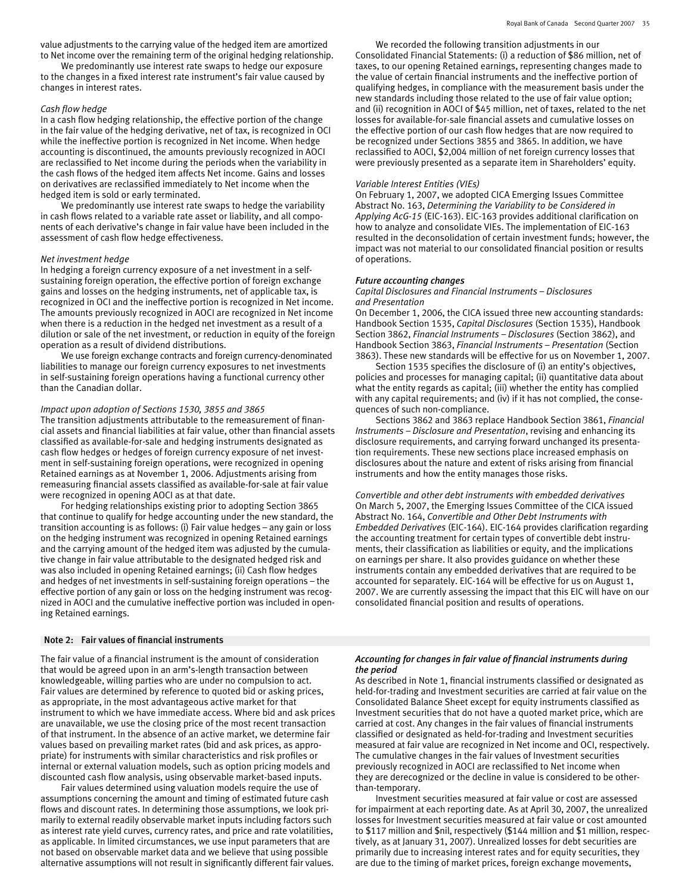value adjustments to the carrying value of the hedged item are amortized to Net income over the remaining term of the original hedging relationship.

We predominantly use interest rate swaps to hedge our exposure to the changes in a fixed interest rate instrument's fair value caused by changes in interest rates.

#### *Cash flow hedge*

In a cash flow hedging relationship, the effective portion of the change in the fair value of the hedging derivative, net of tax, is recognized in OCI while the ineffective portion is recognized in Net income. When hedge accounting is discontinued, the amounts previously recognized in AOCI are reclassified to Net income during the periods when the variability in the cash flows of the hedged item affects Net income. Gains and losses on derivatives are reclassified immediately to Net income when the hedged item is sold or early terminated.

We predominantly use interest rate swaps to hedge the variability in cash flows related to a variable rate asset or liability, and all components of each derivative's change in fair value have been included in the assessment of cash flow hedge effectiveness.

#### *Net investment hedge*

In hedging a foreign currency exposure of a net investment in a selfsustaining foreign operation, the effective portion of foreign exchange gains and losses on the hedging instruments, net of applicable tax, is recognized in OCI and the ineffective portion is recognized in Net income. The amounts previously recognized in AOCI are recognized in Net income when there is a reduction in the hedged net investment as a result of a dilution or sale of the net investment, or reduction in equity of the foreign operation as a result of dividend distributions.

We use foreign exchange contracts and foreign currency-denominated liabilities to manage our foreign currency exposures to net investments in self-sustaining foreign operations having a functional currency other than the Canadian dollar.

#### *Impact upon adoption of Sections 1530, 3855 and 3865*

The transition adjustments attributable to the remeasurement of financial assets and financial liabilities at fair value, other than financial assets classified as available-for-sale and hedging instruments designated as cash flow hedges or hedges of foreign currency exposure of net investment in self-sustaining foreign operations, were recognized in opening Retained earnings as at November 1, 2006. Adjustments arising from remeasuring financial assets classified as available-for-sale at fair value were recognized in opening AOCI as at that date.

For hedging relationships existing prior to adopting Section 3865 that continue to qualify for hedge accounting under the new standard, the transition accounting is as follows: (i) Fair value hedges – any gain or loss on the hedging instrument was recognized in opening Retained earnings and the carrying amount of the hedged item was adjusted by the cumulative change in fair value attributable to the designated hedged risk and was also included in opening Retained earnings; (ii) Cash flow hedges and hedges of net investments in self-sustaining foreign operations – the effective portion of any gain or loss on the hedging instrument was recognized in AOCI and the cumulative ineffective portion was included in opening Retained earnings.

#### Note 2: Fair values of financial instruments

The fair value of a financial instrument is the amount of consideration that would be agreed upon in an arm's-length transaction between knowledgeable, willing parties who are under no compulsion to act. Fair values are determined by reference to quoted bid or asking prices, as appropriate, in the most advantageous active market for that instrument to which we have immediate access. Where bid and ask prices are unavailable, we use the closing price of the most recent transaction of that instrument. In the absence of an active market, we determine fair values based on prevailing market rates (bid and ask prices, as appropriate) for instruments with similar characteristics and risk profiles or internal or external valuation models, such as option pricing models and discounted cash flow analysis, using observable market-based inputs.

Fair values determined using valuation models require the use of assumptions concerning the amount and timing of estimated future cash flows and discount rates. In determining those assumptions, we look primarily to external readily observable market inputs including factors such as interest rate yield curves, currency rates, and price and rate volatilities, as applicable. In limited circumstances, we use input parameters that are not based on observable market data and we believe that using possible alternative assumptions will not result in significantly different fair values.

We recorded the following transition adjustments in our Consolidated Financial Statements: (i) a reduction of \$86 million, net of taxes, to our opening Retained earnings, representing changes made to the value of certain financial instruments and the ineffective portion of qualifying hedges, in compliance with the measurement basis under the new standards including those related to the use of fair value option; and (ii) recognition in AOCI of \$45 million, net of taxes, related to the net losses for available-for-sale financial assets and cumulative losses on the effective portion of our cash flow hedges that are now required to be recognized under Sections 3855 and 3865. In addition, we have reclassified to AOCI, \$2,004 million of net foreign currency losses that were previously presented as a separate item in Shareholders' equity.

#### *Variable Interest Entities (VIEs)*

On February 1, 2007, we adopted CICA Emerging Issues Committee Abstract No. 163, *Determining the Variability to be Considered in Applying AcG-15* (EIC-163). EIC-163 provides additional clarification on how to analyze and consolidate VIEs. The implementation of EIC-163 resulted in the deconsolidation of certain investment funds; however, the impact was not material to our consolidated financial position or results of operations.

#### *Future accounting changes*

*Capital Disclosures and Financial Instruments – Disclosures and Presentation* 

On December 1, 2006, the CICA issued three new accounting standards: Handbook Section 1535, *Capital Disclosures* (Section 1535), Handbook Section 3862, *Financial Instruments – Disclosures* (Section 3862), and Handbook Section 3863, *Financial Instruments – Presentation* (Section 3863). These new standards will be effective for us on November 1, 2007.

Section 1535 specifies the disclosure of (i) an entity's objectives, policies and processes for managing capital; (ii) quantitative data about what the entity regards as capital; (iii) whether the entity has complied with any capital requirements; and (iv) if it has not complied, the consequences of such non-compliance.

Sections 3862 and 3863 replace Handbook Section 3861, *Financial Instruments – Disclosure and Presentation*, revising and enhancing its disclosure requirements, and carrying forward unchanged its presentation requirements. These new sections place increased emphasis on disclosures about the nature and extent of risks arising from financial instruments and how the entity manages those risks.

*Convertible and other debt instruments with embedded derivatives* On March 5, 2007, the Emerging Issues Committee of the CICA issued Abstract No. 164, *Convertible and Other Debt Instruments with Embedded Derivatives* (EIC-164). EIC-164 provides clarification regarding the accounting treatment for certain types of convertible debt instruments, their classification as liabilities or equity, and the implications on earnings per share. It also provides guidance on whether these instruments contain any embedded derivatives that are required to be accounted for separately. EIC-164 will be effective for us on August 1, 2007. We are currently assessing the impact that this EIC will have on our consolidated financial position and results of operations.

#### *Accounting for changes in fair value of financial instruments during the period*

As described in Note 1, financial instruments classified or designated as held-for-trading and Investment securities are carried at fair value on the Consolidated Balance Sheet except for equity instruments classified as Investment securities that do not have a quoted market price, which are carried at cost. Any changes in the fair values of financial instruments classified or designated as held-for-trading and Investment securities measured at fair value are recognized in Net income and OCI, respectively. The cumulative changes in the fair values of Investment securities previously recognized in AOCI are reclassified to Net income when they are derecognized or the decline in value is considered to be otherthan-temporary.

Investment securities measured at fair value or cost are assessed for impairment at each reporting date. As at April 30, 2007, the unrealized losses for Investment securities measured at fair value or cost amounted to \$117 million and \$nil, respectively (\$144 million and \$1 million, respectively, as at January 31, 2007). Unrealized losses for debt securities are primarily due to increasing interest rates and for equity securities, they are due to the timing of market prices, foreign exchange movements,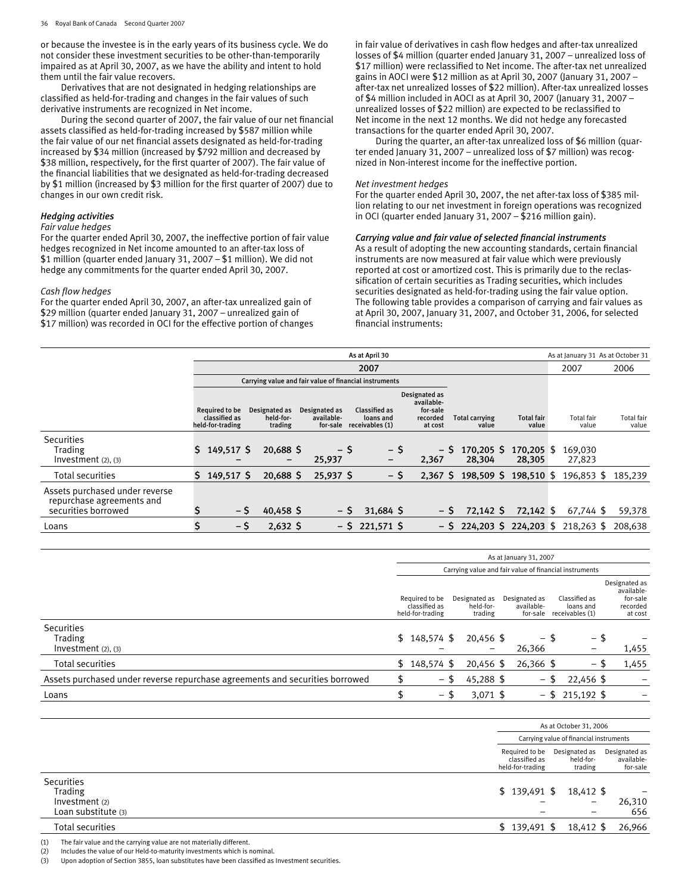or because the investee is in the early years of its business cycle. We do not consider these investment securities to be other-than-temporarily impaired as at April 30, 2007, as we have the ability and intent to hold them until the fair value recovers.

Derivatives that are not designated in hedging relationships are classified as held-for-trading and changes in the fair values of such derivative instruments are recognized in Net income.

During the second quarter of 2007, the fair value of our net financial assets classified as held-for-trading increased by \$587 million while the fair value of our net financial assets designated as held-for-trading increased by \$34 million (increased by \$792 million and decreased by \$38 million, respectively, for the first quarter of 2007). The fair value of the financial liabilities that we designated as held-for-trading decreased by \$1 million (increased by \$3 million for the first quarter of 2007) due to changes in our own credit risk.

#### *Hedging activities*

#### *Fair value hedges*

For the quarter ended April 30, 2007, the ineffective portion of fair value hedges recognized in Net income amounted to an after-tax loss of \$1 million (quarter ended January 31, 2007 – \$1 million). We did not hedge any commitments for the quarter ended April 30, 2007.

#### *Cash flow hedges*

For the quarter ended April 30, 2007, an after-tax unrealized gain of \$29 million (quarter ended January 31, 2007 – unrealized gain of \$17 million) was recorded in OCI for the effective portion of changes in fair value of derivatives in cash flow hedges and after-tax unrealized losses of \$4 million (quarter ended January 31, 2007 – unrealized loss of \$17 million) were reclassified to Net income. The after-tax net unrealized gains in AOCI were \$12 million as at April 30, 2007 (January 31, 2007 – after-tax net unrealized losses of \$22 million). After-tax unrealized losses of \$4 million included in AOCI as at April 30, 2007 (January 31, 2007 – unrealized losses of \$22 million) are expected to be reclassified to Net income in the next 12 months. We did not hedge any forecasted transactions for the quarter ended April 30, 2007.

During the quarter, an after-tax unrealized loss of \$6 million (quarter ended January 31, 2007 – unrealized loss of \$7 million) was recognized in Non-interest income for the ineffective portion.

#### *Net investment hedges*

For the quarter ended April 30, 2007, the net after-tax loss of \$385 million relating to our net investment in foreign operations was recognized in OCI (quarter ended January 31, 2007 – \$216 million gain).

#### *Carrying value and fair value of selected financial instruments*

As a result of adopting the new accounting standards, certain financial instruments are now measured at fair value which were previously reported at cost or amortized cost. This is primarily due to the reclassification of certain securities as Trading securities, which includes securities designated as held-for-trading using the fair value option. The following table provides a comparison of carrying and fair values as at April 30, 2007, January 31, 2007, and October 31, 2006, for selected financial instruments:

|                                                                                    |    |                                                     |                                       |                             |      | As at April 30                                         |               |                                               |                                |                            | As at January 31 As at October 31 |                                         |                     |  |
|------------------------------------------------------------------------------------|----|-----------------------------------------------------|---------------------------------------|-----------------------------|------|--------------------------------------------------------|---------------|-----------------------------------------------|--------------------------------|----------------------------|-----------------------------------|-----------------------------------------|---------------------|--|
|                                                                                    |    |                                                     |                                       |                             |      | 2007                                                   |               |                                               |                                |                            |                                   | 2007                                    | 2006                |  |
|                                                                                    |    |                                                     |                                       |                             |      | Carrying value and fair value of financial instruments |               |                                               |                                |                            |                                   |                                         |                     |  |
|                                                                                    |    | Required to be<br>classified as<br>held-for-trading | Designated as<br>held-for-<br>trading | Designated as<br>available- |      | Classified as<br>loans and<br>for-sale receivables (1) | Designated as | available-<br>for-sale<br>recorded<br>at cost | <b>Total carrying</b><br>value | <b>Total fair</b><br>value |                                   | Total fair<br>value                     | Total fair<br>value |  |
| <b>Securities</b><br>Trading<br>Investment $(2)$ , $(3)$                           |    | 149,517 \$                                          | 20,688 \$<br>$\overline{\phantom{0}}$ | 25,937                      | $-5$ | $-5$<br>-                                              |               | $-5$<br>2,367                                 | 170,205 S<br>28,304            | $170,205$ \$<br>28,305     |                                   | 169,030<br>27,823                       |                     |  |
| Total securities                                                                   | S. | 149,517 \$                                          | 20,688 S                              | 25,937 \$                   |      | – S                                                    |               |                                               | 2,367 \$ 198,509 \$ 198,510 \$ |                            |                                   | 196,853 \$                              | 185,239             |  |
| Assets purchased under reverse<br>repurchase agreements and<br>securities borrowed |    | – Ś                                                 | 40,458 \$                             |                             | $-5$ | 31,684 \$                                              |               | $-5$                                          | 72.142 S                       | $72,142$ \$                |                                   | 67.744 \$                               | 59,378              |  |
| Loans                                                                              |    | – S                                                 | $2,632$ \$                            |                             |      | $-$ \$ 221,571 \$                                      |               |                                               |                                |                            |                                   | $-$ \$ 224,203 \$ 224,203 \$ 218,263 \$ | 208,638             |  |

|                                                                              | As at January 31, 2007                                 |                                                     |    |                                       |  |                                         |  |                                               |                                                                |  |  |  |
|------------------------------------------------------------------------------|--------------------------------------------------------|-----------------------------------------------------|----|---------------------------------------|--|-----------------------------------------|--|-----------------------------------------------|----------------------------------------------------------------|--|--|--|
|                                                                              | Carrying value and fair value of financial instruments |                                                     |    |                                       |  |                                         |  |                                               |                                                                |  |  |  |
|                                                                              |                                                        | Required to be<br>classified as<br>held-for-trading |    | Designated as<br>held-for-<br>trading |  | Designated as<br>available-<br>for-sale |  | Classified as<br>loans and<br>receivables (1) | Designated as<br>available-<br>for-sale<br>recorded<br>at cost |  |  |  |
| Securities<br><b>Trading</b><br>Investment $(2)$ , $(3)$                     |                                                        | $$148,574$ \$                                       |    | 20,456 \$<br>-                        |  | $-5$<br>26,366                          |  | - \$                                          | 1,455                                                          |  |  |  |
| <b>Total securities</b>                                                      | \$                                                     | 148,574 \$                                          |    | 20,456 \$                             |  | 26,366 \$                               |  | - \$                                          | 1,455                                                          |  |  |  |
| Assets purchased under reverse repurchase agreements and securities borrowed | \$                                                     | $\overline{\phantom{m}}$                            | \$ | 45,288 \$                             |  | $-5$                                    |  | 22,456 \$                                     |                                                                |  |  |  |
| Loans                                                                        | \$                                                     | $-5$                                                |    | $3,071$ \$                            |  |                                         |  | $-$ \$ 215,192 \$                             |                                                                |  |  |  |

|                                                                       |                                                     | As at October 31, 2006                  |                                           |  |  |  |  |  |  |
|-----------------------------------------------------------------------|-----------------------------------------------------|-----------------------------------------|-------------------------------------------|--|--|--|--|--|--|
|                                                                       |                                                     | Carrying value of financial instruments |                                           |  |  |  |  |  |  |
|                                                                       | Required to be<br>classified as<br>held-for-trading | Designated as<br>held-for-<br>trading   | Designated as<br>available-<br>for-sale   |  |  |  |  |  |  |
| <b>Securities</b><br>Trading<br>Investment (2)<br>Loan substitute (3) | $$139,491$ \$<br>-<br>-                             | 18,412 \$<br>-<br>-                     | $\overline{\phantom{0}}$<br>26,310<br>656 |  |  |  |  |  |  |
| Total securities                                                      | $$139,491$ \$                                       | 18,412 \$                               | 26,966                                    |  |  |  |  |  |  |

(1) The fair value and the carrying value are not materially different.

(2) Includes the value of our Held-to-maturity investments which is nominal.

(3) Upon adoption of Section 3855, loan substitutes have been classified as Investment securities.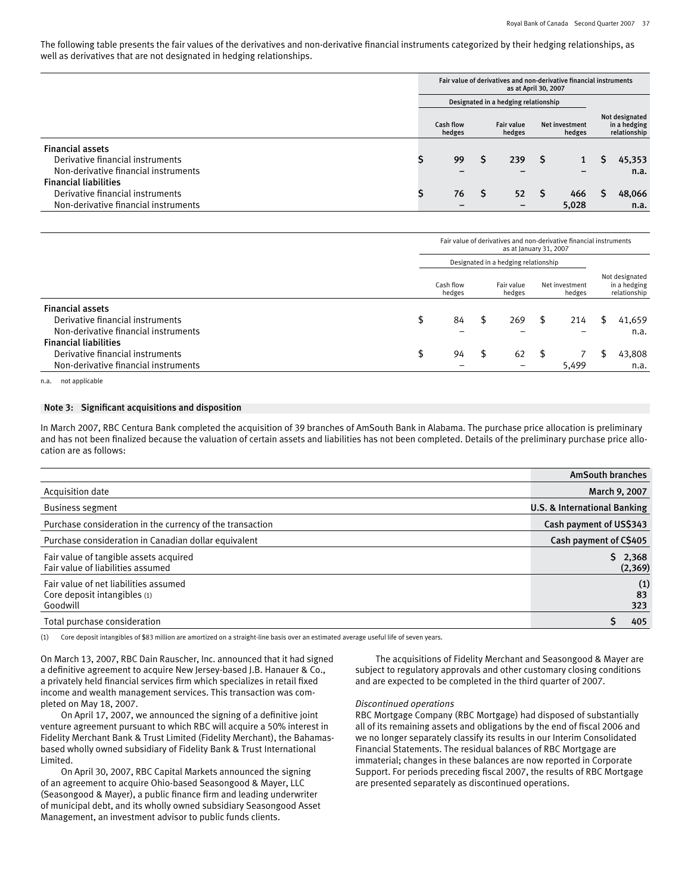The following table presents the fair values of the derivatives and non-derivative financial instruments categorized by their hedging relationships, as well as derivatives that are not designated in hedging relationships.

|                                      | Fair value of derivatives and non-derivative financial instruments<br>as at April 30, 2007 |                                      |  |                             |   |                          |  |                                                |  |  |  |  |
|--------------------------------------|--------------------------------------------------------------------------------------------|--------------------------------------|--|-----------------------------|---|--------------------------|--|------------------------------------------------|--|--|--|--|
|                                      |                                                                                            | Designated in a hedging relationship |  |                             |   |                          |  |                                                |  |  |  |  |
|                                      |                                                                                            | Cash flow<br>hedges                  |  | <b>Fair value</b><br>hedges |   | Net investment<br>hedges |  | Not designated<br>in a hedging<br>relationship |  |  |  |  |
| <b>Financial assets</b>              |                                                                                            |                                      |  |                             |   |                          |  |                                                |  |  |  |  |
| Derivative financial instruments     |                                                                                            | 99                                   |  | 239                         | S |                          |  | 45,353                                         |  |  |  |  |
| Non-derivative financial instruments |                                                                                            |                                      |  |                             |   | -                        |  | n.a.                                           |  |  |  |  |
| <b>Financial liabilities</b>         |                                                                                            |                                      |  |                             |   |                          |  |                                                |  |  |  |  |
| Derivative financial instruments     |                                                                                            | 76                                   |  | 52                          | S | 466                      |  | 48,066                                         |  |  |  |  |
| Non-derivative financial instruments |                                                                                            |                                      |  |                             |   | 5,028                    |  | n.a.                                           |  |  |  |  |

|                                      |                                      | Fair value of derivatives and non-derivative financial instruments<br>as at January 31, 2007 |                      |     |                          |                                                |
|--------------------------------------|--------------------------------------|----------------------------------------------------------------------------------------------|----------------------|-----|--------------------------|------------------------------------------------|
|                                      | Designated in a hedging relationship |                                                                                              |                      |     |                          |                                                |
|                                      | Cash flow<br>hedges                  |                                                                                              | Fair value<br>hedges |     | Net investment<br>hedges | Not designated<br>in a hedging<br>relationship |
| <b>Financial assets</b>              |                                      |                                                                                              |                      |     |                          |                                                |
| Derivative financial instruments     | \$<br>84                             | S                                                                                            | 269                  | S   | 214                      | 41,659                                         |
| Non-derivative financial instruments |                                      |                                                                                              |                      |     |                          | n.a.                                           |
| <b>Financial liabilities</b>         |                                      |                                                                                              |                      |     |                          |                                                |
| Derivative financial instruments     | \$<br>94                             | S                                                                                            | 62                   | \$. |                          | 43,808                                         |
| Non-derivative financial instruments |                                      |                                                                                              |                      |     | 5,499                    | n.a.                                           |

n.a. not applicable

## Note 3: Significant acquisitions and disposition

In March 2007, RBC Centura Bank completed the acquisition of 39 branches of AmSouth Bank in Alabama. The purchase price allocation is preliminary and has not been finalized because the valuation of certain assets and liabilities has not been completed. Details of the preliminary purchase price allocation are as follows:

|                                                                                   | <b>AmSouth branches</b>                 |
|-----------------------------------------------------------------------------------|-----------------------------------------|
| Acquisition date                                                                  | March 9, 2007                           |
| <b>Business segment</b>                                                           | <b>U.S. &amp; International Banking</b> |
| Purchase consideration in the currency of the transaction                         | Cash payment of US\$343                 |
| Purchase consideration in Canadian dollar equivalent                              | Cash payment of C\$405                  |
| Fair value of tangible assets acquired<br>Fair value of liabilities assumed       | 2,368<br>(2,369)                        |
| Fair value of net liabilities assumed<br>Core deposit intangibles (1)<br>Goodwill | (1)<br>83<br>323                        |
| Total purchase consideration                                                      | 405                                     |

(1) Core deposit intangibles of \$83 million are amortized on a straight-line basis over an estimated average useful life of seven years.

On March 13, 2007, RBC Dain Rauscher, Inc. announced that it had signed a definitive agreement to acquire New Jersey-based J.B. Hanauer & Co., a privately held financial services firm which specializes in retail fixed income and wealth management services. This transaction was completed on May 18, 2007.

On April 17, 2007, we announced the signing of a definitive joint venture agreement pursuant to which RBC will acquire a 50% interest in Fidelity Merchant Bank & Trust Limited (Fidelity Merchant), the Bahamasbased wholly owned subsidiary of Fidelity Bank & Trust International Limited.

On April 30, 2007, RBC Capital Markets announced the signing of an agreement to acquire Ohio-based Seasongood & Mayer, LLC (Seasongood & Mayer), a public finance firm and leading underwriter of municipal debt, and its wholly owned subsidiary Seasongood Asset Management, an investment advisor to public funds clients.

The acquisitions of Fidelity Merchant and Seasongood & Mayer are subject to regulatory approvals and other customary closing conditions and are expected to be completed in the third quarter of 2007.

#### *Discontinued operations*

RBC Mortgage Company (RBC Mortgage) had disposed of substantially all of its remaining assets and obligations by the end of fiscal 2006 and we no longer separately classify its results in our Interim Consolidated Financial Statements. The residual balances of RBC Mortgage are immaterial; changes in these balances are now reported in Corporate Support. For periods preceding fiscal 2007, the results of RBC Mortgage are presented separately as discontinued operations.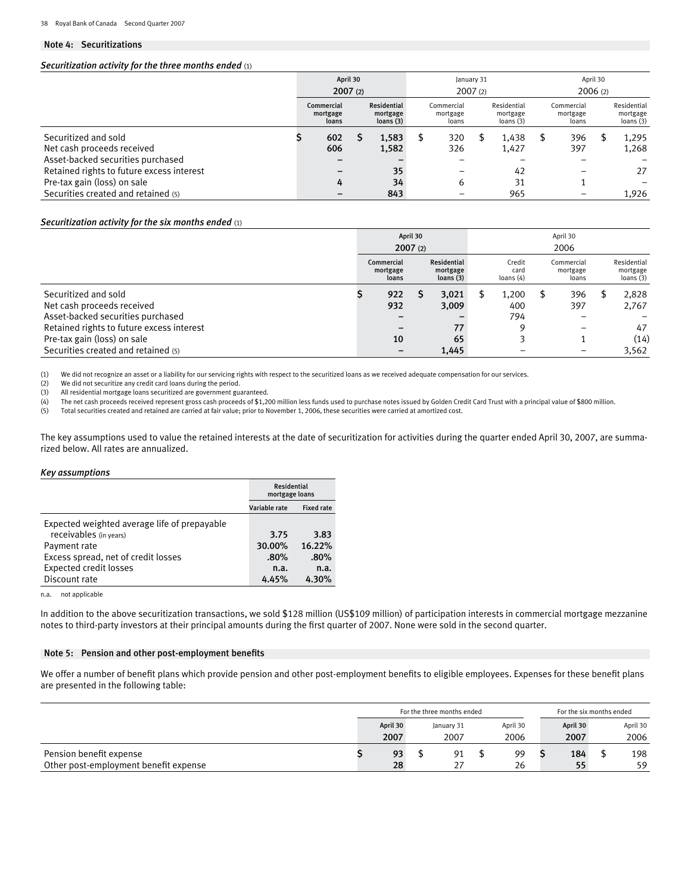#### Note 4: Securitizations

#### *Securitization activity for the three months ended* (1)

|                                           | April 30<br>2007(2)             |  |                                     |                                 | January 31<br>2007(2) |                                      |   | April 30<br>2006(2)             |                                     |
|-------------------------------------------|---------------------------------|--|-------------------------------------|---------------------------------|-----------------------|--------------------------------------|---|---------------------------------|-------------------------------------|
|                                           | Commercial<br>mortgage<br>loans |  | Residential<br>mortgage<br>loans(3) | Commercial<br>mortgage<br>loans |                       | Residential<br>mortgage<br>loans (3) |   | Commercial<br>mortgage<br>loans | Residential<br>mortgage<br>loans(3) |
| Securitized and sold                      | 602                             |  | 1,583                               | 320                             |                       | 1,438                                | S | 396                             | 1,295                               |
| Net cash proceeds received                | 606                             |  | 1,582                               | 326                             |                       | 1,427                                |   | 397                             | 1,268                               |
| Asset-backed securities purchased         |                                 |  |                                     |                                 |                       |                                      |   |                                 |                                     |
| Retained rights to future excess interest |                                 |  | 35                                  |                                 |                       | 42                                   |   | -                               | 27                                  |
| Pre-tax gain (loss) on sale               | 4                               |  | 34                                  | 6                               |                       | 31                                   |   |                                 |                                     |
| Securities created and retained (5)       |                                 |  | 843                                 |                                 |                       | 965                                  |   | $\overline{\phantom{0}}$        | 1,926                               |

#### *Securitization activity for the six months ended* (1)

|                                           | April 30 |                                 |  |                                     |  |                            | April 30                        |                                     |
|-------------------------------------------|----------|---------------------------------|--|-------------------------------------|--|----------------------------|---------------------------------|-------------------------------------|
|                                           |          | 2007(2)                         |  |                                     |  |                            | 2006                            |                                     |
|                                           |          | Commercial<br>mortgage<br>loans |  | Residential<br>mortgage<br>loans(3) |  | Credit<br>card<br>loans(4) | Commercial<br>mortgage<br>loans | Residential<br>mortgage<br>loans(3) |
| Securitized and sold                      |          | 922                             |  | 3,021                               |  | 1,200                      | 396                             | 2,828                               |
| Net cash proceeds received                |          | 932                             |  | 3,009                               |  | 400                        | 397                             | 2,767                               |
| Asset-backed securities purchased         |          |                                 |  |                                     |  | 794                        |                                 |                                     |
| Retained rights to future excess interest |          |                                 |  | 77                                  |  | q                          | -                               | 47                                  |
| Pre-tax gain (loss) on sale               |          | 10                              |  | 65                                  |  |                            |                                 | (14)                                |
| Securities created and retained (5)       |          |                                 |  | 1,445                               |  |                            |                                 | 3,562                               |

(1) We did not recognize an asset or a liability for our servicing rights with respect to the securitized loans as we received adequate compensation for our services.

(2) We did not securitize any credit card loans during the period.

(3) All residential mortgage loans securitized are government guaranteed.<br>(4) The net cash proceeds received represent gross cash proceeds of \$1,2 The net cash proceeds received represent gross cash proceeds of \$1,200 million less funds used to purchase notes issued by Golden Credit Card Trust with a principal value of \$800 million.

(5) Total securities created and retained are carried at fair value; prior to November 1, 2006, these securities were carried at amortized cost.

The key assumptions used to value the retained interests at the date of securitization for activities during the quarter ended April 30, 2007, are summarized below. All rates are annualized.

#### *Key assumptions*

|                                              | Residential<br>mortgage loans |                   |
|----------------------------------------------|-------------------------------|-------------------|
|                                              | Variable rate                 | <b>Fixed rate</b> |
| Expected weighted average life of prepavable |                               |                   |
| receivables (in years)                       | 3.75                          | 3.83              |
| Payment rate                                 | 30.00%                        | 16.22%            |
| Excess spread, net of credit losses          | .80%                          | .80%              |
| <b>Expected credit losses</b>                | n.a.                          | n.a.              |
| Discount rate                                | 4.45%                         | $4.30\%$          |

n.a. not applicable

In addition to the above securitization transactions, we sold \$128 million (US\$109 million) of participation interests in commercial mortgage mezzanine notes to third-party investors at their principal amounts during the first quarter of 2007. None were sold in the second quarter.

#### Note 5: Pension and other post-employment benefits

We offer a number of benefit plans which provide pension and other post-employment benefits to eligible employees. Expenses for these benefit plans are presented in the following table:

|                                       |          | For the three months ended |            | For the six months ended |          |  |          |  |
|---------------------------------------|----------|----------------------------|------------|--------------------------|----------|--|----------|--|
|                                       | April 30 |                            | January 31 | April 30                 | April 30 |  | April 30 |  |
|                                       | 2007     |                            | 2007       | 2006                     | 2007     |  | 2006     |  |
| Pension benefit expense               | 93       |                            | 91         | 99                       | 184      |  | 198      |  |
| Other post-employment benefit expense | 28       |                            |            | 26                       | 55       |  | 59       |  |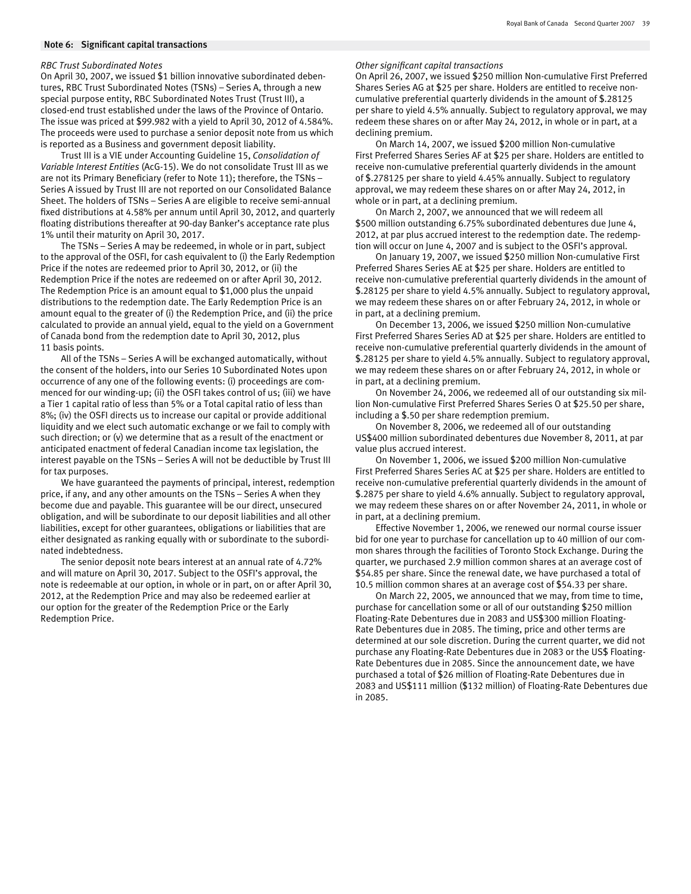#### Note 6: Significant capital transactions

#### *RBC Trust Subordinated Notes*

On April 30, 2007, we issued \$1 billion innovative subordinated debentures, RBC Trust Subordinated Notes (TSNs) – Series A, through a new special purpose entity, RBC Subordinated Notes Trust (Trust III), a closed-end trust established under the laws of the Province of Ontario. The issue was priced at \$99.982 with a yield to April 30, 2012 of 4.584%. The proceeds were used to purchase a senior deposit note from us which is reported as a Business and government deposit liability.

Trust III is a VIE under Accounting Guideline 15, *Consolidation of Variable Interest Entities* (AcG-15). We do not consolidate Trust III as we are not its Primary Beneficiary (refer to Note 11); therefore, the TSNs – Series A issued by Trust III are not reported on our Consolidated Balance Sheet. The holders of TSNs – Series A are eligible to receive semi-annual fixed distributions at 4.58% per annum until April 30, 2012, and quarterly floating distributions thereafter at 90-day Banker's acceptance rate plus 1% until their maturity on April 30, 2017.

The TSNs – Series A may be redeemed, in whole or in part, subject to the approval of the OSFI, for cash equivalent to (i) the Early Redemption Price if the notes are redeemed prior to April 30, 2012, or (ii) the Redemption Price if the notes are redeemed on or after April 30, 2012. The Redemption Price is an amount equal to \$1,000 plus the unpaid distributions to the redemption date. The Early Redemption Price is an amount equal to the greater of (i) the Redemption Price, and (ii) the price calculated to provide an annual yield, equal to the yield on a Government of Canada bond from the redemption date to April 30, 2012, plus 11 basis points.

All of the TSNs – Series A will be exchanged automatically, without the consent of the holders, into our Series 10 Subordinated Notes upon occurrence of any one of the following events: (i) proceedings are commenced for our winding-up; (ii) the OSFI takes control of us; (iii) we have a Tier 1 capital ratio of less than 5% or a Total capital ratio of less than 8%; (iv) the OSFI directs us to increase our capital or provide additional liquidity and we elect such automatic exchange or we fail to comply with such direction; or (v) we determine that as a result of the enactment or anticipated enactment of federal Canadian income tax legislation, the interest payable on the TSNs – Series A will not be deductible by Trust III for tax purposes.

We have guaranteed the payments of principal, interest, redemption price, if any, and any other amounts on the TSNs – Series A when they become due and payable. This guarantee will be our direct, unsecured obligation, and will be subordinate to our deposit liabilities and all other liabilities, except for other guarantees, obligations or liabilities that are either designated as ranking equally with or subordinate to the subordinated indebtedness.

The senior deposit note bears interest at an annual rate of 4.72% and will mature on April 30, 2017. Subject to the OSFI's approval, the note is redeemable at our option, in whole or in part, on or after April 30, 2012, at the Redemption Price and may also be redeemed earlier at our option for the greater of the Redemption Price or the Early Redemption Price.

#### *Other significant capital transactions*

On April 26, 2007, we issued \$250 million Non-cumulative First Preferred Shares Series AG at \$25 per share. Holders are entitled to receive noncumulative preferential quarterly dividends in the amount of \$.28125 per share to yield 4.5% annually. Subject to regulatory approval, we may redeem these shares on or after May 24, 2012, in whole or in part, at a declining premium.

On March 14, 2007, we issued \$200 million Non-cumulative First Preferred Shares Series AF at \$25 per share. Holders are entitled to receive non-cumulative preferential quarterly dividends in the amount of \$.278125 per share to yield 4.45% annually. Subject to regulatory approval, we may redeem these shares on or after May 24, 2012, in whole or in part, at a declining premium.

On March 2, 2007, we announced that we will redeem all \$500 million outstanding 6.75% subordinated debentures due June 4, 2012, at par plus accrued interest to the redemption date. The redemption will occur on June 4, 2007 and is subject to the OSFI's approval.

On January 19, 2007, we issued \$250 million Non-cumulative First Preferred Shares Series AE at \$25 per share. Holders are entitled to receive non-cumulative preferential quarterly dividends in the amount of \$.28125 per share to yield 4.5% annually. Subject to regulatory approval, we may redeem these shares on or after February 24, 2012, in whole or in part, at a declining premium.

On December 13, 2006, we issued \$250 million Non-cumulative First Preferred Shares Series AD at \$25 per share. Holders are entitled to receive non-cumulative preferential quarterly dividends in the amount of \$.28125 per share to yield 4.5% annually. Subject to regulatory approval, we may redeem these shares on or after February 24, 2012, in whole or in part, at a declining premium.

On November 24, 2006, we redeemed all of our outstanding six million Non-cumulative First Preferred Shares Series O at \$25.50 per share, including a \$.50 per share redemption premium.

On November 8, 2006, we redeemed all of our outstanding US\$400 million subordinated debentures due November 8, 2011, at par value plus accrued interest.

On November 1, 2006, we issued \$200 million Non-cumulative First Preferred Shares Series AC at \$25 per share. Holders are entitled to receive non-cumulative preferential quarterly dividends in the amount of \$.2875 per share to yield 4.6% annually. Subject to regulatory approval, we may redeem these shares on or after November 24, 2011, in whole or in part, at a declining premium.

Effective November 1, 2006, we renewed our normal course issuer bid for one year to purchase for cancellation up to 40 million of our common shares through the facilities of Toronto Stock Exchange. During the quarter, we purchased 2.9 million common shares at an average cost of \$54.85 per share. Since the renewal date, we have purchased a total of 10.5 million common shares at an average cost of \$54.33 per share.

On March 22, 2005, we announced that we may, from time to time, purchase for cancellation some or all of our outstanding \$250 million Floating-Rate Debentures due in 2083 and US\$300 million Floating-Rate Debentures due in 2085. The timing, price and other terms are determined at our sole discretion. During the current quarter, we did not purchase any Floating-Rate Debentures due in 2083 or the US\$ Floating-Rate Debentures due in 2085. Since the announcement date, we have purchased a total of \$26 million of Floating-Rate Debentures due in 2083 and US\$111 million (\$132 million) of Floating-Rate Debentures due in 2085.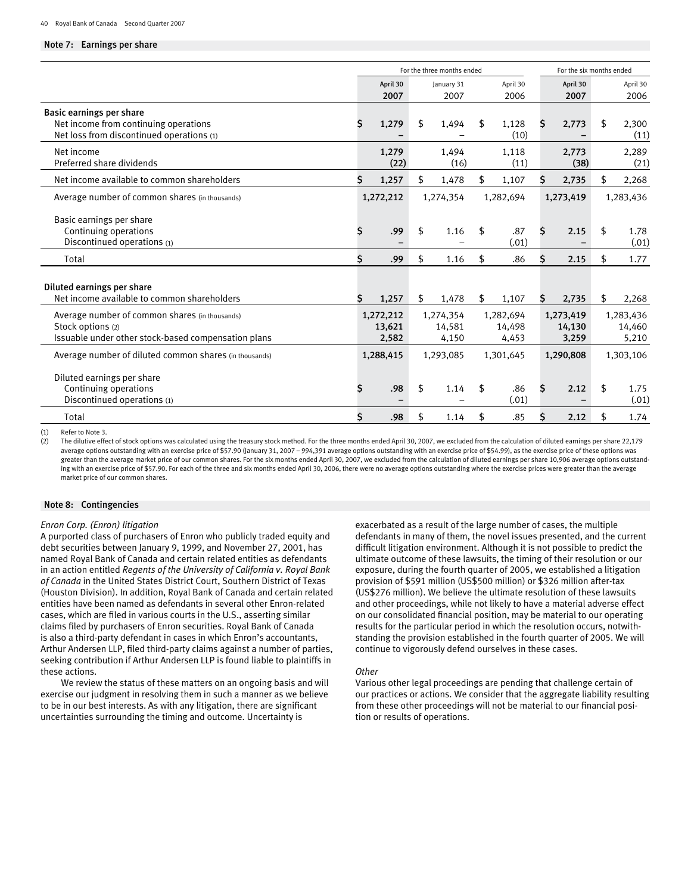#### Note 7: Earnings per share

|                                                                                                                            |   |                              | For the three months ended   |                              |   |                              | For the six months ended |                              |  |  |  |  |
|----------------------------------------------------------------------------------------------------------------------------|---|------------------------------|------------------------------|------------------------------|---|------------------------------|--------------------------|------------------------------|--|--|--|--|
|                                                                                                                            |   | April 30<br>2007             | January 31<br>2007           | April 30<br>2006             |   | April 30<br>2007             |                          | April 30<br>2006             |  |  |  |  |
| Basic earnings per share<br>Net income from continuing operations<br>Net loss from discontinued operations (1)             | S | 1,279                        | \$<br>1,494                  | \$<br>1,128<br>(10)          |   | 2,773                        | \$                       | 2,300<br>(11)                |  |  |  |  |
| Net income<br>Preferred share dividends                                                                                    |   | 1,279<br>(22)                | 1.494<br>(16)                | 1.118<br>(11)                |   | 2.773<br>(38)                |                          | 2,289<br>(21)                |  |  |  |  |
| Net income available to common shareholders                                                                                | Ś | 1,257                        | \$<br>1,478                  | \$<br>1,107                  | Ś | 2,735                        | \$                       | 2,268                        |  |  |  |  |
| Average number of common shares (in thousands)                                                                             |   | 1,272,212                    | 1,274,354                    | 1,282,694                    |   | 1,273,419                    |                          | 1,283,436                    |  |  |  |  |
| Basic earnings per share<br>Continuing operations<br>Discontinued operations (1)                                           | Ś | .99                          | \$<br>1.16                   | \$<br>.87<br>(.01)           | S | 2.15                         | \$                       | 1.78<br>(.01)                |  |  |  |  |
| Total                                                                                                                      | Ś | .99                          | \$<br>1.16                   | \$<br>.86                    | Ś | 2.15                         | \$                       | 1.77                         |  |  |  |  |
| Diluted earnings per share<br>Net income available to common shareholders                                                  | Ś | 1,257                        | \$<br>1,478                  | \$<br>1,107                  | S | 2,735                        | \$                       | 2,268                        |  |  |  |  |
| Average number of common shares (in thousands)<br>Stock options (2)<br>Issuable under other stock-based compensation plans |   | 1,272,212<br>13,621<br>2,582 | 1,274,354<br>14,581<br>4,150 | 1,282,694<br>14,498<br>4,453 |   | 1,273,419<br>14,130<br>3,259 |                          | 1,283,436<br>14,460<br>5,210 |  |  |  |  |
| Average number of diluted common shares (in thousands)                                                                     |   | 1,288,415                    | 1,293,085                    | 1,301,645                    |   | 1,290,808                    |                          | 1,303,106                    |  |  |  |  |
| Diluted earnings per share<br>Continuing operations<br>Discontinued operations (1)                                         |   | .98                          | \$<br>1.14                   | \$<br>.86<br>(.01)           | S | 2.12                         | \$                       | 1.75<br>(.01)                |  |  |  |  |
| Total                                                                                                                      |   | .98                          | \$<br>1.14                   | \$<br>.85                    | Ś | 2.12                         |                          | 1.74                         |  |  |  |  |

(1) Refer to Note 3.

(2) The dilutive effect of stock options was calculated using the treasury stock method. For the three months ended April 30, 2007, we excluded from the calculation of diluted earnings per share 22,179 average options outstanding with an exercise price of \$57.90 (January 31, 2007 – 994,391 average options outstanding with an exercise price of \$54.99), as the exercise price of these options was greater than the average market price of our common shares. For the six months ended April 30, 2007, we excluded from the calculation of diluted earnings per share 10,906 average options outstanding with an exercise price of \$57.90. For each of the three and six months ended April 30, 2006, there were no average options outstanding where the exercise prices were greater than the average market price of our common shares.

#### Note 8: Contingencies

#### *Enron Corp. (Enron) litigation*

A purported class of purchasers of Enron who publicly traded equity and debt securities between January 9, 1999, and November 27, 2001, has named Royal Bank of Canada and certain related entities as defendants in an action entitled *Regents of the University of California v. Royal Bank of Canada* in the United States District Court, Southern District of Texas (Houston Division). In addition, Royal Bank of Canada and certain related entities have been named as defendants in several other Enron-related cases, which are filed in various courts in the U.S., asserting similar claims filed by purchasers of Enron securities. Royal Bank of Canada is also a third-party defendant in cases in which Enron's accountants, Arthur Andersen LLP, filed third-party claims against a number of parties, seeking contribution if Arthur Andersen LLP is found liable to plaintiffs in these actions.

We review the status of these matters on an ongoing basis and will exercise our judgment in resolving them in such a manner as we believe to be in our best interests. As with any litigation, there are significant uncertainties surrounding the timing and outcome. Uncertainty is

exacerbated as a result of the large number of cases, the multiple defendants in many of them, the novel issues presented, and the current difficult litigation environment. Although it is not possible to predict the ultimate outcome of these lawsuits, the timing of their resolution or our exposure, during the fourth quarter of 2005, we established a litigation provision of \$591 million (US\$500 million) or \$326 million after-tax (US\$276 million). We believe the ultimate resolution of these lawsuits and other proceedings, while not likely to have a material adverse effect on our consolidated financial position, may be material to our operating results for the particular period in which the resolution occurs, notwithstanding the provision established in the fourth quarter of 2005. We will continue to vigorously defend ourselves in these cases.

#### *Other*

Various other legal proceedings are pending that challenge certain of our practices or actions. We consider that the aggregate liability resulting from these other proceedings will not be material to our financial position or results of operations.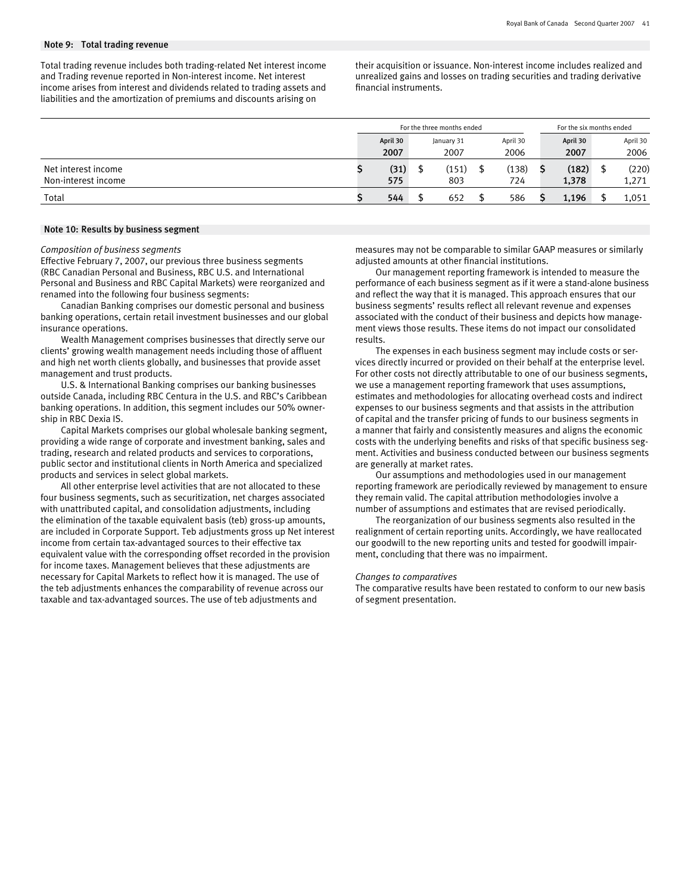#### Note 9: Total trading revenue

their acquisition or issuance. Non-interest income includes realized and unrealized gains and losses on trading securities and trading derivative financial instruments.

|                     |          | For the three months ended |  |          | For the six months ended |          |          |
|---------------------|----------|----------------------------|--|----------|--------------------------|----------|----------|
|                     | April 30 | January 31                 |  | April 30 |                          | April 30 | April 30 |
|                     | 2007     | 2007                       |  | 2006     |                          | 2007     | 2006     |
| Net interest income | (31)     | (151)                      |  | (138)    | Ð                        | (182)    | (220)    |
| Non-interest income | 575      | 803                        |  | 724      |                          | 1,378    | 1,271    |
| Total               | 544      | 652                        |  | 586      |                          | 1,196    | 1,051    |

#### Note 10: Results by business segment

*Composition of business segments* 

Effective February 7, 2007, our previous three business segments (RBC Canadian Personal and Business, RBC U.S. and International Personal and Business and RBC Capital Markets) were reorganized and renamed into the following four business segments:

Canadian Banking comprises our domestic personal and business banking operations, certain retail investment businesses and our global insurance operations.

Wealth Management comprises businesses that directly serve our clients' growing wealth management needs including those of affluent and high net worth clients globally, and businesses that provide asset management and trust products.

U.S. & International Banking comprises our banking businesses outside Canada, including RBC Centura in the U.S. and RBC's Caribbean banking operations. In addition, this segment includes our 50% ownership in RBC Dexia IS.

Capital Markets comprises our global wholesale banking segment, providing a wide range of corporate and investment banking, sales and trading, research and related products and services to corporations, public sector and institutional clients in North America and specialized products and services in select global markets.

All other enterprise level activities that are not allocated to these four business segments, such as securitization, net charges associated with unattributed capital, and consolidation adjustments, including the elimination of the taxable equivalent basis (teb) gross-up amounts, are included in Corporate Support. Teb adjustments gross up Net interest income from certain tax-advantaged sources to their effective tax equivalent value with the corresponding offset recorded in the provision for income taxes. Management believes that these adjustments are necessary for Capital Markets to reflect how it is managed. The use of the teb adjustments enhances the comparability of revenue across our taxable and tax-advantaged sources. The use of teb adjustments and

measures may not be comparable to similar GAAP measures or similarly adjusted amounts at other financial institutions.

Our management reporting framework is intended to measure the performance of each business segment as if it were a stand-alone business and reflect the way that it is managed. This approach ensures that our business segments' results reflect all relevant revenue and expenses associated with the conduct of their business and depicts how management views those results. These items do not impact our consolidated results.

The expenses in each business segment may include costs or services directly incurred or provided on their behalf at the enterprise level. For other costs not directly attributable to one of our business segments, we use a management reporting framework that uses assumptions, estimates and methodologies for allocating overhead costs and indirect expenses to our business segments and that assists in the attribution of capital and the transfer pricing of funds to our business segments in a manner that fairly and consistently measures and aligns the economic costs with the underlying benefits and risks of that specific business segment. Activities and business conducted between our business segments are generally at market rates.

Our assumptions and methodologies used in our management reporting framework are periodically reviewed by management to ensure they remain valid. The capital attribution methodologies involve a number of assumptions and estimates that are revised periodically.

The reorganization of our business segments also resulted in the realignment of certain reporting units. Accordingly, we have reallocated our goodwill to the new reporting units and tested for goodwill impairment, concluding that there was no impairment.

#### *Changes to comparatives*

The comparative results have been restated to conform to our new basis of segment presentation.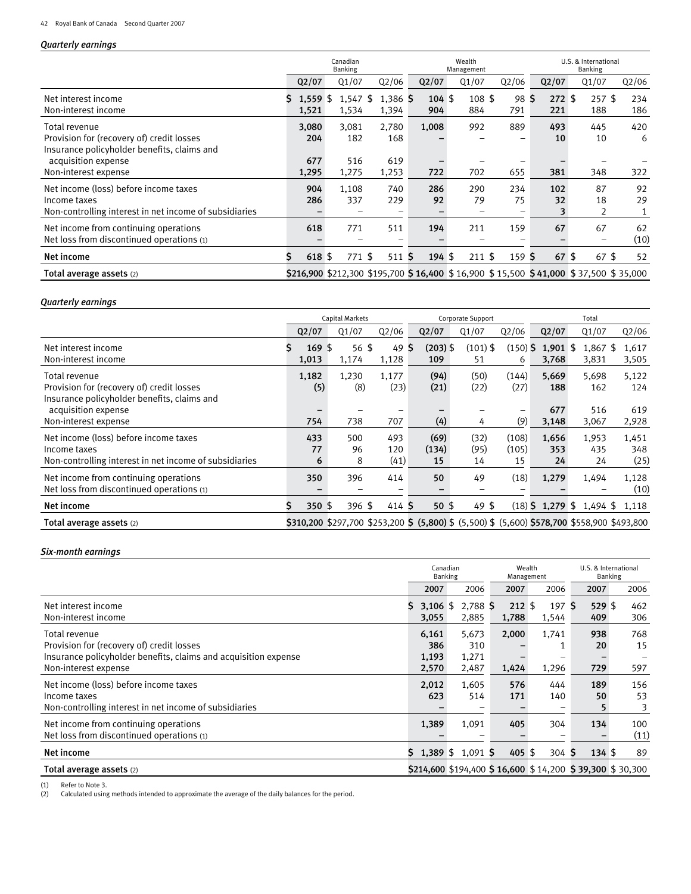#### 42 Royal Bank of Canada Second Quarter 2007

## *Quarterly earnings*

|                                                                                                                                  | Canadian<br><b>Banking</b> |            |  |                     |     |                     |   |             | Wealth<br>Management                  |                | U.S. & International<br><b>Banking</b> |                 |                                                                                     |            |  |  |
|----------------------------------------------------------------------------------------------------------------------------------|----------------------------|------------|--|---------------------|-----|---------------------|---|-------------|---------------------------------------|----------------|----------------------------------------|-----------------|-------------------------------------------------------------------------------------|------------|--|--|
|                                                                                                                                  | Q2/07                      |            |  | Q1/07               |     | Q2/06               |   | Q2/07       | Q1/07                                 | Q2/06          | Q2/07                                  |                 | Q1/07                                                                               | Q2/06      |  |  |
| Net interest income<br>Non-interest income                                                                                       | 1,521                      | $1,559$ \$ |  | $1,547$ \$<br>1,534 |     | 1,386 \$<br>1,394   |   | 104S<br>904 | $108 \text{ }$ \$<br>884              | 98<br>791      | Ŝ<br>221                               | 272S            | $257$ \$<br>188                                                                     | 234<br>186 |  |  |
| Total revenue<br>Provision for (recovery of) credit losses<br>Insurance policyholder benefits, claims and<br>acquisition expense | 3,080                      | 204<br>677 |  | 3,081<br>182<br>516 |     | 2,780<br>168<br>619 |   | 1,008       | 992                                   | 889            | 493                                    | 10              | 445<br>10                                                                           | 420<br>6   |  |  |
| Non-interest expense                                                                                                             | 1,295                      |            |  | 1,275               |     | 1,253               |   | 722         | 702                                   | 655            | 381                                    |                 | 348                                                                                 | 322        |  |  |
| Net income (loss) before income taxes<br>Income taxes<br>Non-controlling interest in net income of subsidiaries                  |                            | 904<br>286 |  | 1,108<br>337        |     | 740<br>229<br>-     |   | 286<br>92   | 290<br>79<br>$\overline{\phantom{0}}$ | 234<br>75<br>- | 102                                    | 32<br>3         | 87<br>18<br>2                                                                       | 92<br>29   |  |  |
| Net income from continuing operations<br>Net loss from discontinued operations (1)                                               |                            | 618        |  | 771                 |     | 511<br>-            |   | 194         | 211                                   | 159            |                                        | 67              | 67                                                                                  | 62<br>(10) |  |  |
| Net income                                                                                                                       | S                          | 618 \$     |  | 771                 | -\$ | 511                 | S | 194 \$      | $211$ \$                              | 159 S          |                                        | 67 <sup>5</sup> | $67$ \$                                                                             | 52         |  |  |
| <b>Total average assets (2)</b>                                                                                                  |                            |            |  |                     |     |                     |   |             |                                       |                |                                        |                 | \$216,900 \$212,300 \$195,700 \$16,400 \$16,900 \$15,500 \$41,000 \$37,500 \$35,000 |            |  |  |

## *Quarterly earnings*

|                                                            | <b>Capital Markets</b> |              |              |     |               |   | <b>Corporate Support</b> |                                                                                              | Total         |  |              |                             |              |  |
|------------------------------------------------------------|------------------------|--------------|--------------|-----|---------------|---|--------------------------|----------------------------------------------------------------------------------------------|---------------|--|--------------|-----------------------------|--------------|--|
|                                                            |                        | Q2/07        | Q1/07        |     | Q2/06         |   | Q2/07                    | Q1/07                                                                                        | Q2/06         |  | Q2/07        | Q1/07                       | Q2/06        |  |
| Net interest income                                        |                        | 169 \$       |              | 56S | 49            | S | $(203)$ \$               | $(101)$ \$                                                                                   | $(150)$ \$    |  | $1,901$ \$   | 1,867                       | 1,617<br>5   |  |
| Non-interest income                                        |                        | 1,013        | 1,174        |     | 1,128         |   | 109                      | 51                                                                                           | 6             |  | 3,768        | 3,831                       | 3,505        |  |
| Total revenue<br>Provision for (recovery of) credit losses |                        | 1,182<br>(5) | 1,230<br>(8) |     | 1,177<br>(23) |   | (94)<br>(21)             | (50)<br>(22)                                                                                 | (144)<br>(27) |  | 5,669<br>188 | 5,698<br>162                | 5,122<br>124 |  |
| Insurance policyholder benefits, claims and                |                        |              |              |     |               |   |                          |                                                                                              |               |  |              |                             |              |  |
| acquisition expense<br>Non-interest expense                |                        | 754          | 738          |     | 707           |   | (4)                      | 4                                                                                            | (9)           |  | 677<br>3,148 | 516<br>3,067                | 619<br>2,928 |  |
| Net income (loss) before income taxes                      |                        | 433          | 500          |     | 493           |   | (69)                     | (32)                                                                                         | (108)         |  | 1,656        | 1,953                       | 1,451        |  |
| Income taxes                                               |                        | 77           | 96           |     | 120           |   | (134)                    | (95)                                                                                         | (105)         |  | 353          | 435                         | 348          |  |
| Non-controlling interest in net income of subsidiaries     |                        | 6            | 8            |     | (41)          |   | 15                       | 14                                                                                           | 15            |  | 24           | 24                          | (25)         |  |
| Net income from continuing operations                      |                        | 350          | 396          |     | 414           |   | 50                       | 49                                                                                           | (18)          |  | 1,279        | 1,494                       | 1,128        |  |
| Net loss from discontinued operations (1)                  |                        | —            | -            |     | -             |   |                          |                                                                                              |               |  |              |                             | (10)         |  |
| Net income                                                 | \$.                    | 350S         | 396 \$       |     | 414S          |   | 50 <sup>5</sup>          | 49 \$                                                                                        |               |  |              | $(18)$ \$ 1,279 \$ 1,494 \$ | 1,118        |  |
| <b>Total average assets (2)</b>                            |                        |              |              |     |               |   |                          | \$310,200 \$297,700 \$253,200 \$ (5,800) \$ (5,500) \$ (5,600) \$578,700 \$558,900 \$493,800 |               |  |              |                             |              |  |

# *Six-month earnings*

|                                                                                         | Canadian<br><b>Banking</b> |                     |                   |   | Wealth<br>Management    |  | U.S. & International<br>Banking |                                                         |  |             |
|-----------------------------------------------------------------------------------------|----------------------------|---------------------|-------------------|---|-------------------------|--|---------------------------------|---------------------------------------------------------|--|-------------|
|                                                                                         |                            | 2007                | 2006              |   | 2007                    |  | 2006                            | 2007                                                    |  | 2006        |
| Net interest income<br>Non-interest income                                              | S                          | $3,106$ \$<br>3,055 | 2,788 \$<br>2,885 |   | $212 \text{ }$<br>1,788 |  | 197 $S$<br>1,544                | $529$ \$<br>409                                         |  | 462<br>306  |
| Total revenue<br>Provision for (recovery of) credit losses                              |                            | 6,161<br>386        | 5,673<br>310      |   | 2,000                   |  | 1,741                           | 938<br>20                                               |  | 768<br>15   |
| Insurance policyholder benefits, claims and acquisition expense<br>Non-interest expense |                            | 1,193<br>2,570      | 1,271<br>2,487    |   | 1,424                   |  | 1,296                           | 729                                                     |  | 597         |
| Net income (loss) before income taxes                                                   |                            | 2,012               | 1,605             |   | 576                     |  | 444                             | 189                                                     |  | 156         |
| Income taxes<br>Non-controlling interest in net income of subsidiaries                  |                            | 623                 | 514               | - | 171                     |  | 140                             | 50                                                      |  | 53<br>3     |
| Net income from continuing operations<br>Net loss from discontinued operations (1)      |                            | 1,389               | 1,091             |   | 405                     |  | 304                             | 134                                                     |  | 100<br>(11) |
| Net income                                                                              | S.                         |                     | 1,389 \$ 1,091 \$ |   | $405 \text{ }$ \$       |  | 304 S                           | $134 \text{ }$ \$                                       |  | 89          |
| <b>Total average assets (2)</b>                                                         |                            |                     |                   |   |                         |  |                                 | \$214,600 \$194,400 \$16,600 \$14,200 \$39,300 \$30,300 |  |             |

(1) Refer to Note 3.

(2) Calculated using methods intended to approximate the average of the daily balances for the period.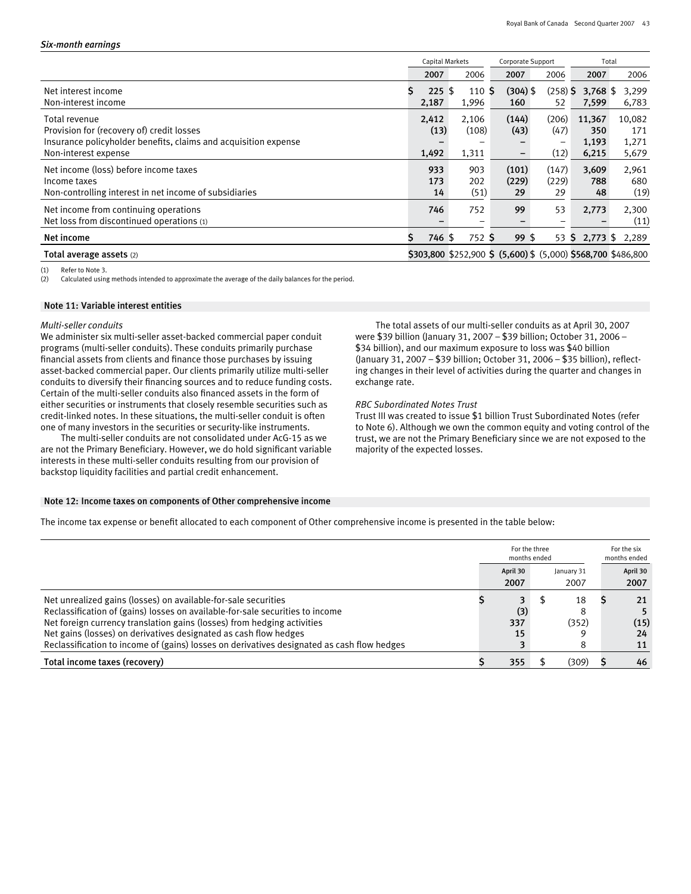|                                                                 | <b>Capital Markets</b> |        |                 |  |                 | Corporate Support            | Total                                                         |  |        |
|-----------------------------------------------------------------|------------------------|--------|-----------------|--|-----------------|------------------------------|---------------------------------------------------------------|--|--------|
|                                                                 |                        | 2007   | 2006            |  | 2007            | 2006                         | 2007                                                          |  | 2006   |
| Net interest income                                             |                        | 225    | 110 $S$<br>- \$ |  | $(304)$ \$      | $(258)$ \$                   | $3,768$ \$                                                    |  | 3,299  |
| Non-interest income                                             | 2,187                  |        | 1,996           |  | 160             | 52                           | 7,599                                                         |  | 6,783  |
| Total revenue                                                   | 2,412                  |        | 2,106           |  | (144)           | (206)                        | 11,367                                                        |  | 10,082 |
| Provision for (recovery of) credit losses                       |                        | (13)   | (108)           |  | (43)            | (47)                         | 350                                                           |  | 171    |
| Insurance policyholder benefits, claims and acquisition expense |                        |        |                 |  |                 | $\qquad \qquad \blacksquare$ | 1,193                                                         |  | 1,271  |
| Non-interest expense                                            | 1,492                  |        | 1,311           |  |                 | (12)                         | 6,215                                                         |  | 5,679  |
| Net income (loss) before income taxes                           |                        | 933    | 903             |  | (101)           | (147)                        | 3,609                                                         |  | 2,961  |
| Income taxes                                                    |                        | 173    | 202             |  | (229)           | (229)                        | 788                                                           |  | 680    |
| Non-controlling interest in net income of subsidiaries          |                        | 14     | (51)            |  | 29              | 29                           | 48                                                            |  | (19)   |
| Net income from continuing operations                           |                        | 746    | 752             |  | 99              | 53                           | 2,773                                                         |  | 2,300  |
| Net loss from discontinued operations (1)                       |                        |        | -               |  |                 | -                            |                                                               |  | (11)   |
| Net income                                                      | S                      | 746 \$ | 752 S           |  | 99 <sup>5</sup> | 53                           | $$2,773$ \$ 2,289                                             |  |        |
| <b>Total average assets (2)</b>                                 |                        |        |                 |  |                 |                              | \$303,800 \$252,900 \$ (5,600) \$ (5,000) \$568,700 \$486,800 |  |        |

(1) Refer to Note 3.

(2) Calculated using methods intended to approximate the average of the daily balances for the period.

#### Note 11: Variable interest entities

#### *Multi-seller conduits*

We administer six multi-seller asset-backed commercial paper conduit programs (multi-seller conduits). These conduits primarily purchase financial assets from clients and finance those purchases by issuing asset-backed commercial paper. Our clients primarily utilize multi-seller conduits to diversify their financing sources and to reduce funding costs. Certain of the multi-seller conduits also financed assets in the form of either securities or instruments that closely resemble securities such as credit-linked notes. In these situations, the multi-seller conduit is often one of many investors in the securities or security-like instruments.

The multi-seller conduits are not consolidated under AcG-15 as we are not the Primary Beneficiary. However, we do hold significant variable interests in these multi-seller conduits resulting from our provision of backstop liquidity facilities and partial credit enhancement.

The total assets of our multi-seller conduits as at April 30, 2007 were \$39 billion (January 31, 2007 – \$39 billion; October 31, 2006 – \$34 billion), and our maximum exposure to loss was \$40 billion (January 31, 2007 – \$39 billion; October 31, 2006 – \$35 billion), reflecting changes in their level of activities during the quarter and changes in exchange rate.

#### *RBC Subordinated Notes Trust*

Trust III was created to issue \$1 billion Trust Subordinated Notes (refer to Note 6). Although we own the common equity and voting control of the trust, we are not the Primary Beneficiary since we are not exposed to the majority of the expected losses.

#### Note 12: Income taxes on components of Other comprehensive income

The income tax expense or benefit allocated to each component of Other comprehensive income is presented in the table below:

|                                                                                            | For the three<br>months ended |            | For the six<br>months ended |
|--------------------------------------------------------------------------------------------|-------------------------------|------------|-----------------------------|
|                                                                                            | April 30                      | January 31 | April 30                    |
|                                                                                            | 2007                          | 2007       | 2007                        |
| Net unrealized gains (losses) on available-for-sale securities                             |                               | 18         | 21                          |
| Reclassification of (gains) losses on available-for-sale securities to income              | (3)                           | 8          |                             |
| Net foreign currency translation gains (losses) from hedging activities                    | 337                           | (352)      | (15)                        |
| Net gains (losses) on derivatives designated as cash flow hedges                           | 15                            |            | 24                          |
| Reclassification to income of (gains) losses on derivatives designated as cash flow hedges |                               | 8          | 11                          |
| Total income taxes (recovery)                                                              | 355                           | (309)      | 46                          |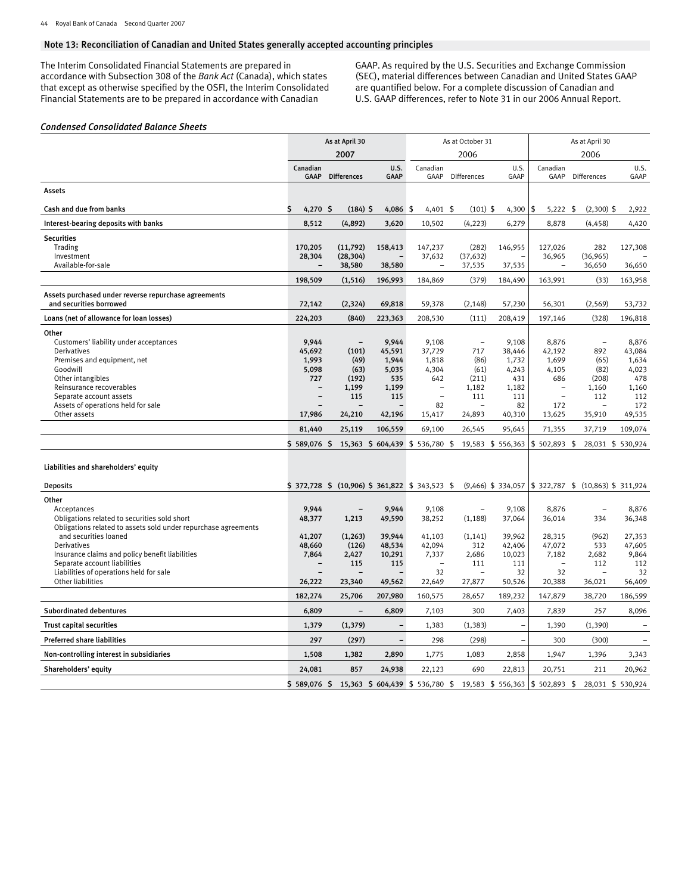The Interim Consolidated Financial Statements are prepared in accordance with Subsection 308 of the *Bank Act* (Canada), which states that except as otherwise specified by the OSFI, the Interim Consolidated Financial Statements are to be prepared in accordance with Canadian

GAAP. As required by the U.S. Securities and Exchange Commission (SEC), material differences between Canadian and United States GAAP are quantified below. For a complete discussion of Canadian and U.S. GAAP differences, refer to Note 31 in our 2006 Annual Report.

#### *Condensed Consolidated Balance Sheets*

|                                                                                         |             |              | As at April 30      |                                                  | As at October 31<br>As at April 30 |                          |  |                          |                                                                                         |          |                          |  |                    |  |              |
|-----------------------------------------------------------------------------------------|-------------|--------------|---------------------|--------------------------------------------------|------------------------------------|--------------------------|--|--------------------------|-----------------------------------------------------------------------------------------|----------|--------------------------|--|--------------------|--|--------------|
|                                                                                         |             |              | 2007                |                                                  |                                    |                          |  | 2006                     |                                                                                         |          |                          |  | 2006               |  |              |
|                                                                                         | Canadian    | GAAP         | <b>Differences</b>  | U.S.<br><b>GAAP</b>                              |                                    | Canadian<br>GAAP         |  | Differences              | U.S.<br>GAAP                                                                            | Canadian | GAAP                     |  | Differences        |  | U.S.<br>GAAP |
| Assets                                                                                  |             |              |                     |                                                  |                                    |                          |  |                          |                                                                                         |          |                          |  |                    |  |              |
| Cash and due from banks                                                                 | S           | $4,270$ \$   | $(184)$ \$          | 4,086 \$                                         |                                    | 4,401 \$                 |  | $(101)$ \$               | 4,300 $\frac{1}{9}$                                                                     |          | $5,222$ \$               |  | $(2,300)$ \$       |  | 2,922        |
| Interest-bearing deposits with banks                                                    |             | 8,512        | (4,892)             | 3,620                                            |                                    | 10,502                   |  | (4,223)                  | 6,279                                                                                   |          | 8,878                    |  | (4, 458)           |  | 4,420        |
| <b>Securities</b>                                                                       |             |              |                     |                                                  |                                    |                          |  |                          |                                                                                         |          |                          |  |                    |  |              |
| Trading                                                                                 | 170,205     |              | (11,792)            | 158,413                                          |                                    | 147,237                  |  | (282)                    | 146,955                                                                                 | 127,026  |                          |  | 282                |  | 127,308      |
| Investment<br>Available-for-sale                                                        | 28,304      |              | (28, 304)<br>38,580 | 38,580                                           |                                    | 37,632                   |  | (37, 632)<br>37,535      | 37,535                                                                                  | 36,965   |                          |  | (36,965)<br>36,650 |  | 36,650       |
|                                                                                         |             |              |                     |                                                  |                                    |                          |  |                          |                                                                                         |          |                          |  |                    |  |              |
|                                                                                         | 198,509     |              | (1, 516)            | 196,993                                          |                                    | 184,869                  |  | (379)                    | 184,490                                                                                 | 163,991  |                          |  | (33)               |  | 163,958      |
| Assets purchased under reverse repurchase agreements<br>and securities borrowed         | 72,142      |              | (2,324)             | 69,818                                           |                                    | 59,378                   |  | (2, 148)                 | 57,230                                                                                  | 56,301   |                          |  | (2, 569)           |  | 53,732       |
| Loans (net of allowance for loan losses)                                                | 224,203     |              | (840)               | 223,363                                          |                                    | 208,530                  |  | (111)                    | 208,419                                                                                 | 197,146  |                          |  | (328)              |  | 196,818      |
| Other                                                                                   |             |              |                     |                                                  |                                    |                          |  |                          |                                                                                         |          |                          |  |                    |  |              |
| Customers' liability under acceptances                                                  |             | 9,944        |                     | 9,944                                            |                                    | 9,108                    |  | $\overline{\phantom{a}}$ | 9,108                                                                                   |          | 8,876                    |  |                    |  | 8,876        |
| Derivatives                                                                             | 45,692      |              | (101)               | 45,591                                           |                                    | 37,729                   |  | 717                      | 38,446                                                                                  |          | 42,192                   |  | 892                |  | 43,084       |
| Premises and equipment, net                                                             |             | 1,993        | (49)                | 1,944                                            |                                    | 1.818                    |  | (86)                     | 1,732                                                                                   |          | 1,699                    |  | (65)               |  | 1,634        |
| Goodwill<br>Other intangibles                                                           |             | 5,098<br>727 | (63)<br>(192)       | 5,035<br>535                                     |                                    | 4,304<br>642             |  | (61)<br>(211)            | 4,243<br>431                                                                            |          | 4,105<br>686             |  | (82)<br>(208)      |  | 4,023<br>478 |
| Reinsurance recoverables                                                                |             |              | 1,199               | 1,199                                            |                                    | ÷                        |  | 1,182                    | 1,182                                                                                   |          | $\overline{\phantom{a}}$ |  | 1,160              |  | 1,160        |
| Separate account assets                                                                 |             |              | 115                 | 115                                              |                                    | $\overline{\phantom{a}}$ |  | 111                      | 111                                                                                     |          | L,                       |  | 112                |  | 112          |
| Assets of operations held for sale                                                      |             |              |                     |                                                  |                                    | 82                       |  |                          | 82                                                                                      |          | 172                      |  |                    |  | 172          |
| Other assets                                                                            | 17,986      |              | 24,210              | 42,196                                           |                                    | 15,417                   |  | 24,893                   | 40,310                                                                                  | 13,625   |                          |  | 35,910             |  | 49,535       |
|                                                                                         | 81,440      |              | 25,119              | 106,559                                          |                                    | 69,100                   |  | 26,545                   | 95,645                                                                                  | 71,355   |                          |  | 37,719             |  | 109,074      |
|                                                                                         | \$589,076\$ |              |                     | 15,363 \$ 604,439 \$ 536,780 \$                  |                                    |                          |  |                          | 19,583 \$ 556,363 \$ 502,893 \$                                                         |          |                          |  | 28,031 \$ 530,924  |  |              |
| Liabilities and shareholders' equity                                                    |             |              |                     |                                                  |                                    |                          |  |                          |                                                                                         |          |                          |  |                    |  |              |
| <b>Deposits</b>                                                                         |             |              |                     | $$372,728$ $$(10,906)$ $$361,822$ $$343,523$ $$$ |                                    |                          |  |                          | $(9,466)$ \$ 334,057   \$ 322,787 \$ $(10,863)$ \$ 311,924                              |          |                          |  |                    |  |              |
| Other                                                                                   |             |              |                     |                                                  |                                    |                          |  |                          |                                                                                         |          |                          |  |                    |  |              |
| Acceptances                                                                             |             | 9,944        |                     | 9,944                                            |                                    | 9,108                    |  |                          | 9,108                                                                                   |          | 8,876                    |  | ۰                  |  | 8,876        |
| Obligations related to securities sold short                                            | 48,377      |              | 1,213               | 49,590                                           |                                    | 38,252                   |  | (1, 188)                 | 37,064                                                                                  |          | 36,014                   |  | 334                |  | 36,348       |
| Obligations related to assets sold under repurchase agreements<br>and securities loaned | 41,207      |              | (1, 263)            | 39,944                                           |                                    | 41,103                   |  | (1, 141)                 | 39,962                                                                                  |          | 28,315                   |  | (962)              |  | 27,353       |
| <b>Derivatives</b>                                                                      | 48,660      |              | (126)               | 48,534                                           |                                    | 42,094                   |  | 312                      | 42,406                                                                                  |          | 47,072                   |  | 533                |  | 47,605       |
| Insurance claims and policy benefit liabilities                                         |             | 7,864        | 2,427               | 10,291                                           |                                    | 7,337                    |  | 2,686                    | 10,023                                                                                  |          | 7,182                    |  | 2,682              |  | 9,864        |
| Separate account liabilities                                                            |             |              | 115                 | 115                                              |                                    |                          |  | 111                      | 111                                                                                     |          |                          |  | 112                |  | 112          |
| Liabilities of operations held for sale                                                 |             |              |                     |                                                  |                                    | 32                       |  | ÷                        | 32                                                                                      |          | 32                       |  |                    |  | 32           |
| Other liabilities                                                                       | 26,222      |              | 23,340              | 49,562                                           |                                    | 22,649                   |  | 27,877                   | 50,526                                                                                  |          | 20,388                   |  | 36,021             |  | 56,409       |
|                                                                                         | 182,274     |              | 25,706              | 207,980                                          |                                    | 160,575                  |  | 28,657                   | 189,232                                                                                 | 147,879  |                          |  | 38,720             |  | 186,599      |
| <b>Subordinated debentures</b>                                                          |             | 6,809        |                     | 6,809                                            |                                    | 7,103                    |  | 300                      | 7,403                                                                                   |          | 7,839                    |  | 257                |  | 8,096        |
| <b>Trust capital securities</b>                                                         |             | 1,379        | (1, 379)            |                                                  |                                    | 1,383                    |  | (1, 383)                 |                                                                                         |          | 1,390                    |  | (1, 390)           |  |              |
| <b>Preferred share liabilities</b>                                                      |             | 297          | (297)               | $\overline{\phantom{0}}$                         |                                    | 298                      |  | (298)                    | $\overline{\phantom{a}}$                                                                |          | 300                      |  | (300)              |  | ÷            |
| Non-controlling interest in subsidiaries                                                |             | 1,508        | 1,382               | 2,890                                            |                                    | 1,775                    |  | 1,083                    | 2,858                                                                                   |          | 1,947                    |  | 1,396              |  | 3,343        |
| Shareholders' equity                                                                    | 24,081      |              | 857                 | 24,938                                           |                                    | 22,123                   |  | 690                      | 22,813                                                                                  | 20,751   |                          |  | 211                |  | 20,962       |
|                                                                                         |             |              |                     |                                                  |                                    |                          |  |                          | \$ 589,076 \$ 15,363 \$ 604,439 \$ 536,780 \$ 19,583 \$ 556,363 \$ 502,893 \$ 28,031 \$ |          |                          |  |                    |  | 530,924      |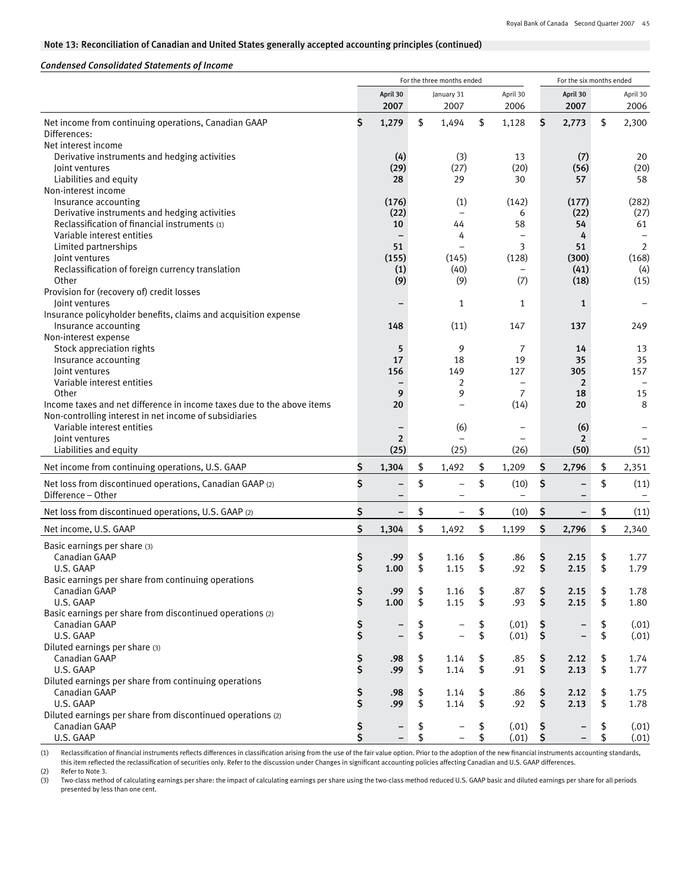#### *Condensed Consolidated Statements of Income*

|                                                                                         |          |                          |                     | For the three months ended |    |                          |    | For the six months ended |    |                  |  |
|-----------------------------------------------------------------------------------------|----------|--------------------------|---------------------|----------------------------|----|--------------------------|----|--------------------------|----|------------------|--|
|                                                                                         |          | April 30<br>2007         |                     | January 31<br>2007         |    | April 30<br>2006         |    | April 30<br>2007         |    | April 30<br>2006 |  |
| Net income from continuing operations, Canadian GAAP                                    | Ś        | 1,279                    | \$                  | 1,494                      | \$ | 1,128                    | \$ | 2,773                    | \$ | 2,300            |  |
| Differences:                                                                            |          |                          |                     |                            |    |                          |    |                          |    |                  |  |
| Net interest income                                                                     |          |                          |                     |                            |    |                          |    |                          |    |                  |  |
| Derivative instruments and hedging activities                                           |          | (4)                      |                     | (3)                        |    | 13                       |    | (7)                      |    | 20               |  |
| Joint ventures                                                                          |          | (29)                     |                     | (27)                       |    | (20)                     |    | (56)                     |    | (20)             |  |
| Liabilities and equity                                                                  |          | 28                       |                     | 29                         |    | 30                       |    | 57                       |    | 58               |  |
| Non-interest income                                                                     |          |                          |                     |                            |    |                          |    |                          |    |                  |  |
| Insurance accounting                                                                    |          | (176)                    |                     | (1)                        |    | (142)                    |    | (177)                    |    | (282)            |  |
| Derivative instruments and hedging activities                                           |          | (22)                     |                     | $\overline{\phantom{a}}$   |    | 6                        |    | (22)                     |    | (27)             |  |
| Reclassification of financial instruments (1)                                           |          | 10                       |                     | 44                         |    | 58                       |    | 54                       |    | 61               |  |
| Variable interest entities                                                              |          |                          |                     | 4                          |    | $\overline{\phantom{0}}$ |    | 4                        |    |                  |  |
| Limited partnerships                                                                    |          | 51                       |                     |                            |    | 3                        |    | 51                       |    | 2                |  |
| Joint ventures                                                                          |          | (155)                    |                     | (145)                      |    | (128)                    |    | (300)                    |    | (168)            |  |
| Reclassification of foreign currency translation                                        |          | (1)                      |                     | (40)                       |    |                          |    | (41)                     |    | (4)              |  |
| Other                                                                                   |          | (9)                      |                     | (9)                        |    | (7)                      |    | (18)                     |    | (15)             |  |
| Provision for (recovery of) credit losses<br>loint ventures                             |          |                          |                     | 1                          |    | $\mathbf{1}$             |    | $\mathbf{1}$             |    |                  |  |
|                                                                                         |          |                          |                     |                            |    |                          |    |                          |    |                  |  |
| Insurance policyholder benefits, claims and acquisition expense<br>Insurance accounting |          | 148                      |                     | (11)                       |    | 147                      |    | 137                      |    | 249              |  |
| Non-interest expense                                                                    |          |                          |                     |                            |    |                          |    |                          |    |                  |  |
| Stock appreciation rights                                                               |          | 5                        |                     | 9                          |    | 7                        |    | 14                       |    | 13               |  |
| Insurance accounting                                                                    |          | 17                       |                     | 18                         |    | 19                       |    | 35                       |    | 35               |  |
| Joint ventures                                                                          |          | 156                      |                     | 149                        |    | 127                      |    | 305                      |    | 157              |  |
| Variable interest entities                                                              |          | $\overline{\phantom{0}}$ |                     | 2                          |    | $\overline{\phantom{m}}$ |    | $\overline{2}$           |    |                  |  |
| Other                                                                                   |          | 9                        |                     | 9                          |    | $\overline{7}$           |    | 18                       |    | 15               |  |
| Income taxes and net difference in income taxes due to the above items                  |          | 20                       |                     |                            |    | (14)                     |    | 20                       |    | 8                |  |
| Non-controlling interest in net income of subsidiaries                                  |          |                          |                     |                            |    |                          |    |                          |    |                  |  |
| Variable interest entities                                                              |          | $\overline{\phantom{0}}$ |                     | (6)                        |    |                          |    | (6)                      |    |                  |  |
| Joint ventures                                                                          |          | $\overline{2}$           |                     |                            |    |                          |    | $\overline{2}$           |    |                  |  |
| Liabilities and equity                                                                  |          | (25)                     |                     | (25)                       |    | (26)                     |    | (50)                     |    | (51)             |  |
| Net income from continuing operations, U.S. GAAP                                        | \$       | 1,304                    | \$                  | 1,492                      | \$ | 1,209                    | \$ | 2,796                    | \$ | 2,351            |  |
| Net loss from discontinued operations, Canadian GAAP (2)                                | \$       | $\overline{\phantom{0}}$ | \$                  | $\qquad \qquad -$          | \$ | (10)                     | \$ | $\qquad \qquad -$        | \$ | (11)             |  |
| Difference - Other                                                                      |          | $\overline{\phantom{0}}$ |                     |                            |    |                          |    |                          |    |                  |  |
| Net loss from discontinued operations, U.S. GAAP (2)                                    | \$       |                          | \$                  |                            | \$ | (10)                     | \$ | $\overline{\phantom{0}}$ | \$ | (11)             |  |
| Net income, U.S. GAAP                                                                   | \$       | 1,304                    | \$                  | 1,492                      | \$ | 1,199                    | Ś  | 2,796                    | \$ | 2,340            |  |
| Basic earnings per share (3)                                                            |          |                          |                     |                            |    |                          |    |                          |    |                  |  |
| Canadian GAAP                                                                           | Ş        | .99                      | \$                  | 1.16                       | \$ | .86                      | \$ | 2.15                     | \$ | 1.77             |  |
| U.S. GAAP                                                                               | \$       | 1.00                     | \$                  | 1.15                       | \$ | .92                      | Ś  | 2.15                     | \$ | 1.79             |  |
| Basic earnings per share from continuing operations                                     |          |                          |                     |                            |    |                          |    |                          |    |                  |  |
| Canadian GAAP                                                                           |          | .99                      | \$                  | 1.16                       | \$ | .87                      | \$ | 2.15                     | \$ | 1.78             |  |
| U.S. GAAP                                                                               | \$<br>\$ | 1.00                     | $\frac{1}{2}$       | 1.15                       | \$ | .93                      | \$ | 2.15                     | \$ | 1.80             |  |
| Basic earnings per share from discontinued operations (2)                               |          |                          |                     |                            |    |                          |    |                          |    |                  |  |
| Canadian GAAP                                                                           | \$       |                          | \$                  |                            | \$ | (.01)                    | \$ |                          | \$ | (.01)            |  |
| U.S. GAAP                                                                               | \$       |                          | \$                  |                            | \$ | (.01)                    | \$ |                          | \$ | (.01)            |  |
| Diluted earnings per share (3)                                                          |          |                          |                     |                            |    |                          |    |                          |    |                  |  |
| Canadian GAAP                                                                           | \$       | .98                      | \$                  | 1.14                       | \$ | .85                      | \$ | 2.12                     | \$ | 1.74             |  |
| U.S. GAAP                                                                               | \$       | .99                      | $\pmb{\mathsf{\$}}$ | 1.14                       | \$ | .91                      | \$ | 2.13                     | \$ | 1.77             |  |
| Diluted earnings per share from continuing operations                                   |          |                          |                     |                            |    |                          |    |                          |    |                  |  |
| Canadian GAAP                                                                           | \$       | .98                      | \$                  | 1.14                       | \$ | .86                      | \$ | 2.12                     | \$ | 1.75             |  |
| U.S. GAAP                                                                               | \$       | .99                      | $\sqrt{2}$          | 1.14                       | \$ | .92                      | \$ | 2.13                     | \$ | 1.78             |  |
| Diluted earnings per share from discontinued operations (2)                             |          |                          |                     |                            |    |                          |    |                          |    |                  |  |
| Canadian GAAP                                                                           | \$<br>\$ |                          | \$                  |                            | \$ | (.01)                    | Ş  |                          | \$ | (.01)            |  |
| U.S. GAAP                                                                               |          |                          | \$                  |                            | \$ | (.01)                    | \$ |                          | \$ | (.01)            |  |

(1) Reclassification of financial instruments reflects differences in classification arising from the use of the fair value option. Prior to the adoption of the new financial instruments accounting standards, this item reflected the reclassification of securities only. Refer to the discussion under Changes in significant accounting policies affecting Canadian and U.S. GAAP differences.

(2) Refer to Note 3.<br>(3) Two-class metho Two-class method of calculating earnings per share: the impact of calculating earnings per share using the two-class method reduced U.S. GAAP basic and diluted earnings per share for all periods presented by less than one cent.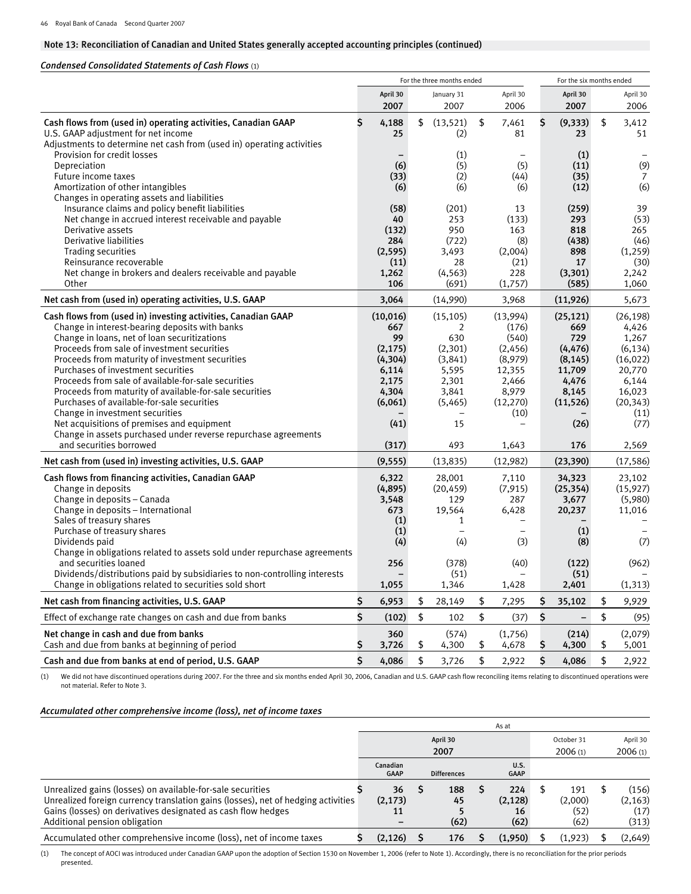#### *Condensed Consolidated Statements of Cash Flows* (1)

|                                                                                                                                                                                                                                                                                                                                                                                                                                                                                                                                                                                                                                                                                                                  | For the three months ended |                                                                                                                   |    |                                                                                                             |    |                                                                                                                                                    |    |                                                                                                                      | For the six months ended |                                                                                                                                      |  |  |
|------------------------------------------------------------------------------------------------------------------------------------------------------------------------------------------------------------------------------------------------------------------------------------------------------------------------------------------------------------------------------------------------------------------------------------------------------------------------------------------------------------------------------------------------------------------------------------------------------------------------------------------------------------------------------------------------------------------|----------------------------|-------------------------------------------------------------------------------------------------------------------|----|-------------------------------------------------------------------------------------------------------------|----|----------------------------------------------------------------------------------------------------------------------------------------------------|----|----------------------------------------------------------------------------------------------------------------------|--------------------------|--------------------------------------------------------------------------------------------------------------------------------------|--|--|
|                                                                                                                                                                                                                                                                                                                                                                                                                                                                                                                                                                                                                                                                                                                  |                            | April 30<br>2007                                                                                                  |    | January 31<br>2007                                                                                          |    | April 30<br>2006                                                                                                                                   |    | April 30<br>2007                                                                                                     |                          | April 30<br>2006                                                                                                                     |  |  |
| Cash flows from (used in) operating activities, Canadian GAAP<br>U.S. GAAP adjustment for net income<br>Adjustments to determine net cash from (used in) operating activities                                                                                                                                                                                                                                                                                                                                                                                                                                                                                                                                    | \$                         | 4,188<br>25                                                                                                       | \$ | (13, 521)<br>(2)                                                                                            | \$ | 7,461<br>81                                                                                                                                        | \$ | (9,333)<br>23                                                                                                        | \$                       | 3,412<br>51                                                                                                                          |  |  |
| Provision for credit losses<br>Depreciation<br>Future income taxes<br>Amortization of other intangibles                                                                                                                                                                                                                                                                                                                                                                                                                                                                                                                                                                                                          |                            | (6)<br>(33)<br>(6)                                                                                                |    | (1)<br>(5)<br>(2)<br>(6)                                                                                    |    | (5)<br>(44)<br>(6)                                                                                                                                 |    | (1)<br>(11)<br>(35)<br>(12)                                                                                          |                          | (9)<br>7<br>(6)                                                                                                                      |  |  |
| Changes in operating assets and liabilities<br>Insurance claims and policy benefit liabilities<br>Net change in accrued interest receivable and payable<br>Derivative assets<br>Derivative liabilities<br><b>Trading securities</b><br>Reinsurance recoverable<br>Net change in brokers and dealers receivable and payable                                                                                                                                                                                                                                                                                                                                                                                       |                            | (58)<br>40<br>(132)<br>284<br>(2, 595)<br>(11)<br>1,262                                                           |    | (201)<br>253<br>950<br>(722)<br>3,493<br>28<br>(4, 563)                                                     |    | 13<br>(133)<br>163<br>(8)<br>(2,004)<br>(21)<br>228                                                                                                |    | (259)<br>293<br>818<br>(438)<br>898<br>17<br>(3,301)                                                                 |                          | 39<br>(53)<br>265<br>(46)<br>(1, 259)<br>(30)<br>2,242                                                                               |  |  |
| Other<br>Net cash from (used in) operating activities, U.S. GAAP                                                                                                                                                                                                                                                                                                                                                                                                                                                                                                                                                                                                                                                 |                            | 106<br>3,064                                                                                                      |    | (691)<br>(14,990)                                                                                           |    | (1,757)<br>3,968                                                                                                                                   |    | (585)<br>(11, 926)                                                                                                   |                          | 1,060<br>5,673                                                                                                                       |  |  |
| Cash flows from (used in) investing activities, Canadian GAAP<br>Change in interest-bearing deposits with banks<br>Change in loans, net of loan securitizations<br>Proceeds from sale of investment securities<br>Proceeds from maturity of investment securities<br>Purchases of investment securities<br>Proceeds from sale of available-for-sale securities<br>Proceeds from maturity of available-for-sale securities<br>Purchases of available-for-sale securities<br>Change in investment securities<br>Net acquisitions of premises and equipment<br>Change in assets purchased under reverse repurchase agreements<br>and securities borrowed<br>Net cash from (used in) investing activities, U.S. GAAP |                            | (10, 016)<br>667<br>99<br>(2, 175)<br>(4, 304)<br>6,114<br>2,175<br>4,304<br>(6,061)<br>(41)<br>(317)<br>(9, 555) |    | (15, 105)<br>2<br>630<br>(2,301)<br>(3,841)<br>5,595<br>2,301<br>3,841<br>(5,465)<br>15<br>493<br>(13, 835) |    | (13,994)<br>(176)<br>(540)<br>(2,456)<br>(8,979)<br>12,355<br>2,466<br>8,979<br>(12, 270)<br>(10)<br>$\overline{\phantom{0}}$<br>1,643<br>(12,982) |    | (25, 121)<br>669<br>729<br>(4, 476)<br>(8, 145)<br>11,709<br>4,476<br>8,145<br>(11, 526)<br>(26)<br>176<br>(23, 390) |                          | (26, 198)<br>4,426<br>1,267<br>(6, 134)<br>(16, 022)<br>20,770<br>6,144<br>16,023<br>(20, 343)<br>(11)<br>(77)<br>2,569<br>(17, 586) |  |  |
| Cash flows from financing activities, Canadian GAAP<br>Change in deposits<br>Change in deposits - Canada<br>Change in deposits - International<br>Sales of treasury shares<br>Purchase of treasury shares<br>Dividends paid<br>Change in obligations related to assets sold under repurchase agreements<br>and securities loaned<br>Dividends/distributions paid by subsidiaries to non-controlling interests<br>Change in obligations related to securities sold short                                                                                                                                                                                                                                          |                            | 6,322<br>(4,895)<br>3,548<br>673<br>(1)<br>(1)<br>(4)<br>256<br>1,055                                             |    | 28,001<br>(20, 459)<br>129<br>19,564<br>1<br>(4)<br>(378)<br>(51)<br>1,346                                  |    | 7,110<br>(7, 915)<br>287<br>6,428<br>(3)<br>(40)<br>1,428                                                                                          |    | 34,323<br>(25, 354)<br>3,677<br>20,237<br>(1)<br>(8)<br>(122)<br>(51)<br>2,401                                       |                          | 23,102<br>(15, 927)<br>(5,980)<br>11,016<br>(7)<br>(962)<br>(1, 313)                                                                 |  |  |
| Net cash from financing activities, U.S. GAAP                                                                                                                                                                                                                                                                                                                                                                                                                                                                                                                                                                                                                                                                    | \$                         | 6,953                                                                                                             | \$ | 28,149                                                                                                      | \$ | 7,295                                                                                                                                              | \$ | 35,102                                                                                                               | \$                       | 9,929                                                                                                                                |  |  |
| Effect of exchange rate changes on cash and due from banks                                                                                                                                                                                                                                                                                                                                                                                                                                                                                                                                                                                                                                                       | \$                         | (102)                                                                                                             | \$ | 102                                                                                                         | \$ | (37)                                                                                                                                               | \$ | $\qquad \qquad -$                                                                                                    | \$                       | (95)                                                                                                                                 |  |  |
| Net change in cash and due from banks<br>Cash and due from banks at beginning of period                                                                                                                                                                                                                                                                                                                                                                                                                                                                                                                                                                                                                          | Ś                          | 360<br>3,726                                                                                                      | \$ | (574)<br>4,300                                                                                              | \$ | (1,756)<br>4,678                                                                                                                                   | S  | (214)<br>4,300                                                                                                       | \$                       | (2,079)<br>5,001                                                                                                                     |  |  |
| Cash and due from banks at end of period, U.S. GAAP                                                                                                                                                                                                                                                                                                                                                                                                                                                                                                                                                                                                                                                              | \$                         | 4,086                                                                                                             | \$ | 3,726                                                                                                       | \$ | 2,922                                                                                                                                              | \$ | 4,086                                                                                                                | \$                       | 2,922                                                                                                                                |  |  |

(1) We did not have discontinued operations during 2007. For the three and six months ended April 30, 2006, Canadian and U.S. GAAP cash flow reconciling items relating to discontinued operations were not material. Refer to Note 3.

## *Accumulated other comprehensive income (loss), net of income taxes*

|                                                                                                                                                                                                                                                  |                         |                    | As at                         |                                |                                    |
|--------------------------------------------------------------------------------------------------------------------------------------------------------------------------------------------------------------------------------------------------|-------------------------|--------------------|-------------------------------|--------------------------------|------------------------------------|
|                                                                                                                                                                                                                                                  |                         | April 30<br>2007   |                               | October 31<br>2006(1)          | April 30<br>2006(1)                |
|                                                                                                                                                                                                                                                  | Canadian<br><b>GAAP</b> | <b>Differences</b> | U.S.<br><b>GAAP</b>           |                                |                                    |
| Unrealized gains (losses) on available-for-sale securities<br>Unrealized foreign currency translation gains (losses), net of hedging activities<br>Gains (losses) on derivatives designated as cash flow hedges<br>Additional pension obligation | 36<br>(2, 173)<br>11    | 188<br>45<br>(62)  | 224<br>(2, 128)<br>16<br>(62) | 191<br>(2,000)<br>(52)<br>(62) | (156)<br>(2, 163)<br>(17)<br>(313) |
| Accumulated other comprehensive income (loss), net of income taxes                                                                                                                                                                               | (2, 126)                | 176                | (1,950)                       | (1,923)                        | (2,649)                            |

(1) The concept of AOCI was introduced under Canadian GAAP upon the adoption of Section 1530 on November 1, 2006 (refer to Note 1). Accordingly, there is no reconciliation for the prior periods presented.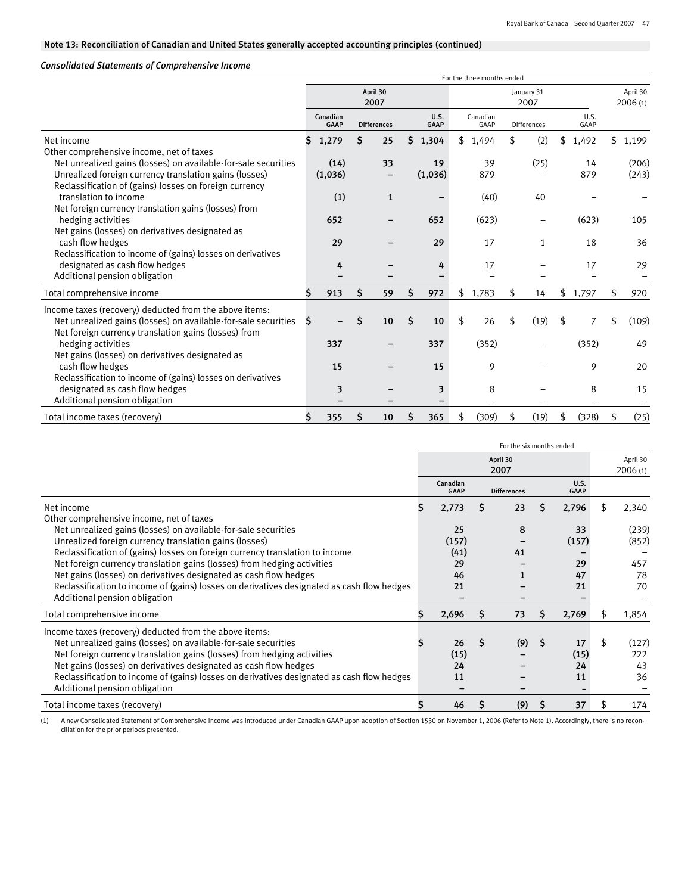## *Consolidated Statements of Comprehensive Income*

|                                                                     | For the three months ended |    |                    |   |                     |    |                  |    |                          |    |              |    |                     |
|---------------------------------------------------------------------|----------------------------|----|--------------------|---|---------------------|----|------------------|----|--------------------------|----|--------------|----|---------------------|
|                                                                     |                            |    | April 30<br>2007   |   |                     |    |                  |    | January 31<br>2007       |    |              |    | April 30<br>2006(1) |
|                                                                     | Canadian<br><b>GAAP</b>    |    | <b>Differences</b> |   | U.S.<br><b>GAAP</b> |    | Canadian<br>GAAP |    | <b>Differences</b>       |    | U.S.<br>GAAP |    |                     |
| Net income                                                          | S<br>1,279                 | Ś  | 25                 |   | \$1,304             |    | \$1,494          | \$ | (2)                      | \$ | 1,492        | \$ | 1,199               |
| Other comprehensive income, net of taxes                            |                            |    |                    |   |                     |    |                  |    |                          |    |              |    |                     |
| Net unrealized gains (losses) on available-for-sale securities      | (14)                       |    | 33                 |   | 19                  |    | 39               |    | (25)                     |    | 14           |    | (206)               |
| Unrealized foreign currency translation gains (losses)              | (1,036)                    |    |                    |   | (1,036)             |    | 879              |    |                          |    | 879          |    | (243)               |
| Reclassification of (gains) losses on foreign currency              |                            |    |                    |   |                     |    |                  |    |                          |    |              |    |                     |
| translation to income                                               | (1)                        |    | 1                  |   |                     |    | (40)             |    | 40                       |    |              |    |                     |
| Net foreign currency translation gains (losses) from                |                            |    |                    |   |                     |    |                  |    |                          |    |              |    |                     |
| hedging activities                                                  | 652                        |    |                    |   | 652                 |    | (623)            |    | $\overline{\phantom{0}}$ |    | (623)        |    | 105                 |
| Net gains (losses) on derivatives designated as<br>cash flow hedges | 29                         |    |                    |   | 29                  |    | 17               |    | 1                        |    | 18           |    | 36                  |
| Reclassification to income of (gains) losses on derivatives         |                            |    |                    |   |                     |    |                  |    |                          |    |              |    |                     |
| designated as cash flow hedges                                      | 4                          |    |                    |   | 4                   |    | 17               |    |                          |    | 17           |    | 29                  |
| Additional pension obligation                                       |                            |    |                    |   |                     |    |                  |    |                          |    |              |    |                     |
|                                                                     |                            |    |                    |   |                     |    |                  |    |                          |    |              |    |                     |
| Total comprehensive income                                          | Ś.<br>913                  | Ś  | 59                 | Ś | 972                 | \$ | 1,783            | \$ | 14                       | \$ | 1,797        | \$ | 920                 |
| Income taxes (recovery) deducted from the above items:              |                            |    |                    |   |                     |    |                  |    |                          |    |              |    |                     |
| Net unrealized gains (losses) on available-for-sale securities      | S                          | \$ | 10                 | Ś | 10                  | \$ | 26               | \$ | (19)                     | \$ |              | \$ | (109)               |
| Net foreign currency translation gains (losses) from                |                            |    |                    |   |                     |    |                  |    |                          |    |              |    |                     |
| hedging activities                                                  | 337                        |    |                    |   | 337                 |    | (352)            |    |                          |    | (352)        |    | 49                  |
| Net gains (losses) on derivatives designated as                     |                            |    |                    |   |                     |    |                  |    |                          |    |              |    |                     |
| cash flow hedges                                                    | 15                         |    |                    |   | 15                  |    | 9                |    |                          |    | 9            |    | 20                  |
| Reclassification to income of (gains) losses on derivatives         |                            |    |                    |   |                     |    |                  |    |                          |    |              |    |                     |
| designated as cash flow hedges                                      | 3                          |    |                    |   | 3                   |    | 8                |    |                          |    | 8            |    | 15                  |
| Additional pension obligation                                       |                            |    |                    |   |                     |    |                  |    |                          |    |              |    |                     |
| Total income taxes (recovery)                                       | \$<br>355                  | S  | 10                 | S | 365                 | \$ | (309)            | \$ | (19)                     | \$ | (328)        | \$ | (25)                |

|                                                                                            |   |                  |    | For the six months ended |    |                     |    |                     |
|--------------------------------------------------------------------------------------------|---|------------------|----|--------------------------|----|---------------------|----|---------------------|
|                                                                                            |   |                  |    | April 30<br>2007         |    |                     |    | April 30<br>2006(1) |
|                                                                                            |   | Canadian<br>GAAP |    | <b>Differences</b>       |    | U.S.<br><b>GAAP</b> |    |                     |
| Net income                                                                                 | S | 2,773            | Ś  | 23                       | Ś  | 2,796               | Б  | 2,340               |
| Other comprehensive income, net of taxes                                                   |   |                  |    |                          |    |                     |    |                     |
| Net unrealized gains (losses) on available-for-sale securities                             |   | 25               |    | 8                        |    | 33                  |    | (239)               |
| Unrealized foreign currency translation gains (losses)                                     |   | (157)            |    |                          |    | (157)               |    | (852)               |
| Reclassification of (gains) losses on foreign currency translation to income               |   | (41)             |    | 41                       |    |                     |    |                     |
| Net foreign currency translation gains (losses) from hedging activities                    |   | 29               |    |                          |    | 29                  |    | 457                 |
| Net gains (losses) on derivatives designated as cash flow hedges                           |   | 46               |    |                          |    | 47                  |    | 78                  |
| Reclassification to income of (gains) losses on derivatives designated as cash flow hedges |   | 21               |    |                          |    | 21                  |    | 70                  |
| Additional pension obligation                                                              |   |                  |    |                          |    |                     |    |                     |
| Total comprehensive income                                                                 | S | 2,696            | S  | 73                       | S  | 2,769               | S. | 1,854               |
| Income taxes (recovery) deducted from the above items:                                     |   |                  |    |                          |    |                     |    |                     |
| Net unrealized gains (losses) on available-for-sale securities                             |   | 26               | \$ | (9)                      | \$ | 17                  | S  | (127)               |
| Net foreign currency translation gains (losses) from hedging activities                    |   | (15)             |    |                          |    | (15)                |    | 222                 |
| Net gains (losses) on derivatives designated as cash flow hedges                           |   | 24               |    |                          |    | 24                  |    | 43                  |
| Reclassification to income of (gains) losses on derivatives designated as cash flow hedges |   | 11               |    |                          |    | 11                  |    | 36                  |
| Additional pension obligation                                                              |   |                  |    |                          |    |                     |    |                     |
| Total income taxes (recovery)                                                              | S | 46               | S  | (9)                      | S  | 37                  |    | 174                 |

(1) A new Consolidated Statement of Comprehensive Income was introduced under Canadian GAAP upon adoption of Section 1530 on November 1, 2006 (Refer to Note 1). Accordingly, there is no reconciliation for the prior periods presented.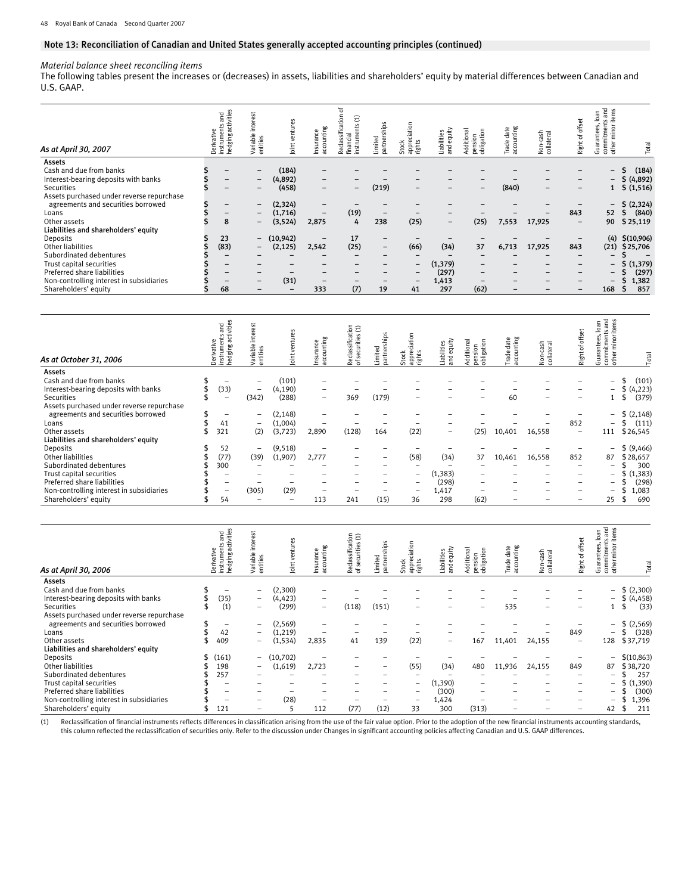#### *Material balance sheet reconciling items*

The following tables present the increases or (decreases) in assets, liabilities and shareholders' equity by material differences between Canadian and U.S. GAAP.

| As at April 30, 2007                                                                                                                                                                                                                                                                                                                        |                                        | instruments and<br>  hedging activities<br>Derivative                           | Variable interest<br>entities                                                                                           | Joint ventures                                                                           | accounting<br>Insurance                                       | Reclassification of<br>instruments (1)<br>financial              | partnerships<br>Limited                                                                                                                         | appreciation<br>rights<br>Stock                                                                                            | and equity<br>Liabilities                                             | Additional<br>pension<br>obligation                                       | accounting<br>Trade date           | Non-cash<br>collateral                                         | Right of offset                                                                                                                   | commitments and<br>other minor items<br>Guarantees, loan            | Total                                                                                               |
|---------------------------------------------------------------------------------------------------------------------------------------------------------------------------------------------------------------------------------------------------------------------------------------------------------------------------------------------|----------------------------------------|---------------------------------------------------------------------------------|-------------------------------------------------------------------------------------------------------------------------|------------------------------------------------------------------------------------------|---------------------------------------------------------------|------------------------------------------------------------------|-------------------------------------------------------------------------------------------------------------------------------------------------|----------------------------------------------------------------------------------------------------------------------------|-----------------------------------------------------------------------|---------------------------------------------------------------------------|------------------------------------|----------------------------------------------------------------|-----------------------------------------------------------------------------------------------------------------------------------|---------------------------------------------------------------------|-----------------------------------------------------------------------------------------------------|
| Assets<br>Cash and due from banks<br>Interest-bearing deposits with banks<br>Securities                                                                                                                                                                                                                                                     | Ś<br>\$<br>Ś                           | $\overline{\phantom{a}}$<br>$\overline{\phantom{0}}$                            | $\qquad \qquad -$<br>$\overline{\phantom{a}}$<br>$\overline{\phantom{0}}$                                               | (184)<br>(4, 892)<br>(458)                                                               | $\overline{\phantom{0}}$                                      | $\qquad \qquad -$<br>$\overline{\phantom{a}}$                    | $\qquad \qquad$<br>$\qquad \qquad -$<br>(219)                                                                                                   | $\overline{\phantom{0}}$                                                                                                   | $\overline{\phantom{0}}$                                              | -<br>L                                                                    | $\overline{\phantom{0}}$<br>(840)  | $\overline{\phantom{0}}$                                       | $\qquad \qquad -$                                                                                                                 | $\mathbf{1}$                                                        | (184)<br>S<br>(4, 892)<br>S<br>\$ (1, 516)                                                          |
| Assets purchased under reverse repurchase<br>agreements and securities borrowed<br>Loans<br>Other assets<br>Liabilities and shareholders' equity<br>Deposits<br>Other liabilities<br>Subordinated debentures<br>Trust capital securities<br>Preferred share liabilities<br>Non-controlling interest in subsidiaries<br>Shareholders' equity | Ś<br>۹                                 | ۳<br>8                                                                          | $\overline{\phantom{m}}$<br>$\overline{\phantom{a}}$<br>$\overline{\phantom{0}}$                                        | (2, 324)<br>(1,716)<br>(3, 524)                                                          | $\overline{\phantom{a}}$<br>$\overline{\phantom{a}}$<br>2,875 | (19)<br>4                                                        | $\overline{\phantom{a}}$<br>238                                                                                                                 | -<br>$\overline{\phantom{a}}$<br>(25)                                                                                      | $\overline{\phantom{0}}$<br>$\overline{\phantom{0}}$                  | -<br>$\overline{\phantom{0}}$<br>(25)                                     | 7,553                              | $\qquad \qquad -$<br>17,925                                    | $\overline{\phantom{0}}$<br>843<br>$\overline{\phantom{0}}$                                                                       | 52<br>90                                                            | \$ (2,324)<br>\$<br>(840)<br>\$25,119                                                               |
|                                                                                                                                                                                                                                                                                                                                             | Ś                                      | 23<br>(83)                                                                      | $\overline{\phantom{m}}$                                                                                                | (10, 942)<br>(2, 125)                                                                    | 2,542                                                         | 17<br>(25)                                                       | $\overline{\phantom{0}}$<br>$\overline{\phantom{0}}$                                                                                            | (66)                                                                                                                       | (34)                                                                  | $\overline{\phantom{0}}$<br>37                                            | 6,713                              | 17,925                                                         | 843<br>$\overline{\phantom{0}}$                                                                                                   | (4)<br>(21)                                                         | \$(10,906)<br>\$25,706<br>S                                                                         |
|                                                                                                                                                                                                                                                                                                                                             | S                                      | $\overline{\phantom{0}}$<br>۳<br>68                                             | $\overline{\phantom{0}}$<br>$\overline{\phantom{0}}$                                                                    | $\overline{\phantom{0}}$<br>(31)<br>$\overline{\phantom{0}}$                             | $\overline{\phantom{a}}$<br>333                               | ۳<br>$\overline{\phantom{0}}$<br>$\overline{\phantom{0}}$<br>(7) | $\overline{\phantom{a}}$<br>$\qquad \qquad -$<br>$\overline{\phantom{0}}$<br>19                                                                 | $\overline{\phantom{0}}$<br>$\overline{\phantom{0}}$<br>$\overline{\phantom{0}}$<br>41                                     | (1, 379)<br>(297)<br>1,413<br>297                                     | $\overline{\phantom{0}}$<br>-<br>$\overline{\phantom{m}}$<br>(62)         | $\overline{\phantom{0}}$           | $\overline{\phantom{0}}$                                       | $\overline{\phantom{0}}$<br>$\overline{\phantom{m}}$<br>$\qquad \qquad -$                                                         | 168                                                                 | (1, 379)<br>S<br>(297)<br>S<br>\$<br>1,382<br>\$<br>857                                             |
| As at October 31, 2006                                                                                                                                                                                                                                                                                                                      |                                        | instruments and<br>hedging activities<br>Derivative                             | Variable interest<br>entities                                                                                           | Joint ventures                                                                           | Insurance<br>accounting                                       | Reclassification<br>of securities (1)                            | partnerships<br>Limited                                                                                                                         | Stock<br>appreciation<br>rights                                                                                            | Liabilities<br>and equity                                             | Additional<br>pension<br>obligation                                       | Trade date<br>accounting           | Non-cash<br>collateral                                         | Right of offset                                                                                                                   | commitments and<br>other minor items<br>Guarantees, loan            | <b>Total</b>                                                                                        |
| Assets<br>Cash and due from banks<br>Interest-bearing deposits with banks<br>Securities                                                                                                                                                                                                                                                     | \$<br>\$<br>\$                         | (33)<br>$\overline{\phantom{a}}$                                                | $\overline{\phantom{a}}$<br>$\overline{\phantom{a}}$<br>(342)                                                           | (101)<br>(4, 190)<br>(288)                                                               | ٠<br>÷,<br>۰                                                  | $\equiv$<br>369                                                  | L,<br>(179)                                                                                                                                     | L.                                                                                                                         | $\overline{\phantom{a}}$                                              | $\overline{\phantom{0}}$                                                  | $\sim$<br>60                       | ÷,                                                             | $\overline{\phantom{a}}$                                                                                                          | $\mathbf{1}$                                                        | (101)<br>\$<br>\$<br>(4, 223)<br>\$<br>(379)                                                        |
| Assets purchased under reverse repurchase<br>agreements and securities borrowed<br>Loans<br>Other assets<br>Liabilities and shareholders' equity<br>Deposits<br>Other liabilities<br>Subordinated debentures<br>Trust capital securities<br>Preferred share liabilities<br>Non-controlling interest in subsidiaries<br>Shareholders' equity | \$<br>\$<br>\$                         | $\overline{\phantom{a}}$<br>41<br>321                                           | $\overline{\phantom{m}}$<br>$\sim$<br>(2)                                                                               | (2, 148)<br>(1,004)<br>(3,723)                                                           | ٠<br>÷,<br>2,890                                              | ۰<br>÷,<br>(128)                                                 | ۰<br>$\overline{\phantom{a}}$<br>164                                                                                                            | $\overline{\phantom{0}}$<br>$\overline{\phantom{a}}$<br>(22)                                                               | $\overline{\phantom{0}}$<br>$\overline{\phantom{a}}$                  | ÷,<br>(25)                                                                | 10,401                             | $\overline{\phantom{a}}$<br>16,558                             | ۰<br>852<br>٠                                                                                                                     | $\qquad \qquad -$<br>111                                            | \$<br>(2, 148)<br>\$<br>(111)<br>\$26,545                                                           |
|                                                                                                                                                                                                                                                                                                                                             | \$<br>\$<br>S<br>\$                    | 52<br>(77)<br>300<br>$\overline{\phantom{a}}$<br>$\overline{\phantom{a}}$<br>54 | $\overline{\phantom{a}}$<br>(39)<br>$\overline{\phantom{0}}$<br>(305)<br>$\overline{\phantom{0}}$                       | (9, 518)<br>(1,907)<br>۰<br>(29)<br>$\overline{\phantom{a}}$                             | ٠<br>2,777<br>۰<br>113                                        | ۰<br>۰<br>$\overline{\phantom{0}}$<br>241                        | $\overline{\phantom{a}}$<br>۰<br>۰<br>÷<br>$\qquad \qquad -$<br>(15)                                                                            | $\overline{\phantom{0}}$<br>(58)<br>$\overline{\phantom{0}}$<br>L.<br>$\qquad \qquad -$<br>36                              | $\overline{\phantom{0}}$<br>(34)<br>(1, 383)<br>(298)<br>1,417<br>298 | ۰<br>37<br>÷<br>$\overline{\phantom{a}}$<br>(62)                          | 10,461<br>$\overline{\phantom{0}}$ | 16,558<br>$\overline{\phantom{0}}$<br>$\overline{\phantom{0}}$ | $\overline{\phantom{m}}$<br>852<br>۰<br>۰<br>$\overline{\phantom{0}}$<br>$\overline{\phantom{0}}$<br>$\overline{\phantom{a}}$     | 87<br>$\qquad \qquad -$<br>25                                       | (9,466)<br>\$<br>\$28,657<br>\$<br>300<br>(1, 383)<br>\$<br>\$<br>(298)<br>\$<br>1,083<br>\$<br>690 |
| As at April 30, 2006                                                                                                                                                                                                                                                                                                                        |                                        | hedging activities<br>instruments and<br>Derivative                             | Variable interest<br>entities                                                                                           | loint ventures                                                                           | Insurance<br>accounting                                       | Reclassification<br>of securities (1)                            | partnerships<br>Limited                                                                                                                         | Stock<br>appreciation<br>rights                                                                                            | and equity<br>Liabilities                                             | Additional<br>pension<br>obligation                                       | accounting<br>Trade date           | Non-cash<br>collateral                                         | Right of offset                                                                                                                   | Guarantees, loan<br>commitments and<br>other minor items            | Total                                                                                               |
| <b>Assets</b><br>Cash and due from banks<br>Interest-bearing deposits with banks<br>Securities                                                                                                                                                                                                                                              | \$<br>\$<br>\$                         | (35)<br>(1)                                                                     | $\qquad \qquad -$                                                                                                       | (2,300)<br>(4, 423)<br>(299)                                                             | ÷,                                                            | (118)                                                            | (151)                                                                                                                                           |                                                                                                                            |                                                                       | L                                                                         | 535                                |                                                                |                                                                                                                                   | $\mathbf{1}$                                                        | \$(2,300)<br>\$(4, 458)<br>\$<br>(33)                                                               |
| Assets purchased under reverse repurchase<br>agreements and securities borrowed<br>Loans<br>Other assets<br>Liabilities and shareholders' equity                                                                                                                                                                                            | \$<br>\$<br>\$                         | $\overline{\phantom{a}}$<br>42<br>409                                           | $\overline{\phantom{a}}$<br>$\overline{\phantom{a}}$<br>$\overline{\phantom{a}}$                                        | (2, 569)<br>(1,219)<br>(1, 534)                                                          | 2,835                                                         | 41                                                               | $\overline{\phantom{a}}$<br>139                                                                                                                 | $\overline{\phantom{a}}$<br>(22)                                                                                           | $\qquad \qquad -$<br>$\overline{\phantom{0}}$                         | $\overline{a}$<br>167                                                     | 11,401                             | 24,155                                                         | $\overline{\phantom{0}}$<br>849<br>$\overline{\phantom{a}}$                                                                       | 128                                                                 | \$(2, 569)<br>\$ (328)<br>\$37,719                                                                  |
| <b>Deposits</b><br>Other liabilities<br>Subordinated debentures<br>Trust capital securities<br>Preferred share liabilities<br>Non-controlling interest in subsidiaries<br>Shareholders' equity                                                                                                                                              | \$<br>\$<br>\$<br>\$<br>\$<br>\$<br>\$ | (161)<br>198<br>257<br>121                                                      | $\overline{\phantom{a}}$<br>$\overline{\phantom{a}}$<br>$\overline{\phantom{a}}$<br>$\overline{a}$<br>$\qquad \qquad -$ | (10,702)<br>(1,619)<br>$\overline{\phantom{a}}$<br>$\overline{\phantom{a}}$<br>(28)<br>5 | $\overline{\phantom{0}}$<br>2,723<br>÷,<br>112                | $\overline{a}$<br>$\overline{\phantom{a}}$<br>(77)               | $\overline{\phantom{0}}$<br>$\overline{\phantom{a}}$<br>$\overline{\phantom{a}}$<br>÷,<br>$\overline{\phantom{a}}$<br>$\qquad \qquad -$<br>(12) | $\overline{\phantom{0}}$<br>(55)<br>$\overline{\phantom{0}}$<br>$\overline{\phantom{0}}$<br>$\overline{\phantom{0}}$<br>33 | $\overline{\phantom{a}}$<br>(34)<br>(1, 390)<br>(300)<br>1,424<br>300 | $\overline{\phantom{a}}$<br>480<br>$\overline{\phantom{0}}$<br>-<br>(313) | 11,936                             | 24,155<br>$\overline{\phantom{0}}$                             | $\overline{\phantom{a}}$<br>849<br>$\overline{\phantom{0}}$<br>$\overline{\phantom{a}}$<br>$\qquad \qquad -$<br>$\qquad \qquad -$ | 87<br>$\overline{\phantom{0}}$<br>$\qquad \qquad -$<br>$42 \quad $$ | \$(10, 863)<br>\$38,720<br>\$<br>257<br>\$(1,390)<br>\$<br>(300)<br>\$1,396<br>211                  |

(1) Reclassification of financial instruments reflects differences in classification arising from the use of the fair value option. Prior to the adoption of the new financial instruments accounting standards, this column reflected the reclassification of securities only. Refer to the discussion under Changes in significant accounting policies affecting Canadian and U.S. GAAP differences.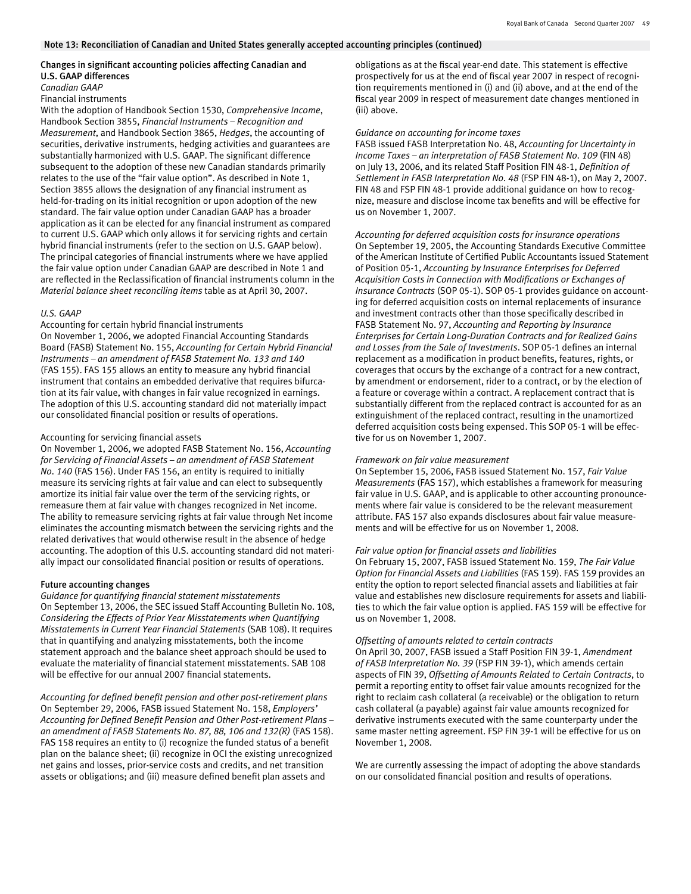## Changes in significant accounting policies affecting Canadian and U.S. GAAP differences

## *Canadian GAAP*

#### Financial instruments

With the adoption of Handbook Section 1530, *Comprehensive Income*, Handbook Section 3855, *Financial Instruments – Recognition and Measurement*, and Handbook Section 3865, *Hedges*, the accounting of securities, derivative instruments, hedging activities and guarantees are substantially harmonized with U.S. GAAP. The significant difference subsequent to the adoption of these new Canadian standards primarily relates to the use of the "fair value option". As described in Note 1, Section 3855 allows the designation of any financial instrument as held-for-trading on its initial recognition or upon adoption of the new standard. The fair value option under Canadian GAAP has a broader application as it can be elected for any financial instrument as compared to current U.S. GAAP which only allows it for servicing rights and certain hybrid financial instruments (refer to the section on U.S. GAAP below). The principal categories of financial instruments where we have applied the fair value option under Canadian GAAP are described in Note 1 and are reflected in the Reclassification of financial instruments column in the *Material balance sheet reconciling items* table as at April 30, 2007.

#### *U.S. GAAP*

Accounting for certain hybrid financial instruments On November 1, 2006, we adopted Financial Accounting Standards Board (FASB) Statement No. 155, *Accounting for Certain Hybrid Financial Instruments – an amendment of FASB Statement No. 133 and 140*  (FAS 155). FAS 155 allows an entity to measure any hybrid financial instrument that contains an embedded derivative that requires bifurcation at its fair value, with changes in fair value recognized in earnings. The adoption of this U.S. accounting standard did not materially impact

our consolidated financial position or results of operations.

## Accounting for servicing financial assets

On November 1, 2006, we adopted FASB Statement No. 156, *Accounting for Servicing of Financial Assets – an amendment of FASB Statement No. 140* (FAS 156). Under FAS 156, an entity is required to initially measure its servicing rights at fair value and can elect to subsequently amortize its initial fair value over the term of the servicing rights, or remeasure them at fair value with changes recognized in Net income. The ability to remeasure servicing rights at fair value through Net income eliminates the accounting mismatch between the servicing rights and the related derivatives that would otherwise result in the absence of hedge accounting. The adoption of this U.S. accounting standard did not materially impact our consolidated financial position or results of operations.

#### Future accounting changes

*Guidance for quantifying financial statement misstatements* On September 13, 2006, the SEC issued Staff Accounting Bulletin No. 108, *Considering the Effects of Prior Year Misstatements when Quantifying Misstatements in Current Year Financial Statements* (SAB 108). It requires that in quantifying and analyzing misstatements, both the income statement approach and the balance sheet approach should be used to evaluate the materiality of financial statement misstatements. SAB 108 will be effective for our annual 2007 financial statements.

*Accounting for defined benefit pension and other post-retirement plans* On September 29, 2006, FASB issued Statement No. 158, *Employers' Accounting for Defined Benefit Pension and Other Post-retirement Plans – an amendment of FASB Statements No. 87, 88, 106 and 132(R)* (FAS 158). FAS 158 requires an entity to (i) recognize the funded status of a benefit plan on the balance sheet; (ii) recognize in OCI the existing unrecognized net gains and losses, prior-service costs and credits, and net transition assets or obligations; and (iii) measure defined benefit plan assets and

obligations as at the fiscal year-end date. This statement is effective prospectively for us at the end of fiscal year 2007 in respect of recognition requirements mentioned in (i) and (ii) above, and at the end of the fiscal year 2009 in respect of measurement date changes mentioned in (iii) above.

#### *Guidance on accounting for income taxes*

FASB issued FASB Interpretation No. 48, *Accounting for Uncertainty in Income Taxes – an interpretation of FASB Statement No. 109* (FIN 48) on July 13, 2006, and its related Staff Position FIN 48-1, *Definition of Settlement in FASB Interpretation No. 48* (FSP FIN 48-1), on May 2, 2007. FIN 48 and FSP FIN 48-1 provide additional guidance on how to recognize, measure and disclose income tax benefits and will be effective for us on November 1, 2007.

*Accounting for deferred acquisition costs for insurance operations* On September 19, 2005, the Accounting Standards Executive Committee of the American Institute of Certified Public Accountants issued Statement of Position 05-1, *Accounting by Insurance Enterprises for Deferred Acquisition Costs in Connection with Modifications or Exchanges of Insurance Contracts* (SOP 05-1). SOP 05-1 provides guidance on accounting for deferred acquisition costs on internal replacements of insurance and investment contracts other than those specifically described in FASB Statement No. 97, *Accounting and Reporting by Insurance Enterprises for Certain Long-Duration Contracts and for Realized Gains and Losses from the Sale of Investments*. SOP 05-1 defines an internal replacement as a modification in product benefits, features, rights, or coverages that occurs by the exchange of a contract for a new contract, by amendment or endorsement, rider to a contract, or by the election of a feature or coverage within a contract. A replacement contract that is substantially different from the replaced contract is accounted for as an extinguishment of the replaced contract, resulting in the unamortized deferred acquisition costs being expensed. This SOP 05-1 will be effective for us on November 1, 2007.

#### *Framework on fair value measurement*

On September 15, 2006, FASB issued Statement No. 157, *Fair Value Measurements* (FAS 157), which establishes a framework for measuring fair value in U.S. GAAP, and is applicable to other accounting pronouncements where fair value is considered to be the relevant measurement attribute. FAS 157 also expands disclosures about fair value measurements and will be effective for us on November 1, 2008.

#### *Fair value option for financial assets and liabilities*

On February 15, 2007, FASB issued Statement No. 159, *The Fair Value Option for Financial Assets and Liabilities* (FAS 159). FAS 159 provides an entity the option to report selected financial assets and liabilities at fair value and establishes new disclosure requirements for assets and liabilities to which the fair value option is applied. FAS 159 will be effective for us on November 1, 2008.

#### *Offsetting of amounts related to certain contracts*

On April 30, 2007, FASB issued a Staff Position FIN 39-1, *Amendment of FASB Interpretation No. 39* (FSP FIN 39-1), which amends certain aspects of FIN 39, *Offsetting of Amounts Related to Certain Contracts*, to permit a reporting entity to offset fair value amounts recognized for the right to reclaim cash collateral (a receivable) or the obligation to return cash collateral (a payable) against fair value amounts recognized for derivative instruments executed with the same counterparty under the same master netting agreement. FSP FIN 39-1 will be effective for us on November 1, 2008.

We are currently assessing the impact of adopting the above standards on our consolidated financial position and results of operations.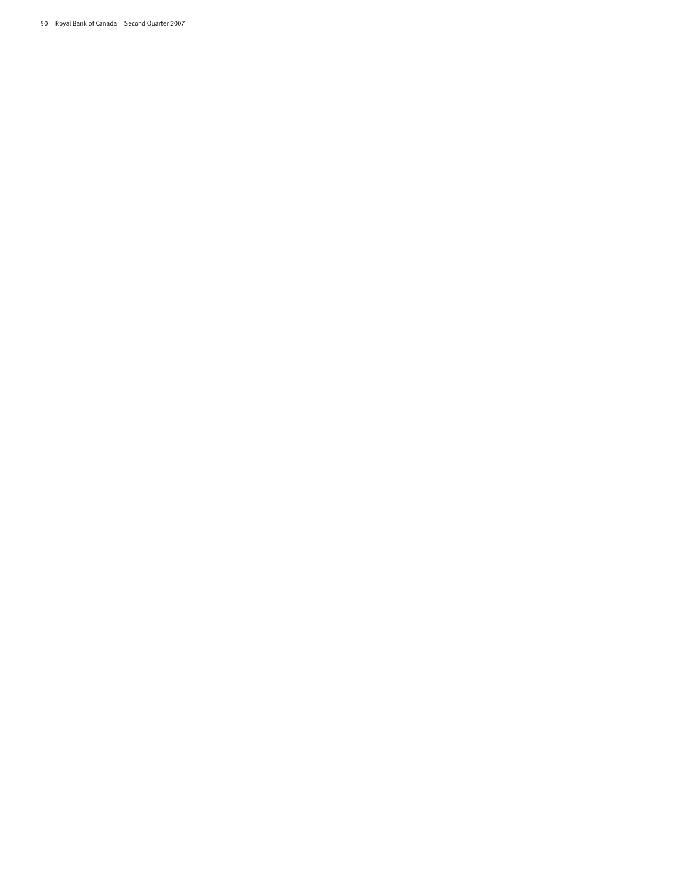50 Royal Bank of Canada Second Quarter 2007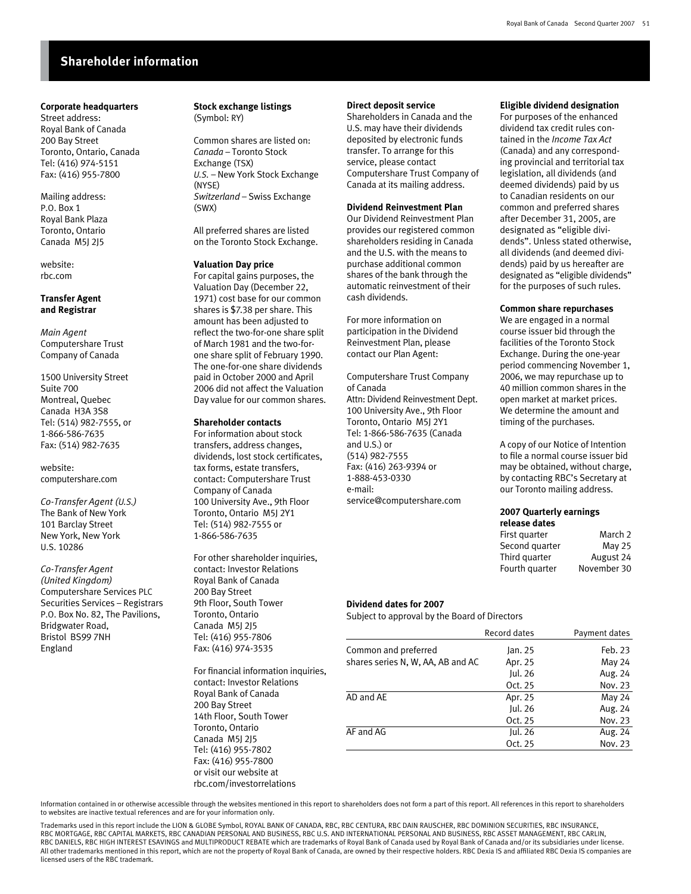# **Shareholder information**

#### **Corporate headquarters**

Street address: Royal Bank of Canada 200 Bay Street Toronto, Ontario, Canada Tel: (416) 974-5151 Fax: (416) 955-7800

Mailing address: P.O. Box 1 Royal Bank Plaza Toronto, Ontario Canada M5J 2J5

website: rbc.com

#### **Transfer Agent and Registrar**

*Main Agent* Computershare Trust Company of Canada

1500 University Street Suite 700 Montreal, Quebec Canada H3A 3S8 Tel: (514) 982-7555, or 1-866-586-7635 Fax: (514) 982-7635

website: computershare.com

*Co-Transfer Agent (U.S.)* The Bank of New York 101 Barclay Street New York, New York U.S. 10286

*Co-Transfer Agent (United Kingdom)* Computershare Services PLC Securities Services – Registrars P.O. Box No. 82, The Pavilions, Bridgwater Road, Bristol BS99 7NH England

**Stock exchange listings** (Symbol: RY)

Common shares are listed on: *Canada –* Toronto Stock Exchange (TSX) *U.S. –* New York Stock Exchange (NYSE) *Switzerland –* Swiss Exchange (SWX)

All preferred shares are listed on the Toronto Stock Exchange.

#### **Valuation Day price**

For capital gains purposes, the Valuation Day (December 22, 1971) cost base for our common shares is \$7.38 per share. This amount has been adjusted to reflect the two-for-one share split of March 1981 and the two-forone share split of February 1990. The one-for-one share dividends paid in October 2000 and April 2006 did not affect the Valuation Day value for our common shares.

#### **Shareholder contacts**

For information about stock transfers, address changes, dividends, lost stock certificates, tax forms, estate transfers, contact: Computershare Trust Company of Canada 100 University Ave., 9th Floor Toronto, Ontario M5J 2Y1 Tel: (514) 982-7555 or 1-866-586-7635

For other shareholder inquiries, contact: Investor Relations Royal Bank of Canada 200 Bay Street 9th Floor, South Tower Toronto, Ontario Canada M5J 2J5 Tel: (416) 955-7806 Fax: (416) 974-3535

For financial information inquiries, contact: Investor Relations Royal Bank of Canada 200 Bay Street 14th Floor, South Tower Toronto, Ontario Canada M5J 2J5 Tel: (416) 955-7802 Fax: (416) 955-7800 or visit our website at rbc.com/investorrelations

#### **Direct deposit service**

Shareholders in Canada and the U.S. may have their dividends deposited by electronic funds transfer. To arrange for this service, please contact Computershare Trust Company of Canada at its mailing address.

#### **Dividend Reinvestment Plan**

Our Dividend Reinvestment Plan provides our registered common shareholders residing in Canada and the U.S. with the means to purchase additional common shares of the bank through the automatic reinvestment of their cash dividends.

For more information on participation in the Dividend Reinvestment Plan, please contact our Plan Agent:

Computershare Trust Company of Canada Attn: Dividend Reinvestment Dept. 100 University Ave., 9th Floor Toronto, Ontario M5J 2Y1 Tel: 1-866-586-7635 (Canada and U.S.) or (514) 982-7555 Fax: (416) 263-9394 or 1-888-453-0330 e-mail: service@computershare.com

# **Eligible dividend designation** For purposes of the enhanced

dividend tax credit rules contained in the *Income Tax Act*  (Canada) and any corresponding provincial and territorial tax legislation, all dividends (and deemed dividends) paid by us to Canadian residents on our common and preferred shares after December 31, 2005, are designated as "eligible dividends". Unless stated otherwise, all dividends (and deemed dividends) paid by us hereafter are designated as "eligible dividends" for the purposes of such rules.

#### **Common share repurchases**

We are engaged in a normal course issuer bid through the facilities of the Toronto Stock Exchange. During the one-year period commencing November 1, 2006, we may repurchase up to 40 million common shares in the open market at market prices. We determine the amount and timing of the purchases.

A copy of our Notice of Intention to file a normal course issuer bid may be obtained, without charge, by contacting RBC's Secretary at our Toronto mailing address.

# **2007 Quarterly earnings**

| March <sub>2</sub> |
|--------------------|
| <b>May 25</b>      |
| August 24          |
| November 30        |
|                    |

#### **Dividend dates for 2007**

Subject to approval by the Board of Directors

|                                   | Record dates | Payment dates |
|-----------------------------------|--------------|---------------|
| Common and preferred              | Jan. 25      | Feb. 23       |
| shares series N, W, AA, AB and AC | Apr. 25      | May 24        |
|                                   | Jul. 26      | Aug. 24       |
|                                   | Oct. 25      | Nov. 23       |
| AD and AE                         | Apr. 25      | <b>May 24</b> |
|                                   | Jul. 26      | Aug. 24       |
|                                   | Oct. 25      | Nov. 23       |
| AF and AG                         | Jul. 26      | Aug. 24       |
|                                   | Oct. 25      | Nov. 23       |

Information contained in or otherwise accessible through the websites mentioned in this report to shareholders does not form a part of this report. All references in this report to shareholders to websites are inactive textual references and are for your information only.

Trademarks used in this report include the LION & GLOBE Symbol, ROYAL BANK OF CANADA, RBC, RBC CENTURA, RBC DAIN RAUSCHER, RBC DOMINION SECURITIES, RBC INSURANCE, RBC MORTGAGE, RBC CAPITAL MARKETS, RBC CANADIAN PERSONAL AND BUSINESS, RBC U.S. AND INTERNATIONAL PERSONAL AND BUSINESS, RBC ASSET MANAGEMENT, RBC CARLIN, RBC DANIELS, RBC HIGH INTEREST ESAVINGS and MULTIPRODUCT REBATE which are trademarks of Royal Bank of Canada used by Royal Bank of Canada and/or its subsidiaries under license. All other trademarks mentioned in this report, which are not the property of Royal Bank of Canada, are owned by their respective holders. RBC Dexia IS and affiliated RBC Dexia IS companies are licensed users of the RBC trademark.